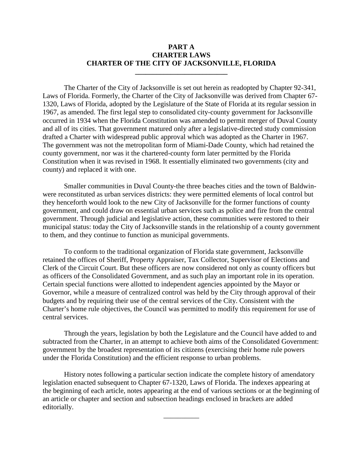# **PART A CHARTER LAWS CHARTER OF THE CITY OF JACKSONVILLE, FLORIDA**

**\_\_\_\_\_\_\_\_\_\_\_\_\_\_\_\_\_\_\_\_\_\_\_\_\_\_**

The Charter of the City of Jacksonville is set out herein as readopted by Chapter 92-341, Laws of Florida. Formerly, the Charter of the City of Jacksonville was derived from Chapter 67- 1320, Laws of Florida, adopted by the Legislature of the State of Florida at its regular session in 1967, as amended. The first legal step to consolidated city-county government for Jacksonville occurred in 1934 when the Florida Constitution was amended to permit merger of Duval County and all of its cities. That government matured only after a legislative-directed study commission drafted a Charter with widespread public approval which was adopted as the Charter in 1967. The government was not the metropolitan form of Miami-Dade County, which had retained the county government, nor was it the chartered-county form later permitted by the Florida Constitution when it was revised in 1968. It essentially eliminated two governments (city and county) and replaced it with one.

Smaller communities in Duval County-the three beaches cities and the town of Baldwinwere reconstituted as urban services districts: they were permitted elements of local control but they henceforth would look to the new City of Jacksonville for the former functions of county government, and could draw on essential urban services such as police and fire from the central government. Through judicial and legislative action, these communities were restored to their municipal status: today the City of Jacksonville stands in the relationship of a county government to them, and they continue to function as municipal governments.

To conform to the traditional organization of Florida state government, Jacksonville retained the offices of Sheriff, Property Appraiser, Tax Collector, Supervisor of Elections and Clerk of the Circuit Court. But these officers are now considered not only as county officers but as officers of the Consolidated Government, and as such play an important role in its operation. Certain special functions were allotted to independent agencies appointed by the Mayor or Governor, while a measure of centralized control was held by the City through approval of their budgets and by requiring their use of the central services of the City. Consistent with the Charter's home rule objectives, the Council was permitted to modify this requirement for use of central services.

Through the years, legislation by both the Legislature and the Council have added to and subtracted from the Charter, in an attempt to achieve both aims of the Consolidated Government: government by the broadest representation of its citizens (exercising their home rule powers under the Florida Constitution) and the efficient response to urban problems.

History notes following a particular section indicate the complete history of amendatory legislation enacted subsequent to Chapter 67-1320, Laws of Florida. The indexes appearing at the beginning of each article, notes appearing at the end of various sections or at the beginning of an article or chapter and section and subsection headings enclosed in brackets are added editorially.

\_\_\_\_\_\_\_\_\_\_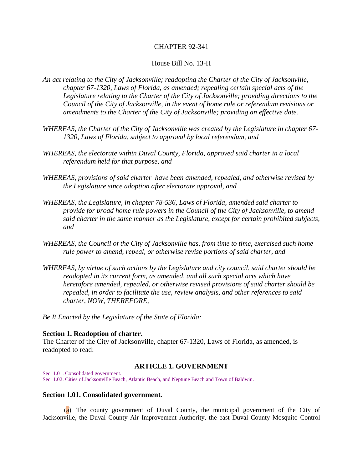# CHAPTER 92-341

## House Bill No. 13-H

- *An act relating to the City of Jacksonville; readopting the Charter of the City of Jacksonville, chapter 67-1320, Laws of Florida, as amended; repealing certain special acts of the Legislature relating to the Charter of the City of Jacksonville; providing directions to the Council of the City of Jacksonville, in the event of home rule or referendum revisions or amendments to the Charter of the City of Jacksonville; providing an effective date.*
- *WHEREAS, the Charter of the City of Jacksonville was created by the Legislature in chapter 67- 1320, Laws of Florida, subject to approval by local referendum, and*
- *WHEREAS, the electorate within Duval County, Florida, approved said charter in a local referendum held for that purpose, and*
- *WHEREAS, provisions of said charter have been amended, repealed, and otherwise revised by the Legislature since adoption after electorate approval, and*
- *WHEREAS, the Legislature, in chapter 78-536, Laws of Florida, amended said charter to provide for broad home rule powers in the Council of the City of Jacksonville, to amend said charter in the same manner as the Legislature, except for certain prohibited subjects, and*
- *WHEREAS, the Council of the City of Jacksonville has, from time to time, exercised such home rule power to amend, repeal, or otherwise revise portions of said charter, and*
- *WHEREAS, by virtue of such actions by the Legislature and city council, said charter should be readopted in its current form, as amended, and all such special acts which have heretofore amended, repealed, or otherwise revised provisions of said charter should be repealed, in order to facilitate the use, review analysis, and other references to said charter, NOW, THEREFORE,*

*Be It Enacted by the Legislature of the State of Florida:*

## **Section 1. Readoption of charter.**

The Charter of the City of Jacksonville, chapter 67-1320, Laws of Florida, as amended, is readopted to read:

## **ARTICLE 1. GOVERNMENT**

[Sec. 1.01. Consolidated government.](http://library4.municode.com/mcc/DocView/12174/1/871/872?hilite=part;parts;a;charter;charters;laws;law;#0-0-0-9903#0-0-0-9903) [Sec. 1.02. Cities of Jacksonville Beach, Atlantic Beach, and Neptune Beach and Town of Baldwin.](http://library4.municode.com/mcc/DocView/12174/1/871/872?hilite=part;parts;a;charter;charters;laws;law;#0-0-0-9905#0-0-0-9905)

## **Section 1.01. Consolidated government.**

(a) The county government of Duval County, the municipal government of the City of Jacksonville, the Duval County Air Improvement Authority, the east Duval County Mosquito Control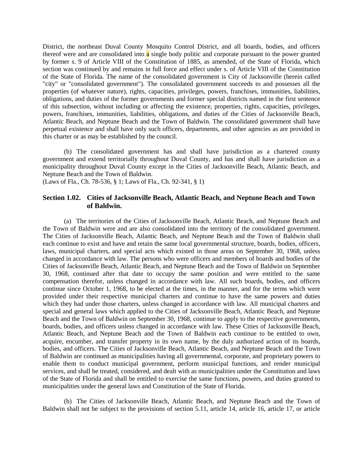District, the northeast Duval County Mosquito Control District, and all boards, bodies, and officers thereof were and are consolidated into a single body politic and corporate pursuant to the power granted by former s. 9 of Article VIII of the Constitution of 1885, as amended, of the State of Florida, which section was continued by and remains in full force and effect under s. of Article VIII of the Constitution of the State of Florida. The name of the consolidated government is City of Jacksonville (herein called "city" or "consolidated government"). The consolidated government succeeds to and possesses all the properties (of whatever nature), rights, capacities, privileges, powers, franchises, immunities, liabilities, obligations, and duties of the former governments and former special districts named in the first sentence of this subsection, without including or affecting the existence, properties, rights, capacities, privileges, powers, franchises, immunities, liabilities, obligations, and duties of the Cities of Jacksonville Beach, Atlantic Beach, and Neptune Beach and the Town of Baldwin. The consolidated government shall have perpetual existence and shall have only such officers, departments, and other agencies as are provided in this charter or as may be established by the council.

(b) The consolidated government has and shall have jurisdiction as a chartered county government and extend territorially throughout Duval County, and has and shall have jurisdiction as a municipality throughout Duval County except in the Cities of Jacksonville Beach, Atlantic Beach, and Neptune Beach and the Town of Baldwin.

(Laws of Fla., Ch. 78-536, § 1; Laws of Fla., Ch. 92-341, § 1)

# **Section 1.02. Cities of Jacksonville Beach, Atlantic Beach, and Neptune Beach and Town of Baldwin.**

(a) The territories of the Cities of Jacksonville Beach, Atlantic Beach, and Neptune Beach and the Town of Baldwin were and are also consolidated into the territory of the consolidated government. The Cities of Jacksonville Beach, Atlantic Beach, and Neptune Beach and the Town of Baldwin shall each continue to exist and have and retain the same local governmental structure, boards, bodies, officers, laws, municipal charters, and special acts which existed in those areas on September 30, 1968, unless changed in accordance with law. The persons who were officers and members of boards and bodies of the Cities of Jacksonville Beach, Atlantic Beach, and Neptune Beach and the Town of Baldwin on September 30, 1968, continued after that date to occupy the same position and were entitled to the same compensation therefor, unless changed in accordance with law. All such boards, bodies, and officers continue since October 1, 1968, to be elected at the times, in the manner, and for the terms which were provided under their respective municipal charters and continue to have the same powers and duties which they had under those charters, unless changed in accordance with law. All municipal charters and special and general laws which applied to the Cities of Jacksonville Beach, Atlantic Beach, and Neptune Beach and the Town of Baldwin on September 30, 1968, continue to apply to the respective governments, boards, bodies, and officers unless changed in accordance with law. These Cities of Jacksonville Beach, Atlantic Beach, and Neptune Beach and the Town of Baldwin each continue to be entitled to own, acquire, encumber, and transfer property in its own name, by the duly authorized action of its boards, bodies, and officers. The Cities of Jacksonville Beach, Atlantic Beach, and Neptune Beach and the Town of Baldwin are continued as municipalities having all governmental, corporate, and proprietary powers to enable them to conduct municipal government, perform municipal functions, and render municipal services, and shall be treated, considered, and dealt with as municipalities under the Constitution and laws of the State of Florida and shall be entitled to exercise the same functions, powers, and duties granted to municipalities under the general laws and Constitution of the State of Florida.

(b) The Cities of Jacksonville Beach, Atlantic Beach, and Neptune Beach and the Town of Baldwin shall not be subject to the provisions of section 5.11, article 14, article 16, article 17, or article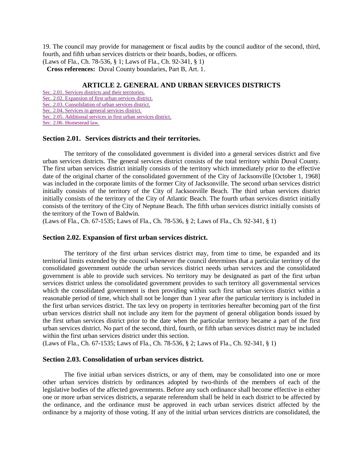19. The council may provide for management or fiscal audits by the council auditor of the second, third, fourth, and fifth urban services districts or their boards, bodies, or officers.

(Laws of Fla., Ch. 78-536, § 1; Laws of Fla., Ch. 92-341, § 1)

**Cross references:** Duval County boundaries, Part B, Art. 1.

# **ARTICLE 2. GENERAL AND URBAN SERVICES DISTRICTS**

[Sec. 2.01. Services districts and their territories.](http://library4.municode.com/mcc/DocView/12174/1/871/873?hilite=part;parts;a;charter;charters;laws;law;#0-0-0-9907#0-0-0-9907)

[Sec. 2.02. Expansion of first urban services district.](http://library4.municode.com/mcc/DocView/12174/1/871/873?hilite=part;parts;a;charter;charters;laws;law;#0-0-0-9909#0-0-0-9909)

[Sec. 2.03. Consolidation of urban services district.](http://library4.municode.com/mcc/DocView/12174/1/871/873?hilite=part;parts;a;charter;charters;laws;law;#0-0-0-9911#0-0-0-9911) [Sec. 2.04. Services in general services district.](http://library4.municode.com/mcc/DocView/12174/1/871/873?hilite=part;parts;a;charter;charters;laws;law;#0-0-0-9913#0-0-0-9913)

[Sec. 2.05. Additional services in first urban services district.](http://library4.municode.com/mcc/DocView/12174/1/871/873?hilite=part;parts;a;charter;charters;laws;law;#0-0-0-9915#0-0-0-9915)

[Sec. 2.06. Homestead law.](http://library4.municode.com/mcc/DocView/12174/1/871/873?hilite=part;parts;a;charter;charters;laws;law;#0-0-0-9917#0-0-0-9917)

#### **Section 2.01. Services districts and their territories.**

The territory of the consolidated government is divided into a general services district and five urban services districts. The general services district consists of the total territory within Duval County. The first urban services district initially consists of the territory which immediately prior to the effective date of the original charter of the consolidated government of the City of Jacksonville [October 1, 1968] was included in the corporate limits of the former City of Jacksonville. The second urban services district initially consists of the territory of the City of Jacksonville Beach. The third urban services district initially consists of the territory of the City of Atlantic Beach. The fourth urban services district initially consists of the territory of the City of Neptune Beach. The fifth urban services district initially consists of the territory of the Town of Baldwin.

(Laws of Fla., Ch. 67-1535; Laws of Fla., Ch. 78-536, § 2; Laws of Fla., Ch. 92-341, § 1)

#### **Section 2.02. Expansion of first urban services district.**

The territory of the first urban services district may, from time to time, be expanded and its territorial limits extended by the council whenever the council determines that a particular territory of the consolidated government outside the urban services district needs urban services and the consolidated government is able to provide such services. No territory may be designated as part of the first urban services district unless the consolidated government provides to such territory all governmental services which the consolidated government is then providing within such first urban services district within a reasonable period of time, which shall not be longer than 1 year after the particular territory is included in the first urban services district. The tax levy on property in territories hereafter becoming part of the first urban services district shall not include any item for the payment of general obligation bonds issued by the first urban services district prior to the date when the particular territory became a part of the first urban services district. No part of the second, third, fourth, or fifth urban services district may be included within the first urban services district under this section.

(Laws of Fla., Ch. 67-1535; Laws of Fla., Ch. 78-536, § 2; Laws of Fla., Ch. 92-341, § 1)

# **Section 2.03. Consolidation of urban services district.**

The five initial urban services districts, or any of them, may be consolidated into one or more other urban services districts by ordinances adopted by two-thirds of the members of each of the legislative bodies of the affected governments. Before any such ordinance shall become effective in either one or more urban services districts, a separate referendum shall be held in each district to be affected by the ordinance, and the ordinance must be approved in each urban services district affected by the ordinance by a majority of those voting. If any of the initial urban services districts are consolidated, the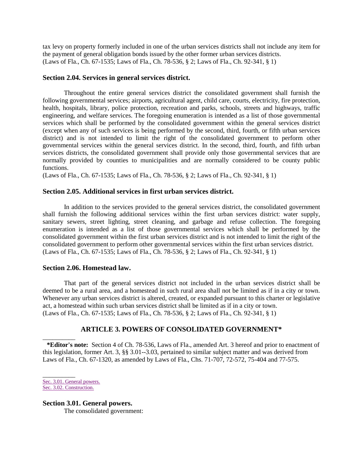tax levy on property formerly included in one of the urban services districts shall not include any item for the payment of general obligation bonds issued by the other former urban services districts. (Laws of Fla., Ch. 67-1535; Laws of Fla., Ch. 78-536, § 2; Laws of Fla., Ch. 92-341, § 1)

# **Section 2.04. Services in general services district.**

Throughout the entire general services district the consolidated government shall furnish the following governmental services; airports, agricultural agent, child care, courts, electricity, fire protection, health, hospitals, library, police protection, recreation and parks, schools, streets and highways, traffic engineering, and welfare services. The foregoing enumeration is intended as a list of those governmental services which shall be performed by the consolidated government within the general services district (except when any of such services is being performed by the second, third, fourth, or fifth urban services district) and is not intended to limit the right of the consolidated government to perform other governmental services within the general services district. In the second, third, fourth, and fifth urban services districts, the consolidated government shall provide only those governmental services that are normally provided by counties to municipalities and are normally considered to be county public functions.

(Laws of Fla., Ch. 67-1535; Laws of Fla., Ch. 78-536, § 2; Laws of Fla., Ch. 92-341, § 1)

# **Section 2.05. Additional services in first urban services district.**

In addition to the services provided to the general services district, the consolidated government shall furnish the following additional services within the first urban services district: water supply, sanitary sewers, street lighting, street cleaning, and garbage and refuse collection. The foregoing enumeration is intended as a list of those governmental services which shall be performed by the consolidated government within the first urban services district and is not intended to limit the right of the consolidated government to perform other governmental services within the first urban services district. (Laws of Fla., Ch. 67-1535; Laws of Fla., Ch. 78-536, § 2; Laws of Fla., Ch. 92-341, § 1)

# **Section 2.06. Homestead law.**

That part of the general services district not included in the urban services district shall be deemed to be a rural area, and a homestead in such rural area shall not be limited as if in a city or town. Whenever any urban services district is altered, created, or expanded pursuant to this charter or legislative act, a homestead within such urban services district shall be limited as if in a city or town. (Laws of Fla., Ch. 67-1535; Laws of Fla., Ch. 78-536, § 2; Laws of Fla., Ch. 92-341, § 1)

# **ARTICLE 3. POWERS OF CONSOLIDATED GOVERNMENT\***

**\*Editor's note:** Section 4 of Ch. 78-536, Laws of Fla., amended Art. 3 hereof and prior to enactment of this legislation, former Art. 3, §§ 3.01--3.03, pertained to similar subject matter and was derived from Laws of Fla., Ch. 67-1320, as amended by Laws of Fla., Chs. 71-707, 72-572, 75-404 and 77-575.

 $\overline{\phantom{a}}$ [Sec. 3.01. General powers.](http://library4.municode.com/mcc/DocView/12174/1/871/874?hilite=part;parts;a;charter;charters;laws;law;#0-0-0-9919#0-0-0-9919) [Sec. 3.02. Construction.](http://library4.municode.com/mcc/DocView/12174/1/871/874?hilite=part;parts;a;charter;charters;laws;law;#0-0-0-9921#0-0-0-9921)

\_\_\_\_\_\_\_\_\_\_

**Section 3.01. General powers.** The consolidated government: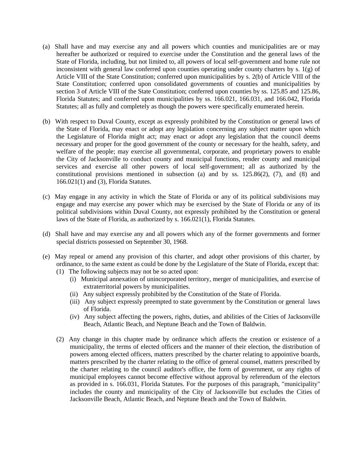- (a) Shall have and may exercise any and all powers which counties and municipalities are or may hereafter be authorized or required to exercise under the Constitution and the general laws of the State of Florida, including, but not limited to, all powers of local self-government and home rule not inconsistent with general law conferred upon counties operating under county charters by s. 1(g) of Article VIII of the State Constitution; conferred upon municipalities by s. 2(b) of Article VIII of the State Constitution; conferred upon consolidated governments of counties and municipalities by section 3 of Article VIII of the State Constitution; conferred upon counties by ss. 125.85 and 125.86, Florida Statutes; and conferred upon municipalities by ss. 166.021, 166.031, and 166.042, Florida Statutes; all as fully and completely as though the powers were specifically enumerated herein.
- (b) With respect to Duval County, except as expressly prohibited by the Constitution or general laws of the State of Florida, may enact or adopt any legislation concerning any subject matter upon which the Legislature of Florida might act; may enact or adopt any legislation that the council deems necessary and proper for the good government of the county or necessary for the health, safety, and welfare of the people; may exercise all governmental, corporate, and proprietary powers to enable the City of Jacksonville to conduct county and municipal functions, render county and municipal services and exercise all other powers of local self-government; all as authorized by the constitutional provisions mentioned in subsection (a) and by ss. 125.86(2), (7), and (8) and 166.021(1) and (3), Florida Statutes.
- (c) May engage in any activity in which the State of Florida or any of its political subdivisions may engage and may exercise any power which may be exercised by the State of Florida or any of its political subdivisions within Duval County, not expressly prohibited by the Constitution or general laws of the State of Florida, as authorized by s. 166.021(1), Florida Statutes.
- (d) Shall have and may exercise any and all powers which any of the former governments and former special districts possessed on September 30, 1968.
- (e) May repeal or amend any provision of this charter, and adopt other provisions of this charter, by ordinance, to the same extent as could be done by the Legislature of the State of Florida, except that:
	- (1) The following subjects may not be so acted upon:
		- (i) Municipal annexation of unincorporated territory, merger of municipalities, and exercise of extraterritorial powers by municipalities.
		- (ii) Any subject expressly prohibited by the Constitution of the State of Florida.
		- (iii) Any subject expressly preempted to state government by the Constitution or general laws of Florida.
		- (iv) Any subject affecting the powers, rights, duties, and abilities of the Cities of Jacksonville Beach, Atlantic Beach, and Neptune Beach and the Town of Baldwin.
	- (2) Any change in this chapter made by ordinance which affects the creation or existence of a municipality, the terms of elected officers and the manner of their election, the distribution of powers among elected officers, matters prescribed by the charter relating to appointive boards, matters prescribed by the charter relating to the office of general counsel, matters prescribed by the charter relating to the council auditor's office, the form of government, or any rights of municipal employees cannot become effective without approval by referendum of the electors as provided in s. 166.031, Florida Statutes. For the purposes of this paragraph, "municipality" includes the county and municipality of the City of Jacksonville but excludes the Cities of Jacksonville Beach, Atlantic Beach, and Neptune Beach and the Town of Baldwin.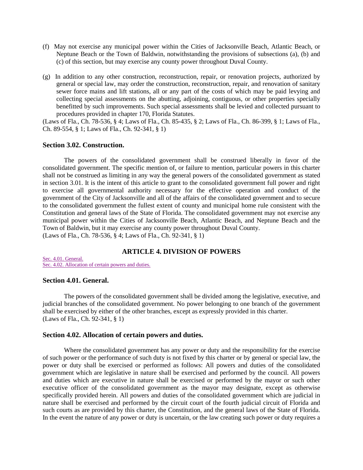- (f) May not exercise any municipal power within the Cities of Jacksonville Beach, Atlantic Beach, or Neptune Beach or the Town of Baldwin, notwithstanding the provisions of subsections (a), (b) and (c) of this section, but may exercise any county power throughout Duval County.
- (g) In addition to any other construction, reconstruction, repair, or renovation projects, authorized by general or special law, may order the construction, reconstruction, repair, and renovation of sanitary sewer force mains and lift stations, all or any part of the costs of which may be paid levying and collecting special assessments on the abutting, adjoining, contiguous, or other properties specially benefitted by such improvements. Such special assessments shall be levied and collected pursuant to procedures provided in chapter 170, Florida Statutes.

(Laws of Fla., Ch. 78-536, § 4; Laws of Fla., Ch. 85-435, § 2; Laws of Fla., Ch. 86-399, § 1; Laws of Fla., Ch. 89-554, § 1; Laws of Fla., Ch. 92-341, § 1)

## **Section 3.02. Construction.**

The powers of the consolidated government shall be construed liberally in favor of the consolidated government. The specific mention of, or failure to mention, particular powers in this charter shall not be construed as limiting in any way the general powers of the consolidated government as stated in section 3.01. It is the intent of this article to grant to the consolidated government full power and right to exercise all governmental authority necessary for the effective operation and conduct of the government of the City of Jacksonville and all of the affairs of the consolidated government and to secure to the consolidated government the fullest extent of county and municipal home rule consistent with the Constitution and general laws of the State of Florida. The consolidated government may not exercise any municipal power within the Cities of Jacksonville Beach, Atlantic Beach, and Neptune Beach and the Town of Baldwin, but it may exercise any county power throughout Duval County. (Laws of Fla., Ch. 78-536, § 4; Laws of Fla., Ch. 92-341, § 1)

# **ARTICLE 4. DIVISION OF POWERS**

[Sec. 4.01. General.](http://library4.municode.com/mcc/DocView/12174/1/871/875#0-0-0-9923#0-0-0-9923) [Sec. 4.02. Allocation of certain powers and duties.](http://library4.municode.com/mcc/DocView/12174/1/871/875#0-0-0-9925#0-0-0-9925)

#### **Section 4.01. General.**

The powers of the consolidated government shall be divided among the legislative, executive, and judicial branches of the consolidated government. No power belonging to one branch of the government shall be exercised by either of the other branches, except as expressly provided in this charter. (Laws of Fla., Ch. 92-341, § 1)

#### **Section 4.02. Allocation of certain powers and duties.**

Where the consolidated government has any power or duty and the responsibility for the exercise of such power or the performance of such duty is not fixed by this charter or by general or special law, the power or duty shall be exercised or performed as follows: All powers and duties of the consolidated government which are legislative in nature shall be exercised and performed by the council. All powers and duties which are executive in nature shall be exercised or performed by the mayor or such other executive officer of the consolidated government as the mayor may designate, except as otherwise specifically provided herein. All powers and duties of the consolidated government which are judicial in nature shall be exercised and performed by the circuit court of the fourth judicial circuit of Florida and such courts as are provided by this charter, the Constitution, and the general laws of the State of Florida. In the event the nature of any power or duty is uncertain, or the law creating such power or duty requires a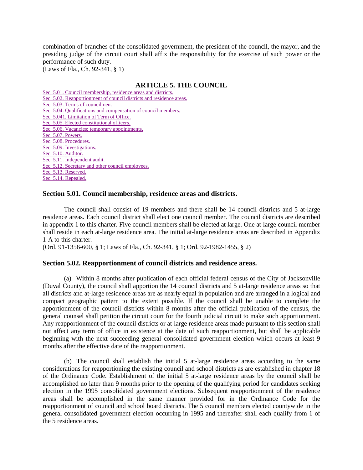combination of branches of the consolidated government, the president of the council, the mayor, and the presiding judge of the circuit court shall affix the responsibility for the exercise of such power or the performance of such duty.

(Laws of Fla., Ch. 92-341, § 1)

# **ARTICLE 5. THE COUNCIL**

[Sec. 5.01. Council membership, residence areas and districts.](http://library4.municode.com/mcc/DocView/12174/1/871/876?hilite=part;parts;a;charter;charters;laws;law;#0-0-0-9927#0-0-0-9927) [Sec. 5.02. Reapportionment of council districts and residence areas.](http://library4.municode.com/mcc/DocView/12174/1/871/876?hilite=part;parts;a;charter;charters;laws;law;#0-0-0-9929#0-0-0-9929) [Sec. 5.03. Terms of councilmen.](http://library4.municode.com/mcc/DocView/12174/1/871/876?hilite=part;parts;a;charter;charters;laws;law;#0-0-0-9931#0-0-0-9931) [Sec. 5.04. Qualifications and compensation of council members.](http://library4.municode.com/mcc/DocView/12174/1/871/876?hilite=part;parts;a;charter;charters;laws;law;#0-0-0-9933#0-0-0-9933) [Sec. 5.041. Limitation of Term of Office.](http://library4.municode.com/mcc/DocView/12174/1/871/876?hilite=part;parts;a;charter;charters;laws;law;#0-0-0-9935#0-0-0-9935) [Sec. 5.05. Elected constitutional officers.](http://library4.municode.com/mcc/DocView/12174/1/871/876?hilite=part;parts;a;charter;charters;laws;law;#0-0-0-9937#0-0-0-9937) [Sec. 5.06. Vacancies; temporary appointments.](http://library4.municode.com/mcc/DocView/12174/1/871/876?hilite=part;parts;a;charter;charters;laws;law;#0-0-0-9939#0-0-0-9939) [Sec. 5.07. Powers.](http://library4.municode.com/mcc/DocView/12174/1/871/876?hilite=part;parts;a;charter;charters;laws;law;#0-0-0-9941#0-0-0-9941) [Sec. 5.08. Procedures.](http://library4.municode.com/mcc/DocView/12174/1/871/876?hilite=part;parts;a;charter;charters;laws;law;#0-0-0-9943#0-0-0-9943) [Sec. 5.09. Investigations.](http://library4.municode.com/mcc/DocView/12174/1/871/876?hilite=part;parts;a;charter;charters;laws;law;#0-0-0-9945#0-0-0-9945) [Sec. 5.10. Auditor.](http://library4.municode.com/mcc/DocView/12174/1/871/876?hilite=part;parts;a;charter;charters;laws;law;#0-0-0-9947#0-0-0-9947) [Sec. 5.11. Independent audit.](http://library4.municode.com/mcc/DocView/12174/1/871/876?hilite=part;parts;a;charter;charters;laws;law;#0-0-0-9949#0-0-0-9949) [Sec. 5.12. Secretary and other council employees.](http://library4.municode.com/mcc/DocView/12174/1/871/876?hilite=part;parts;a;charter;charters;laws;law;#0-0-0-9951#0-0-0-9951) [Sec. 5.13. Reserved.](http://library4.municode.com/mcc/DocView/12174/1/871/876?hilite=part;parts;a;charter;charters;laws;law;#0-0-0-9953#0-0-0-9953) [Sec. 5.14. Repealed.](http://library4.municode.com/mcc/DocView/12174/1/871/876?hilite=part;parts;a;charter;charters;laws;law;#0-0-0-9955#0-0-0-9955)

# **Section 5.01. Council membership, residence areas and districts.**

The council shall consist of 19 members and there shall be 14 council districts and 5 at-large residence areas. Each council district shall elect one council member. The council districts are described in appendix 1 to this charter. Five council members shall be elected at large. One at-large council member shall reside in each at-large residence area. The initial at-large residence areas are described in Appendix 1-A to this charter.

(Ord. 91-1356-600, § 1; Laws of Fla., Ch. 92-341, § 1; Ord. 92-1982-1455, § 2)

# **Section 5.02. Reapportionment of council districts and residence areas.**

(a) Within 8 months after publication of each official federal census of the City of Jacksonville (Duval County), the council shall apportion the 14 council districts and 5 at-large residence areas so that all districts and at-large residence areas are as nearly equal in population and are arranged in a logical and compact geographic pattern to the extent possible. If the council shall be unable to complete the apportionment of the council districts within 8 months after the official publication of the census, the general counsel shall petition the circuit court for the fourth judicial circuit to make such apportionment. Any reapportionment of the council districts or at-large residence areas made pursuant to this section shall not affect any term of office in existence at the date of such reapportionment, but shall be applicable beginning with the next succeeding general consolidated government election which occurs at least 9 months after the effective date of the reapportionment.

(b) The council shall establish the initial 5 at-large residence areas according to the same considerations for reapportioning the existing council and school districts as are established in chapter 18 of the Ordinance Code. Establishment of the initial 5 at-large residence areas by the council shall be accomplished no later than 9 months prior to the opening of the qualifying period for candidates seeking election in the 1995 consolidated government elections. Subsequent reapportionment of the residence areas shall be accomplished in the same manner provided for in the Ordinance Code for the reapportionment of council and school board districts. The 5 council members elected countywide in the general consolidated government election occurring in 1995 and thereafter shall each qualify from 1 of the 5 residence areas.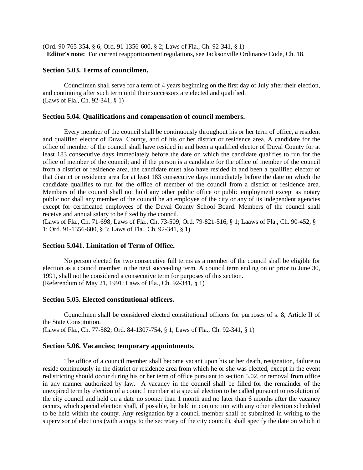(Ord. 90-765-354, § 6; Ord. 91-1356-600, § 2; Laws of Fla., Ch. 92-341, § 1) **Editor's note:** For current reapportionment regulations, see Jacksonville Ordinance Code, Ch. 18.

# **Section 5.03. Terms of councilmen.**

Councilmen shall serve for a term of 4 years beginning on the first day of July after their election, and continuing after such term until their successors are elected and qualified. (Laws of Fla., Ch. 92-341, § 1)

## **Section 5.04. Qualifications and compensation of council members.**

Every member of the council shall be continuously throughout his or her term of office, a resident and qualified elector of Duval County, and of his or her district or residence area. A candidate for the office of member of the council shall have resided in and been a qualified elector of Duval County for at least 183 consecutive days immediately before the date on which the candidate qualifies to run for the office of member of the council; and if the person is a candidate for the office of member of the council from a district or residence area, the candidate must also have resided in and been a qualified elector of that district or residence area for at least 183 consecutive days immediately before the date on which the candidate qualifies to run for the office of member of the council from a district or residence area. Members of the council shall not hold any other public office or public employment except as notary public nor shall any member of the council be an employee of the city or any of its independent agencies except for certificated employees of the Duval County School Board. Members of the council shall receive and annual salary to be fixed by the council.

(Laws of Fla., Ch. 71-698; Laws of Fla., Ch. 73-509; Ord. 79-821-516, § 1; Laaws of Fla., Ch. 90-452, § 1; Ord. 91-1356-600, § 3; Laws of Fla., Ch. 92-341, § 1)

# **Section 5.041. Limitation of Term of Office.**

No person elected for two consecutive full terms as a member of the council shall be eligible for election as a council member in the next succeeding term. A council term ending on or prior to June 30, 1991, shall not be considered a consecutive term for purposes of this section. (Referendum of May 21, 1991; Laws of Fla., Ch. 92-341, § 1)

#### **Section 5.05. Elected constitutional officers.**

Councilmen shall be considered elected constitutional officers for purposes of s. 8, Article II of the State Constitution. (Laws of Fla., Ch. 77-582; Ord. 84-1307-754, § 1; Laws of Fla., Ch. 92-341, § 1)

#### **Section 5.06. Vacancies; temporary appointments.**

The office of a council member shall become vacant upon his or her death, resignation, failure to reside continuously in the district or residence area from which he or she was elected, except in the event redistricting should occur during his or her term of office pursuant to section 5.02, or removal from office in any manner authorized by law. A vacancy in the council shall be filled for the remainder of the unexpired term by election of a council member at a special election to be called pursuant to resolution of the city council and held on a date no sooner than 1 month and no later than 6 months after the vacancy occurs, which special election shall, if possible, be held in conjunction with any other election scheduled to be held within the county. Any resignation by a council member shall be submitted in writing to the supervisor of elections (with a copy to the secretary of the city council), shall specify the date on which it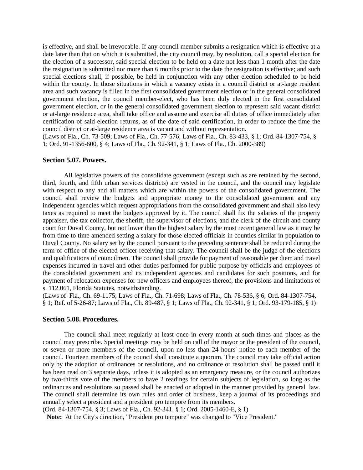is effective, and shall be irrevocable. If any council member submits a resignation which is effective at a date later than that on which it is submitted, the city council may, by resolution, call a special election for the election of a successor, said special election to be held on a date not less than 1 month after the date the resignation is submitted nor more than 6 months prior to the date the resignation is effective; and such special elections shall, if possible, be held in conjunction with any other election scheduled to be held within the county. In those situations in which a vacancy exists in a council district or at-large resident area and such vacancy is filled in the first consolidated government election or in the general consolidated government election, the council member-elect, who has been duly elected in the first consolidated government election, or in the general consolidated government election to represent said vacant district or at-large residence area, shall take office and assume and exercise all duties of office immediately after certification of said election returns, as of the date of said certification, in order to reduce the time the council district or at-large residence area is vacant and without representation.

(Laws of Fla., Ch. 73-509; Laws of Fla., Ch. 77-576; Laws of Fla., Ch. 83-433, § 1; Ord. 84-1307-754, § 1; Ord. 91-1356-600, § 4; Laws of Fla., Ch. 92-341, § 1; Laws of Fla., Ch. 2000-389)

#### **Section 5.07. Powers.**

All legislative powers of the consolidate government (except such as are retained by the second, third, fourth, and fifth urban services districts) are vested in the council, and the council may legislate with respect to any and all matters which are within the powers of the consolidated government. The council shall review the budgets and appropriate money to the consolidated government and any independent agencies which request appropriations from the consolidated government and shall also levy taxes as required to meet the budgets approved by it. The council shall fix the salaries of the property appraiser, the tax collector, the sheriff, the supervisor of elections, and the clerk of the circuit and county court for Duval County, but not lower than the highest salary by the most recent general law as it may be from time to time amended setting a salary for those elected officials in counties similar in population to Duval County. No salary set by the council pursuant to the preceding sentence shall be reduced during the term of office of the elected officer receiving that salary. The council shall be the judge of the elections and qualifications of councilmen. The council shall provide for payment of reasonable per diem and travel expenses incurred in travel and other duties performed for public purpose by officials and employees of the consolidated government and its independent agencies and candidates for such positions, and for payment of relocation expenses for new officers and employees thereof, the provisions and limitations of s. 112.061, Florida Statutes, notwithstanding.

(Laws of Fla., Ch. 69-1175; Laws of Fla., Ch. 71-698; Laws of Fla., Ch. 78-536, § 6; Ord. 84-1307-754, § 1; Ref. of 5-26-87; Laws of Fla., Ch. 89-487, § 1; Laws of Fla., Ch. 92-341, § 1; Ord. 93-179-185, § 1)

#### **Section 5.08. Procedures.**

The council shall meet regularly at least once in every month at such times and places as the council may prescribe. Special meetings may be held on call of the mayor or the president of the council, or seven or more members of the council, upon no less than 24 hours' notice to each member of the council. Fourteen members of the council shall constitute a quorum. The council may take official action only by the adoption of ordinances or resolutions, and no ordinance or resolution shall be passed until it has been read on 3 separate days, unless it is adopted as an emergency measure, or the council authorizes by two-thirds vote of the members to have 2 readings for certain subjects of legislation, so long as the ordinances and resolutions so passed shall be enacted or adopted in the manner provided by general law. The council shall determine its own rules and order of business, keep a journal of its proceedings and annually select a president and a president pro tempore from its members.

(Ord. 84-1307-754, § 3; Laws of Fla., Ch. 92-341, § 1; Ord. 2005-1460-E, § 1)

**Note:** At the City's direction, "President pro tempore" was changed to "Vice President."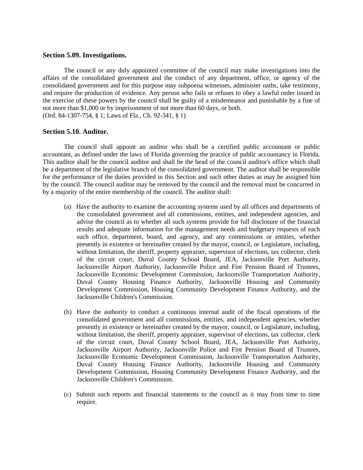## **Section 5.09. Investigations.**

The council or any duly appointed committee of the council may make investigations into the affairs of the consolidated government and the conduct of any department, office, or agency of the consolidated government and for this purpose may subpoena witnesses, administer oaths, take testimony, and require the production of evidence. Any person who fails or refuses to obey a lawful order issued in the exercise of these powers by the council shall be guilty of a misdemeanor and punishable by a fine of not more than \$1,000 or by imprisonment of not more than 60 days, or both. (Ord. 84-1307-754, § 1; Laws of Fla., Ch. 92-341, § 1)

## **Section 5.10. Auditor.**

The council shall appoint an auditor who shall be a certified public accountant or public accountant, as defined under the laws of Florida governing the practice of public accountancy in Florida. This auditor shall be the council auditor and shall be the head of the council auditor's office which shall be a department of the legislative branch of the consolidated government. The auditor shall be responsible for the performance of the duties provided in this Section and such other duties as may be assigned him by the council. The council auditor may be removed by the council and the removal must be concurred in by a majority of the entire membership of the council. The auditor shall:

- (a) Have the authority to examine the accounting systems used by all offices and departments of the consolidated government and all commissions, entities, and independent agencies, and advise the council as to whether all such systems provide for full disclosure of the financial results and adequate information for the management needs and budgetary requests of each such office, department, board, and agency, and any commissions or entities, whether presently in existence or hereinafter created by the mayor, council, or Legislature, including, without limitation, the sheriff, property appraiser, supervisor of elections, tax collector, clerk of the circuit court, Duval County School Board, JEA, Jacksonville Port Authority, Jacksonville Airport Authority, Jacksonville Police and Fire Pension Board of Trustees, Jacksonville Economic Development Commission, Jacksonville Transportation Authority, Duval County Housing Finance Authority, Jacksonville Housing and Community Development Commission, Housing Community Development Finance Authority, and the Jacksonville Children's Commission.
- (b) Have the authority to conduct a continuous internal audit of the fiscal operations of the consolidated government and all commissions, entities, and independent agencies, whether presently in existence or hereinafter created by the mayor, council, or Legislature, including, without limitation, the sheriff, property appraiser, supervisor of elections, tax collector, clerk of the circuit court, Duval County School Board, JEA, Jacksonville Port Authority, Jacksonville Airport Authority, Jacksonville Police and Fire Pension Board of Trustees, Jacksonville Economic Development Commission, Jacksonville Transportation Authority, Duval County Housing Finance Authority, Jacksonville Housing and Community Development Commission, Housing Community Development Finance Authority, and the Jacksonville Children's Commission.
- (c) Submit such reports and financial statements to the council as it may from time to time require.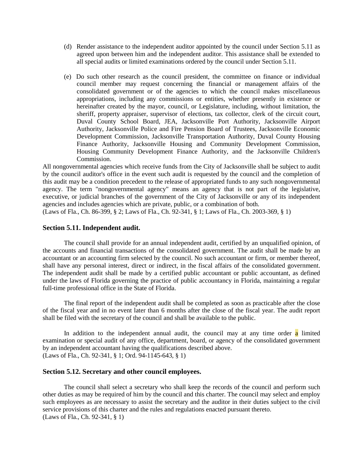- (d) Render assistance to the independent auditor appointed by the council under Section 5.11 as agreed upon between him and the independent auditor. This assistance shall be extended to all special audits or limited examinations ordered by the council under Section 5.11.
- (e) Do such other research as the council president, the committee on finance or individual council member may request concerning the financial or management affairs of the consolidated government or of the agencies to which the council makes miscellaneous appropriations, including any commissions or entities, whether presently in existence or hereinafter created by the mayor, council, or Legislature, including, without limitation, the sheriff, property appraiser, supervisor of elections, tax collector, clerk of the circuit court, Duval County School Board, JEA, Jacksonville Port Authority, Jacksonville Airport Authority, Jacksonville Police and Fire Pension Board of Trustees, Jacksonville Economic Development Commission, Jacksonville Transportation Authority, Duval County Housing Finance Authority, Jacksonville Housing and Community Development Commission, Housing Community Development Finance Authority, and the Jacksonville Children's Commission.

All nongovernmental agencies which receive funds from the City of Jacksonville shall be subject to audit by the council auditor's office in the event such audit is requested by the council and the completion of this audit may be a condition precedent to the release of appropriated funds to any such nongovernmental agency. The term "nongovernmental agency" means an agency that is not part of the legislative, executive, or judicial branches of the government of the City of Jacksonville or any of its independent agencies and includes agencies which are private, public, or a combination of both.

(Laws of Fla., Ch. 86-399, § 2; Laws of Fla., Ch. 92-341, § 1; Laws of Fla., Ch. 2003-369, § 1)

## **Section 5.11. Independent audit.**

The council shall provide for an annual independent audit, certified by an unqualified opinion, of the accounts and financial transactions of the consolidated government. The audit shall be made by an accountant or an accounting firm selected by the council. No such accountant or firm, or member thereof, shall have any personal interest, direct or indirect, in the fiscal affairs of the consolidated government. The independent audit shall be made by a certified public accountant or public accountant, as defined under the laws of Florida governing the practice of public accountancy in Florida, maintaining a regular full-time professional office in the State of Florida.

The final report of the independent audit shall be completed as soon as practicable after the close of the fiscal year and in no event later than 6 months after the close of the fiscal year. The audit report shall be filed with the secretary of the council and shall be available to the public.

In addition to the independent annual audit, the council may at any time order  $\alpha$  limited examination or special audit of any office, department, board, or agency of the consolidated government by an independent accountant having the qualifications described above. (Laws of Fla., Ch. 92-341, § 1; Ord. 94-1145-643, § 1)

## **Section 5.12. Secretary and other council employees.**

The council shall select a secretary who shall keep the records of the council and perform such other duties as may be required of him by the council and this charter. The council may select and employ such employees as are necessary to assist the secretary and the auditor in their duties subject to the civil service provisions of this charter and the rules and regulations enacted pursuant thereto. (Laws of Fla., Ch. 92-341, § 1)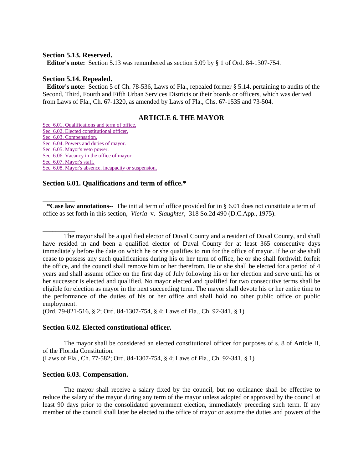#### **Section 5.13. Reserved.**

**Editor's note:** Section 5.13 was renumbered as section 5.09 by § 1 of Ord. 84-1307-754.

# **Section 5.14. Repealed.**

 $\overline{\phantom{a}}$ 

**Editor's note:** Section 5 of Ch. 78-536, Laws of Fla., repealed former § 5.14, pertaining to audits of the Second, Third, Fourth and Fifth Urban Services Districts or their boards or officers, which was derived from Laws of Fla., Ch. 67-1320, as amended by Laws of Fla., Chs. 67-1535 and 73-504.

# **ARTICLE 6. THE MAYOR**

[Sec. 6.01. Qualifications and term of office.](http://library4.municode.com/mcc/DocView/12174/1/871/877?hilite=part;parts;a;charter;charters;laws;law;#0-0-0-9957#0-0-0-9957) [Sec. 6.02. Elected constitutional officer.](http://library4.municode.com/mcc/DocView/12174/1/871/877?hilite=part;parts;a;charter;charters;laws;law;#0-0-0-9959#0-0-0-9959) [Sec. 6.03. Compensation.](http://library4.municode.com/mcc/DocView/12174/1/871/877?hilite=part;parts;a;charter;charters;laws;law;#0-0-0-9961#0-0-0-9961) [Sec. 6.04. Powers and duties of mayor.](http://library4.municode.com/mcc/DocView/12174/1/871/877?hilite=part;parts;a;charter;charters;laws;law;#0-0-0-9963#0-0-0-9963) [Sec. 6.05. Mayor's veto power.](http://library4.municode.com/mcc/DocView/12174/1/871/877?hilite=part;parts;a;charter;charters;laws;law;#0-0-0-9965#0-0-0-9965) Sec. [6.06. Vacancy in the office of mayor.](http://library4.municode.com/mcc/DocView/12174/1/871/877?hilite=part;parts;a;charter;charters;laws;law;#0-0-0-9967#0-0-0-9967) [Sec. 6.07. Mayor's staff.](http://library4.municode.com/mcc/DocView/12174/1/871/877?hilite=part;parts;a;charter;charters;laws;law;#0-0-0-9969#0-0-0-9969) [Sec. 6.08. Mayor's absence, incapacity or suspension.](http://library4.municode.com/mcc/DocView/12174/1/871/877?hilite=part;parts;a;charter;charters;laws;law;#0-0-0-9971#0-0-0-9971)

# **Section 6.01. Qualifications and term of office.\***

\***Case law annotations--** The initial term of office provided for in § 6.01 does not constitute a term of office as set forth in this section, *Vieria* v. *Slaughter,* 318 So.2d 490 (D.C.App., 1975).

 $\overline{\phantom{a}}$ The mayor shall be a qualified elector of Duval County and a resident of Duval County, and shall have resided in and been a qualified elector of Duval County for at least 365 consecutive days immediately before the date on which he or she qualifies to run for the office of mayor. If he or she shall cease to possess any such qualifications during his or her term of office, he or she shall forthwith forfeit the office, and the council shall remove him or her therefrom. He or she shall be elected for a period of 4 years and shall assume office on the first day of July following his or her election and serve until his or her successor is elected and qualified. No mayor elected and qualified for two consecutive terms shall be eligible for election as mayor in the next succeeding term. The mayor shall devote his or her entire time to the performance of the duties of his or her office and shall hold no other public office or public employment.

(Ord. 79-821-516, § 2; Ord. 84-1307-754, § 4; Laws of Fla., Ch. 92-341, § 1)

# **Section 6.02. Elected constitutional officer.**

The mayor shall be considered an elected constitutional officer for purposes of s. 8 of Article II, of the Florida Constitution. (Laws of Fla., Ch. 77-582; Ord. 84-1307-754, § 4; Laws of Fla., Ch. 92-341, § 1)

#### **Section 6.03. Compensation.**

The mayor shall receive a salary fixed by the council, but no ordinance shall be effective to reduce the salary of the mayor during any term of the mayor unless adopted or approved by the council at least 90 days prior to the consolidated government election, immediately preceding such term. If any member of the council shall later be elected to the office of mayor or assume the duties and powers of the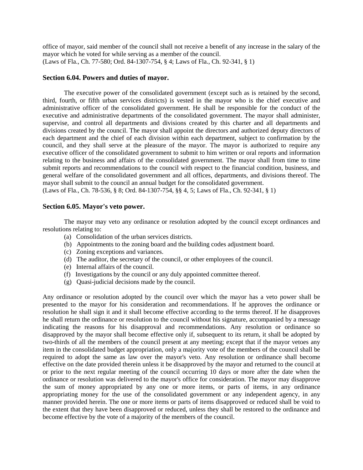office of mayor, said member of the council shall not receive a benefit of any increase in the salary of the mayor which he voted for while serving as a member of the council. (Laws of Fla., Ch. 77-580; Ord. 84-1307-754, § 4; Laws of Fla., Ch. 92-341, § 1)

# **Section 6.04. Powers and duties of mayor.**

The executive power of the consolidated government (except such as is retained by the second, third, fourth, or fifth urban services districts) is vested in the mayor who is the chief executive and administrative officer of the consolidated government. He shall be responsible for the conduct of the executive and administrative departments of the consolidated government. The mayor shall administer, supervise, and control all departments and divisions created by this charter and all departments and divisions created by the council. The mayor shall appoint the directors and authorized deputy directors of each department and the chief of each division within each department, subject to confirmation by the council, and they shall serve at the pleasure of the mayor. The mayor is authorized to require any executive officer of the consolidated government to submit to him written or oral reports and information relating to the business and affairs of the consolidated government. The mayor shall from time to time submit reports and recommendations to the council with respect to the financial condition, business, and general welfare of the consolidated government and all offices, departments, and divisions thereof. The mayor shall submit to the council an annual budget for the consolidated government.

(Laws of Fla., Ch. 78-536, § 8; Ord. 84-1307-754, §§ 4, 5; Laws of Fla., Ch. 92-341, § 1)

# **Section 6.05. Mayor's veto power.**

The mayor may veto any ordinance or resolution adopted by the council except ordinances and resolutions relating to:

- (a) Consolidation of the urban services districts.
- (b) Appointments to the zoning board and the building codes adjustment board.
- (c) Zoning exceptions and variances.
- (d) The auditor, the secretary of the council, or other employees of the council.
- (e) Internal affairs of the council.
- (f) Investigations by the council or any duly appointed committee thereof.
- (g) Quasi-judicial decisions made by the council.

Any ordinance or resolution adopted by the council over which the mayor has a veto power shall be presented to the mayor for his consideration and recommendations. If he approves the ordinance or resolution he shall sign it and it shall become effective according to the terms thereof. If he disapproves he shall return the ordinance or resolution to the council without his signature, accompanied by a message indicating the reasons for his disapproval and recommendations. Any resolution or ordinance so disapproved by the mayor shall become effective only if, subsequent to its return, it shall be adopted by two-thirds of all the members of the council present at any meeting; except that if the mayor vetoes any item in the consolidated budget appropriation, only a majority vote of the members of the council shall be required to adopt the same as law over the mayor's veto. Any resolution or ordinance shall become effective on the date provided therein unless it be disapproved by the mayor and returned to the council at or prior to the next regular meeting of the council occurring 10 days or more after the date when the ordinance or resolution was delivered to the mayor's office for consideration. The mayor may disapprove the sum of money appropriated by any one or more items, or parts of items, in any ordinance appropriating money for the use of the consolidated government or any independent agency, in any manner provided herein. The one or more items or parts of items disapproved or reduced shall be void to the extent that they have been disapproved or reduced, unless they shall be restored to the ordinance and become effective by the vote of a majority of the members of the council.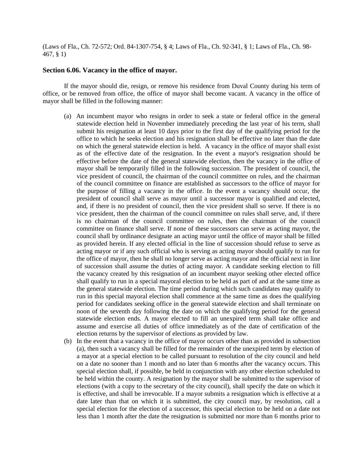(Laws of Fla., Ch. 72-572; Ord. 84-1307-754, § 4; Laws of Fla., Ch. 92-341, § 1; Laws of Fla., Ch. 98- 467, § 1)

#### **Section 6.06. Vacancy in the office of mayor.**

If the mayor should die, resign, or remove his residence from Duval County during his term of office, or be removed from office, the office of mayor shall become vacant. A vacancy in the office of mayor shall be filled in the following manner:

- (a) An incumbent mayor who resigns in order to seek a state or federal office in the general statewide election held in November immediately preceding the last year of his term, shall submit his resignation at least 10 days prior to the first day of the qualifying period for the office to which he seeks election and his resignation shall be effective no later than the date on which the general statewide election is held. A vacancy in the office of mayor shall exist as of the effective date of the resignation. In the event a mayor's resignation should be effective before the date of the general statewide election, then the vacancy in the office of mayor shall be temporarily filled in the following succession. The president of council, the vice president of council, the chairman of the council committee on rules, and the chairman of the council committee on finance are established as successors to the office of mayor for the purpose of filling a vacancy in the office. In the event a vacancy should occur, the president of council shall serve as mayor until a successor mayor is qualified and elected, and, if there is no president of council, then the vice president shall so serve. If there is no vice president, then the chairman of the council committee on rules shall serve, and, if there is no chairman of the council committee on rules, then the chairman of the council committee on finance shall serve. If none of these successors can serve as acting mayor, the council shall by ordinance designate an acting mayor until the office of mayor shall be filled as provided herein. If any elected official in the line of succession should refuse to serve as acting mayor or if any such official who is serving as acting mayor should qualify to run for the office of mayor, then he shall no longer serve as acting mayor and the official next in line of succession shall assume the duties of acting mayor. A candidate seeking election to fill the vacancy created by this resignation of an incumbent mayor seeking other elected office shall qualify to run in a special mayoral election to be held as part of and at the same time as the general statewide election. The time period during which such candidates may qualify to run in this special mayoral election shall commence at the same time as does the qualifying period for candidates seeking office in the general statewide election and shall terminate on noon of the seventh day following the date on which the qualifying period for the general statewide election ends. A mayor elected to fill an unexpired term shall take office and assume and exercise all duties of office immediately as of the date of certification of the election returns by the supervisor of elections as provided by law.
- (b) In the event that a vacancy in the office of mayor occurs other than as provided in subsection (a), then such a vacancy shall be filled for the remainder of the unexpired term by election of a mayor at a special election to be called pursuant to resolution of the city council and held on a date no sooner than 1 month and no later than 6 months after the vacancy occurs. This special election shall, if possible, be held in conjunction with any other election scheduled to be held within the county. A resignation by the mayor shall be submitted to the supervisor of elections (with a copy to the secretary of the city council), shall specify the date on which it is effective, and shall be irrevocable. If a mayor submits a resignation which is effective at a date later than that on which it is submitted, the city council may, by resolution, call a special election for the election of a successor, this special election to be held on a date not less than 1 month after the date the resignation is submitted nor more than 6 months prior to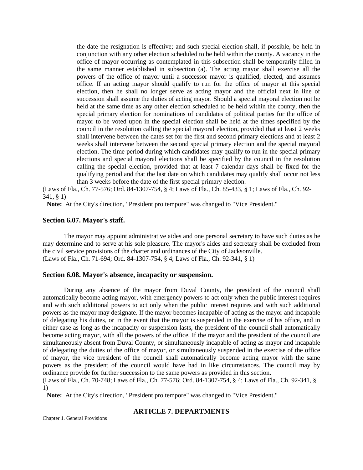the date the resignation is effective; and such special election shall, if possible, be held in conjunction with any other election scheduled to be held within the county. A vacancy in the office of mayor occurring as contemplated in this subsection shall be temporarily filled in the same manner established in subsection (a). The acting mayor shall exercise all the powers of the office of mayor until a successor mayor is qualified, elected, and assumes office. If an acting mayor should qualify to run for the office of mayor at this special election, then he shall no longer serve as acting mayor and the official next in line of succession shall assume the duties of acting mayor. Should a special mayoral election not be held at the same time as any other election scheduled to be held within the county, then the special primary election for nominations of candidates of political parties for the office of mayor to be voted upon in the special election shall be held at the times specified by the council in the resolution calling the special mayoral election, provided that at least 2 weeks shall intervene between the dates set for the first and second primary elections and at least 2 weeks shall intervene between the second special primary election and the special mayoral election. The time period during which candidates may qualify to run in the special primary elections and special mayoral elections shall be specified by the council in the resolution calling the special election, provided that at least 7 calendar days shall be fixed for the qualifying period and that the last date on which candidates may qualify shall occur not less than 3 weeks before the date of the first special primary election.

(Laws of Fla., Ch. 77-576; Ord. 84-1307-754, § 4; Laws of Fla., Ch. 85-433, § 1; Laws of Fla., Ch. 92- 341, § 1)

**Note:** At the City's direction, "President pro tempore" was changed to "Vice President."

# **Section 6.07. Mayor's staff.**

The mayor may appoint administrative aides and one personal secretary to have such duties as he may determine and to serve at his sole pleasure. The mayor's aides and secretary shall be excluded from the civil service provisions of the charter and ordinances of the City of Jacksonville. (Laws of Fla., Ch. 71-694; Ord. 84-1307-754, § 4; Laws of Fla., Ch. 92-341, § 1)

## **Section 6.08. Mayor's absence, incapacity or suspension.**

During any absence of the mayor from Duval County, the president of the council shall automatically become acting mayor, with emergency powers to act only when the public interest requires and with such additional powers to act only when the public interest requires and with such additional powers as the mayor may designate. If the mayor becomes incapable of acting as the mayor and incapable of delegating his duties, or in the event that the mayor is suspended in the exercise of his office, and in either case as long as the incapacity or suspension lasts, the president of the council shall automatically become acting mayor, with all the powers of the office. If the mayor and the president of the council are simultaneously absent from Duval County, or simultaneously incapable of acting as mayor and incapable of delegating the duties of the office of mayor, or simultaneously suspended in the exercise of the office of mayor, the vice president of the council shall automatically become acting mayor with the same powers as the president of the council would have had in like circumstances. The council may by ordinance provide for further succession to the same powers as provided in this section.

(Laws of Fla., Ch. 70-748; Laws of Fla., Ch. 77-576; Ord. 84-1307-754, § 4; Laws of Fla., Ch. 92-341, § 1)

**Note:** At the City's direction, "President pro tempore" was changed to "Vice President."

# **ARTICLE 7. DEPARTMENTS**

Chapter 1. General Provisions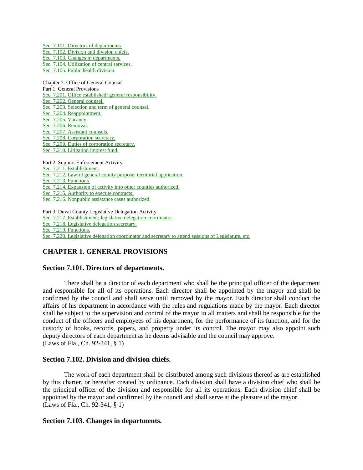[Sec. 7.101. Directors](javascript:parent.setJumpLink(%2212174%22,%22v3zch0.x1-7.101%22,%220-0-0-9973%22);) of departments. [Sec. 7.102. Division and division chiefs.](javascript:parent.setJumpLink(%2212174%22,%22v3zch0.x1-7.102%22,%220-0-0-9975%22);) [Sec. 7.103. Changes in departments.](javascript:parent.setJumpLink(%2212174%22,%22v3zch0.x1-7.103%22,%220-0-0-9977%22);) [Sec. 7.104. Utilization of central services.](javascript:parent.setJumpLink(%2212174%22,%22v3zch0.x1-7.104%22,%220-0-0-9979%22);) [Sec. 7.105. Public health division.](javascript:parent.setJumpLink(%2212174%22,%22v3zch0.x1-7.105%22,%220-0-0-9981%22);)

Chapter 2. Office of General Counsel Part 1. General Provisions [Sec. 7.201. Office established; general responsibility.](javascript:parent.setJumpLink(%2212174%22,%22v3zch0.x1-7.201%22,%220-0-0-9983%22);) [Sec. 7.202. General counsel.](javascript:parent.setJumpLink(%2212174%22,%22v3zch0.x1-7.202%22,%220-0-0-9985%22);) [Sec. 7.203. Selection and term of general counsel.](javascript:parent.setJumpLink(%2212174%22,%22v3zch0.x1-7.203%22,%220-0-0-9987%22);) [Sec. 7.204. Reappointment.](javascript:parent.setJumpLink(%2212174%22,%22v3zch0.x1-7.204%22,%220-0-0-9989%22);) [Sec. 7.205. Vacancy.](javascript:parent.setJumpLink(%2212174%22,%22v3zch0.x1-7.205%22,%220-0-0-9991%22);) [Sec. 7.206. Removal.](javascript:parent.setJumpLink(%2212174%22,%22v3zch0.x1-7.206%22,%220-0-0-9993%22);) [Sec. 7.207. Assistant counsels.](javascript:parent.setJumpLink(%2212174%22,%22v3zch0.x1-7.207%22,%220-0-0-9995%22);) [Sec. 7.208. Corporation secretary.](javascript:parent.setJumpLink(%2212174%22,%22v3zch0.x1-7.208%22,%220-0-0-9997%22);) [Sec. 7.209. Duties of corporation secretary.](javascript:parent.setJumpLink(%2212174%22,%22v3zch0.x1-7.209%22,%220-0-0-9999%22);) [Sec. 7.210. Litigation imprest fund.](javascript:parent.setJumpLink(%2212174%22,%22v3zch0.x1-7.210%22,%220-0-0-10001%22);)

Part 2. Support Enforcement Activity [Sec. 7.211. Establishment.](javascript:parent.setJumpLink(%2212174%22,%22v3zch0.x1-7.211%22,%220-0-0-10003%22);) [Sec. 7.212. Lawful general county purpose; territorial application.](javascript:parent.setJumpLink(%2212174%22,%22v3zch0.x1-7.212%22,%220-0-0-10005%22);) [Sec. 7.213. Functions.](javascript:parent.setJumpLink(%2212174%22,%22v3zch0.x1-7.213%22,%220-0-0-10007%22);) Sec. [7.214. Expansion of activity into other counties authorized.](javascript:parent.setJumpLink(%2212174%22,%22v3zch0.x1-7.214%22,%220-0-0-10009%22);) [Sec. 7.215. Authority to execute contracts.](javascript:parent.setJumpLink(%2212174%22,%22v3zch0.x1-7.215%22,%220-0-0-10011%22);) [Sec. 7.216. Nonpublic assistance cases authorized.](javascript:parent.setJumpLink(%2212174%22,%22v3zch0.x1-7.216%22,%220-0-0-10013%22);)

Part 3. Duval County Legislative Delegation Activity [Sec. 7.217. Establishment; legislative delegation coordinator.](javascript:parent.setJumpLink(%2212174%22,%22v3zch0.x1-7.217%22,%220-0-0-10015%22);) [Sec. 7.218. Legislative delegation secretary.](javascript:parent.setJumpLink(%2212174%22,%22v3zch0.x1-7.218%22,%220-0-0-10017%22);) [Sec. 7.219. Functions.](javascript:parent.setJumpLink(%2212174%22,%22v3zch0.x1-7.219%22,%220-0-0-10019%22);) [Sec. 7.220. Legislative delegation coordinator and secretary to attend sessions of Legislature, etc.](javascript:parent.setJumpLink(%2212174%22,%22v3zch0.x1-7.220%22,%220-0-0-10021%22);)

# **CHAPTER 1. GENERAL PROVISIONS**

# **Section 7.101. Directors of departments.**

There shall be a director of each department who shall be the principal officer of the department and responsible for all of its operations. Each director shall be appointed by the mayor and shall be confirmed by the council and shall serve until removed by the mayor. Each director shall conduct the affairs of his department in accordance with the rules and regulations made by the mayor. Each director shall be subject to the supervision and control of the mayor in all matters and shall be responsible for the conduct of the officers and employees of his department, for the performance of its function, and for the custody of books, records, papers, and property under its control. The mayor may also appoint such deputy directors of each department as he deems advisable and the council may approve. (Laws of Fla., Ch. 92-341, § 1)

# **Section 7.102. Division and division chiefs.**

The work of each department shall be distributed among such divisions thereof as are established by this charter, or hereafter created by ordinance. Each division shall have a division chief who shall be the principal officer of the division and responsible for all its operations. Each division chief shall be appointed by the mayor and confirmed by the council and shall serve at the pleasure of the mayor. (Laws of Fla., Ch. 92-341, § 1)

# **Section 7.103. Changes in departments.**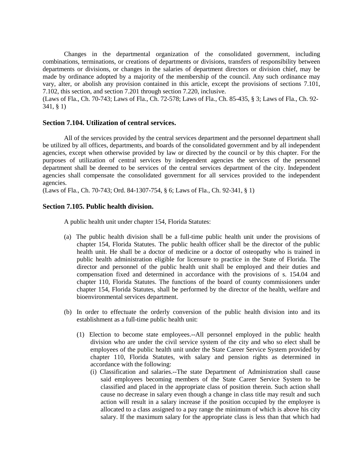Changes in the departmental organization of the consolidated government, including combinations, terminations, or creations of departments or divisions, transfers of responsibility between departments or divisions, or changes in the salaries of department directors or division chief, may be made by ordinance adopted by a majority of the membership of the council. Any such ordinance may vary, alter, or abolish any provision contained in this article, except the provisions of sections 7.101, 7.102, this section, and section 7.201 through section 7.220, inclusive.

(Laws of Fla., Ch. 70-743; Laws of Fla., Ch. 72-578; Laws of Fla., Ch. 85-435, § 3; Laws of Fla., Ch. 92- 341, § 1)

#### **Section 7.104. Utilization of central services.**

All of the services provided by the central services department and the personnel department shall be utilized by all offices, departments, and boards of the consolidated government and by all independent agencies, except when otherwise provided by law or directed by the council or by this chapter. For the purposes of utilization of central services by independent agencies the services of the personnel department shall be deemed to be services of the central services department of the city. Independent agencies shall compensate the consolidated government for all services provided to the independent agencies.

(Laws of Fla., Ch. 70-743; Ord. 84-1307-754, § 6; Laws of Fla., Ch. 92-341, § 1)

#### **Section 7.105. Public health division.**

A public health unit under chapter 154, Florida Statutes:

- (a) The public health division shall be a full-time public health unit under the provisions of chapter 154, Florida Statutes. The public health officer shall be the director of the public health unit. He shall be a doctor of medicine or a doctor of osteopathy who is trained in public health administration eligible for licensure to practice in the State of Florida. The director and personnel of the public health unit shall be employed and their duties and compensation fixed and determined in accordance with the provisions of s. 154.04 and chapter 110, Florida Statutes. The functions of the board of county commissioners under chapter 154, Florida Statutes, shall be performed by the director of the health, welfare and bioenvironmental services department.
- (b) In order to effectuate the orderly conversion of the public health division into and its establishment as a full-time public health unit:
	- (1) Election to become state employees.--All personnel employed in the public health division who are under the civil service system of the city and who so elect shall be employees of the public health unit under the State Career Service System provided by chapter 110, Florida Statutes, with salary and pension rights as determined in accordance with the following:
		- (i) Classification and salaries.--The state Department of Administration shall cause said employees becoming members of the State Career Service System to be classified and placed in the appropriate class of position therein. Such action shall cause no decrease in salary even though a change in class title may result and such action will result in a salary increase if the position occupied by the employee is allocated to a class assigned to a pay range the minimum of which is above his city salary. If the maximum salary for the appropriate class is less than that which had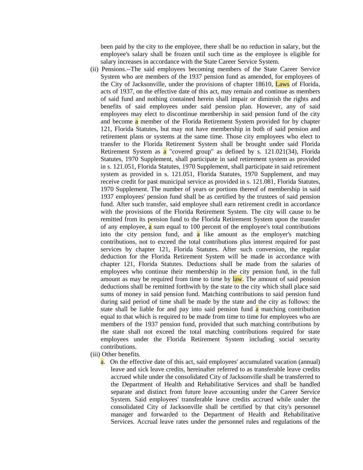been paid by the city to the employee, there shall be no reduction in salary, but the employee's salary shall be frozen until such time as the employee is eligible for salary increases in accordance with the State Career Service System.

(ii) Pensions.--The said employees becoming members of the State Career Service System who are members of the 1937 pension fund as amended, for employees of the City of Jacksonville, under the provisions of chapter 18610, **Laws** of Florida, acts of 1937, on the effective date of this act, may remain and continue as members of said fund and nothing contained herein shall impair or diminish the rights and benefits of said employees under said pension plan. However, any of said employees may elect to discontinue membership in said pension fund of the city and become **a** member of the Florida Retirement System provided for by chapter 121, Florida Statutes, but may not have membership in both of said pension and retirement plans or systems at the same time. Those city employees who elect to transfer to the Florida Retirement System shall be brought under said Florida Retirement System as a "covered group" as defined by s. 121.021(34), Florida Statutes, 1970 Supplement, shall participate in said retirement system as provided in s. 121.051, Florida Statutes, 1970 Supplement, shall participate in said retirement system as provided in s. 121.051, Florida Statutes, 1970 Supplement, and may receive credit for past municipal service as provided in s. 121.081, Florida Statutes, 1970 Supplement. The number of years or portions thereof of membership in said 1937 employees' pension fund shall be as certified by the trustees of said pension fund. After such transfer, said employee shall earn retirement credit in accordance with the provisions of the Florida Retirement System. The city will cause to be remitted from its pension fund to the Florida Retirement System upon the transfer of any employee,  $\alpha$  sum equal to 100 percent of the employee's total contributions into the city pension fund, and  $\overline{a}$  like amount as the employer's matching contributions, not to exceed the total contributions plus interest required for past services by chapter 121, Florida Statutes. After such conversion, the regular deduction for the Florida Retirement System will be made in accordance with chapter 121, Florida Statutes. Deductions shall be made from the salaries of employees who continue their membership in the city pension fund, in the full amount as may be required from time to time by law. The amount of said pension deductions shall be remitted forthwith by the state to the city which shall place said sums of money in said pension fund. Matching contributions to said pension fund during said period of time shall be made by the state and the city as follows: the state shall be liable for and pay into said pension fund  $\alpha$  matching contribution equal to that which is required to be made from time to time for employees who are members of the 1937 pension fund, provided that such matching contributions by the state shall not exceed the total matching contributions required for state employees under the Florida Retirement System including social security contributions.

(iii) Other benefits.

a. On the effective date of this act, said employees' accumulated vacation (annual) leave and sick leave credits, hereinafter referred to as transferable leave credits accrued while under the consolidated City of Jacksonville shall be transferred to the Department of Health and Rehabilitative Services and shall be handled separate and distinct from future leave accounting under the Career Service System. Said employees' transferable leave credits accrued while under the consolidated City of Jacksonville shall be certified by that city's personnel manager and forwarded to the Department of Health and Rehabilitative Services. Accrual leave rates under the personnel rules and regulations of the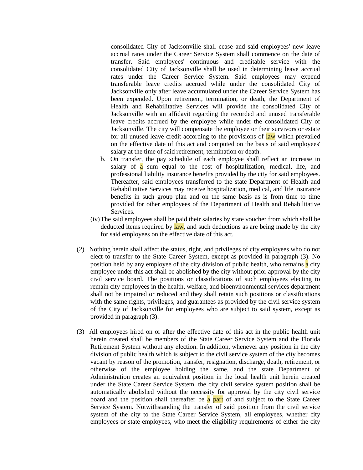consolidated City of Jacksonville shall cease and said employees' new leave accrual rates under the Career Service System shall commence on the date of transfer. Said employees' continuous and creditable service with the consolidated City of Jacksonville shall be used in determining leave accrual rates under the Career Service System. Said employees may expend transferable leave credits accrued while under the consolidated City of Jacksonville only after leave accumulated under the Career Service System has been expended. Upon retirement, termination, or death, the Department of Health and Rehabilitative Services will provide the consolidated City of Jacksonville with an affidavit regarding the recorded and unused transferable leave credits accrued by the employee while under the consolidated City of Jacksonville. The city will compensate the employee or their survivors or estate for all unused leave credit according to the provisions of law which prevailed on the effective date of this act and computed on the basis of said employees' salary at the time of said retirement, termination or death.

- b. On transfer, the pay schedule of each employee shall reflect an increase in salary of  $\alpha$  sum equal to the cost of hospitalization, medical, life, and professional liability insurance benefits provided by the city for said employees. Thereafter, said employees transferred to the state Department of Health and Rehabilitative Services may receive hospitalization, medical, and life insurance benefits in such group plan and on the same basis as is from time to time provided for other employees of the Department of Health and Rehabilitative Services.
- (iv)The said employees shall be paid their salaries by state voucher from which shall be deducted items required by law, and such deductions as are being made by the city for said employees on the effective date of this act.
- (2) Nothing herein shall affect the status, right, and privileges of city employees who do not elect to transfer to the State Career System, except as provided in paragraph (3). No position held by any employee of the city division of public health, who remains a city employee under this act shall be abolished by the city without prior approval by the city civil service board. The positions or classifications of such employees electing to remain city employees in the health, welfare, and bioenvironmental services department shall not be impaired or reduced and they shall retain such positions or classifications with the same rights, privileges, and guarantees as provided by the civil service system of the City of Jacksonville for employees who are subject to said system, except as provided in paragraph (3).
- (3) All employees hired on or after the effective date of this act in the public health unit herein created shall be members of the State Career Service System and the Florida Retirement System without any election. In addition, whenever any position in the city division of public health which is subject to the civil service system of the city becomes vacant by reason of the promotion, transfer, resignation, discharge, death, retirement, or otherwise of the employee holding the same, and the state Department of Administration creates an equivalent position in the local health unit herein created under the State Career Service System, the city civil service system position shall be automatically abolished without the necessity for approval by the city civil service board and the position shall thereafter be  $\alpha$  part of and subject to the State Career Service System. Notwithstanding the transfer of said position from the civil service system of the city to the State Career Service System, all employees, whether city employees or state employees, who meet the eligibility requirements of either the city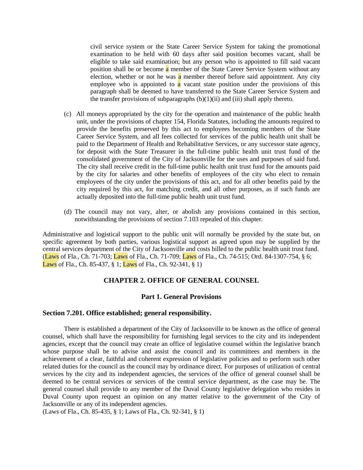civil service system or the State Career Service System for taking the promotional examination to be held with 60 days after said position becomes vacant, shall be eligible to take said examination; but any person who is appointed to fill said vacant position shall be or become a member of the State Career Service System without any election, whether or not he was a member thereof before said appointment. Any city employee who is appointed to  $\alpha$  vacant state position under the provisions of this paragraph shall be deemed to have transferred to the State Career Service System and the transfer provisions of subparagraphs  $(b)(1)(ii)$  and  $(iii)$  shall apply thereto.

- (c) All moneys appropriated by the city for the operation and maintenance of the public health unit, under the provisions of chapter 154, Florida Statutes, including the amounts required to provide the benefits preserved by this act to employees becoming members of the State Career Service System, and all fees collected for services of the public health unit shall be paid to the Department of Health and Rehabilitative Services, or any successor state agency, for deposit with the State Treasurer in the full-time public health unit trust fund of the consolidated government of the City of Jacksonville for the uses and purposes of said fund. The city shall receive credit in the full-time public health unit trust fund for the amounts paid by the city for salaries and other benefits of employees of the city who elect to remain employees of the city under the provisions of this act, and for all other benefits paid by the city required by this act, for matching credit, and all other purposes, as if such funds are actually deposited into the full-time public health unit trust fund.
- (d) The council may not vary, alter, or abolish any provisions contained in this section, notwithstanding the provisions of section 7.103 repealed of this chapter.

Administrative and logistical support to the public unit will normally be provided by the state but, on specific agreement by both parties, various logistical support as agreed upon may be supplied by the central services department of the City of Jacksonville and costs billed to the public health unit trust fund. (Laws of Fla., Ch. 71-703; Laws of Fla., Ch. 71-709; Laws of Fla., Ch. 74-515; Ord. 84-1307-754, § 6; Laws of Fla., Ch. 85-437, § 1; Laws of Fla., Ch. 92-341, § 1)

#### **CHAPTER 2. OFFICE OF GENERAL COUNSEL**

# **Part 1. General Provisions**

#### **Section 7.201. Office established; general responsibility.**

There is established a department of the City of Jacksonville to be known as the office of general counsel, which shall have the responsibility for furnishing legal services to the city and its independent agencies, except that the council may create an office of legislative counsel within the legislative branch whose purpose shall be to advise and assist the council and its committees and members in the achievement of a clear, faithful and coherent expression of legislative policies and to perform such other related duties for the council as the council may by ordinance direct. For purposes of utilization of central services by the city and its independent agencies, the services of the office of general counsel shall be deemed to be central services or services of the central service department, as the case may be. The general counsel shall provide to any member of the Duval County legislative delegation who resides in Duval County upon request an opinion on any matter relative to the government of the City of Jacksonville or any of its independent agencies.

(Laws of Fla., Ch. 85-435, § 1; Laws of Fla., Ch. 92-341, § 1)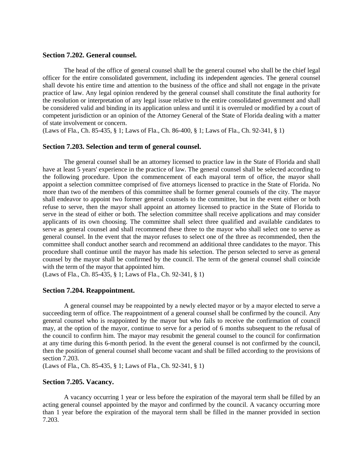#### **Section 7.202. General counsel.**

The head of the office of general counsel shall be the general counsel who shall be the chief legal officer for the entire consolidated government, including its independent agencies. The general counsel shall devote his entire time and attention to the business of the office and shall not engage in the private practice of law. Any legal opinion rendered by the general counsel shall constitute the final authority for the resolution or interpretation of any legal issue relative to the entire consolidated government and shall be considered valid and binding in its application unless and until it is overruled or modified by a court of competent jurisdiction or an opinion of the Attorney General of the State of Florida dealing with a matter of state involvement or concern.

(Laws of Fla., Ch. 85-435, § 1; Laws of Fla., Ch. 86-400, § 1; Laws of Fla., Ch. 92-341, § 1)

#### **Section 7.203. Selection and term of general counsel.**

The general counsel shall be an attorney licensed to practice law in the State of Florida and shall have at least 5 years' experience in the practice of law. The general counsel shall be selected according to the following procedure. Upon the commencement of each mayoral term of office, the mayor shall appoint a selection committee comprised of five attorneys licensed to practice in the State of Florida. No more than two of the members of this committee shall be former general counsels of the city. The mayor shall endeavor to appoint two former general counsels to the committee, but in the event either or both refuse to serve, then the mayor shall appoint an attorney licensed to practice in the State of Florida to serve in the stead of either or both. The selection committee shall receive applications and may consider applicants of its own choosing. The committee shall select three qualified and available candidates to serve as general counsel and shall recommend these three to the mayor who shall select one to serve as general counsel. In the event that the mayor refuses to select one of the three as recommended, then the committee shall conduct another search and recommend an additional three candidates to the mayor. This procedure shall continue until the mayor has made his selection. The person selected to serve as general counsel by the mayor shall be confirmed by the council. The term of the general counsel shall coincide with the term of the mayor that appointed him.

(Laws of Fla., Ch. 85-435, § 1; Laws of Fla., Ch. 92-341, § 1)

## **Section 7.204. Reappointment.**

A general counsel may be reappointed by a newly elected mayor or by a mayor elected to serve a succeeding term of office. The reappointment of a general counsel shall be confirmed by the council. Any general counsel who is reappointed by the mayor but who fails to receive the confirmation of council may, at the option of the mayor, continue to serve for a period of 6 months subsequent to the refusal of the council to confirm him. The mayor may resubmit the general counsel to the council for confirmation at any time during this 6-month period. In the event the general counsel is not confirmed by the council, then the position of general counsel shall become vacant and shall be filled according to the provisions of section 7.203.

(Laws of Fla., Ch. 85-435, § 1; Laws of Fla., Ch. 92-341, § 1)

# **Section 7.205. Vacancy.**

A vacancy occurring 1 year or less before the expiration of the mayoral term shall be filled by an acting general counsel appointed by the mayor and confirmed by the council. A vacancy occurring more than 1 year before the expiration of the mayoral term shall be filled in the manner provided in section 7.203.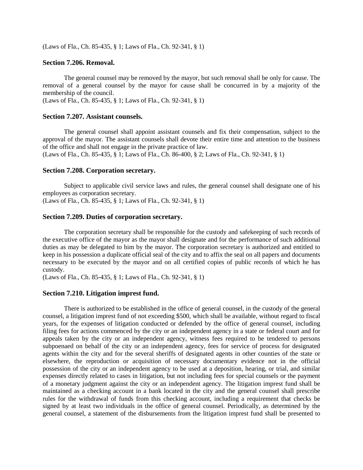(Laws of Fla., Ch. 85-435, § 1; Laws of Fla., Ch. 92-341, § 1)

# **Section 7.206. Removal.**

The general counsel may be removed by the mayor, but such removal shall be only for cause. The removal of a general counsel by the mayor for cause shall be concurred in by a majority of the membership of the council.

(Laws of Fla., Ch. 85-435, § 1; Laws of Fla., Ch. 92-341, § 1)

#### **Section 7.207. Assistant counsels.**

The general counsel shall appoint assistant counsels and fix their compensation, subject to the approval of the mayor. The assistant counsels shall devote their entire time and attention to the business of the office and shall not engage in the private practice of law.

(Laws of Fla., Ch. 85-435, § 1; Laws of Fla., Ch. 86-400, § 2; Laws of Fla., Ch. 92-341, § 1)

## **Section 7.208. Corporation secretary.**

Subject to applicable civil service laws and rules, the general counsel shall designate one of his employees as corporation secretary.

(Laws of Fla., Ch. 85-435, § 1; Laws of Fla., Ch. 92-341, § 1)

# **Section 7.209. Duties of corporation secretary.**

The corporation secretary shall be responsible for the custody and safekeeping of such records of the executive office of the mayor as the mayor shall designate and for the performance of such additional duties as may be delegated to him by the mayor. The corporation secretary is authorized and entitled to keep in his possession a duplicate official seal of the city and to affix the seal on all papers and documents necessary to be executed by the mayor and on all certified copies of public records of which he has custody.

(Laws of Fla., Ch. 85-435, § 1; Laws of Fla., Ch. 92-341, § 1)

#### **Section 7.210. Litigation imprest fund.**

There is authorized to be established in the office of general counsel, in the custody of the general counsel, a litigation imprest fund of not exceeding \$500, which shall be available, without regard to fiscal years, for the expenses of litigation conducted or defended by the office of general counsel, including filing fees for actions commenced by the city or an independent agency in a state or federal court and for appeals taken by the city or an independent agency, witness fees required to be tendered to persons subpoenaed on behalf of the city or an independent agency, fees for service of process for designated agents within the city and for the several sheriffs of designated agents in other counties of the state or elsewhere, the reproduction or acquisition of necessary documentary evidence not in the official possession of the city or an independent agency to be used at a deposition, hearing, or trial, and similar expenses directly related to cases in litigation, but not including fees for special counsels or the payment of a monetary judgment against the city or an independent agency. The litigation imprest fund shall be maintained as a checking account in a bank located in the city and the general counsel shall prescribe rules for the withdrawal of funds from this checking account, including a requirement that checks be signed by at least two individuals in the office of general counsel. Periodically, as determined by the general counsel, a statement of the disbursements from the litigation imprest fund shall be presented to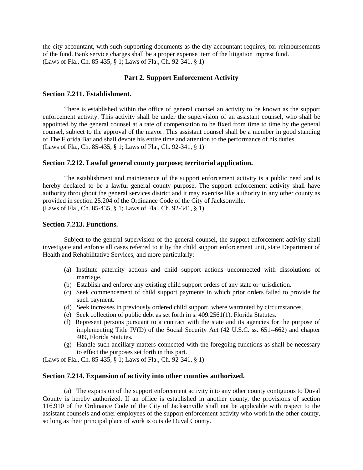the city accountant, with such supporting documents as the city accountant requires, for reimbursements of the fund. Bank service charges shall be a proper expense item of the litigation imprest fund. (Laws of Fla., Ch. 85-435, § 1; Laws of Fla., Ch. 92-341, § 1)

# **Part 2. Support Enforcement Activity**

# **Section 7.211. Establishment.**

There is established within the office of general counsel an activity to be known as the support enforcement activity. This activity shall be under the supervision of an assistant counsel, who shall be appointed by the general counsel at a rate of compensation to be fixed from time to time by the general counsel, subject to the approval of the mayor. This assistant counsel shall be a member in good standing of The Florida Bar and shall devote his entire time and attention to the performance of his duties. (Laws of Fla., Ch. 85-435, § 1; Laws of Fla., Ch. 92-341, § 1)

# **Section 7.212. Lawful general county purpose; territorial application.**

The establishment and maintenance of the support enforcement activity is a public need and is hereby declared to be a lawful general county purpose. The support enforcement activity shall have authority throughout the general services district and it may exercise like authority in any other county as provided in section 25.204 of the Ordinance Code of the City of Jacksonville. (Laws of Fla., Ch. 85-435, § 1; Laws of Fla., Ch. 92-341, § 1)

# **Section 7.213. Functions.**

Subject to the general supervision of the general counsel, the support enforcement activity shall investigate and enforce all cases referred to it by the child support enforcement unit, state Department of Health and Rehabilitative Services, and more particularly:

- (a) Institute paternity actions and child support actions unconnected with dissolutions of marriage.
- (b) Establish and enforce any existing child support orders of any state or jurisdiction.
- (c) Seek commencement of child support payments in which prior orders failed to provide for such payment.
- (d) Seek increases in previously ordered child support, where warranted by circumstances.
- (e) Seek collection of public debt as set forth in s. 409.2561(1), Florida Statutes.
- (f) Represent persons pursuant to a contract with the state and its agencies for the purpose of implementing Title IV(D) of the Social Security Act (42 U.S.C. ss. 651--662) and chapter 409, Florida Statutes.
- (g) Handle such ancillary matters connected with the foregoing functions as shall be necessary to effect the purposes set forth in this part.

(Laws of Fla., Ch. 85-435, § 1; Laws of Fla., Ch. 92-341, § 1)

#### **Section 7.214. Expansion of activity into other counties authorized.**

(a) The expansion of the support enforcement activity into any other county contiguous to Duval County is hereby authorized. If an office is established in another county, the provisions of section 116.910 of the Ordinance Code of the City of Jacksonville shall not be applicable with respect to the assistant counsels and other employees of the support enforcement activity who work in the other county, so long as their principal place of work is outside Duval County.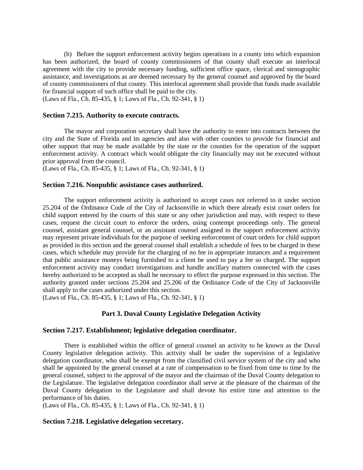(b) Before the support enforcement activity begins operations in a county into which expansion has been authorized, the board of county commissioners of that county shall execute an interlocal agreement with the city to provide necessary funding, sufficient office space, clerical and stenographic assistance, and investigations as are deemed necessary by the general counsel and approved by the board of county commissioners of that county. This interlocal agreement shall provide that funds made available for financial support of such office shall be paid to the city.

(Laws of Fla., Ch. 85-435, § 1; Laws of Fla., Ch. 92-341, § 1)

#### **Section 7.215. Authority to execute contracts.**

The mayor and corporation secretary shall have the authority to enter into contracts between the city and the State of Florida and its agencies and also with other counties to provide for financial and other support that may be made available by the state or the counties for the operation of the support enforcement activity. A contract which would obligate the city financially may not be executed without prior approval from the council.

(Laws of Fla., Ch. 85-435, § 1; Laws of Fla., Ch. 92-341, § 1)

## **Section 7.216. Nonpublic assistance cases authorized.**

The support enforcement activity is authorized to accept cases not referred to it under section 25.204 of the Ordinance Code of the City of Jacksonville in which there already exist court orders for child support entered by the courts of this state or any other jurisdiction and may, with respect to these cases, request the circuit court to enforce the orders, using contempt proceedings only. The general counsel, assistant general counsel, or an assistant counsel assigned to the support enforcement activity may represent private individuals for the purpose of seeking enforcement of court orders for child support as provided in this section and the general counsel shall establish a schedule of fees to be charged in these cases, which schedule may provide for the charging of no fee in appropriate instances and a requirement that public assistance moneys being furnished to a client be used to pay a fee so charged. The support enforcement activity may conduct investigations and handle ancillary matters connected with the cases hereby authorized to be accepted as shall be necessary to effect the purpose expressed in this section. The authority granted under sections 25.204 and 25.206 of the Ordinance Code of the City of Jacksonville shall apply to the cases authorized under this section.

(Laws of Fla., Ch. 85-435, § 1; Laws of Fla., Ch. 92-341, § 1)

# **Part 3. Duval County Legislative Delegation Activity**

#### **Section 7.217. Establishment; legislative delegation coordinator.**

There is established within the office of general counsel an activity to be known as the Duval County legislative delegation activity. This activity shall be under the supervision of a legislative delegation coordinator, who shall be exempt from the classified civil service system of the city and who shall be appointed by the general counsel at a rate of compensation to be fixed from time to time by the general counsel, subject to the approval of the mayor and the chairman of the Duval County delegation to the Legislature. The legislative delegation coordinator shall serve at the pleasure of the chairman of the Duval County delegation to the Legislature and shall devote his entire time and attention to the performance of his duties.

(Laws of Fla., Ch. 85-435, § 1; Laws of Fla., Ch. 92-341, § 1)

# **Section 7.218. Legislative delegation secretary.**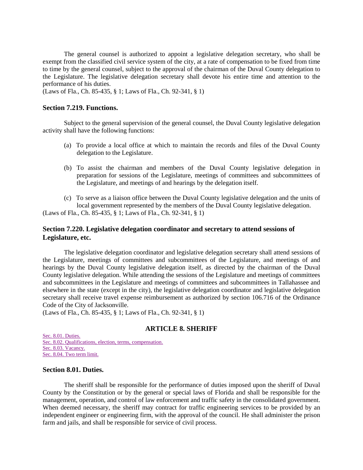The general counsel is authorized to appoint a legislative delegation secretary, who shall be exempt from the classified civil service system of the city, at a rate of compensation to be fixed from time to time by the general counsel, subject to the approval of the chairman of the Duval County delegation to the Legislature. The legislative delegation secretary shall devote his entire time and attention to the performance of his duties.

(Laws of Fla., Ch. 85-435, § 1; Laws of Fla., Ch. 92-341, § 1)

# **Section 7.219. Functions.**

Subject to the general supervision of the general counsel, the Duval County legislative delegation activity shall have the following functions:

- (a) To provide a local office at which to maintain the records and files of the Duval County delegation to the Legislature.
- (b) To assist the chairman and members of the Duval County legislative delegation in preparation for sessions of the Legislature, meetings of committees and subcommittees of the Legislature, and meetings of and hearings by the delegation itself.
- (c) To serve as a liaison office between the Duval County legislative delegation and the units of local government represented by the members of the Duval County legislative delegation. (Laws of Fla., Ch. 85-435, § 1; Laws of Fla., Ch. 92-341, § 1)

# **Section 7.220. Legislative delegation coordinator and secretary to attend sessions of Legislature, etc.**

The legislative delegation coordinator and legislative delegation secretary shall attend sessions of the Legislature, meetings of committees and subcommittees of the Legislature, and meetings of and hearings by the Duval County legislative delegation itself, as directed by the chairman of the Duval County legislative delegation. While attending the sessions of the Legislature and meetings of committees and subcommittees in the Legislature and meetings of committees and subcommittees in Tallahassee and elsewhere in the state (except in the city), the legislative delegation coordinator and legislative delegation secretary shall receive travel expense reimbursement as authorized by section 106.716 of the Ordinance Code of the City of Jacksonville.

(Laws of Fla., Ch. 85-435, § 1; Laws of Fla., Ch. 92-341, § 1)

#### **ARTICLE 8. SHERIFF**

[Sec. 8.01. Duties.](http://library4.municode.com/mcc/DocView/12174/1/871/881#0-0-0-10023#0-0-0-10023) [Sec. 8.02. Qualifications, election, terms, compensation.](http://library4.municode.com/mcc/DocView/12174/1/871/881#0-0-0-10025#0-0-0-10025) [Sec. 8.03. Vacancy.](http://library4.municode.com/mcc/DocView/12174/1/871/881#0-0-0-10027#0-0-0-10027) [Sec. 8.04. Two term limit.](http://library4.municode.com/mcc/DocView/12174/1/871/881#0-0-0-10029#0-0-0-10029)

#### **Section 8.01. Duties.**

The sheriff shall be responsible for the performance of duties imposed upon the sheriff of Duval County by the Constitution or by the general or special laws of Florida and shall be responsible for the management, operation, and control of law enforcement and traffic safety in the consolidated government. When deemed necessary, the sheriff may contract for traffic engineering services to be provided by an independent engineer or engineering firm, with the approval of the council. He shall administer the prison farm and jails, and shall be responsible for service of civil process.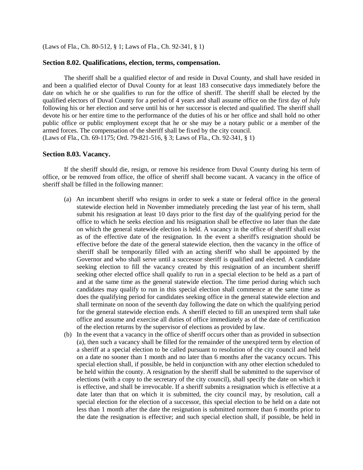(Laws of Fla., Ch. 80-512, § 1; Laws of Fla., Ch. 92-341, § 1)

#### **Section 8.02. Qualifications, election, terms, compensation.**

The sheriff shall be a qualified elector of and reside in Duval County, and shall have resided in and been a qualified elector of Duval County for at least 183 consecutive days immediately before the date on which he or she qualifies to run for the office of sheriff. The sheriff shall be elected by the qualified electors of Duval County for a period of 4 years and shall assume office on the first day of July following his or her election and serve until his or her successor is elected and qualified. The sheriff shall devote his or her entire time to the performance of the duties of his or her office and shall hold no other public office or public employment except that he or she may be a notary public or a member of the armed forces. The compensation of the sheriff shall be fixed by the city council. (Laws of Fla., Ch. 69-1175; Ord. 79-821-516, § 3; Laws of Fla., Ch. 92-341, § 1)

#### **Section 8.03. Vacancy.**

If the sheriff should die, resign, or remove his residence from Duval County during his term of office, or be removed from office, the office of sheriff shall become vacant. A vacancy in the office of sheriff shall be filled in the following manner:

- (a) An incumbent sheriff who resigns in order to seek a state or federal office in the general statewide election held in November immediately preceding the last year of his term, shall submit his resignation at least 10 days prior to the first day of the qualifying period for the office to which he seeks election and his resignation shall be effective no later than the date on which the general statewide election is held. A vacancy in the office of sheriff shall exist as of the effective date of the resignation. In the event a sheriff's resignation should be effective before the date of the general statewide election, then the vacancy in the office of sheriff shall be temporarily filled with an acting sheriff who shall be appointed by the Governor and who shall serve until a successor sheriff is qualified and elected. A candidate seeking election to fill the vacancy created by this resignation of an incumbent sheriff seeking other elected office shall qualify to run in a special election to be held as a part of and at the same time as the general statewide election. The time period during which such candidates may qualify to run in this special election shall commence at the same time as does the qualifying period for candidates seeking office in the general statewide election and shall terminate on noon of the seventh day following the date on which the qualifying period for the general statewide election ends. A sheriff elected to fill an unexpired term shall take office and assume and exercise all duties of office immediately as of the date of certification of the election returns by the supervisor of elections as provided by law.
- (b) In the event that a vacancy in the office of sheriff occurs other than as provided in subsection (a), then such a vacancy shall be filled for the remainder of the unexpired term by election of a sheriff at a special election to be called pursuant to resolution of the city council and held on a date no sooner than 1 month and no later than 6 months after the vacancy occurs. This special election shall, if possible, be held in conjunction with any other election scheduled to be held within the county. A resignation by the sheriff shall be submitted to the supervisor of elections (with a copy to the secretary of the city council), shall specify the date on which it is effective, and shall be irrevocable. If a sheriff submits a resignation which is effective at a date later than that on which it is submitted, the city council may, by resolution, call a special election for the election of a successor, this special election to be held on a date not less than 1 month after the date the resignation is submitted normore than 6 months prior to the date the resignation is effective; and such special election shall, if possible, be held in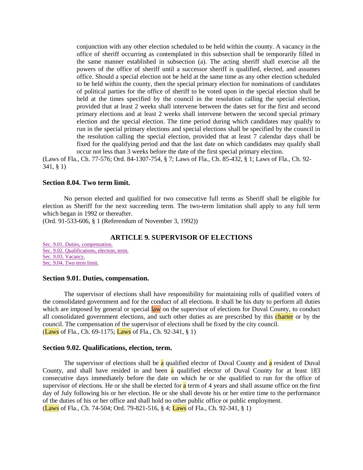conjunction with any other election scheduled to be held within the county. A vacancy in the office of sheriff occurring as contemplated in this subsection shall be temporarily filled in the same manner established in subsection (a). The acting sheriff shall exercise all the powers of the office of sheriff until a successor sheriff is qualified, elected, and assumes office. Should a special election not be held at the same time as any other election scheduled to be held within the county, then the special primary election for nominations of candidates of political parties for the office of sheriff to be voted upon in the special election shall be held at the times specified by the council in the resolution calling the special election, provided that at least 2 weeks shall intervene between the dates set for the first and second primary elections and at least 2 weeks shall intervene between the second special primary election and the special election. The time period during which candidates may qualify to run in the special primary elections and special elections shall be specified by the council in the resolution calling the special election, provided that at least 7 calendar days shall be fixed for the qualifying period and that the last date on which candidates may qualify shall occur not less than 3 weeks before the date of the first special primary election.

(Laws of Fla., Ch. 77-576; Ord. 84-1307-754, § 7; Laws of Fla., Ch. 85-432, § 1; Laws of Fla., Ch. 92- 341, § 1)

#### **Section 8.04. Two term limit.**

No person elected and qualified for two consecutive full terms as Sheriff shall be eligible for election as Sheriff for the next succeeding term. The two-term limitation shall apply to any full term which began in 1992 or thereafter.

(Ord. 91-533-606, § 1 (Referendum of November 3, 1992))

# **ARTICLE 9. SUPERVISOR OF ELECTIONS**

[Sec. 9.01. Duties, compensation.](http://library4.municode.com/mcc/DocView/12174/1/871/882?hilite=part;parts;a;charter;charters;laws;law;#0-0-0-10031#0-0-0-10031) [Sec. 9.02. Qualifications, election, term.](http://library4.municode.com/mcc/DocView/12174/1/871/882?hilite=part;parts;a;charter;charters;laws;law;#0-0-0-10033#0-0-0-10033) [Sec. 9.03. Vacancy.](http://library4.municode.com/mcc/DocView/12174/1/871/882?hilite=part;parts;a;charter;charters;laws;law;#0-0-0-10035#0-0-0-10035) [Sec. 9.04. Two term limit.](http://library4.municode.com/mcc/DocView/12174/1/871/882?hilite=part;parts;a;charter;charters;laws;law;#0-0-0-10037#0-0-0-10037)

#### **Section 9.01. Duties, compensation.**

The supervisor of elections shall have responsibility for maintaining rolls of qualified voters of the consolidated government and for the conduct of all elections. It shall be his duty to perform all duties which are imposed by general or special law on the supervisor of elections for Duval County, to conduct all consolidated government elections, and such other duties as are prescribed by this charter or by the council. The compensation of the supervisor of elections shall be fixed by the city council. (Laws of Fla., Ch. 69-1175; Laws of Fla., Ch. 92-341, § 1)

#### **Section 9.02. Qualifications, election, term.**

The supervisor of elections shall be a qualified elector of Duval County and a resident of Duval County, and shall have resided in and been a qualified elector of Duval County for at least 183 consecutive days immediately before the date on which he or she qualified to run for the office of supervisor of elections. He or she shall be elected for  $\alpha$  term of 4 years and shall assume office on the first day of July following his or her election. He or she shall devote his or her entire time to the performance of the duties of his or her office and shall hold no other public office or public employment. (Laws of Fla., Ch. 74-504; Ord. 79-821-516, § 4; Laws of Fla., Ch. 92-341, § 1)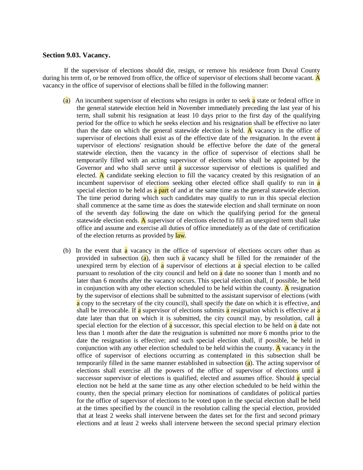## **Section 9.03. Vacancy.**

If the supervisor of elections should die, resign, or remove his residence from Duval County during his term of, or be removed from office, the office of supervisor of elections shall become vacant. A vacancy in the office of supervisor of elections shall be filled in the following manner:

- (a) An incumbent supervisor of elections who resigns in order to seek a state or federal office in the general statewide election held in November immediately preceding the last year of his term, shall submit his resignation at least 10 days prior to the first day of the qualifying period for the office to which he seeks election and his resignation shall be effective no later than the date on which the general statewide election is held. A vacancy in the office of supervisor of elections shall exist as of the effective date of the resignation. In the event **a** supervisor of elections' resignation should be effective before the date of the general statewide election, then the vacancy in the office of supervisor of elections shall be temporarily filled with an acting supervisor of elections who shall be appointed by the Governor and who shall serve until **a** successor supervisor of elections is qualified and elected. A candidate seeking election to fill the vacancy created by this resignation of an incumbent supervisor of elections seeking other elected office shall qualify to run in a special election to be held as a part of and at the same time as the general statewide election. The time period during which such candidates may qualify to run in this special election shall commence at the same time as does the statewide election and shall terminate on noon of the seventh day following the date on which the qualifying period for the general statewide election ends. A supervisor of elections elected to fill an unexpired term shall take office and assume and exercise all duties of office immediately as of the date of certification of the election returns as provided by law.
- (b) In the event that **a** vacancy in the office of supervisor of elections occurs other than as provided in subsection  $(a)$ , then such a vacancy shall be filled for the remainder of the unexpired term by election of  $\alpha$  supervisor of elections at  $\alpha$  special election to be called pursuant to resolution of the city council and held on a date no sooner than 1 month and no later than 6 months after the vacancy occurs. This special election shall, if possible, be held in conjunction with any other election scheduled to be held within the county. A resignation by the supervisor of elections shall be submitted to the assistant supervisor of elections (with a copy to the secretary of the city council), shall specify the date on which it is effective, and shall be irrevocable. If a supervisor of elections submits a resignation which is effective at a date later than that on which it is submitted, the city council may, by resolution, call a special election for the election of  $\alpha$  successor, this special election to be held on  $\alpha$  date not less than 1 month after the date the resignation is submitted nor more 6 months prior to the date the resignation is effective; and such special election shall, if possible, be held in conjunction with any other election scheduled to be held within the county. A vacancy in the office of supervisor of elections occurring as contemplated in this subsection shall be temporarily filled in the same manner established in subsection  $(a)$ . The acting supervisor of elections shall exercise all the powers of the office of supervisor of elections until a successor supervisor of elections is qualified, elected and assumes office. Should  $\alpha$  special election not be held at the same time as any other election scheduled to be held within the county, then the special primary election for nominations of candidates of political parties for the office of supervisor of elections to be voted upon in the special election shall be held at the times specified by the council in the resolution calling the special election, provided that at least 2 weeks shall intervene between the dates set for the first and second primary elections and at least 2 weeks shall intervene between the second special primary election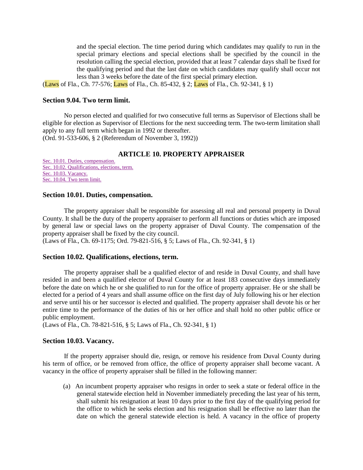and the special election. The time period during which candidates may qualify to run in the special primary elections and special elections shall be specified by the council in the resolution calling the special election, provided that at least 7 calendar days shall be fixed for the qualifying period and that the last date on which candidates may qualify shall occur not less than 3 weeks before the date of the first special primary election.

(Laws of Fla., Ch. 77-576; Laws of Fla., Ch. 85-432, § 2; Laws of Fla., Ch. 92-341, § 1)

## **Section 9.04. Two term limit.**

No person elected and qualified for two consecutive full terms as Supervisor of Elections shall be eligible for election as Supervisor of Elections for the next succeeding term. The two-term limitation shall apply to any full term which began in 1992 or thereafter. (Ord. 91-533-606, § 2 (Referendum of November 3, 1992))

# **ARTICLE 10. PROPERTY APPRAISER**

[Sec. 10.01. Duties, compensation.](http://library4.municode.com/mcc/DocView/12174/1/871/883#0-0-0-10039#0-0-0-10039) [Sec. 10.02. Qualifications, elections, term.](http://library4.municode.com/mcc/DocView/12174/1/871/883#0-0-0-10041#0-0-0-10041) [Sec. 10.03. Vacancy.](http://library4.municode.com/mcc/DocView/12174/1/871/883#0-0-0-10043#0-0-0-10043) [Sec. 10.04. Two term limit.](http://library4.municode.com/mcc/DocView/12174/1/871/883#0-0-0-10045#0-0-0-10045)

#### **Section 10.01. Duties, compensation.**

The property appraiser shall be responsible for assessing all real and personal property in Duval County. It shall be the duty of the property appraiser to perform all functions or duties which are imposed by general law or special laws on the property appraiser of Duval County. The compensation of the property appraiser shall be fixed by the city council.

(Laws of Fla., Ch. 69-1175; Ord. 79-821-516, § 5; Laws of Fla., Ch. 92-341, § 1)

#### **Section 10.02. Qualifications, elections, term.**

The property appraiser shall be a qualified elector of and reside in Duval County, and shall have resided in and been a qualified elector of Duval County for at least 183 consecutive days immediately before the date on which he or she qualified to run for the office of property appraiser. He or she shall be elected for a period of 4 years and shall assume office on the first day of July following his or her election and serve until his or her successor is elected and qualified. The property appraiser shall devote his or her entire time to the performance of the duties of his or her office and shall hold no other public office or public employment.

(Laws of Fla., Ch. 78-821-516, § 5; Laws of Fla., Ch. 92-341, § 1)

#### **Section 10.03. Vacancy.**

If the property appraiser should die, resign, or remove his residence from Duval County during his term of office, or be removed from office, the office of property appraiser shall become vacant. A vacancy in the office of property appraiser shall be filled in the following manner:

(a) An incumbent property appraiser who resigns in order to seek a state or federal office in the general statewide election held in November immediately preceding the last year of his term, shall submit his resignation at least 10 days prior to the first day of the qualifying period for the office to which he seeks election and his resignation shall be effective no later than the date on which the general statewide election is held. A vacancy in the office of property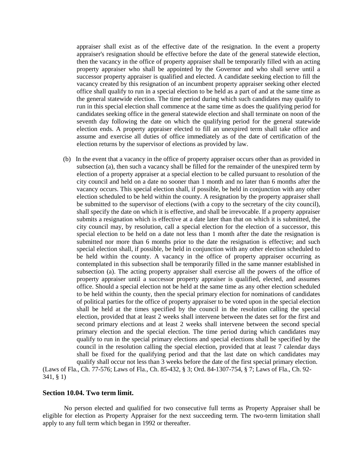appraiser shall exist as of the effective date of the resignation. In the event a property appraiser's resignation should be effective before the date of the general statewide election, then the vacancy in the office of property appraiser shall be temporarily filled with an acting property appraiser who shall be appointed by the Governor and who shall serve until a successor property appraiser is qualified and elected. A candidate seeking election to fill the vacancy created by this resignation of an incumbent property appraiser seeking other elected office shall qualify to run in a special election to be held as a part of and at the same time as the general statewide election. The time period during which such candidates may qualify to run in this special election shall commence at the same time as does the qualifying period for candidates seeking office in the general statewide election and shall terminate on noon of the seventh day following the date on which the qualifying period for the general statewide election ends. A property appraiser elected to fill an unexpired term shall take office and assume and exercise all duties of office immediately as of the date of certification of the election returns by the supervisor of elections as provided by law.

(b) In the event that a vacancy in the office of property appraiser occurs other than as provided in subsection (a), then such a vacancy shall be filled for the remainder of the unexpired term by election of a property appraiser at a special election to be called pursuant to resolution of the city council and held on a date no sooner than 1 month and no later than 6 months after the vacancy occurs. This special election shall, if possible, be held in conjunction with any other election scheduled to be held within the county. A resignation by the property appraiser shall be submitted to the supervisor of elections (with a copy to the secretary of the city council), shall specify the date on which it is effective, and shall be irrevocable. If a property appraiser submits a resignation which is effective at a date later than that on which it is submitted, the city council may, by resolution, call a special election for the election of a successor, this special election to be held on a date not less than 1 month after the date the resignation is submitted nor more than 6 months prior to the date the resignation is effective; and such special election shall, if possible, be held in conjunction with any other election scheduled to be held within the county. A vacancy in the office of property appraiser occurring as contemplated in this subsection shall be temporarily filled in the same manner established in subsection (a). The acting property appraiser shall exercise all the powers of the office of property appraiser until a successor property appraiser is qualified, elected, and assumes office. Should a special election not be held at the same time as any other election scheduled to be held within the county, then the special primary election for nominations of candidates of political parties for the office of property appraiser to be voted upon in the special election shall be held at the times specified by the council in the resolution calling the special election, provided that at least 2 weeks shall intervene between the dates set for the first and second primary elections and at least 2 weeks shall intervene between the second special primary election and the special election. The time period during which candidates may qualify to run in the special primary elections and special elections shall be specified by the council in the resolution calling the special election, provided that at least 7 calendar days shall be fixed for the qualifying period and that the last date on which candidates may qualify shall occur not less than 3 weeks before the date of the first special primary election.

(Laws of Fla., Ch. 77-576; Laws of Fla., Ch. 85-432, § 3; Ord. 84-1307-754, § 7; Laws of Fla., Ch. 92- 341, § 1)

## **Section 10.04. Two term limit.**

No person elected and qualified for two consecutive full terms as Property Appraiser shall be eligible for election as Property Appraiser for the next succeeding term. The two-term limitation shall apply to any full term which began in 1992 or thereafter.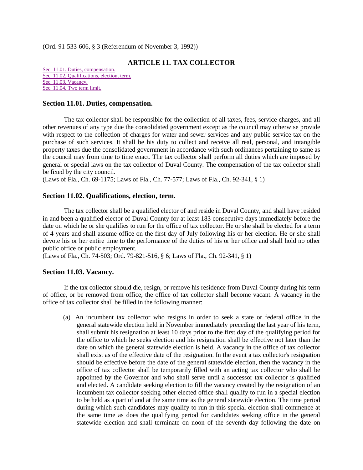(Ord. 91-533-606, § 3 (Referendum of November 3, 1992))

# **ARTICLE 11. TAX COLLECTOR**

[Sec. 11.01. Duties, compensation.](http://library4.municode.com/mcc/DocView/12174/1/871/884#0-0-0-10047#0-0-0-10047) [Sec. 11.02. Qualifications, election, term.](http://library4.municode.com/mcc/DocView/12174/1/871/884#0-0-0-10049#0-0-0-10049) [Sec. 11.03. Vacancy.](http://library4.municode.com/mcc/DocView/12174/1/871/884#0-0-0-10051#0-0-0-10051) [Sec. 11.04. Two term limit.](http://library4.municode.com/mcc/DocView/12174/1/871/884#0-0-0-10053#0-0-0-10053)

#### **Section 11.01. Duties, compensation.**

The tax collector shall be responsible for the collection of all taxes, fees, service charges, and all other revenues of any type due the consolidated government except as the council may otherwise provide with respect to the collection of charges for water and sewer services and any public service tax on the purchase of such services. It shall be his duty to collect and receive all real, personal, and intangible property taxes due the consolidated government in accordance with such ordinances pertaining to same as the council may from time to time enact. The tax collector shall perform all duties which are imposed by general or special laws on the tax collector of Duval County. The compensation of the tax collector shall be fixed by the city council.

(Laws of Fla., Ch. 69-1175; Laws of Fla., Ch. 77-577; Laws of Fla., Ch. 92-341, § 1)

# **Section 11.02. Qualifications, election, term.**

The tax collector shall be a qualified elector of and reside in Duval County, and shall have resided in and been a qualified elector of Duval County for at least 183 consecutive days immediately before the date on which he or she qualifies to run for the office of tax collector. He or she shall be elected for a term of 4 years and shall assume office on the first day of July following his or her election. He or she shall devote his or her entire time to the performance of the duties of his or her office and shall hold no other public office or public employment.

(Laws of Fla., Ch. 74-503; Ord. 79-821-516, § 6; Laws of Fla., Ch. 92-341, § 1)

# **Section 11.03. Vacancy.**

If the tax collector should die, resign, or remove his residence from Duval County during his term of office, or be removed from office, the office of tax collector shall become vacant. A vacancy in the office of tax collector shall be filled in the following manner:

(a) An incumbent tax collector who resigns in order to seek a state or federal office in the general statewide election held in November immediately preceding the last year of his term, shall submit his resignation at least 10 days prior to the first day of the qualifying period for the office to which he seeks election and his resignation shall be effective not later than the date on which the general statewide election is held. A vacancy in the office of tax collector shall exist as of the effective date of the resignation. In the event a tax collector's resignation should be effective before the date of the general statewide election, then the vacancy in the office of tax collector shall be temporarily filled with an acting tax collector who shall be appointed by the Governor and who shall serve until a successor tax collector is qualified and elected. A candidate seeking election to fill the vacancy created by the resignation of an incumbent tax collector seeking other elected office shall qualify to run in a special election to be held as a part of and at the same time as the general statewide election. The time period during which such candidates may qualify to run in this special election shall commence at the same time as does the qualifying period for candidates seeking office in the general statewide election and shall terminate on noon of the seventh day following the date on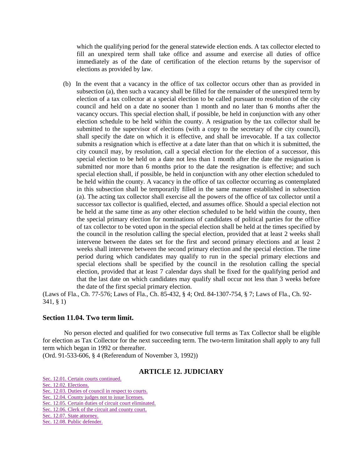which the qualifying period for the general statewide election ends. A tax collector elected to fill an unexpired term shall take office and assume and exercise all duties of office immediately as of the date of certification of the election returns by the supervisor of elections as provided by law.

(b) In the event that a vacancy in the office of tax collector occurs other than as provided in subsection (a), then such a vacancy shall be filled for the remainder of the unexpired term by election of a tax collector at a special election to be called pursuant to resolution of the city council and held on a date no sooner than 1 month and no later than 6 months after the vacancy occurs. This special election shall, if possible, be held in conjunction with any other election schedule to be held within the county. A resignation by the tax collector shall be submitted to the supervisor of elections (with a copy to the secretary of the city council), shall specify the date on which it is effective, and shall be irrevocable. If a tax collector submits a resignation which is effective at a date later than that on which it is submitted, the city council may, by resolution, call a special election for the election of a successor, this special election to be held on a date not less than 1 month after the date the resignation is submitted nor more than 6 months prior to the date the resignation is effective; and such special election shall, if possible, be held in conjunction with any other election scheduled to be held within the county. A vacancy in the office of tax collector occurring as contemplated in this subsection shall be temporarily filled in the same manner established in subsection (a). The acting tax collector shall exercise all the powers of the office of tax collector until a successor tax collector is qualified, elected, and assumes office. Should a special election not be held at the same time as any other election scheduled to be held within the county, then the special primary election for nominations of candidates of political parties for the office of tax collector to be voted upon in the special election shall be held at the times specified by the council in the resolution calling the special election, provided that at least 2 weeks shall intervene between the dates set for the first and second primary elections and at least 2 weeks shall intervene between the second primary election and the special election. The time period during which candidates may qualify to run in the special primary elections and special elections shall be specified by the council in the resolution calling the special election, provided that at least 7 calendar days shall be fixed for the qualifying period and that the last date on which candidates may qualify shall occur not less than 3 weeks before the date of the first special primary election.

(Laws of Fla., Ch. 77-576; Laws of Fla., Ch. 85-432, § 4; Ord. 84-1307-754, § 7; Laws of Fla., Ch. 92- 341, § 1)

#### **Section 11.04. Two term limit.**

No person elected and qualified for two consecutive full terms as Tax Collector shall be eligible for election as Tax Collector for the next succeeding term. The two-term limitation shall apply to any full term which began in 1992 or thereafter.

(Ord. 91-533-606, § 4 (Referendum of November 3, 1992))

# **ARTICLE 12. JUDICIARY**

[Sec. 12.01. Certain courts continued.](http://library4.municode.com/mcc/DocView/12174/1/871/885#0-0-0-10055#0-0-0-10055)

[Sec. 12.02. Elections.](http://library4.municode.com/mcc/DocView/12174/1/871/885#0-0-0-10057#0-0-0-10057)

[Sec. 12.03. Duties of council in respect to](http://library4.municode.com/mcc/DocView/12174/1/871/885#0-0-0-10059#0-0-0-10059) courts.

[Sec. 12.04. County judges not to issue licenses.](http://library4.municode.com/mcc/DocView/12174/1/871/885#0-0-0-10061#0-0-0-10061)

[Sec. 12.05. Certain duties of circuit court eliminated.](http://library4.municode.com/mcc/DocView/12174/1/871/885#0-0-0-10063#0-0-0-10063)

[Sec. 12.06. Clerk of the circuit and county court.](http://library4.municode.com/mcc/DocView/12174/1/871/885#0-0-0-10065#0-0-0-10065)

[Sec. 12.07. State attorney.](http://library4.municode.com/mcc/DocView/12174/1/871/885#0-0-0-10067#0-0-0-10067)

[Sec. 12.08. Public defender.](http://library4.municode.com/mcc/DocView/12174/1/871/885#0-0-0-10069#0-0-0-10069)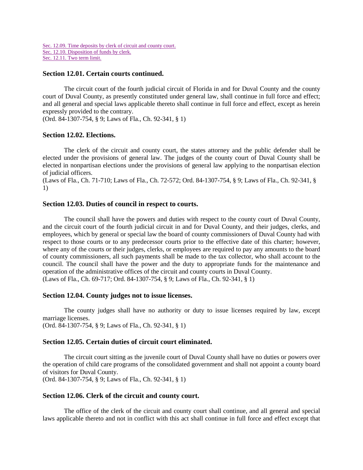```
Sec. 12.09. Time deposits by clerk of circuit and county court.
Sec. 12.10. Disposition of funds by clerk.
Sec. 12.11. Two term limit.
```
## **Section 12.01. Certain courts continued.**

The circuit court of the fourth judicial circuit of Florida in and for Duval County and the county court of Duval County, as presently constituted under general law, shall continue in full force and effect; and all general and special laws applicable thereto shall continue in full force and effect, except as herein expressly provided to the contrary.

(Ord. 84-1307-754, § 9; Laws of Fla., Ch. 92-341, § 1)

#### **Section 12.02. Elections.**

The clerk of the circuit and county court, the states attorney and the public defender shall be elected under the provisions of general law. The judges of the county court of Duval County shall be elected in nonpartisan elections under the provisions of general law applying to the nonpartisan election of judicial officers.

(Laws of Fla., Ch. 71-710; Laws of Fla., Ch. 72-572; Ord. 84-1307-754, § 9; Laws of Fla., Ch. 92-341, § 1)

# **Section 12.03. Duties of council in respect to courts.**

The council shall have the powers and duties with respect to the county court of Duval County, and the circuit court of the fourth judicial circuit in and for Duval County, and their judges, clerks, and employees, which by general or special law the board of county commissioners of Duval County had with respect to those courts or to any predecessor courts prior to the effective date of this charter; however, where any of the courts or their judges, clerks, or employees are required to pay any amounts to the board of county commissioners, all such payments shall be made to the tax collector, who shall account to the council. The council shall have the power and the duty to appropriate funds for the maintenance and operation of the administrative offices of the circuit and county courts in Duval County. (Laws of Fla., Ch. 69-717; Ord. 84-1307-754, § 9; Laws of Fla., Ch. 92-341, § 1)

#### **Section 12.04. County judges not to issue licenses.**

The county judges shall have no authority or duty to issue licenses required by law, except marriage licenses. (Ord. 84-1307-754, § 9; Laws of Fla., Ch. 92-341, § 1)

# **Section 12.05. Certain duties of circuit court eliminated.**

The circuit court sitting as the juvenile court of Duval County shall have no duties or powers over the operation of child care programs of the consolidated government and shall not appoint a county board of visitors for Duval County. (Ord. 84-1307-754, § 9; Laws of Fla., Ch. 92-341, § 1)

#### **Section 12.06. Clerk of the circuit and county court.**

The office of the clerk of the circuit and county court shall continue, and all general and special laws applicable thereto and not in conflict with this act shall continue in full force and effect except that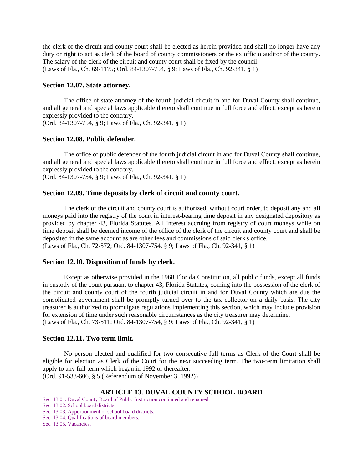the clerk of the circuit and county court shall be elected as herein provided and shall no longer have any duty or right to act as clerk of the board of county commissioners or the ex officio auditor of the county. The salary of the clerk of the circuit and county court shall be fixed by the council. (Laws of Fla., Ch. 69-1175; Ord. 84-1307-754, § 9; Laws of Fla., Ch. 92-341, § 1)

# **Section 12.07. State attorney.**

The office of state attorney of the fourth judicial circuit in and for Duval County shall continue, and all general and special laws applicable thereto shall continue in full force and effect, except as herein expressly provided to the contrary.

(Ord. 84-1307-754, § 9; Laws of Fla., Ch. 92-341, § 1)

# **Section 12.08. Public defender.**

The office of public defender of the fourth judicial circuit in and for Duval County shall continue, and all general and special laws applicable thereto shall continue in full force and effect, except as herein expressly provided to the contrary.

(Ord. 84-1307-754, § 9; Laws of Fla., Ch. 92-341, § 1)

# **Section 12.09. Time deposits by clerk of circuit and county court.**

The clerk of the circuit and county court is authorized, without court order, to deposit any and all moneys paid into the registry of the court in interest-bearing time deposit in any designated depository as provided by chapter 43, Florida Statutes. All interest accruing from registry of court moneys while on time deposit shall be deemed income of the office of the clerk of the circuit and county court and shall be deposited in the same account as are other fees and commissions of said clerk's office. (Laws of Fla., Ch. 72-572; Ord. 84-1307-754, § 9; Laws of Fla., Ch. 92-341, § 1)

# **Section 12.10. Disposition of funds by clerk.**

Except as otherwise provided in the 1968 Florida Constitution, all public funds, except all funds in custody of the court pursuant to chapter 43, Florida Statutes, coming into the possession of the clerk of the circuit and county court of the fourth judicial circuit in and for Duval County which are due the consolidated government shall be promptly turned over to the tax collector on a daily basis. The city treasurer is authorized to promulgate regulations implementing this section, which may include provision for extension of time under such reasonable circumstances as the city treasurer may determine. (Laws of Fla., Ch. 73-511; Ord. 84-1307-754, § 9; Laws of Fla., Ch. 92-341, § 1)

# **Section 12.11. Two term limit.**

No person elected and qualified for two consecutive full terms as Clerk of the Court shall be eligible for election as Clerk of the Court for the next succeeding term. The two-term limitation shall apply to any full term which began in 1992 or thereafter. (Ord. 91-533-606, § 5 (Referendum of November 3, 1992))

# **ARTICLE 13. DUVAL COUNTY SCHOOL BOARD**

[Sec. 13.01. Duval County Board of Public Instruction continued and renamed.](http://library4.municode.com/mcc/DocView/12174/1/871/886?hilite=part;parts;a;charter;charters;laws;law;#0-0-0-10077#0-0-0-10077) [Sec. 13.02. School board districts.](http://library4.municode.com/mcc/DocView/12174/1/871/886?hilite=part;parts;a;charter;charters;laws;law;#0-0-0-10079#0-0-0-10079) [Sec. 13.03. Apportionment of school board districts.](http://library4.municode.com/mcc/DocView/12174/1/871/886?hilite=part;parts;a;charter;charters;laws;law;#0-0-0-10081#0-0-0-10081) [Sec. 13.04. Qualifications of board members.](http://library4.municode.com/mcc/DocView/12174/1/871/886?hilite=part;parts;a;charter;charters;laws;law;#0-0-0-10083#0-0-0-10083) Sec. [13.05. Vacancies.](http://library4.municode.com/mcc/DocView/12174/1/871/886?hilite=part;parts;a;charter;charters;laws;law;#0-0-0-10085#0-0-0-10085)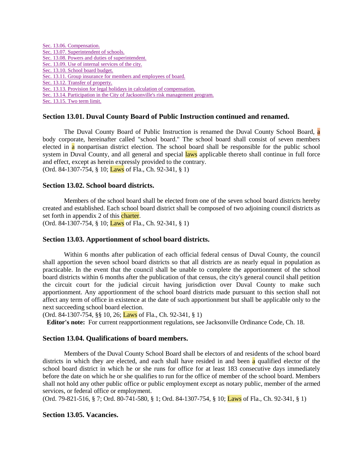[Sec. 13.06. Compensation.](http://library4.municode.com/mcc/DocView/12174/1/871/886?hilite=part;parts;a;charter;charters;laws;law;#0-0-0-10087#0-0-0-10087) [Sec. 13.07. Superintendent of schools.](http://library4.municode.com/mcc/DocView/12174/1/871/886?hilite=part;parts;a;charter;charters;laws;law;#0-0-0-10089#0-0-0-10089) [Sec. 13.08. Powers and duties of superintendent.](http://library4.municode.com/mcc/DocView/12174/1/871/886?hilite=part;parts;a;charter;charters;laws;law;#0-0-0-10091#0-0-0-10091) [Sec. 13.09. Use of internal services of the city.](http://library4.municode.com/mcc/DocView/12174/1/871/886?hilite=part;parts;a;charter;charters;laws;law;#0-0-0-10093#0-0-0-10093) [Sec. 13.10. School board budget.](http://library4.municode.com/mcc/DocView/12174/1/871/886?hilite=part;parts;a;charter;charters;laws;law;#0-0-0-10095#0-0-0-10095) [Sec. 13.11. Group insurance for members and employees of board.](http://library4.municode.com/mcc/DocView/12174/1/871/886?hilite=part;parts;a;charter;charters;laws;law;#0-0-0-10097#0-0-0-10097) [Sec. 13.12. Transfer of property.](http://library4.municode.com/mcc/DocView/12174/1/871/886?hilite=part;parts;a;charter;charters;laws;law;#0-0-0-10099#0-0-0-10099) [Sec. 13.13. Provision for legal holidays in calculation of compensation.](http://library4.municode.com/mcc/DocView/12174/1/871/886?hilite=part;parts;a;charter;charters;laws;law;#0-0-0-10101#0-0-0-10101) [Sec. 13.14. Participation in the City of Jacksonville's](http://library4.municode.com/mcc/DocView/12174/1/871/886?hilite=part;parts;a;charter;charters;laws;law;#0-0-0-10103#0-0-0-10103) risk management program. [Sec. 13.15. Two term limit.](http://library4.municode.com/mcc/DocView/12174/1/871/886?hilite=part;parts;a;charter;charters;laws;law;#0-0-0-10105#0-0-0-10105)

# **Section 13.01. Duval County Board of Public Instruction continued and renamed.**

The Duval County Board of Public Instruction is renamed the Duval County School Board, a body corporate, hereinafter called "school board." The school board shall consist of seven members elected in a nonpartisan district election. The school board shall be responsible for the public school system in Duval County, and all general and special laws applicable thereto shall continue in full force and effect, except as herein expressly provided to the contrary. (Ord. 84-1307-754, § 10; Laws of Fla., Ch. 92-341, § 1)

#### **Section 13.02. School board districts.**

Members of the school board shall be elected from one of the seven school board districts hereby created and established. Each school board district shall be composed of two adjoining council districts as set forth in appendix 2 of this charter.

(Ord. 84-1307-754, § 10; Laws of Fla., Ch. 92-341, § 1)

#### **Section 13.03. Apportionment of school board districts.**

Within 6 months after publication of each official federal census of Duval County, the council shall apportion the seven school board districts so that all districts are as nearly equal in population as practicable. In the event that the council shall be unable to complete the apportionment of the school board districts within 6 months after the publication of that census, the city's general council shall petition the circuit court for the judicial circuit having jurisdiction over Duval County to make such apportionment. Any apportionment of the school board districts made pursuant to this section shall not affect any term of office in existence at the date of such apportionment but shall be applicable only to the next succeeding school board election.

(Ord. 84-1307-754, §§ 10, 26; Laws of Fla., Ch. 92-341, § 1)

**Editor's note:** For current reapportionment regulations, see Jacksonville Ordinance Code, Ch. 18.

#### **Section 13.04. Qualifications of board members.**

Members of the Duval County School Board shall be electors of and residents of the school board districts in which they are elected, and each shall have resided in and been a qualified elector of the school board district in which he or she runs for office for at least 183 consecutive days immediately before the date on which he or she qualifies to run for the office of member of the school board. Members shall not hold any other public office or public employment except as notary public, member of the armed services, or federal office or employment.

(Ord. 79-821-516, § 7; Ord. 80-741-580, § 1; Ord. 84-1307-754, § 10; Laws of Fla., Ch. 92-341, § 1)

# **Section 13.05. Vacancies.**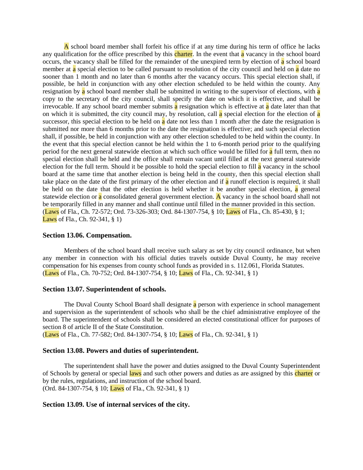A school board member shall forfeit his office if at any time during his term of office he lacks any qualification for the office prescribed by this charter. In the event that a vacancy in the school board occurs, the vacancy shall be filled for the remainder of the unexpired term by election of  $\alpha$  school board member at  $\alpha$  special election to be called pursuant to resolution of the city council and held on  $\alpha$  date no sooner than 1 month and no later than 6 months after the vacancy occurs. This special election shall, if possible, be held in conjunction with any other election scheduled to be held within the county. Any resignation by a school board member shall be submitted in writing to the supervisor of elections, with a copy to the secretary of the city council, shall specify the date on which it is effective, and shall be irrevocable. If any school board member submits  $\frac{1}{a}$  resignation which is effective at  $\frac{1}{a}$  date later than that on which it is submitted, the city council may, by resolution, call  $\alpha$  special election for the election of  $\alpha$ successor, this special election to be held on  $\alpha$  date not less than 1 month after the date the resignation is submitted nor more than 6 months prior to the date the resignation is effective; and such special election shall, if possible, be held in conjunction with any other election scheduled to be held within the county. In the event that this special election cannot be held within the 1 to 6-month period prior to the qualifying period for the next general statewide election at which such office would be filled for a full term, then no special election shall be held and the office shall remain vacant until filled at the next general statewide election for the full term. Should it be possible to hold the special election to fill a vacancy in the school board at the same time that another election is being held in the county, then this special election shall take place on the date of the first primary of the other election and if a runoff election is required, it shall be held on the date that the other election is held whether it be another special election, a general statewide election or a consolidated general government election. A vacancy in the school board shall not be temporarily filled in any manner and shall continue until filled in the manner provided in this section. (Laws of Fla., Ch. 72-572; Ord. 73-326-303; Ord. 84-1307-754, § 10; Laws of Fla., Ch. 85-430, § 1; Laws of Fla., Ch. 92-341, § 1)

#### **Section 13.06. Compensation.**

Members of the school board shall receive such salary as set by city council ordinance, but when any member in connection with his official duties travels outside Duval County, he may receive compensation for his expenses from county school funds as provided in s. 112.061, Florida Statutes. (Laws of Fla., Ch. 70-752; Ord. 84-1307-754, § 10; Laws of Fla., Ch. 92-341, § 1)

#### **Section 13.07. Superintendent of schools.**

The Duval County School Board shall designate a person with experience in school management and supervision as the superintendent of schools who shall be the chief administrative employee of the board. The superintendent of schools shall be considered an elected constitutional officer for purposes of section 8 of article II of the State Constitution.

(Laws of Fla., Ch. 77-582; Ord. 84-1307-754, § 10; Laws of Fla., Ch. 92-341, § 1)

#### **Section 13.08. Powers and duties of superintendent.**

The superintendent shall have the power and duties assigned to the Duval County Superintendent of Schools by general or special laws and such other powers and duties as are assigned by this charter or by the rules, regulations, and instruction of the school board. (Ord. 84-1307-754, § 10; Laws of Fla., Ch. 92-341, § 1)

#### **Section 13.09. Use of internal services of the city.**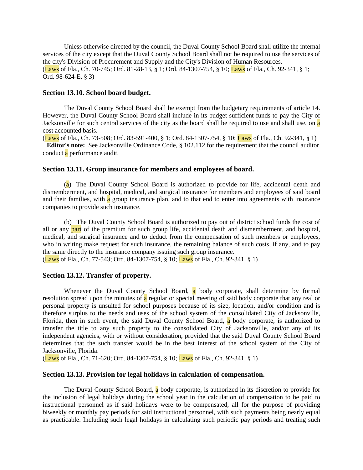Unless otherwise directed by the council, the Duval County School Board shall utilize the internal services of the city except that the Duval County School Board shall not be required to use the services of the city's Division of Procurement and Supply and the City's Division of Human Resources. (Laws of Fla., Ch. 70-745; Ord. 81-28-13, § 1; Ord. 84-1307-754, § 10; Laws of Fla., Ch. 92-341, § 1; Ord. 98-624-E, § 3)

#### **Section 13.10. School board budget.**

The Duval County School Board shall be exempt from the budgetary requirements of article 14. However, the Duval County School Board shall include in its budget sufficient funds to pay the City of Jacksonville for such central services of the city as the board shall be required to use and shall use, on a cost accounted basis.

(Laws of Fla., Ch. 73-508; Ord. 83-591-400, § 1; Ord. 84-1307-754, § 10; Laws of Fla., Ch. 92-341, § 1) **Editor's note:** See Jacksonville Ordinance Code, § 102.112 for the requirement that the council auditor conduct a performance audit.

#### **Section 13.11. Group insurance for members and employees of board.**

(a) The Duval County School Board is authorized to provide for life, accidental death and dismemberment, and hospital, medical, and surgical insurance for members and employees of said board and their families, with  $\alpha$  group insurance plan, and to that end to enter into agreements with insurance companies to provide such insurance.

(b) The Duval County School Board is authorized to pay out of district school funds the cost of all or any **part** of the premium for such group life, accidental death and dismemberment, and hospital, medical, and surgical insurance and to deduct from the compensation of such members or employees, who in writing make request for such insurance, the remaining balance of such costs, if any, and to pay the same directly to the insurance company issuing such group insurance.

(Laws of Fla., Ch. 77-543; Ord. 84-1307-754, § 10; Laws of Fla., Ch. 92-341, § 1)

## **Section 13.12. Transfer of property.**

Whenever the Duval County School Board, a body corporate, shall determine by formal resolution spread upon the minutes of a regular or special meeting of said body corporate that any real or personal property is unsuited for school purposes because of its size, location, and/or condition and is therefore surplus to the needs and uses of the school system of the consolidated City of Jacksonville, Florida, then in such event, the said Duval County School Board, a body corporate, is authorized to transfer the title to any such property to the consolidated City of Jacksonville, and/or any of its independent agencies, with or without consideration, provided that the said Duval County School Board determines that the such transfer would be in the best interest of the school system of the City of Jacksonville, Florida.

(Laws of Fla., Ch. 71-620; Ord. 84-1307-754, § 10; Laws of Fla., Ch. 92-341, § 1)

#### **Section 13.13. Provision for legal holidays in calculation of compensation.**

The Duval County School Board,  $\alpha$  body corporate, is authorized in its discretion to provide for the inclusion of legal holidays during the school year in the calculation of compensation to be paid to instructional personnel as if said holidays were to be compensated, all for the purpose of providing biweekly or monthly pay periods for said instructional personnel, with such payments being nearly equal as practicable. Including such legal holidays in calculating such periodic pay periods and treating such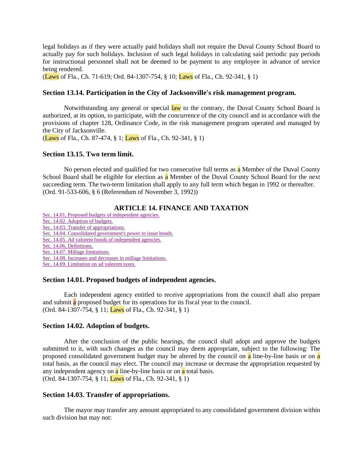legal holidays as if they were actually paid holidays shall not require the Duval County School Board to actually pay for such holidays. Inclusion of such legal holidays in calculating said periodic pay periods for instructional personnel shall not be deemed to be payment to any employee in advance of service being rendered.

(Laws of Fla., Ch. 71-619; Ord. 84-1307-754, § 10; Laws of Fla., Ch. 92-341, § 1)

## **Section 13.14. Participation in the City of Jacksonville's risk management program.**

Notwithstanding any general or special law to the contrary, the Duval County School Board is authorized, at its option, to participate, with the concurrence of the city council and in accordance with the provisions of chapter 128, Ordinance Code, in the risk management program operated and managed by the City of Jacksonville.

(Laws of Fla., Ch. 87-474, § 1; Laws of Fla., Ch. 92-341, § 1)

#### **Section 13.15. Two term limit.**

No person elected and qualified for two consecutive full terms as a Member of the Duval County School Board shall be eligible for election as a Member of the Duval County School Board for the next succeeding term. The two-term limitation shall apply to any full term which began in 1992 or thereafter. (Ord. 91-533-606, § 6 (Referendum of November 3, 1992))

## **ARTICLE 14. FINANCE AND TAXATION**

[Sec. 14.01. Proposed budgets of independent agencies.](http://library4.municode.com/mcc/DocView/12174/1/871/887?hilite=part;parts;a;charter;charters;laws;law;#0-0-0-10107#0-0-0-10107)

- [Sec. 14.02. Adoption of budgets.](http://library4.municode.com/mcc/DocView/12174/1/871/887?hilite=part;parts;a;charter;charters;laws;law;#0-0-0-10109#0-0-0-10109)
- [Sec. 14.03. Transfer of appropriations.](http://library4.municode.com/mcc/DocView/12174/1/871/887?hilite=part;parts;a;charter;charters;laws;law;#0-0-0-10111#0-0-0-10111)

[Sec. 14.04. Consolidated government's power to issue bonds.](http://library4.municode.com/mcc/DocView/12174/1/871/887?hilite=part;parts;a;charter;charters;laws;law;#0-0-0-10113#0-0-0-10113)

- [Sec. 14.05. Ad valorem bonds of independent agencies.](http://library4.municode.com/mcc/DocView/12174/1/871/887?hilite=part;parts;a;charter;charters;laws;law;#0-0-0-10115#0-0-0-10115)
- [Sec. 14.06. Definitions.](http://library4.municode.com/mcc/DocView/12174/1/871/887?hilite=part;parts;a;charter;charters;laws;law;#0-0-0-10117#0-0-0-10117)

[Sec. 14.07. Millage limitations.](http://library4.municode.com/mcc/DocView/12174/1/871/887?hilite=part;parts;a;charter;charters;laws;law;#0-0-0-10119#0-0-0-10119)

[Sec. 14.08. Increases and decreases in millage limitations.](http://library4.municode.com/mcc/DocView/12174/1/871/887?hilite=part;parts;a;charter;charters;laws;law;#0-0-0-10121#0-0-0-10121)

[Sec. 14.09. Limitation on ad valorem taxes.](http://library4.municode.com/mcc/DocView/12174/1/871/887?hilite=part;parts;a;charter;charters;laws;law;#0-0-0-10123#0-0-0-10123)

#### **Section 14.01. Proposed budgets of independent agencies.**

Each independent agency entitled to receive appropriations from the council shall also prepare and submit a proposed budget for its operations for its fiscal year to the council. (Ord. 84-1307-754, § 11; Laws of Fla., Ch. 92-341, § 1)

#### **Section 14.02. Adoption of budgets.**

After the conclusion of the public hearings, the council shall adopt and approve the budgets submitted to it, with such changes as the council may deem appropriate, subject to the following: The proposed consolidated government budget may be altered by the council on a line-by-line basis or on a total basis, as the council may elect. The council may increase or decrease the appropriation requested by any independent agency on  $\alpha$  line-by-line basis or on  $\alpha$  total basis. (Ord. 84-1307-754, § 11; Laws of Fla., Ch. 92-341, § 1)

#### **Section 14.03. Transfer of appropriations.**

The mayor may transfer any amount appropriated to any consolidated government division within such division but may not: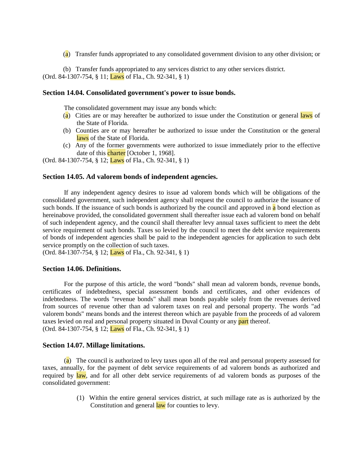(a) Transfer funds appropriated to any consolidated government division to any other division; or

(b) Transfer funds appropriated to any services district to any other services district. (Ord. 84-1307-754, § 11; Laws of Fla., Ch. 92-341, § 1)

## **Section 14.04. Consolidated government's power to issue bonds.**

The consolidated government may issue any bonds which:

- $(a)$  Cities are or may hereafter be authorized to issue under the Constitution or general laws of the State of Florida.
- (b) Counties are or may hereafter be authorized to issue under the Constitution or the general laws of the State of Florida.
- (c) Any of the former governments were authorized to issue immediately prior to the effective date of this *charter* [October 1, 1968].

(Ord. 84-1307-754, § 12; Laws of Fla., Ch. 92-341, § 1)

#### **Section 14.05. Ad valorem bonds of independent agencies.**

If any independent agency desires to issue ad valorem bonds which will be obligations of the consolidated government, such independent agency shall request the council to authorize the issuance of such bonds. If the issuance of such bonds is authorized by the council and approved in  $\alpha$  bond election as hereinabove provided, the consolidated government shall thereafter issue each ad valorem bond on behalf of such independent agency, and the council shall thereafter levy annual taxes sufficient to meet the debt service requirement of such bonds. Taxes so levied by the council to meet the debt service requirements of bonds of independent agencies shall be paid to the independent agencies for application to such debt service promptly on the collection of such taxes.

(Ord. 84-1307-754, § 12; Laws of Fla., Ch. 92-341, § 1)

## **Section 14.06. Definitions.**

For the purpose of this article, the word "bonds" shall mean ad valorem bonds, revenue bonds, certificates of indebtedness, special assessment bonds and certificates, and other evidences of indebtedness. The words "revenue bonds" shall mean bonds payable solely from the revenues derived from sources of revenue other than ad valorem taxes on real and personal property. The words "ad valorem bonds" means bonds and the interest thereon which are payable from the proceeds of ad valorem taxes levied on real and personal property situated in Duval County or any part thereof. (Ord. 84-1307-754, § 12; Laws of Fla., Ch. 92-341, § 1)

#### **Section 14.07. Millage limitations.**

(a) The council is authorized to levy taxes upon all of the real and personal property assessed for taxes, annually, for the payment of debt service requirements of ad valorem bonds as authorized and required by law, and for all other debt service requirements of ad valorem bonds as purposes of the consolidated government:

> (1) Within the entire general services district, at such millage rate as is authorized by the Constitution and general law for counties to levy.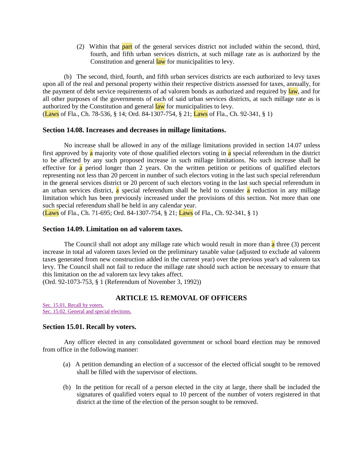(2) Within that part of the general services district not included within the second, third, fourth, and fifth urban services districts, at such millage rate as is authorized by the Constitution and general law for municipalities to levy.

(b) The second, third, fourth, and fifth urban services districts are each authorized to levy taxes upon all of the real and personal property within their respective districts assessed for taxes, annually, for the payment of debt service requirements of ad valorem bonds as authorized and required by law, and for all other purposes of the governments of each of said urban services districts, at such millage rate as is authorized by the Constitution and general law for municipalities to levy. (Laws of Fla., Ch. 78-536, § 14; Ord. 84-1307-754, § 21; Laws of Fla., Ch. 92-341, § 1)

# **Section 14.08. Increases and decreases in millage limitations.**

No increase shall be allowed in any of the millage limitations provided in section 14.07 unless first approved by a majority vote of those qualified electors voting in a special referendum in the district to be affected by any such proposed increase in such millage limitations. No such increase shall be effective for  $a$  period longer than 2 years. On the written petition or petitions of qualified electors representing not less than 20 percent in number of such electors voting in the last such special referendum in the general services district or 20 percent of such electors voting in the last such special referendum in an urban services district, a special referendum shall be held to consider  $\alpha$  reduction in any millage limitation which has been previously increased under the provisions of this section. Not more than one such special referendum shall be held in any calendar year.

(Laws of Fla., Ch. 71-695; Ord. 84-1307-754, § 21; Laws of Fla., Ch. 92-341, § 1)

#### **Section 14.09. Limitation on ad valorem taxes.**

The Council shall not adopt any millage rate which would result in more than  $\alpha$  three (3) percent increase in total ad valorem taxes levied on the preliminary taxable value (adjusted to exclude ad valorem taxes generated from new construction added in the current year) over the previous year's ad valorem tax levy. The Council shall not fail to reduce the millage rate should such action be necessary to ensure that this limitation on the ad valorem tax levy takes affect.

(Ord. 92-1073-753, § 1 (Referendum of November 3, 1992))

## **ARTICLE 15. REMOVAL OF OFFICERS**

[Sec. 15.01. Recall by voters.](http://library4.municode.com/mcc/DocView/12174/1/871/888#0-0-0-10125#0-0-0-10125) [Sec. 15.02. General and special elections.](http://library4.municode.com/mcc/DocView/12174/1/871/888#0-0-0-10127#0-0-0-10127)

#### **Section 15.01. Recall by voters.**

Any officer elected in any consolidated government or school board election may be removed from office in the following manner:

- (a) A petition demanding an election of a successor of the elected official sought to be removed shall be filled with the supervisor of elections.
- (b) In the petition for recall of a person elected in the city at large, there shall be included the signatures of qualified voters equal to 10 percent of the number of voters registered in that district at the time of the election of the person sought to be removed.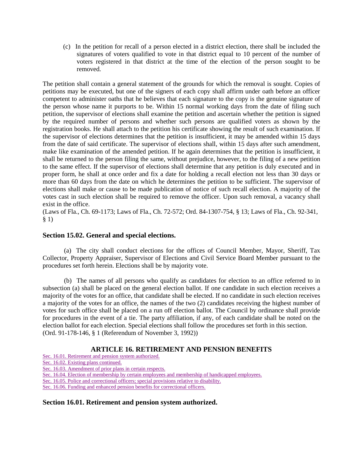(c) In the petition for recall of a person elected in a district election, there shall be included the signatures of voters qualified to vote in that district equal to 10 percent of the number of voters registered in that district at the time of the election of the person sought to be removed.

The petition shall contain a general statement of the grounds for which the removal is sought. Copies of petitions may be executed, but one of the signers of each copy shall affirm under oath before an officer competent to administer oaths that he believes that each signature to the copy is the genuine signature of the person whose name it purports to be. Within 15 normal working days from the date of filing such petition, the supervisor of elections shall examine the petition and ascertain whether the petition is signed by the required number of persons and whether such persons are qualified voters as shown by the registration books. He shall attach to the petition his certificate showing the result of such examination. If the supervisor of elections determines that the petition is insufficient, it may be amended within 15 days from the date of said certificate. The supervisor of elections shall, within 15 days after such amendment, make like examination of the amended petition. If he again determines that the petition is insufficient, it shall be returned to the person filing the same, without prejudice, however, to the filing of a new petition to the same effect. If the supervisor of elections shall determine that any petition is duly executed and in proper form, he shall at once order and fix a date for holding a recall election not less than 30 days or more than 60 days from the date on which he determines the petition to be sufficient. The supervisor of elections shall make or cause to be made publication of notice of such recall election. A majority of the votes cast in such election shall be required to remove the officer. Upon such removal, a vacancy shall exist in the office.

(Laws of Fla., Ch. 69-1173; Laws of Fla., Ch. 72-572; Ord. 84-1307-754, § 13; Laws of Fla., Ch. 92-341, § 1)

## **Section 15.02. General and special elections.**

(a) The city shall conduct elections for the offices of Council Member, Mayor, Sheriff, Tax Collector, Property Appraiser, Supervisor of Elections and Civil Service Board Member pursuant to the procedures set forth herein. Elections shall be by majority vote.

(b) The names of all persons who qualify as candidates for election to an office referred to in subsection (a) shall be placed on the general election ballot. If one candidate in such election receives a majority of the votes for an office, that candidate shall be elected. If no candidate in such election receives a majority of the votes for an office, the names of the two (2) candidates receiving the highest number of votes for such office shall be placed on a run off election ballot. The Council by ordinance shall provide for procedures in the event of a tie. The party affiliation, if any, of each candidate shall be noted on the election ballot for each election. Special elections shall follow the procedures set forth in this section. (Ord. 91-178-146, § 1 (Referendum of November 3, 1992))

# **ARTICLE 16. RETIREMENT AND PENSION BENEFITS**

[Sec. 16.01. Retirement and pension system authorized.](http://library4.municode.com/mcc/DocView/12174/1/871/889?hilite=part;parts;a;charter;charters;laws;law;#0-0-0-10129#0-0-0-10129)

[Sec. 16.02. Existing plans continued.](http://library4.municode.com/mcc/DocView/12174/1/871/889?hilite=part;parts;a;charter;charters;laws;law;#0-0-0-10131#0-0-0-10131)

[Sec. 16.03. Amendment of prior plans in certain respects.](http://library4.municode.com/mcc/DocView/12174/1/871/889?hilite=part;parts;a;charter;charters;laws;law;#0-0-0-10133#0-0-0-10133)

[Sec. 16.04. Election of membership by certain employees](http://library4.municode.com/mcc/DocView/12174/1/871/889?hilite=part;parts;a;charter;charters;laws;law;#0-0-0-10135#0-0-0-10135) and membership of handicapped employees.

[Sec. 16.05. Police and correctional officers; special provisions](http://library4.municode.com/mcc/DocView/12174/1/871/889?hilite=part;parts;a;charter;charters;laws;law;#0-0-0-10137#0-0-0-10137) relative to disability.

[Sec. 16.06. Funding and enhanced pension benefits for correctional officers.](http://library4.municode.com/mcc/DocView/12174/1/871/889?hilite=part;parts;a;charter;charters;laws;law;#0-0-0-10139#0-0-0-10139)

#### **Section 16.01. Retirement and pension system authorized.**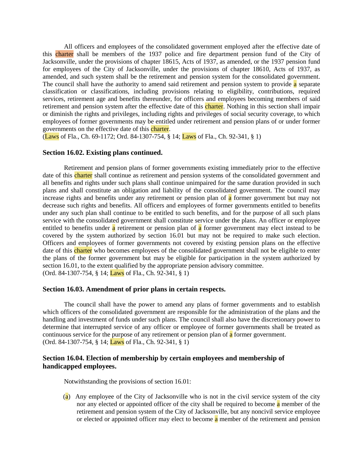All officers and employees of the consolidated government employed after the effective date of this charter shall be members of the 1937 police and fire department pension fund of the City of Jacksonville, under the provisions of chapter 18615, Acts of 1937, as amended, or the 1937 pension fund for employees of the City of Jacksonville, under the provisions of chapter 18610, Acts of 1937, as amended, and such system shall be the retirement and pension system for the consolidated government. The council shall have the authority to amend said retirement and pension system to provide  $\alpha$  separate classification or classifications, including provisions relating to eligibility, contributions, required services, retirement age and benefits thereunder, for officers and employees becoming members of said retirement and pension system after the effective date of this charter. Nothing in this section shall impair or diminish the rights and privileges, including rights and privileges of social security coverage, to which employees of former governments may be entitled under retirement and pension plans of or under former governments on the effective date of this charter.

(Laws of Fla., Ch. 69-1172; Ord. 84-1307-754, § 14; Laws of Fla., Ch. 92-341, § 1)

#### **Section 16.02. Existing plans continued.**

Retirement and pension plans of former governments existing immediately prior to the effective date of this charter shall continue as retirement and pension systems of the consolidated government and all benefits and rights under such plans shall continue unimpaired for the same duration provided in such plans and shall constitute an obligation and liability of the consolidated government. The council may increase rights and benefits under any retirement or pension plan of  $\alpha$  former government but may not decrease such rights and benefits. All officers and employees of former governments entitled to benefits under any such plan shall continue to be entitled to such benefits, and for the purpose of all such plans service with the consolidated government shall constitute service under the plans. An officer or employee entitled to benefits under a retirement or pension plan of a former government may elect instead to be covered by the system authorized by section 16.01 but may not be required to make such election. Officers and employees of former governments not covered by existing pension plans on the effective date of this charter who becomes employees of the consolidated government shall not be eligible to enter the plans of the former government but may be eligible for participation in the system authorized by section 16.01, to the extent qualified by the appropriate pension advisory committee. (Ord. 84-1307-754, § 14; Laws of Fla., Ch. 92-341, § 1)

## **Section 16.03. Amendment of prior plans in certain respects.**

The council shall have the power to amend any plans of former governments and to establish which officers of the consolidated government are responsible for the administration of the plans and the handling and investment of funds under such plans. The council shall also have the discretionary power to determine that interrupted service of any officer or employee of former governments shall be treated as continuous service for the purpose of any retirement or pension plan of a former government. (Ord. 84-1307-754, § 14; Laws of Fla., Ch. 92-341, § 1)

## **Section 16.04. Election of membership by certain employees and membership of handicapped employees.**

Notwithstanding the provisions of section 16.01:

(a) Any employee of the City of Jacksonville who is not in the civil service system of the city nor any elected or appointed officer of the city shall be required to become a member of the retirement and pension system of the City of Jacksonville, but any noncivil service employee or elected or appointed officer may elect to become  $\alpha$  member of the retirement and pension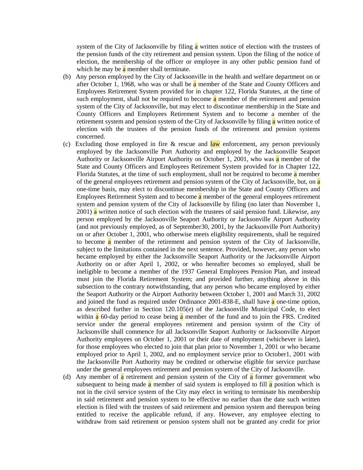system of the City of Jacksonville by filing a written notice of election with the trustees of the pension funds of the city retirement and pension system. Upon the filing of the notice of election, the membership of the officer or employee in any other public pension fund of which he may be  $\alpha$  member shall terminate.

- (b) Any person employed by the City of Jacksonville in the health and welfare department on or after October 1, 1968, who was or shall be a member of the State and County Officers and Employees Retirement System provided for in chapter 122, Florida Statutes, at the time of such employment, shall not be required to become  $\alpha$  member of the retirement and pension system of the City of Jacksonville, but may elect to discontinue membership in the State and County Officers and Employees Retirement System and to become a member of the retirement system and pension system of the City of Jacksonville by filing a written notice of election with the trustees of the pension funds of the retirement and pension systems concerned.
- (c) Excluding those employed in fire  $\&$  rescue and law enforcement, any person previously employed by the Jacksonville Port Authority and employed by the Jacksonville Seaport Authority or Jacksonville Airport Authority on October 1, 2001, who was a member of the State and County Officers and Employees Retirement System provided for in Chapter 122, Florida Statutes, at the time of such employment, shall not be required to become  $\alpha$  member of the general employees retirement and pension system of the City of Jacksonville, but, on a one-time basis, may elect to discontinue membership in the State and County Officers and Employees Retirement System and to become  $\alpha$  member of the general employees retirement system and pension system of the City of Jacksonville by filing (no later than November 1,  $2001$ ) a written notice of such election with the trustees of said pension fund. Likewise, any person employed by the Jacksonville Seaport Authority or Jacksonville Airport Authority (and not previously employed, as of September30, 2001, by the Jacksonville Port Authority) on or after October 1, 2001, who otherwise meets eligibility requirements, shall be required to become a member of the retirement and pension system of the City of Jacksonville, subject to the limitations contained in the next sentence. Provided, however, any person who became employed by either the Jacksonville Seaport Authority or the Jacksonville Airport Authority on or after April 1, 2002, or who hereafter becomes so employed, shall be ineligible to become a member of the 1937 General Employees Pension Plan, and instead must join the Florida Retirement System; and provided further, anything above in this subsection to the contrary notwithstanding, that any person who became employed by either the Seaport Authority or the Airport Authority between October 1, 2001 and March 31, 2002 and joined the fund as required under Ordinance 2001-838-E, shall have a one-time option, as described further in Section 120.105(e) of the Jacksonville Municipal Code, to elect within a 60-day period to cease being a member of the fund and to join the FRS. Credited service under the general employees retirement and pension system of the City of Jacksonville shall commence for all Jacksonville Seaport Authority or Jacksonville Airport Authority employees on October 1, 2001 or their date of employment (whichever is later), for those employees who elected to join that plan prior to November 1, 2001 or who became employed prior to April 1, 2002, and no employment service prior to October1, 2001 with the Jacksonville Port Authority may be credited or otherwise eligible for service purchase under the general employees retirement and pension system of the City of Jacksonville.
- (d) Any member of  $\alpha$  retirement and pension system of the City of  $\alpha$  former government who subsequent to being made **a** member of said system is employed to fill **a** position which is not in the civil service system of the City may elect in writing to terminate his membership in said retirement and pension system to be effective no earlier than the date such written election is filed with the trustees of said retirement and pension system and thereupon being entitled to receive the applicable refund, if any. However, any employee electing to withdraw from said retirement or pension system shall not be granted any credit for prior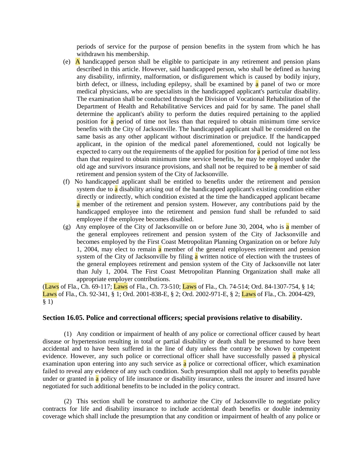periods of service for the purpose of pension benefits in the system from which he has withdrawn his membership.

- (e) A handicapped person shall be eligible to participate in any retirement and pension plans described in this article. However, said handicapped person, who shall be defined as having any disability, infirmity, malformation, or disfigurement which is caused by bodily injury, birth defect, or illness, including epilepsy, shall be examined by a panel of two or more medical physicians, who are specialists in the handicapped applicant's particular disability. The examination shall be conducted through the Division of Vocational Rehabilitation of the Department of Health and Rehabilitative Services and paid for by same. The panel shall determine the applicant's ability to perform the duties required pertaining to the applied position for  $\alpha$  period of time not less than that required to obtain minimum time service benefits with the City of Jacksonville. The handicapped applicant shall be considered on the same basis as any other applicant without discrimination or prejudice. If the handicapped applicant, in the opinion of the medical panel aforementioned, could not logically be expected to carry out the requirements of the applied for position for  $\alpha$  period of time not less than that required to obtain minimum time service benefits, he may be employed under the old age and survivors insurance provisions, and shall not be required to be a member of said retirement and pension system of the City of Jacksonville.
- (f) No handicapped applicant shall be entitled to benefits under the retirement and pension system due to a disability arising out of the handicapped applicant's existing condition either directly or indirectly, which condition existed at the time the handicapped applicant became a member of the retirement and pension system. However, any contributions paid by the handicapped employee into the retirement and pension fund shall be refunded to said employee if the employee becomes disabled.
- (g) Any employee of the City of Jacksonville on or before June 30, 2004, who is a member of the general employees retirement and pension system of the City of Jacksonville and becomes employed by the First Coast Metropolitan Planning Organization on or before July 1, 2004, may elect to remain a member of the general employees retirement and pension system of the City of Jacksonville by filing a written notice of election with the trustees of the general employees retirement and pension system of the City of Jacksonville not later than July 1, 2004. The First Coast Metropolitan Planning Organization shall make all appropriate employer contributions.

(Laws of Fla., Ch. 69-117; Laws of Fla., Ch. 73-510; Laws of Fla., Ch. 74-514; Ord. 84-1307-754, § 14; Laws of Fla., Ch. 92-341, § 1; Ord. 2001-838-E, § 2; Ord. 2002-971-E, § 2; Laws of Fla., Ch. 2004-429, § 1)

#### **Section 16.05. Police and correctional officers; special provisions relative to disability.**

(1) Any condition or impairment of health of any police or correctional officer caused by heart disease or hypertension resulting in total or partial disability or death shall be presumed to have been accidental and to have been suffered in the line of duty unless the contrary be shown by competent evidence. However, any such police or correctional officer shall have successfully passed a physical examination upon entering into any such service as a police or correctional officer, which examination failed to reveal any evidence of any such condition. Such presumption shall not apply to benefits payable under or granted in  $\alpha$  policy of life insurance or disability insurance, unless the insurer and insured have negotiated for such additional benefits to be included in the policy contract.

(2) This section shall be construed to authorize the City of Jacksonville to negotiate policy contracts for life and disability insurance to include accidental death benefits or double indemnity coverage which shall include the presumption that any condition or impairment of health of any police or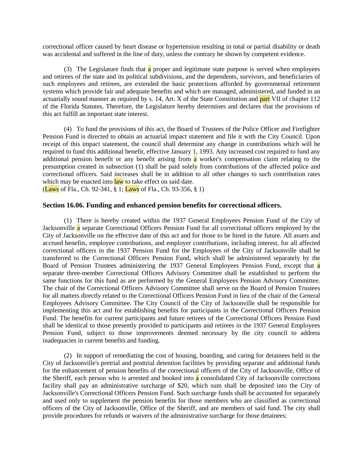correctional officer caused by heart disease or hypertension resulting in total or partial disability or death was accidental and suffered in the line of duty, unless the contrary be shown by competent evidence.

(3) The Legislature finds that a proper and legitimate state purpose is served when employees and retirees of the state and its political subdivisions, and the dependents, survivors, and beneficiaries of such employees and retirees, are extended the basic protections afforded by governmental retirement systems which provide fair and adequate benefits and which are managed, administered, and funded in an actuarially sound manner as required by s. 14, Art. X of the State Constitution and part VII of chapter 112 of the Florida Statutes. Therefore, the Legislature hereby determines and declares that the provisions of this act fulfill an important state interest.

(4) To fund the provisions of this act, the Board of Trustees of the Police Officer and Firefighter Pension Fund is directed to obtain an actuarial impact statement and file it with the City Council. Upon receipt of this impact statement, the council shall determine any change in contributions which will be required to fund this additional benefit, effective January 1, 1993. Any increased cost required to fund any additional pension benefit or any benefit arising from a worker's compensation claim relating to the presumption created in subsection (1) shall be paid solely from contributions of the affected police and correctional officers. Said increases shall be in addition to all other changes to such contribution rates which may be enacted into  $\frac{law}{law}$  to take effect on said date.

(Laws of Fla., Ch. 92-341,  $\S 1$ ; Laws of Fla., Ch. 93-356,  $\S 1$ )

#### **Section 16.06. Funding and enhanced pension benefits for correctional officers.**

(1) There is hereby created within the 1937 General Employees Pension Fund of the City of Jacksonville a separate Correctional Officers Pension Fund for all correctional officers employed by the City of Jacksonville on the effective date of this act and for those to be hired in the future. All assets and accrued benefits, employee contributions, and employer contributions, including interest, for all affected correctional officers in the 1937 Pension Fund for the Employees of the City of Jacksonville shall be transferred to the Correctional Officers Pension Fund, which shall be administered separately by the Board of Pension Trustees administering the 1937 General Employees Pension Fund, except that a separate three-member Correctional Officers Advisory Committee shall be established to perform the same functions for this fund as are performed by the General Employees Pension Advisory Committee. The chair of the Correctional Officers Advisory Committee shall serve on the Board of Pension Trustees for all matters directly related to the Correctional Officers Pension Fund in lieu of the chair of the General Employees Advisory Committee. The City Council of the City of Jacksonville shall be responsible for implementing this act and for establishing benefits for participants in the Correctional Officers Pension Fund. The benefits for current participants and future retirees of the Correctional Officers Pension Fund shall be identical to those presently provided to participants and retirees in the 1937 General Employees Pension Fund, subject to those improvements deemed necessary by the city council to address inadequacies in current benefits and funding.

(2) In support of remediating the cost of housing, boarding, and caring for detainees held in the City of Jacksonville's pretrial and posttrial detention facilities by providing separate and additional funds for the enhancement of pension benefits of the correctional officers of the City of Jacksonville, Office of the Sheriff, each person who is arrested and booked into  $\alpha$  consolidated City of Jacksonville corrections facility shall pay an administrative surcharge of \$20, which sum shall be deposited into the City of Jacksonville's Correctional Officers Pension Fund. Such surcharge funds shall be accounted for separately and used only to supplement the pension benefits for those members who are classified as correctional officers of the City of Jacksonville, Office of the Sheriff, and are members of said fund. The city shall provide procedures for refunds or waivers of the administrative surcharge for those detainees: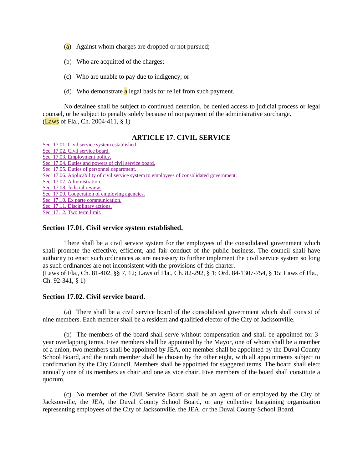- $(a)$  Against whom charges are dropped or not pursued;
- (b) Who are acquitted of the charges;
- (c) Who are unable to pay due to indigency; or
- (d) Who demonstrate  $\alpha$  legal basis for relief from such payment.

No detainee shall be subject to continued detention, be denied access to judicial process or legal counsel, or be subject to penalty solely because of nonpayment of the administrative surcharge. (Laws of Fla., Ch. 2004-411, § 1)

## **ARTICLE 17. CIVIL SERVICE**

[Sec. 17.01. Civil service system established.](http://library4.municode.com/mcc/DocView/12174/1/871/890#0-0-0-10141#0-0-0-10141) [Sec. 17.02. Civil service board.](http://library4.municode.com/mcc/DocView/12174/1/871/890#0-0-0-10143#0-0-0-10143) [Sec. 17.03. Employment policy.](http://library4.municode.com/mcc/DocView/12174/1/871/890#0-0-0-10145#0-0-0-10145) [Sec. 17.04. Duties and powers of civil service board.](http://library4.municode.com/mcc/DocView/12174/1/871/890#0-0-0-10147#0-0-0-10147) [Sec. 17.05. Duties of personnel department.](http://library4.municode.com/mcc/DocView/12174/1/871/890#0-0-0-10149#0-0-0-10149) [Sec. 17.06. Applicability of civil service system to employees of consolidated government.](http://library4.municode.com/mcc/DocView/12174/1/871/890#0-0-0-10151#0-0-0-10151) [Sec. 17.07. Administration.](http://library4.municode.com/mcc/DocView/12174/1/871/890#0-0-0-10153#0-0-0-10153) [Sec. 17.08. Judicial review.](http://library4.municode.com/mcc/DocView/12174/1/871/890#0-0-0-10155#0-0-0-10155) [Sec. 17.09. Cooperation of employing agencies.](http://library4.municode.com/mcc/DocView/12174/1/871/890#0-0-0-10157#0-0-0-10157) [Sec. 17.10. Ex parte communication.](http://library4.municode.com/mcc/DocView/12174/1/871/890#0-0-0-10159#0-0-0-10159) [Sec. 17.11. Disciplinary actions.](http://library4.municode.com/mcc/DocView/12174/1/871/890#0-0-0-10161#0-0-0-10161) [Sec. 17.12. Two term limit.](http://library4.municode.com/mcc/DocView/12174/1/871/890#0-0-0-10163#0-0-0-10163)

#### **Section 17.01. Civil service system established.**

There shall be a civil service system for the employees of the consolidated government which shall promote the effective, efficient, and fair conduct of the public business. The council shall have authority to enact such ordinances as are necessary to further implement the civil service system so long as such ordinances are not inconsistent with the provisions of this charter. (Laws of Fla., Ch. 81-402, §§ 7, 12; Laws of Fla., Ch. 82-292, § 1; Ord. 84-1307-754, § 15; Laws of Fla.,

Ch. 92-341, § 1)

## **Section 17.02. Civil service board.**

(a) There shall be a civil service board of the consolidated government which shall consist of nine members. Each member shall be a resident and qualified elector of the City of Jacksonville.

(b) The members of the board shall serve without compensation and shall be appointed for 3 year overlapping terms. Five members shall be appointed by the Mayor, one of whom shall be a member of a union, two members shall be appointed by JEA, one member shall be appointed by the Duval County School Board, and the ninth member shall be chosen by the other eight, with all appointments subject to confirmation by the City Council. Members shall be appointed for staggered terms. The board shall elect annually one of its members as chair and one as vice chair. Five members of the board shall constitute a quorum.

(c) No member of the Civil Service Board shall be an agent of or employed by the City of Jacksonville, the JEA, the Duval County School Board, or any collective bargaining organization representing employees of the City of Jacksonville, the JEA, or the Duval County School Board.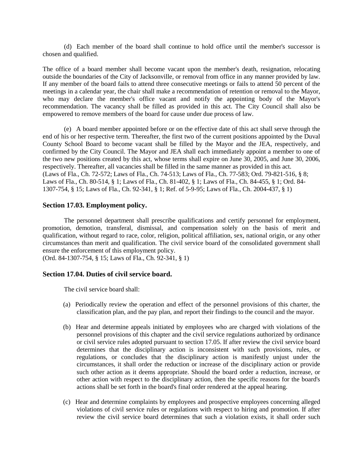(d) Each member of the board shall continue to hold office until the member's successor is chosen and qualified.

The office of a board member shall become vacant upon the member's death, resignation, relocating outside the boundaries of the City of Jacksonville, or removal from office in any manner provided by law. If any member of the board fails to attend three consecutive meetings or fails to attend 50 percent of the meetings in a calendar year, the chair shall make a recommendation of retention or removal to the Mayor, who may declare the member's office vacant and notify the appointing body of the Mayor's recommendation. The vacancy shall be filled as provided in this act. The City Council shall also be empowered to remove members of the board for cause under due process of law.

(e) A board member appointed before or on the effective date of this act shall serve through the end of his or her respective term. Thereafter, the first two of the current positions appointed by the Duval County School Board to become vacant shall be filled by the Mayor and the JEA, respectively, and confirmed by the City Council. The Mayor and JEA shall each immediately appoint a member to one of the two new positions created by this act, whose terms shall expire on June 30, 2005, and June 30, 2006, respectively. Thereafter, all vacancies shall be filled in the same manner as provided in this act. (Laws of Fla., Ch. 72-572; Laws of Fla., Ch. 74-513; Laws of Fla., Ch. 77-583; Ord. 79-821-516, § 8; Laws of Fla., Ch. 80-514, § 1; Laws of Fla., Ch. 81-402, § 1; Laws of Fla., Ch. 84-455, § 1; Ord. 84- 1307-754, § 15; Laws of Fla., Ch. 92-341, § 1; Ref. of 5-9-95; Laws of Fla., Ch. 2004-437, § 1)

#### **Section 17.03. Employment policy.**

The personnel department shall prescribe qualifications and certify personnel for employment, promotion, demotion, transferal, dismissal, and compensation solely on the basis of merit and qualification, without regard to race, color, religion, political affiliation, sex, national origin, or any other circumstances than merit and qualification. The civil service board of the consolidated government shall ensure the enforcement of this employment policy.

(Ord. 84-1307-754, § 15; Laws of Fla., Ch. 92-341, § 1)

#### **Section 17.04. Duties of civil service board.**

The civil service board shall:

- (a) Periodically review the operation and effect of the personnel provisions of this charter, the classification plan, and the pay plan, and report their findings to the council and the mayor.
- (b) Hear and determine appeals initiated by employees who are charged with violations of the personnel provisions of this chapter and the civil service regulations authorized by ordinance or civil service rules adopted pursuant to section 17.05. If after review the civil service board determines that the disciplinary action is inconsistent with such provisions, rules, or regulations, or concludes that the disciplinary action is manifestly unjust under the circumstances, it shall order the reduction or increase of the disciplinary action or provide such other action as it deems appropriate. Should the board order a reduction, increase, or other action with respect to the disciplinary action, then the specific reasons for the board's actions shall be set forth in the board's final order rendered at the appeal hearing.
- (c) Hear and determine complaints by employees and prospective employees concerning alleged violations of civil service rules or regulations with respect to hiring and promotion. If after review the civil service board determines that such a violation exists, it shall order such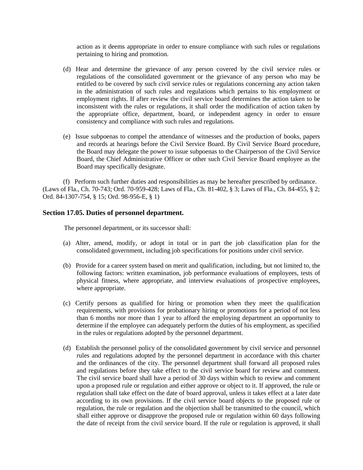action as it deems appropriate in order to ensure compliance with such rules or regulations pertaining to hiring and promotion.

- (d) Hear and determine the grievance of any person covered by the civil service rules or regulations of the consolidated government or the grievance of any person who may be entitled to be covered by such civil service rules or regulations concerning any action taken in the administration of such rules and regulations which pertains to his employment or employment rights. If after review the civil service board determines the action taken to be inconsistent with the rules or regulations, it shall order the modification of action taken by the appropriate office, department, board, or independent agency in order to ensure consistency and compliance with such rules and regulations.
- (e) Issue subpoenas to compel the attendance of witnesses and the production of books, papers and records at hearings before the Civil Service Board. By Civil Service Board procedure, the Board may delegate the power to issue subpoenas to the Chairperson of the Civil Service Board, the Chief Administrative Officer or other such Civil Service Board employee as the Board may specifically designate.

(f) Perform such further duties and responsibilities as may be hereafter prescribed by ordinance. (Laws of Fla., Ch. 70-743; Ord. 70-959-428; Laws of Fla., Ch. 81-402, § 3; Laws of Fla., Ch. 84-455, § 2; Ord. 84-1307-754, § 15; Ord. 98-956-E, § 1)

## **Section 17.05. Duties of personnel department.**

The personnel department, or its successor shall:

- (a) Alter, amend, modify, or adopt in total or in part the job classification plan for the consolidated government, including job specifications for positions under civil service.
- (b) Provide for a career system based on merit and qualification, including, but not limited to, the following factors: written examination, job performance evaluations of employees, tests of physical fitness, where appropriate, and interview evaluations of prospective employees, where appropriate.
- (c) Certify persons as qualified for hiring or promotion when they meet the qualification requirements, with provisions for probationary hiring or promotions for a period of not less than 6 months nor more than 1 year to afford the employing department an opportunity to determine if the employee can adequately perform the duties of his employment, as specified in the rules or regulations adopted by the personnel department.
- (d) Establish the personnel policy of the consolidated government by civil service and personnel rules and regulations adopted by the personnel department in accordance with this charter and the ordinances of the city. The personnel department shall forward all proposed rules and regulations before they take effect to the civil service board for review and comment. The civil service board shall have a period of 30 days within which to review and comment upon a proposed rule or regulation and either approve or object to it. If approved, the rule or regulation shall take effect on the date of board approval, unless it takes effect at a later date according to its own provisions. If the civil service board objects to the proposed rule or regulation, the rule or regulation and the objection shall be transmitted to the council, which shall either approve or disapprove the proposed rule or regulation within 60 days following the date of receipt from the civil service board. If the rule or regulation is approved, it shall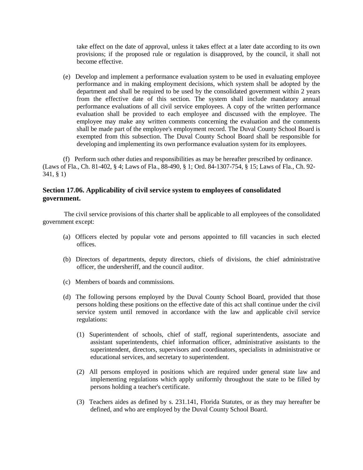take effect on the date of approval, unless it takes effect at a later date according to its own provisions; if the proposed rule or regulation is disapproved, by the council, it shall not become effective.

(e) Develop and implement a performance evaluation system to be used in evaluating employee performance and in making employment decisions, which system shall be adopted by the department and shall be required to be used by the consolidated government within 2 years from the effective date of this section. The system shall include mandatory annual performance evaluations of all civil service employees. A copy of the written performance evaluation shall be provided to each employee and discussed with the employee. The employee may make any written comments concerning the evaluation and the comments shall be made part of the employee's employment record. The Duval County School Board is exempted from this subsection. The Duval County School Board shall be responsible for developing and implementing its own performance evaluation system for its employees.

(f) Perform such other duties and responsibilities as may be hereafter prescribed by ordinance. (Laws of Fla., Ch. 81-402, § 4; Laws of Fla., 88-490, § 1; Ord. 84-1307-754, § 15; Laws of Fla., Ch. 92- 341, § 1)

## **Section 17.06. Applicability of civil service system to employees of consolidated government.**

The civil service provisions of this charter shall be applicable to all employees of the consolidated government except:

- (a) Officers elected by popular vote and persons appointed to fill vacancies in such elected offices.
- (b) Directors of departments, deputy directors, chiefs of divisions, the chief administrative officer, the undersheriff, and the council auditor.
- (c) Members of boards and commissions.
- (d) The following persons employed by the Duval County School Board, provided that those persons holding these positions on the effective date of this act shall continue under the civil service system until removed in accordance with the law and applicable civil service regulations:
	- (1) Superintendent of schools, chief of staff, regional superintendents, associate and assistant superintendents, chief information officer, administrative assistants to the superintendent, directors, supervisors and coordinators, specialists in administrative or educational services, and secretary to superintendent.
	- (2) All persons employed in positions which are required under general state law and implementing regulations which apply uniformly throughout the state to be filled by persons holding a teacher's certificate.
	- (3) Teachers aides as defined by s. 231.141, Florida Statutes, or as they may hereafter be defined, and who are employed by the Duval County School Board.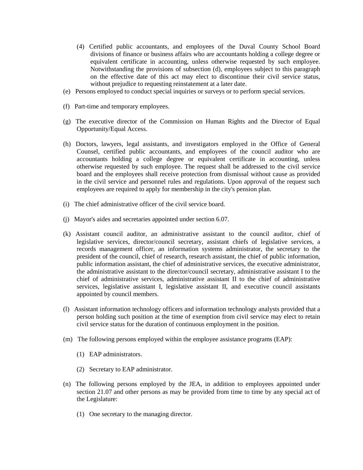- (4) Certified public accountants, and employees of the Duval County School Board divisions of finance or business affairs who are accountants holding a college degree or equivalent certificate in accounting, unless otherwise requested by such employee. Notwithstanding the provisions of subsection (d), employees subject to this paragraph on the effective date of this act may elect to discontinue their civil service status, without prejudice to requesting reinstatement at a later date.
- (e) Persons employed to conduct special inquiries or surveys or to perform special services.
- (f) Part-time and temporary employees.
- (g) The executive director of the Commission on Human Rights and the Director of Equal Opportunity/Equal Access.
- (h) Doctors, lawyers, legal assistants, and investigators employed in the Office of General Counsel, certified public accountants, and employees of the council auditor who are accountants holding a college degree or equivalent certificate in accounting, unless otherwise requested by such employee. The request shall be addressed to the civil service board and the employees shall receive protection from dismissal without cause as provided in the civil service and personnel rules and regulations. Upon approval of the request such employees are required to apply for membership in the city's pension plan.
- (i) The chief administrative officer of the civil service board.
- (j) Mayor's aides and secretaries appointed under section 6.07.
- (k) Assistant council auditor, an administrative assistant to the council auditor, chief of legislative services, director/council secretary, assistant chiefs of legislative services, a records management officer, an information systems administrator, the secretary to the president of the council, chief of research, research assistant, the chief of public information, public information assistant, the chief of administrative services, the executive administrator, the administrative assistant to the director/council secretary, administrative assistant I to the chief of administrative services, administrative assistant II to the chief of administrative services, legislative assistant I, legislative assistant II, and executive council assistants appointed by council members.
- (l) Assistant information technology officers and information technology analysts provided that a person holding such position at the time of exemption from civil service may elect to retain civil service status for the duration of continuous employment in the position.
- (m) The following persons employed within the employee assistance programs (EAP):
	- (1) EAP administrators.
	- (2) Secretary to EAP administrator.
- (n) The following persons employed by the JEA, in addition to employees appointed under section 21.07 and other persons as may be provided from time to time by any special act of the Legislature:
	- (1) One secretary to the managing director.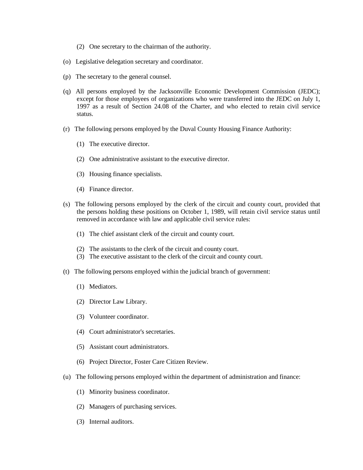- (2) One secretary to the chairman of the authority.
- (o) Legislative delegation secretary and coordinator.
- (p) The secretary to the general counsel.
- (q) All persons employed by the Jacksonville Economic Development Commission (JEDC); except for those employees of organizations who were transferred into the JEDC on July 1, 1997 as a result of Section 24.08 of the Charter, and who elected to retain civil service status.
- (r) The following persons employed by the Duval County Housing Finance Authority:
	- (1) The executive director.
	- (2) One administrative assistant to the executive director.
	- (3) Housing finance specialists.
	- (4) Finance director.
- (s) The following persons employed by the clerk of the circuit and county court, provided that the persons holding these positions on October 1, 1989, will retain civil service status until removed in accordance with law and applicable civil service rules:
	- (1) The chief assistant clerk of the circuit and county court.
	- (2) The assistants to the clerk of the circuit and county court.
	- (3) The executive assistant to the clerk of the circuit and county court.
- (t) The following persons employed within the judicial branch of government:
	- (1) Mediators.
	- (2) Director Law Library.
	- (3) Volunteer coordinator.
	- (4) Court administrator's secretaries.
	- (5) Assistant court administrators.
	- (6) Project Director, Foster Care Citizen Review.
- (u) The following persons employed within the department of administration and finance:
	- (1) Minority business coordinator.
	- (2) Managers of purchasing services.
	- (3) Internal auditors.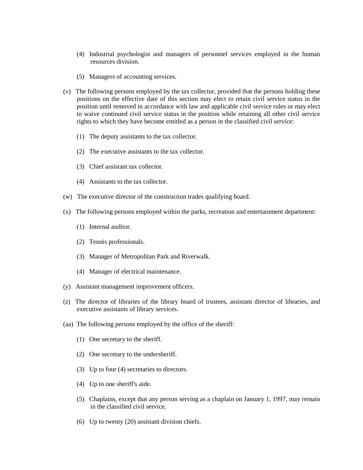- (4) Industrial psychologist and managers of personnel services employed in the human resources division.
- (5) Managers of accounting services.
- (v) The following persons employed by the tax collector, provided that the persons holding these positions on the effective date of this section may elect to retain civil service status in the position until removed in accordance with law and applicable civil service rules or may elect to waive continued civil service status in the position while retaining all other civil service rights to which they have become entitled as a person in the classified civil service:
	- (1) The deputy assistants to the tax collector.
	- (2) The executive assistants to the tax collector.
	- (3) Chief assistant tax collector.
	- (4) Assistants to the tax collector.
- (w) The executive director of the construction trades qualifying board.
- (x) The following persons employed within the parks, recreation and entertainment department:
	- (1) Internal auditor.
	- (2) Tennis professionals.
	- (3) Manager of Metropolitan Park and Riverwalk.
	- (4) Manager of electrical maintenance.
- (y) Assistant management improvement officers.
- (z) The director of libraries of the library board of trustees, assistant director of libraries, and executive assistants of library services.
- (aa) The following persons employed by the office of the sheriff:
	- (1) One secretary to the sheriff.
	- (2) One secretary to the undersheriff.
	- (3) Up to four (4) secretaries to directors.
	- (4) Up to one sheriff's aide.
	- (5) Chaplains, except that any person serving as a chaplain on January 1, 1997, may remain in the classified civil service.
	- (6) Up to twenty (20) assistant division chiefs.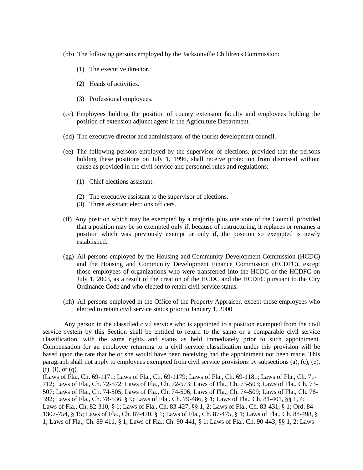- (bb) The following persons employed by the Jacksonville Children's Commission:
	- (1) The executive director.
	- (2) Heads of activities.
	- (3) Professional employees.
- (cc) Employees holding the position of county extension faculty and employees holding the position of extension adjunct agent in the Agriculture Department.
- (dd) The executive director and administrator of the tourist development council.
- (ee) The following persons employed by the supervisor of elections, provided that the persons holding these positions on July 1, 1996, shall receive protection from dismissal without cause as provided in the civil service and personnel rules and regulations:
	- (1) Chief elections assistant.
	- (2) The executive assistant to the supervisor of elections.
	- (3) Three assistant elections officers.
- (ff) Any position which may be exempted by a majority plus one vote of the Council, provided that a position may be so exempted only if, because of restructuring, it replaces or renames a position which was previously exempt or only if, the position so exempted is newly established.
- (gg) All persons employed by the Housing and Community Development Commission (HCDC) and the Housing and Community Development Finance Commission (HCDFC), except those employees of organizations who were transferred into the HCDC or the HCDFC on July 1, 2003, as a result of the creation of the HCDC and the HCDFC pursuant to the City Ordinance Code and who elected to retain civil service status.
- (hh) All persons employed in the Office of the Property Appraiser, except those employees who elected to retain civil service status prior to January 1, 2000.

Any person in the classified civil service who is appointed to a position exempted from the civil service system by this Section shall be entitled to return to the same or a comparable civil service classification, with the same rights and status as held immediately prior to such appointment. Compensation for an employee returning to a civil service classification under this provision will be based upon the rate that he or she would have been receiving had the appointment not been made. This paragraph shall not apply to employees exempted from civil service provisions by subsections (a), (c), (e), (f), (i), or (q).

(Laws of Fla., Ch. 69-1171; Laws of Fla., Ch. 69-1179; Laws of Fla., Ch. 69-1181; Laws of Fla., Ch. 71- 712; Laws of Fla., Ch. 72-572; Laws of Fla., Ch. 72-573; Laws of Fla., Ch. 73-503; Laws of Fla., Ch. 73- 507; Laws of Fla., Ch. 74-505; Laws of Fla., Ch. 74-506; Laws of Fla., Ch. 74-509; Laws of Fla., Ch. 76- 392; Laws of Fla., Ch. 78-536, § 9; Laws of Fla., Ch. 79-486, § 1; Laws of Fla., Ch. 81-401, §§ 1, 4; Laws of Fla., Ch. 82-310, § 1; Laws of Fla., Ch. 83-427, §§ 1, 2; Laws of Fla., Ch. 83-431, § 1; Ord. 84- 1307-754, § 15; Laws of Fla., Ch. 87-470, § 1; Laws of Fla., Ch. 87-475, § 1; Laws of Fla., Ch. 88-498, § 1; Laws of Fla., Ch. 89-411, § 1; Laws of Fla., Ch. 90-441, § 1; Laws of Fla., Ch. 90-443, §§ 1, 2; Laws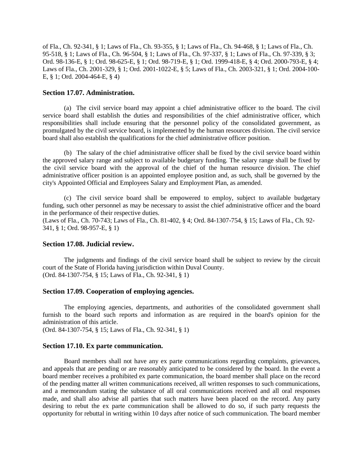of Fla., Ch. 92-341, § 1; Laws of Fla., Ch. 93-355, § 1; Laws of Fla., Ch. 94-468, § 1; Laws of Fla., Ch. 95-518, § 1; Laws of Fla., Ch. 96-504, § 1; Laws of Fla., Ch. 97-337, § 1; Laws of Fla., Ch. 97-339, § 3; Ord. 98-136-E, § 1; Ord. 98-625-E, § 1; Ord. 98-719-E, § 1; Ord. 1999-418-E, § 4; Ord. 2000-793-E, § 4; Laws of Fla., Ch. 2001-329, § 1; Ord. 2001-1022-E, § 5; Laws of Fla., Ch. 2003-321, § 1; Ord. 2004-100- E, § 1; Ord. 2004-464-E, § 4)

#### **Section 17.07. Administration.**

(a) The civil service board may appoint a chief administrative officer to the board. The civil service board shall establish the duties and responsibilities of the chief administrative officer, which responsibilities shall include ensuring that the personnel policy of the consolidated government, as promulgated by the civil service board, is implemented by the human resources division. The civil service board shall also establish the qualifications for the chief administrative officer position.

(b) The salary of the chief administrative officer shall be fixed by the civil service board within the approved salary range and subject to available budgetary funding. The salary range shall be fixed by the civil service board with the approval of the chief of the human resource division. The chief administrative officer position is an appointed employee position and, as such, shall be governed by the city's Appointed Official and Employees Salary and Employment Plan, as amended.

(c) The civil service board shall be empowered to employ, subject to available budgetary funding, such other personnel as may be necessary to assist the chief administrative officer and the board in the performance of their respective duties.

(Laws of Fla., Ch. 70-743; Laws of Fla., Ch. 81-402, § 4; Ord. 84-1307-754, § 15; Laws of Fla., Ch. 92- 341, § 1; Ord. 98-957-E, § 1)

#### **Section 17.08. Judicial review.**

The judgments and findings of the civil service board shall be subject to review by the circuit court of the State of Florida having jurisdiction within Duval County. (Ord. 84-1307-754, § 15; Laws of Fla., Ch. 92-341, § 1)

#### **Section 17.09. Cooperation of employing agencies.**

The employing agencies, departments, and authorities of the consolidated government shall furnish to the board such reports and information as are required in the board's opinion for the administration of this article.

(Ord. 84-1307-754, § 15; Laws of Fla., Ch. 92-341, § 1)

#### **Section 17.10. Ex parte communication.**

Board members shall not have any ex parte communications regarding complaints, grievances, and appeals that are pending or are reasonably anticipated to be considered by the board. In the event a board member receives a prohibited ex parte communication, the board member shall place on the record of the pending matter all written communications received, all written responses to such communications, and a memorandum stating the substance of all oral communications received and all oral responses made, and shall also advise all parties that such matters have been placed on the record. Any party desiring to rebut the ex parte communication shall be allowed to do so, if such party requests the opportunity for rebuttal in writing within 10 days after notice of such communication. The board member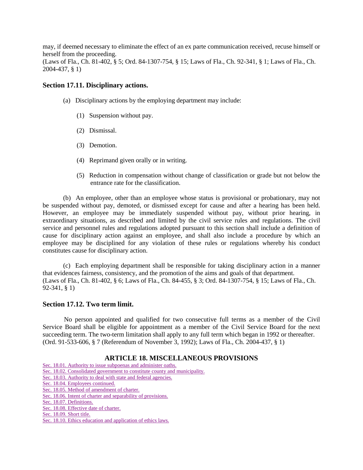may, if deemed necessary to eliminate the effect of an ex parte communication received, recuse himself or herself from the proceeding.

(Laws of Fla., Ch. 81-402, § 5; Ord. 84-1307-754, § 15; Laws of Fla., Ch. 92-341, § 1; Laws of Fla., Ch. 2004-437, § 1)

## **Section 17.11. Disciplinary actions.**

- (a) Disciplinary actions by the employing department may include:
	- (1) Suspension without pay.
	- (2) Dismissal.
	- (3) Demotion.
	- (4) Reprimand given orally or in writing.
	- (5) Reduction in compensation without change of classification or grade but not below the entrance rate for the classification.

(b) An employee, other than an employee whose status is provisional or probationary, may not be suspended without pay, demoted, or dismissed except for cause and after a hearing has been held. However, an employee may be immediately suspended without pay, without prior hearing, in extraordinary situations, as described and limited by the civil service rules and regulations. The civil service and personnel rules and regulations adopted pursuant to this section shall include a definition of cause for disciplinary action against an employee, and shall also include a procedure by which an employee may be disciplined for any violation of these rules or regulations whereby his conduct constitutes cause for disciplinary action.

(c) Each employing department shall be responsible for taking disciplinary action in a manner that evidences fairness, consistency, and the promotion of the aims and goals of that department. (Laws of Fla., Ch. 81-402, § 6; Laws of Fla., Ch. 84-455, § 3; Ord. 84-1307-754, § 15; Laws of Fla., Ch. 92-341, § 1)

#### **Section 17.12. Two term limit.**

No person appointed and qualified for two consecutive full terms as a member of the Civil Service Board shall be eligible for appointment as a member of the Civil Service Board for the next succeeding term. The two-term limitation shall apply to any full term which began in 1992 or thereafter. (Ord. 91-533-606, § 7 (Referendum of November 3, 1992); Laws of Fla., Ch. 2004-437, § 1)

#### **ARTICLE 18. MISCELLANEOUS PROVISIONS**

[Sec. 18.01. Authority to issue subpoenas and administer oaths.](http://library4.municode.com/mcc/DocView/12174/1/871/891?hilite=part;parts;a;charter;charters;laws;law;#0-0-0-10165#0-0-0-10165)

[Sec. 18.02. Consolidated government to constitute county and municipality.](http://library4.municode.com/mcc/DocView/12174/1/871/891?hilite=part;parts;a;charter;charters;laws;law;#0-0-0-10167#0-0-0-10167)

[Sec. 18.03. Authority to deal with state and federal agencies.](http://library4.municode.com/mcc/DocView/12174/1/871/891?hilite=part;parts;a;charter;charters;laws;law;#0-0-0-10169#0-0-0-10169)

[Sec. 18.04. Employees continued.](http://library4.municode.com/mcc/DocView/12174/1/871/891?hilite=part;parts;a;charter;charters;laws;law;#0-0-0-10171#0-0-0-10171)

[Sec. 18.05. Method of amendment of charter.](http://library4.municode.com/mcc/DocView/12174/1/871/891?hilite=part;parts;a;charter;charters;laws;law;#0-0-0-10173#0-0-0-10173)

[Sec. 18.06. Intent of charter and separability of provisions.](http://library4.municode.com/mcc/DocView/12174/1/871/891?hilite=part;parts;a;charter;charters;laws;law;#0-0-0-10175#0-0-0-10175)

[Sec. 18.07. Definitions.](http://library4.municode.com/mcc/DocView/12174/1/871/891?hilite=part;parts;a;charter;charters;laws;law;#0-0-0-10177#0-0-0-10177)

[Sec. 18.08. Effective date of charter.](http://library4.municode.com/mcc/DocView/12174/1/871/891?hilite=part;parts;a;charter;charters;laws;law;#0-0-0-10179#0-0-0-10179)

[Sec. 18.09. Short title.](http://library4.municode.com/mcc/DocView/12174/1/871/891?hilite=part;parts;a;charter;charters;laws;law;#0-0-0-10181#0-0-0-10181)

[Sec. 18.10. Ethics education and application of ethics laws.](http://library4.municode.com/mcc/DocView/12174/1/871/891?hilite=part;parts;a;charter;charters;laws;law;#0-0-0-10183#0-0-0-10183)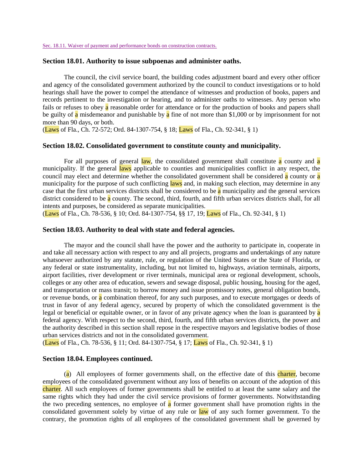[Sec. 18.11. Waiver of payment and performance bonds on construction contracts.](http://library4.municode.com/mcc/DocView/12174/1/871/891?hilite=part;parts;a;charter;charters;laws;law;#0-0-0-10185#0-0-0-10185)

#### **Section 18.01. Authority to issue subpoenas and administer oaths.**

The council, the civil service board, the building codes adjustment board and every other officer and agency of the consolidated government authorized by the council to conduct investigations or to hold hearings shall have the power to compel the attendance of witnesses and production of books, papers and records pertinent to the investigation or hearing, and to administer oaths to witnesses. Any person who fails or refuses to obey a reasonable order for attendance or for the production of books and papers shall be guilty of a misdemeanor and punishable by a fine of not more than \$1,000 or by imprisonment for not more than 90 days, or both.

(Laws of Fla., Ch. 72-572; Ord. 84-1307-754, § 18; Laws of Fla., Ch. 92-341, § 1)

#### **Section 18.02. Consolidated government to constitute county and municipality.**

For all purposes of general law, the consolidated government shall constitute a county and a municipality. If the general laws applicable to counties and municipalities conflict in any respect, the council may elect and determine whether the consolidated government shall be considered a county or a municipality for the purpose of such conflicting laws and, in making such election, may determine in any case that the first urban services districts shall be considered to be a municipality and the general services district considered to be a county. The second, third, fourth, and fifth urban services districts shall, for all intents and purposes, be considered as separate municipalities.

(Laws of Fla., Ch. 78-536, § 10; Ord. 84-1307-754, §§ 17, 19; Laws of Fla., Ch. 92-341, § 1)

#### **Section 18.03. Authority to deal with state and federal agencies.**

The mayor and the council shall have the power and the authority to participate in, cooperate in and take all necessary action with respect to any and all projects, programs and undertakings of any nature whatsoever authorized by any statute, rule, or regulation of the United States or the State of Florida, or any federal or state instrumentality, including, but not limited to, highways, aviation terminals, airports, airport facilities, river development or river terminals, municipal area or regional development, schools, colleges or any other area of education, sewers and sewage disposal, public housing, housing for the aged, and transportation or mass transit; to borrow money and issue promissory notes, general obligation bonds, or revenue bonds, or a combination thereof, for any such purposes, and to execute mortgages or deeds of trust in favor of any federal agency, secured by property of which the consolidated government is the legal or beneficial or equitable owner, or in favor of any private agency when the loan is guaranteed by a federal agency. With respect to the second, third, fourth, and fifth urban services districts, the power and the authority described in this section shall repose in the respective mayors and legislative bodies of those urban services districts and not in the consolidated government.

(Laws of Fla., Ch. 78-536, § 11; Ord. 84-1307-754, § 17; Laws of Fla., Ch. 92-341, § 1)

#### **Section 18.04. Employees continued.**

(a) All employees of former governments shall, on the effective date of this charter, become employees of the consolidated government without any loss of benefits on account of the adoption of this charter. All such employees of former governments shall be entitled to at least the same salary and the same rights which they had under the civil service provisions of former governments. Notwithstanding the two preceding sentences, no employee of a former government shall have promotion rights in the consolidated government solely by virtue of any rule or law of any such former government. To the contrary, the promotion rights of all employees of the consolidated government shall be governed by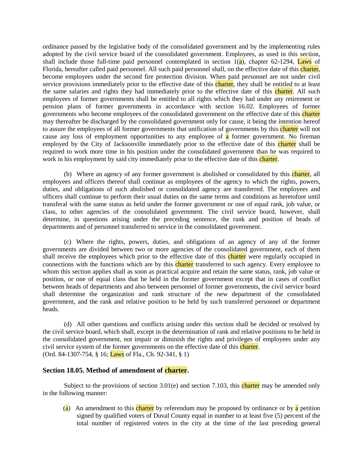ordinance passed by the legislative body of the consolidated government and by the implementing rules adopted by the civil service board of the consolidated government. Employees, as used in this section, shall include those full-time paid personnel contemplated in section  $1(a)$ , chapter 62-1294, Laws of Florida, hereafter called paid personnel. All such paid personnel shall, on the effective date of this charter, become employees under the second fire protection division. When paid personnel are not under civil service provisions immediately prior to the effective date of this charter, they shall be entitled to at least the same salaries and rights they had immediately prior to the effective date of this charter. All such employees of former governments shall be entitled to all rights which they had under any retirement or pension plans of former governments in accordance with section 16.02. Employees of former governments who become employees of the consolidated government on the effective date of this charter may thereafter be discharged by the consolidated government only for cause, it being the intention hereof to assure the employees of all former governments that unification of governments by this **charter** will not cause any loss of employment opportunities to any employee of a former government. No fireman employed by the City of Jacksonville immediately prior to the effective date of this charter shall be required to work more time in his position under the consolidated government than he was required to work in his employment by said city immediately prior to the effective date of this charter.

(b) Where an agency of any former government is abolished or consolidated by this charter, all employees and officers thereof shall continue as employees of the agency to which the rights, powers, duties, and obligations of such abolished or consolidated agency are transferred. The employees and officers shall continue to perform their usual duties on the same terms and conditions as heretofore until transferal with the same status as held under the former government or one of equal rank, job value, or class, to other agencies of the consolidated government. The civil service board, however, shall determine, in questions arising under the preceding sentence, the rank and position of heads of departments and of personnel transferred to service in the consolidated government.

(c) Where the rights, powers, duties, and obligations of an agency of any of the former governments are divided between two or more agencies of the consolidated government, each of them shall receive the employees which prior to the effective date of this charter were regularly occupied in connections with the functions which are by this **charter** transferred to such agency. Every employee to whom this section applies shall as soon as practical acquire and retain the same status, rank, job value or position, or one of equal class that he held in the former government except that in cases of conflict between heads of departments and also between personnel of former governments, the civil service board shall determine the organization and rank structure of the new department of the consolidated government, and the rank and relative position to be held by such transferred personnel or department heads.

(d) All other questions and conflicts arising under this section shall be decided or resolved by the civil service board, which shall, except in the determination of rank and relative positions to be held in the consolidated government, not impair or diminish the rights and privileges of employees under any civil service system of the former governments on the effective date of this charter. (Ord. 84-1307-754, § 16; Laws of Fla., Ch. 92-341, § 1)

## **Section 18.05. Method of amendment of charter.**

Subject to the provisions of section  $3.01(e)$  and section 7.103, this charter may be amended only in the following manner:

(a) An amendment to this charter by referendum may be proposed by ordinance or by a petition signed by qualified voters of Duval County equal in number to at least five (5) percent of the total number of registered voters in the city at the time of the last preceding general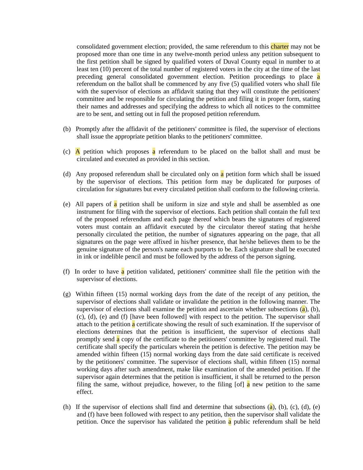consolidated government election; provided, the same referendum to this **charter** may not be proposed more than one time in any twelve-month period unless any petition subsequent to the first petition shall be signed by qualified voters of Duval County equal in number to at least ten (10) percent of the total number of registered voters in the city at the time of the last preceding general consolidated government election. Petition proceedings to place a referendum on the ballot shall be commenced by any five (5) qualified voters who shall file with the supervisor of elections an affidavit stating that they will constitute the petitioners' committee and be responsible for circulating the petition and filing it in proper form, stating their names and addresses and specifying the address to which all notices to the committee are to be sent, and setting out in full the proposed petition referendum.

- (b) Promptly after the affidavit of the petitioners' committee is filed, the supervisor of elections shall issue the appropriate petition blanks to the petitioners' committee.
- (c) A petition which proposes a referendum to be placed on the ballot shall and must be circulated and executed as provided in this section.
- (d) Any proposed referendum shall be circulated only on a petition form which shall be issued by the supervisor of elections. This petition form may be duplicated for purposes of circulation for signatures but every circulated petition shall conform to the following criteria.
- (e) All papers of a petition shall be uniform in size and style and shall be assembled as one instrument for filing with the supervisor of elections. Each petition shall contain the full text of the proposed referendum and each page thereof which bears the signatures of registered voters must contain an affidavit executed by the circulator thereof stating that he/she personally circulated the petition, the number of signatures appearing on the page, that all signatures on the page were affixed in his/her presence, that he/she believes them to be the genuine signature of the person's name each purports to be. Each signature shall be executed in ink or indelible pencil and must be followed by the address of the person signing.
- (f) In order to have a petition validated, petitioners' committee shall file the petition with the supervisor of elections.
- (g) Within fifteen (15) normal working days from the date of the receipt of any petition, the supervisor of elections shall validate or invalidate the petition in the following manner. The supervisor of elections shall examine the petition and ascertain whether subsections  $(a)$ ,  $(b)$ , (c), (d), (e) and (f) [have been followed] with respect to the petition. The supervisor shall attach to the petition  $\alpha$  certificate showing the result of such examination. If the supervisor of elections determines that the petition is insufficient, the supervisor of elections shall promptly send a copy of the certificate to the petitioners' committee by registered mail. The certificate shall specify the particulars wherein the petition is defective. The petition may be amended within fifteen (15) normal working days from the date said certificate is received by the petitioners' committee. The supervisor of elections shall, within fifteen (15) normal working days after such amendment, make like examination of the amended petition. If the supervisor again determines that the petition is insufficient, it shall be returned to the person filing the same, without prejudice, however, to the filing  $\lceil \frac{a}{a} \rceil$  new petition to the same effect.
- (h) If the supervisor of elections shall find and determine that subsections  $(a)$ ,  $(b)$ ,  $(c)$ ,  $(d)$ ,  $(e)$ and (f) have been followed with respect to any petition, then the supervisor shall validate the petition. Once the supervisor has validated the petition a public referendum shall be held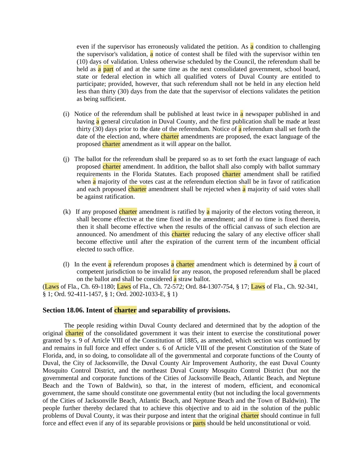even if the supervisor has erroneously validated the petition. As  $\alpha$  condition to challenging the supervisor's validation,  $\bf{a}$  notice of contest shall be filed with the supervisor within ten (10) days of validation. Unless otherwise scheduled by the Council, the referendum shall be held as  $\alpha$  part of and at the same time as the next consolidated government, school board, state or federal election in which all qualified voters of Duval County are entitled to participate; provided, however, that such referendum shall not be held in any election held less than thirty (30) days from the date that the supervisor of elections validates the petition as being sufficient.

- (i) Notice of the referendum shall be published at least twice in a newspaper published in and having a general circulation in Duval County, and the first publication shall be made at least thirty (30) days prior to the date of the referendum. Notice of  $\alpha$  referendum shall set forth the date of the election and, where charter amendments are proposed, the exact language of the proposed charter amendment as it will appear on the ballot.
- (j) The ballot for the referendum shall be prepared so as to set forth the exact language of each proposed charter amendment. In addition, the ballot shall also comply with ballot summary requirements in the Florida Statutes. Each proposed charter amendment shall be ratified when **a** majority of the votes cast at the referendum election shall be in favor of ratification and each proposed charter amendment shall be rejected when a majority of said votes shall be against ratification.
- (k) If any proposed charter amendment is ratified by a majority of the electors voting thereon, it shall become effective at the time fixed in the amendment; and if no time is fixed therein, then it shall become effective when the results of the official canvass of such election are announced. No amendment of this charter reducing the salary of any elective officer shall become effective until after the expiration of the current term of the incumbent official elected to such office.
- (1) In the event a referendum proposes a charter amendment which is determined by a court of competent jurisdiction to be invalid for any reason, the proposed referendum shall be placed on the ballot and shall be considered a straw ballot.

(Laws of Fla., Ch. 69-1180; Laws of Fla., Ch. 72-572; Ord. 84-1307-754, § 17; Laws of Fla., Ch. 92-341, § 1; Ord. 92-411-1457, § 1; Ord. 2002-1033-E, § 1)

#### **Section 18.06. Intent of charter and separability of provisions.**

The people residing within Duval County declared and determined that by the adoption of the original charter of the consolidated government it was their intent to exercise the constitutional power granted by s. 9 of Article VIII of the Constitution of 1885, as amended, which section was continued by and remains in full force and effect under s. 6 of Article VIII of the present Constitution of the State of Florida, and, in so doing, to consolidate all of the governmental and corporate functions of the County of Duval, the City of Jacksonville, the Duval County Air Improvement Authority, the east Duval County Mosquito Control District, and the northeast Duval County Mosquito Control District (but not the governmental and corporate functions of the Cities of Jacksonville Beach, Atlantic Beach, and Neptune Beach and the Town of Baldwin), so that, in the interest of modern, efficient, and economical government, the same should constitute one governmental entity (but not including the local governments of the Cities of Jacksonville Beach, Atlantic Beach, and Neptune Beach and the Town of Baldwin). The people further thereby declared that to achieve this objective and to aid in the solution of the public problems of Duval County, it was their purpose and intent that the original charter should continue in full force and effect even if any of its separable provisions or **parts** should be held unconstitutional or void.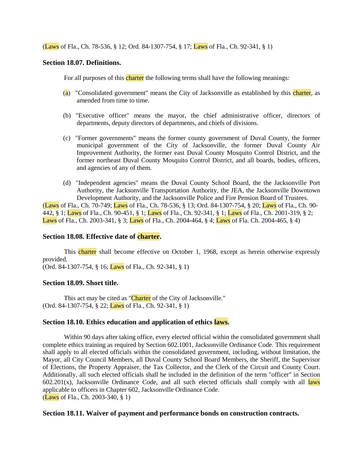(Laws of Fla., Ch. 78-536, § 12; Ord. 84-1307-754, § 17; Laws of Fla., Ch. 92-341, § 1)

## **Section 18.07. Definitions.**

For all purposes of this charter the following terms shall have the following meanings:

- (a) "Consolidated government" means the City of Jacksonville as established by this charter, as amended from time to time.
- (b) "Executive officer" means the mayor, the chief administrative officer, directors of departments, deputy directors of departments, and chiefs of divisions.
- (c) "Former governments" means the former county government of Duval County, the former municipal government of the City of Jacksonville, the former Duval County Air Improvement Authority, the former east Duval County Mosquito Control District, and the former northeast Duval County Mosquito Control District, and all boards, bodies, officers, and agencies of any of them.
- (d) "Independent agencies" means the Duval County School Board, the the Jacksonville Port Authority, the Jacksonville Transportation Authority, the JEA, the Jacksonville Downtown Development Authority, and the Jacksonville Police and Fire Pension Board of Trustees.

(Laws of Fla., Ch. 70-749; Laws of Fla., Ch. 78-536, § 13; Ord. 84-1307-754, § 20; Laws of Fla., Ch. 90- 442, § 1; Laws of Fla., Ch. 90-451, § 1; Laws of Fla., Ch. 92-341, § 1; Laws of Fla., Ch. 2001-319, § 2; Laws of Fla., Ch. 2003-341, § 3; Laws of Fla., Ch. 2004-464, § 4; Laws of Fla. Ch. 2004-465, § 4)

## **Section 18.08. Effective date of charter.**

This **charter** shall become effective on October 1, 1968, except as herein otherwise expressly provided.

(Ord. 84-1307-754, § 16; Laws of Fla., Ch. 92-341, § 1)

## **Section 18.09. Short title.**

This act may be cited as "Charter of the City of Jacksonville." (Ord. 84-1307-754, § 22; Laws of Fla., Ch. 92-341, § 1)

## **Section 18.10. Ethics education and application of ethics laws.**

Within 90 days after taking office, every elected official within the consolidated government shall complete ethics training as required by Section 602.1001, Jacksonville Ordinance Code. This requirement shall apply to all elected officials within the consolidated government, including, without limitation, the Mayor, all City Council Members, all Duval County School Board Members, the Sheriff, the Supervisor of Elections, the Property Appraiser, the Tax Collector, and the Clerk of the Circuit and County Court. Additionally, all such elected officials shall be included in the definition of the term "officer" in Section  $602.201(x)$ , Jacksonville Ordinance Code, and all such elected officials shall comply with all laws applicable to officers in Chapter 602, Jacksonville Ordinance Code. (Laws of Fla., Ch. 2003-340, § 1)

## **Section 18.11. Waiver of payment and performance bonds on construction contracts.**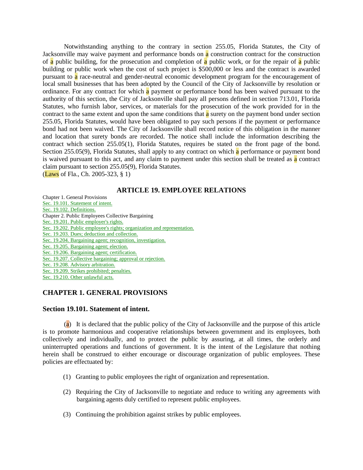Notwithstanding anything to the contrary in section 255.05, Florida Statutes, the City of Jacksonville may waive payment and performance bonds on a construction contract for the construction of a public building, for the prosecution and completion of a public work, or for the repair of a public building or public work when the cost of such project is \$500,000 or less and the contract is awarded pursuant to a race-neutral and gender-neutral economic development program for the encouragement of local small businesses that has been adopted by the Council of the City of Jacksonville by resolution or ordinance. For any contract for which a payment or performance bond has been waived pursuant to the authority of this section, the City of Jacksonville shall pay all persons defined in section 713.01, Florida Statutes, who furnish labor, services, or materials for the prosecution of the work provided for in the contract to the same extent and upon the same conditions that  $\alpha$  surety on the payment bond under section 255.05, Florida Statutes, would have been obligated to pay such persons if the payment or performance bond had not been waived. The City of Jacksonville shall record notice of this obligation in the manner and location that surety bonds are recorded. The notice shall include the information describing the contract which section 255.05(1), Florida Statutes, requires be stated on the front page of the bond. Section 255.05(9), Florida Statutes, shall apply to any contract on which a performance or payment bond is waived pursuant to this act, and any claim to payment under this section shall be treated as  $\alpha$  contract claim pursuant to section 255.05(9), Florida Statutes. (Laws of Fla., Ch. 2005-323, § 1)

## **ARTICLE 19. EMPLOYEE RELATIONS**

Chapter 1. General Provisions [Sec. 19.101. Statement of intent.](javascript:parent.setJumpLink(%2212174%22,%22v3zch0.x1-19.101%22,%220-0-0-10187%22);) [Sec. 19.102. Definitions.](javascript:parent.setJumpLink(%2212174%22,%22v3zch0.x1-19.102%22,%220-0-0-10189%22);) Chapter 2. Public Employees Collective Bargaining [Sec. 19.201. Public employer's rights.](javascript:parent.setJumpLink(%2212174%22,%22v3zch0.x1-19.201%22,%220-0-0-10191%22);) [Sec. 19.202. Public employee's rights; organization and representation.](javascript:parent.setJumpLink(%2212174%22,%22v3zch0.x1-19.202%22,%220-0-0-10193%22);) [Sec. 19.203. Dues; deduction and collection.](javascript:parent.setJumpLink(%2212174%22,%22v3zch0.x1-19.203%22,%220-0-0-10195%22);) [Sec. 19.204. Bargaining agent; recognition, investigation.](javascript:parent.setJumpLink(%2212174%22,%22v3zch0.x1-19.204%22,%220-0-0-10197%22);) [Sec. 19.205. Bargaining agent; election.](javascript:parent.setJumpLink(%2212174%22,%22v3zch0.x1-19.205%22,%220-0-0-10199%22);) [Sec. 19.206. Bargaining agent; certification.](javascript:parent.setJumpLink(%2212174%22,%22v3zch0.x1-19.206%22,%220-0-0-10201%22);) [Sec. 19.207. Collective bargaining; approval or rejection.](javascript:parent.setJumpLink(%2212174%22,%22v3zch0.x1-19.207%22,%220-0-0-10203%22);) [Sec. 19.208. Advisory arbitration.](javascript:parent.setJumpLink(%2212174%22,%22v3zch0.x1-19.208%22,%220-0-0-10205%22);) [Sec. 19.209. Strikes prohibited; penalties.](javascript:parent.setJumpLink(%2212174%22,%22v3zch0.x1-19.209%22,%220-0-0-10207%22);) [Sec. 19.210. Other unlawful acts.](javascript:parent.setJumpLink(%2212174%22,%22v3zch0.x1-19.210%22,%220-0-0-10209%22);)

# **CHAPTER 1. GENERAL PROVISIONS**

## **Section 19.101. Statement of intent.**

(a) It is declared that the public policy of the City of Jacksonville and the purpose of this article is to promote harmonious and cooperative relationships between government and its employees, both collectively and individually, and to protect the public by assuring, at all times, the orderly and uninterrupted operations and functions of government. It is the intent of the Legislature that nothing herein shall be construed to either encourage or discourage organization of public employees. These policies are effectuated by:

- (1) Granting to public employees the right of organization and representation.
- (2) Requiring the City of Jacksonville to negotiate and reduce to writing any agreements with bargaining agents duly certified to represent public employees.
- (3) Continuing the prohibition against strikes by public employees.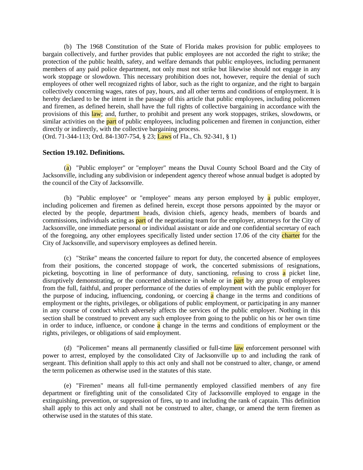(b) The 1968 Constitution of the State of Florida makes provision for public employees to bargain collectively, and further provides that public employees are not accorded the right to strike; the protection of the public health, safety, and welfare demands that public employees, including permanent members of any paid police department, not only must not strike but likewise should not engage in any work stoppage or slowdown. This necessary prohibition does not, however, require the denial of such employees of other well recognized rights of labor, such as the right to organize, and the right to bargain collectively concerning wages, rates of pay, hours, and all other terms and conditions of employment. It is hereby declared to be the intent in the passage of this article that public employees, including policemen and firemen, as defined herein, shall have the full rights of collective bargaining in accordance with the provisions of this law; and, further, to prohibit and present any work stoppages, strikes, slowdowns, or similar activities on the **part** of public employees, including policemen and firemen in conjunction, either directly or indirectly, with the collective bargaining process.

(Ord. 71-344-113; Ord. 84-1307-754, § 23; Laws of Fla., Ch. 92-341, § 1)

## **Section 19.102. Definitions.**

(a) "Public employer" or "employer" means the Duval County School Board and the City of Jacksonville, including any subdivision or independent agency thereof whose annual budget is adopted by the council of the City of Jacksonville.

(b) "Public employee" or "employee" means any person employed by a public employer, including policemen and firemen as defined herein, except those persons appointed by the mayor or elected by the people, department heads, division chiefs, agency heads, members of boards and commissions, individuals acting as **part** of the negotiating team for the employer, attorneys for the City of Jacksonville, one immediate personal or individual assistant or aide and one confidential secretary of each of the foregoing, any other employees specifically listed under section 17.06 of the city charter for the City of Jacksonville, and supervisory employees as defined herein.

(c) "Strike" means the concerted failure to report for duty, the concerted absence of employees from their positions, the concerted stoppage of work, the concerted submissions of resignations, picketing, boycotting in line of performance of duty, sanctioning, refusing to cross a picket line, disruptively demonstrating, or the concerted abstinence in whole or in **part** by any group of employees from the full, faithful, and proper performance of the duties of employment with the public employer for the purpose of inducing, influencing, condoning, or coercing a change in the terms and conditions of employment or the rights, privileges, or obligations of public employment, or participating in any manner in any course of conduct which adversely affects the services of the public employer. Nothing in this section shall be construed to prevent any such employee from going to the public on his or her own time in order to induce, influence, or condone  $\alpha$  change in the terms and conditions of employment or the rights, privileges, or obligations of said employment.

(d) "Policemen" means all permanently classified or full-time law enforcement personnel with power to arrest, employed by the consolidated City of Jacksonville up to and including the rank of sergeant. This definition shall apply to this act only and shall not be construed to alter, change, or amend the term policemen as otherwise used in the statutes of this state.

(e) "Firemen" means all full-time permanently employed classified members of any fire department or firefighting unit of the consolidated City of Jacksonville employed to engage in the extinguishing, prevention, or suppression of fires, up to and including the rank of captain. This definition shall apply to this act only and shall not be construed to alter, change, or amend the term firemen as otherwise used in the statutes of this state.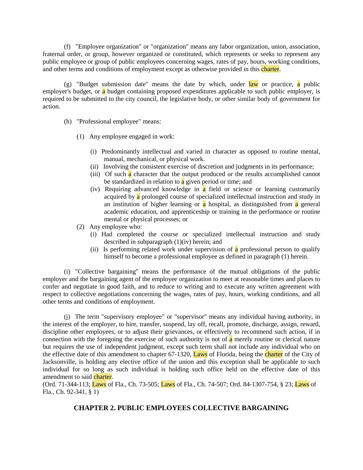(f) "Employee organization" or "organization" means any labor organization, union, association, fraternal order, or group, however organized or constituted, which represents or seeks to represent any public employee or group of public employees concerning wages, rates of pay, hours, working conditions, and other terms and conditions of employment except as otherwise provided in this *charter*.

(g) "Budget submission date" means the date by which, under  $law$  or practice, a public employer's budget, or a budget containing proposed expenditures applicable to such public employer, is required to be submitted to the city council, the legislative body, or other similar body of government for action.

- (h) "Professional employee" means:
	- (1) Any employee engaged in work:
		- (i) Predominantly intellectual and varied in character as opposed to routine mental, manual, mechanical, or physical work.
		- (ii) Involving the consistent exercise of discretion and judgments in its performance;
		- (iii) Of such a character that the output produced or the results accomplished cannot be standardized in relation to  $\alpha$  given period or time; and
		- (iv) Requiring advanced knowledge in a field or science or learning customarily acquired by a prolonged course of specialized intellectual instruction and study in an institution of higher learning or  $\alpha$  hospital, as distinguished from  $\alpha$  general academic education, and apprenticeship or training in the performance or routine mental or physical processes; or
	- (2) Any employee who:
		- (i) Had completed the course or specialized intellectual instruction and study described in subparagraph (1)(iv) herein; and
		- (ii) Is performing related work under supervision of a professional person to qualify himself to become a professional employee as defined in paragraph (1) herein.

(i) "Collective bargaining" means the performance of the mutual obligations of the public employer and the bargaining agent of the employee organization to meet at reasonable times and places to confer and negotiate in good faith, and to reduce to writing and to execute any written agreement with respect to collective negotiations concerning the wages, rates of pay, hours, working conditions, and all other terms and conditions of employment.

(j) The term "supervisory employee" or "supervisor" means any individual having authority, in the interest of the employer, to hire, transfer, suspend, lay off, recall, promote, discharge, assign, reward, discipline other employees, or to adjust their grievances, or effectively to recommend such action, if in connection with the foregoing the exercise of such authority is not of  $\alpha$  merely routine or clerical nature but requires the use of independent judgment, except such term shall not include any individual who on the effective date of this amendment to chapter 67-1320, Laws of Florida, being the charter of the City of Jacksonville, is holding any elective office of the union and this exception shall be applicable to such individual for so long as such individual is holding such office held on the effective date of this amendment to said charter.

(Ord. 71-344-113; Laws of Fla., Ch. 73-505; Laws of Fla., Ch. 74-507; Ord. 84-1307-754, § 23; Laws of Fla., Ch. 92-341, § 1)

# **CHAPTER 2. PUBLIC EMPLOYEES COLLECTIVE BARGAINING**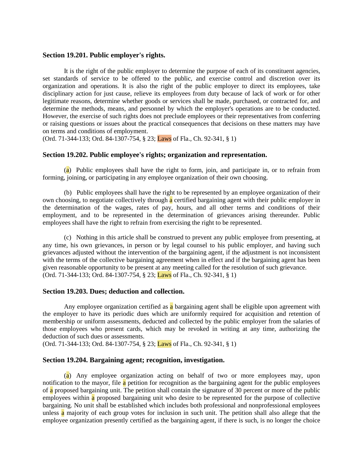#### **Section 19.201. Public employer's rights.**

It is the right of the public employer to determine the purpose of each of its constituent agencies, set standards of service to be offered to the public, and exercise control and discretion over its organization and operations. It is also the right of the public employer to direct its employees, take disciplinary action for just cause, relieve its employees from duty because of lack of work or for other legitimate reasons, determine whether goods or services shall be made, purchased, or contracted for, and determine the methods, means, and personnel by which the employer's operations are to be conducted. However, the exercise of such rights does not preclude employees or their representatives from conferring or raising questions or issues about the practical consequences that decisions on these matters may have on terms and conditions of employment.

(Ord. 71-344-133; Ord. 84-1307-754, § 23; Laws of Fla., Ch. 92-341, § 1)

#### **Section 19.202. Public employee's rights; organization and representation.**

(a) Public employees shall have the right to form, join, and participate in, or to refrain from forming, joining, or participating in any employee organization of their own choosing.

(b) Public employees shall have the right to be represented by an employee organization of their own choosing, to negotiate collectively through **a** certified bargaining agent with their public employer in the determination of the wages, rates of pay, hours, and all other terms and conditions of their employment, and to be represented in the determination of grievances arising thereunder. Public employees shall have the right to refrain from exercising the right to be represented.

(c) Nothing in this article shall be construed to prevent any public employee from presenting, at any time, his own grievances, in person or by legal counsel to his public employer, and having such grievances adjusted without the intervention of the bargaining agent, if the adjustment is not inconsistent with the terms of the collective bargaining agreement when in effect and if the bargaining agent has been given reasonable opportunity to be present at any meeting called for the resolution of such grievance. (Ord. 71-344-133; Ord. 84-1307-754, § 23; Laws of Fla., Ch. 92-341, § 1)

#### **Section 19.203. Dues; deduction and collection.**

Any employee organization certified as a bargaining agent shall be eligible upon agreement with the employer to have its periodic dues which are uniformly required for acquisition and retention of membership or uniform assessments, deducted and collected by the public employer from the salaries of those employees who present cards, which may be revoked in writing at any time, authorizing the deduction of such dues or assessments.

(Ord. 71-344-133; Ord. 84-1307-754, § 23; Laws of Fla., Ch. 92-341, § 1)

## **Section 19.204. Bargaining agent; recognition, investigation.**

(a) Any employee organization acting on behalf of two or more employees may, upon notification to the mayor, file  $\alpha$  petition for recognition as the bargaining agent for the public employees of a proposed bargaining unit. The petition shall contain the signature of 30 percent or more of the public employees within a proposed bargaining unit who desire to be represented for the purpose of collective bargaining. No unit shall be established which includes both professional and nonprofessional employees unless a majority of each group votes for inclusion in such unit. The petition shall also allege that the employee organization presently certified as the bargaining agent, if there is such, is no longer the choice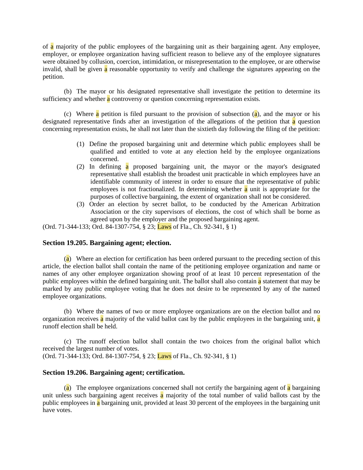of a majority of the public employees of the bargaining unit as their bargaining agent. Any employee, employer, or employee organization having sufficient reason to believe any of the employee signatures were obtained by collusion, coercion, intimidation, or misrepresentation to the employee, or are otherwise invalid, shall be given  $\alpha$  reasonable opportunity to verify and challenge the signatures appearing on the petition.

(b) The mayor or his designated representative shall investigate the petition to determine its sufficiency and whether **a** controversy or question concerning representation exists.

(c) Where a petition is filed pursuant to the provision of subsection  $(a)$ , and the mayor or his designated representative finds after an investigation of the allegations of the petition that  $\alpha$  question concerning representation exists, he shall not later than the sixtieth day following the filing of the petition:

- (1) Define the proposed bargaining unit and determine which public employees shall be qualified and entitled to vote at any election held by the employee organizations concerned.
- (2) In defining a proposed bargaining unit, the mayor or the mayor's designated representative shall establish the broadest unit practicable in which employees have an identifiable community of interest in order to ensure that the representative of public employees is not fractionalized. In determining whether  $\alpha$  unit is appropriate for the purposes of collective bargaining, the extent of organization shall not be considered.
- (3) Order an election by secret ballot, to be conducted by the American Arbitration Association or the city supervisors of elections, the cost of which shall be borne as agreed upon by the employer and the proposed bargaining agent.

(Ord. 71-344-133; Ord. 84-1307-754, § 23; Laws of Fla., Ch. 92-341, § 1)

## **Section 19.205. Bargaining agent; election.**

(a) Where an election for certification has been ordered pursuant to the preceding section of this article, the election ballot shall contain the name of the petitioning employee organization and name or names of any other employee organization showing proof of at least 10 percent representation of the public employees within the defined bargaining unit. The ballot shall also contain a statement that may be marked by any public employee voting that he does not desire to be represented by any of the named employee organizations.

(b) Where the names of two or more employee organizations are on the election ballot and no organization receives a majority of the valid ballot cast by the public employees in the bargaining unit, a runoff election shall be held.

(c) The runoff election ballot shall contain the two choices from the original ballot which received the largest number of votes.

(Ord. 71-344-133; Ord. 84-1307-754, § 23; Laws of Fla., Ch. 92-341, § 1)

## **Section 19.206. Bargaining agent; certification.**

(a) The employee organizations concerned shall not certify the bargaining agent of a bargaining unit unless such bargaining agent receives  $\alpha$  majority of the total number of valid ballots cast by the public employees in a bargaining unit, provided at least 30 percent of the employees in the bargaining unit have votes.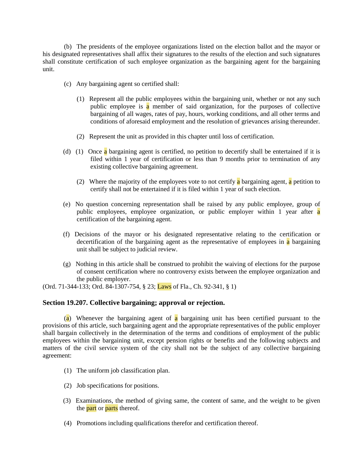(b) The presidents of the employee organizations listed on the election ballot and the mayor or his designated representatives shall affix their signatures to the results of the election and such signatures shall constitute certification of such employee organization as the bargaining agent for the bargaining unit.

- (c) Any bargaining agent so certified shall:
	- (1) Represent all the public employees within the bargaining unit, whether or not any such public employee is a member of said organization, for the purposes of collective bargaining of all wages, rates of pay, hours, working conditions, and all other terms and conditions of aforesaid employment and the resolution of grievances arising thereunder.
	- (2) Represent the unit as provided in this chapter until loss of certification.
- (d) (1) Once a bargaining agent is certified, no petition to decertify shall be entertained if it is filed within 1 year of certification or less than 9 months prior to termination of any existing collective bargaining agreement.
	- (2) Where the majority of the employees vote to not certify a bargaining agent, a petition to certify shall not be entertained if it is filed within 1 year of such election.
- (e) No question concerning representation shall be raised by any public employee, group of public employees, employee organization, or public employer within 1 year after a certification of the bargaining agent.
- (f) Decisions of the mayor or his designated representative relating to the certification or decertification of the bargaining agent as the representative of employees in  $\alpha$  bargaining unit shall be subject to judicial review.
- (g) Nothing in this article shall be construed to prohibit the waiving of elections for the purpose of consent certification where no controversy exists between the employee organization and the public employer.

(Ord. 71-344-133; Ord. 84-1307-754, § 23; Laws of Fla., Ch. 92-341, § 1)

## **Section 19.207. Collective bargaining; approval or rejection.**

(a) Whenever the bargaining agent of a bargaining unit has been certified pursuant to the provisions of this article, such bargaining agent and the appropriate representatives of the public employer shall bargain collectively in the determination of the terms and conditions of employment of the public employees within the bargaining unit, except pension rights or benefits and the following subjects and matters of the civil service system of the city shall not be the subject of any collective bargaining agreement:

- (1) The uniform job classification plan.
- (2) Job specifications for positions.
- (3) Examinations, the method of giving same, the content of same, and the weight to be given the **part** or **parts** thereof.
- (4) Promotions including qualifications therefor and certification thereof.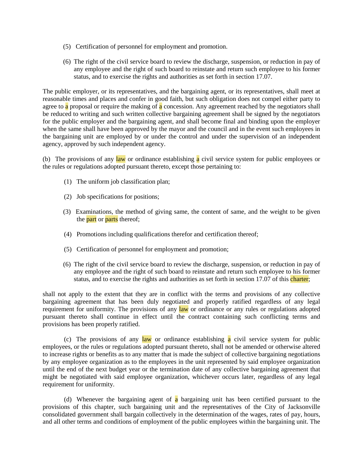- (5) Certification of personnel for employment and promotion.
- (6) The right of the civil service board to review the discharge, suspension, or reduction in pay of any employee and the right of such board to reinstate and return such employee to his former status, and to exercise the rights and authorities as set forth in section 17.07.

The public employer, or its representatives, and the bargaining agent, or its representatives, shall meet at reasonable times and places and confer in good faith, but such obligation does not compel either party to agree to  $\alpha$  proposal or require the making of  $\alpha$  concession. Any agreement reached by the negotiators shall be reduced to writing and such written collective bargaining agreement shall be signed by the negotiators for the public employer and the bargaining agent, and shall become final and binding upon the employer when the same shall have been approved by the mayor and the council and in the event such employees in the bargaining unit are employed by or under the control and under the supervision of an independent agency, approved by such independent agency.

(b) The provisions of any  $law$  or ordinance establishing a civil service system for public employees or the rules or regulations adopted pursuant thereto, except those pertaining to:

- (1) The uniform job classification plan;
- (2) Job specifications for positions;
- (3) Examinations, the method of giving same, the content of same, and the weight to be given the **part** or **parts** thereof;
- (4) Promotions including qualifications therefor and certification thereof;
- (5) Certification of personnel for employment and promotion;
- (6) The right of the civil service board to review the discharge, suspension, or reduction in pay of any employee and the right of such board to reinstate and return such employee to his former status, and to exercise the rights and authorities as set forth in section 17.07 of this charter;

shall not apply to the extent that they are in conflict with the terms and provisions of any collective bargaining agreement that has been duly negotiated and properly ratified regardless of any legal requirement for uniformity. The provisions of any law or ordinance or any rules or regulations adopted pursuant thereto shall continue in effect until the contract containing such conflicting terms and provisions has been properly ratified.

(c) The provisions of any law or ordinance establishing  $\alpha$  civil service system for public employees, or the rules or regulations adopted pursuant thereto, shall not be amended or otherwise altered to increase rights or benefits as to any matter that is made the subject of collective bargaining negotiations by any employee organization as to the employees in the unit represented by said employee organization until the end of the next budget year or the termination date of any collective bargaining agreement that might be negotiated with said employee organization, whichever occurs later, regardless of any legal requirement for uniformity.

(d) Whenever the bargaining agent of  $\alpha$  bargaining unit has been certified pursuant to the provisions of this chapter, such bargaining unit and the representatives of the City of Jacksonville consolidated government shall bargain collectively in the determination of the wages, rates of pay, hours, and all other terms and conditions of employment of the public employees within the bargaining unit. The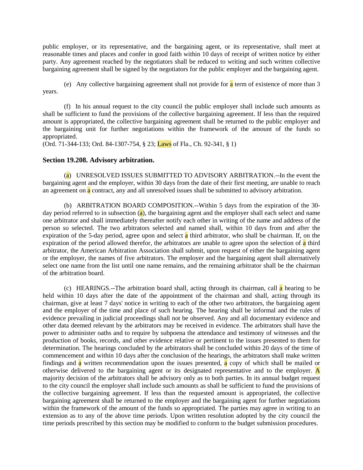public employer, or its representative, and the bargaining agent, or its representative, shall meet at reasonable times and places and confer in good faith within 10 days of receipt of written notice by either party. Any agreement reached by the negotiators shall be reduced to writing and such written collective bargaining agreement shall be signed by the negotiators for the public employer and the bargaining agent.

(e) Any collective bargaining agreement shall not provide for  $\alpha$  term of existence of more than 3 years.

(f) In his annual request to the city council the public employer shall include such amounts as shall be sufficient to fund the provisions of the collective bargaining agreement. If less than the required amount is appropriated, the collective bargaining agreement shall be returned to the public employer and the bargaining unit for further negotiations within the framework of the amount of the funds so appropriated.

(Ord. 71-344-133; Ord. 84-1307-754, § 23; Laws of Fla., Ch. 92-341, § 1)

#### **Section 19.208. Advisory arbitration.**

(a) UNRESOLVED ISSUES SUBMITTED TO ADVISORY ARBITRATION.--In the event the bargaining agent and the employer, within 30 days from the date of their first meeting, are unable to reach an agreement on a contract, any and all unresolved issues shall be submitted to advisory arbitration.

(b) ARBITRATION BOARD COMPOSITION.--Within 5 days from the expiration of the 30 day period referred to in subsection  $(a)$ , the bargaining agent and the employer shall each select and name one arbitrator and shall immediately thereafter notify each other in writing of the name and address of the person so selected. The two arbitrators selected and named shall, within 10 days from and after the expiration of the 5-day period, agree upon and select  $\alpha$  third arbitrator, who shall be chairman. If, on the expiration of the period allowed therefor, the arbitrators are unable to agree upon the selection of  $\alpha$  third arbitrator, the American Arbitration Association shall submit, upon request of either the bargaining agent or the employer, the names of five arbitrators. The employer and the bargaining agent shall alternatively select one name from the list until one name remains, and the remaining arbitrator shall be the chairman of the arbitration board.

(c) HEARINGS.--The arbitration board shall, acting through its chairman, call  $\alpha$  hearing to be held within 10 days after the date of the appointment of the chairman and shall, acting through its chairman, give at least 7 days' notice in writing to each of the other two arbitrators, the bargaining agent and the employer of the time and place of such hearing. The hearing shall be informal and the rules of evidence prevailing in judicial proceedings shall not be observed. Any and all documentary evidence and other data deemed relevant by the arbitrators may be received in evidence. The arbitrators shall have the power to administer oaths and to require by subpoena the attendance and testimony of witnesses and the production of books, records, and other evidence relative or pertinent to the issues presented to them for determination. The hearings concluded by the arbitrators shall be concluded within 20 days of the time of commencement and within 10 days after the conclusion of the hearings, the arbitrators shall make written findings and a written recommendation upon the issues presented, a copy of which shall be mailed or otherwise delivered to the bargaining agent or its designated representative and to the employer. A majority decision of the arbitrators shall be advisory only as to both parties. In its annual budget request to the city council the employer shall include such amounts as shall be sufficient to fund the provisions of the collective bargaining agreement. If less than the requested amount is appropriated, the collective bargaining agreement shall be returned to the employer and the bargaining agent for further negotiations within the framework of the amount of the funds so appropriated. The parties may agree in writing to an extension as to any of the above time periods. Upon written resolution adopted by the city council the time periods prescribed by this section may be modified to conform to the budget submission procedures.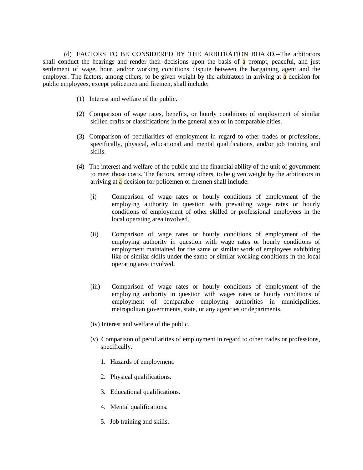(d) FACTORS TO BE CONSIDERED BY THE ARBITRATION BOARD.--The arbitrators shall conduct the hearings and render their decisions upon the basis of a prompt, peaceful, and just settlement of wage, hour, and/or working conditions dispute between the bargaining agent and the employer. The factors, among others, to be given weight by the arbitrators in arriving at a decision for public employees, except policemen and firemen, shall include:

- (1) Interest and welfare of the public.
- (2) Comparison of wage rates, benefits, or hourly conditions of employment of similar skilled crafts or classifications in the general area or in comparable cities.
- (3) Comparison of peculiarities of employment in regard to other trades or professions, specifically, physical, educational and mental qualifications, and/or job training and skills.
- (4) The interest and welfare of the public and the financial ability of the unit of government to meet those costs. The factors, among others, to be given weight by the arbitrators in arriving at a decision for policemen or firemen shall include:
	- (i) Comparison of wage rates or hourly conditions of employment of the employing authority in question with prevailing wage rates or hourly conditions of employment of other skilled or professional employees in the local operating area involved.
	- (ii) Comparison of wage rates or hourly conditions of employment of the employing authority in question with wage rates or hourly conditions of employment maintained for the same or similar work of employees exhibiting like or similar skills under the same or similar working conditions in the local operating area involved.
	- (iii) Comparison of wage rates or hourly conditions of employment of the employing authority in question with wages rates or hourly conditions of employment of comparable employing authorities in municipalities, metropolitan governments, state, or any agencies or departments.
	- (iv) Interest and welfare of the public.
	- (v) Comparison of peculiarities of employment in regard to other trades or professions, specifically.
		- 1. Hazards of employment.
		- 2. Physical qualifications.
		- 3. Educational qualifications.
		- 4. Mental qualifications.
		- 5. Job training and skills.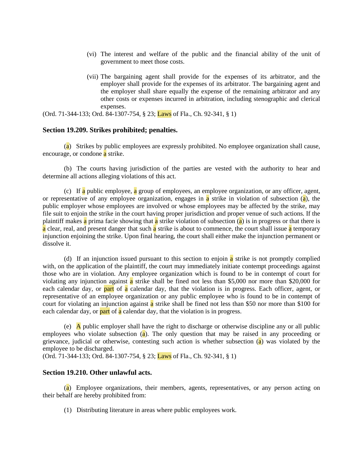- (vi) The interest and welfare of the public and the financial ability of the unit of government to meet those costs.
- (vii) The bargaining agent shall provide for the expenses of its arbitrator, and the employer shall provide for the expenses of its arbitrator. The bargaining agent and the employer shall share equally the expense of the remaining arbitrator and any other costs or expenses incurred in arbitration, including stenographic and clerical expenses.

(Ord. 71-344-133; Ord. 84-1307-754, § 23; Laws of Fla., Ch. 92-341, § 1)

#### **Section 19.209. Strikes prohibited; penalties.**

(a) Strikes by public employees are expressly prohibited. No employee organization shall cause, encourage, or condone a strike.

(b) The courts having jurisdiction of the parties are vested with the authority to hear and determine all actions alleging violations of this act.

(c) If a public employee, a group of employees, an employee organization, or any officer, agent, or representative of any employee organization, engages in **a** strike in violation of subsection (a), the public employer whose employees are involved or whose employees may be affected by the strike, may file suit to enjoin the strike in the court having proper jurisdiction and proper venue of such actions. If the plaintiff makes **a** prima facie showing that **a** strike violation of subsection (**a**) is in progress or that there is a clear, real, and present danger that such a strike is about to commence, the court shall issue a temporary injunction enjoining the strike. Upon final hearing, the court shall either make the injunction permanent or dissolve it.

(d) If an injunction issued pursuant to this section to enjoin  $\alpha$  strike is not promptly complied with, on the application of the plaintiff, the court may immediately initiate contempt proceedings against those who are in violation. Any employee organization which is found to be in contempt of court for violating any injunction against  $\alpha$  strike shall be fined not less than \$5,000 nor more than \$20,000 for each calendar day, or **part** of **a** calendar day, that the violation is in progress. Each officer, agent, or representative of an employee organization or any public employee who is found to be in contempt of court for violating an injunction against  $\alpha$  strike shall be fined not less than \$50 nor more than \$100 for each calendar day, or **part** of **a** calendar day, that the violation is in progress.

(e) A public employer shall have the right to discharge or otherwise discipline any or all public employees who violate subsection  $(a)$ . The only question that may be raised in any proceeding or grievance, judicial or otherwise, contesting such action is whether subsection (a) was violated by the employee to be discharged.

(Ord. 71-344-133; Ord. 84-1307-754, § 23; Laws of Fla., Ch. 92-341, § 1)

#### **Section 19.210. Other unlawful acts.**

(a) Employee organizations, their members, agents, representatives, or any person acting on their behalf are hereby prohibited from:

(1) Distributing literature in areas where public employees work.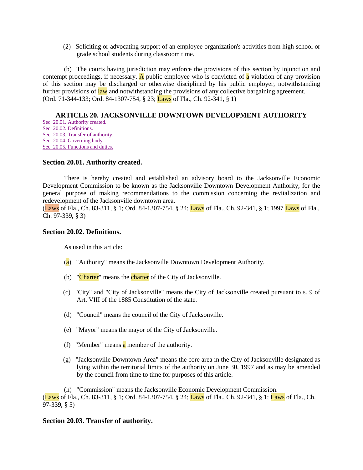(2) Soliciting or advocating support of an employee organization's activities from high school or grade school students during classroom time.

(b) The courts having jurisdiction may enforce the provisions of this section by injunction and contempt proceedings, if necessary. A public employee who is convicted of  $\bf{a}$  violation of any provision of this section may be discharged or otherwise disciplined by his public employer, notwithstanding further provisions of law and notwithstanding the provisions of any collective bargaining agreement. (Ord. 71-344-133; Ord. 84-1307-754, § 23; Laws of Fla., Ch. 92-341, § 1)

# **ARTICLE 20. JACKSONVILLE DOWNTOWN DEVELOPMENT AUTHORITY**

[Sec. 20.01. Authority created.](http://library4.municode.com/mcc/DocView/12174/1/871/895?hilite=part;parts;a;charter;charters;laws;law;#0-0-0-10211#0-0-0-10211) [Sec. 20.02. Definitions.](http://library4.municode.com/mcc/DocView/12174/1/871/895?hilite=part;parts;a;charter;charters;laws;law;#0-0-0-10213#0-0-0-10213) [Sec. 20.03. Transfer of authority.](http://library4.municode.com/mcc/DocView/12174/1/871/895?hilite=part;parts;a;charter;charters;laws;law;#0-0-0-10215#0-0-0-10215) [Sec. 20.04. Governing body.](http://library4.municode.com/mcc/DocView/12174/1/871/895?hilite=part;parts;a;charter;charters;laws;law;#0-0-0-10217#0-0-0-10217) [Sec. 20.05. Functions and duties.](http://library4.municode.com/mcc/DocView/12174/1/871/895?hilite=part;parts;a;charter;charters;laws;law;#0-0-0-10219#0-0-0-10219)

## **Section 20.01. Authority created.**

There is hereby created and established an advisory board to the Jacksonville Economic Development Commission to be known as the Jacksonville Downtown Development Authority, for the general purpose of making recommendations to the commission concerning the revitalization and redevelopment of the Jacksonville downtown area.

(Laws of Fla., Ch. 83-311, § 1; Ord. 84-1307-754, § 24; Laws of Fla., Ch. 92-341, § 1; 1997 Laws of Fla., Ch. 97-339, § 3)

## **Section 20.02. Definitions.**

As used in this article:

- $(a)$  "Authority" means the Jacksonville Downtown Development Authority.
- (b) "Charter" means the charter of the City of Jacksonville.
- (c) "City" and "City of Jacksonville" means the City of Jacksonville created pursuant to s. 9 of Art. VIII of the 1885 Constitution of the state.
- (d) "Council" means the council of the City of Jacksonville.
- (e) "Mayor" means the mayor of the City of Jacksonville.
- (f) "Member" means a member of the authority.
- (g) "Jacksonville Downtown Area" means the core area in the City of Jacksonville designated as lying within the territorial limits of the authority on June 30, 1997 and as may be amended by the council from time to time for purposes of this article.

(h) "Commission" means the Jacksonville Economic Development Commission. (Laws of Fla., Ch. 83-311, § 1; Ord. 84-1307-754, § 24; Laws of Fla., Ch. 92-341, § 1; Laws of Fla., Ch. 97-339, § 5)

## **Section 20.03. Transfer of authority.**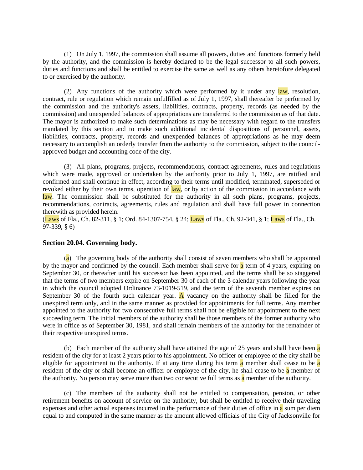(1) On July 1, 1997, the commission shall assume all powers, duties and functions formerly held by the authority, and the commission is hereby declared to be the legal successor to all such powers, duties and functions and shall be entitled to exercise the same as well as any others heretofore delegated to or exercised by the authority.

(2) Any functions of the authority which were performed by it under any  $law$ , resolution, contract, rule or regulation which remain unfulfilled as of July 1, 1997, shall thereafter be performed by the commission and the authority's assets, liabilities, contracts, property, records (as needed by the commission) and unexpended balances of appropriations are transferred to the commission as of that date. The mayor is authorized to make such determinations as may be necessary with regard to the transfers mandated by this section and to make such additional incidental dispositions of personnel, assets, liabilities, contracts, property, records and unexpended balances of appropriations as he may deem necessary to accomplish an orderly transfer from the authority to the commission, subject to the councilapproved budget and accounting code of the city.

(3) All plans, programs, projects, recommendations, contract agreements, rules and regulations which were made, approved or undertaken by the authority prior to July 1, 1997, are ratified and confirmed and shall continue in effect, according to their terms until modified, terminated, superseded or revoked either by their own terms, operation of law, or by action of the commission in accordance with law. The commission shall be substituted for the authority in all such plans, programs, projects, recommendations, contracts, agreements, rules and regulation and shall have full power in connection therewith as provided herein.

(Laws of Fla., Ch. 82-311, § 1; Ord. 84-1307-754, § 24; Laws of Fla., Ch. 92-341, § 1; Laws of Fla., Ch. 97-339, § 6)

### **Section 20.04. Governing body.**

(a) The governing body of the authority shall consist of seven members who shall be appointed by the mayor and confirmed by the council. Each member shall serve for a term of 4 years, expiring on September 30, or thereafter until his successor has been appointed, and the terms shall be so staggered that the terms of two members expire on September 30 of each of the 3 calendar years following the year in which the council adopted Ordinance 73-1019-519, and the term of the seventh member expires on September 30 of the fourth such calendar year.  $\overline{A}$  vacancy on the authority shall be filled for the unexpired term only, and in the same manner as provided for appointments for full terms. Any member appointed to the authority for two consecutive full terms shall not be eligible for appointment to the next succeeding term. The initial members of the authority shall be those members of the former authority who were in office as of September 30, 1981, and shall remain members of the authority for the remainder of their respective unexpired terms.

(b) Each member of the authority shall have attained the age of  $25$  years and shall have been a resident of the city for at least 2 years prior to his appointment. No officer or employee of the city shall be eligible for appointment to the authority. If at any time during his term  $\alpha$  member shall cease to be  $\alpha$ resident of the city or shall become an officer or employee of the city, he shall cease to be a member of the authority. No person may serve more than two consecutive full terms as  $\alpha$  member of the authority.

(c) The members of the authority shall not be entitled to compensation, pension, or other retirement benefits on account of service on the authority, but shall be entitled to receive their traveling expenses and other actual expenses incurred in the performance of their duties of office in a sum per diem equal to and computed in the same manner as the amount allowed officials of the City of Jacksonville for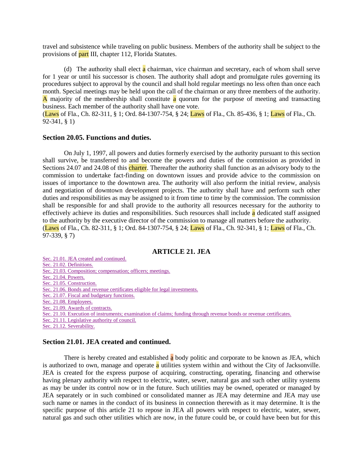travel and subsistence while traveling on public business. Members of the authority shall be subject to the provisions of part III, chapter 112, Florida Statutes.

(d) The authority shall elect  $\alpha$  chairman, vice chairman and secretary, each of whom shall serve for 1 year or until his successor is chosen. The authority shall adopt and promulgate rules governing its procedures subject to approval by the council and shall hold regular meetings no less often than once each month. Special meetings may be held upon the call of the chairman or any three members of the authority. A majority of the membership shall constitute a quorum for the purpose of meeting and transacting business. Each member of the authority shall have one vote.

(Laws of Fla., Ch. 82-311, § 1; Ord. 84-1307-754, § 24; Laws of Fla., Ch. 85-436, § 1; Laws of Fla., Ch. 92-341, § 1)

#### **Section 20.05. Functions and duties.**

On July 1, 1997, all powers and duties formerly exercised by the authority pursuant to this section shall survive, be transferred to and become the powers and duties of the commission as provided in Sections 24.07 and 24.08 of this charter. Thereafter the authority shall function as an advisory body to the commission to undertake fact-finding on downtown issues and provide advice to the commission on issues of importance to the downtown area. The authority will also perform the initial review, analysis and negotiation of downtown development projects. The authority shall have and perform such other duties and responsibilities as may be assigned to it from time to time by the commission. The commission shall be responsible for and shall provide to the authority all resources necessary for the authority to effectively achieve its duties and responsibilities. Such resources shall include a dedicated staff assigned to the authority by the executive director of the commission to manage all matters before the authority. (Laws of Fla., Ch. 82-311, § 1; Ord. 84-1307-754, § 24; Laws of Fla., Ch. 92-341, § 1; Laws of Fla., Ch. 97-339, § 7)

## **ARTICLE 21. JEA**

#### **Section 21.01. JEA created and continued.**

There is hereby created and established a body politic and corporate to be known as JEA, which is authorized to own, manage and operate a utilities system within and without the City of Jacksonville. JEA is created for the express purpose of acquiring, constructing, operating, financing and otherwise having plenary authority with respect to electric, water, sewer, natural gas and such other utility systems as may be under its control now or in the future. Such utilities may be owned, operated or managed by JEA separately or in such combined or consolidated manner as JEA may determine and JEA may use such name or names in the conduct of its business in connection therewith as it may determine. It is the specific purpose of this article 21 to repose in JEA all powers with respect to electric, water, sewer, natural gas and such other utilities which are now, in the future could be, or could have been but for this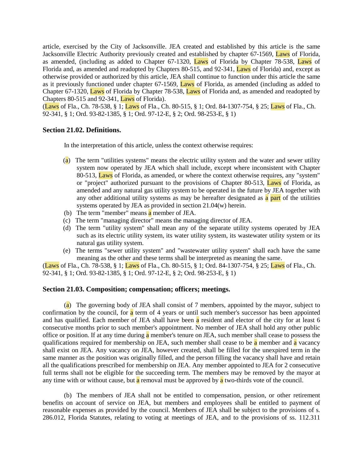article, exercised by the City of Jacksonville. JEA created and established by this article is the same Jacksonville Electric Authority previously created and established by chapter 67-1569, Laws of Florida, as amended, (including as added to Chapter 67-1320, Laws of Florida by Chapter 78-538, Laws of Florida and, as amended and readopted by Chapters 80-515, and 92-341, Laws of Florida) and, except as otherwise provided or authorized by this article, JEA shall continue to function under this article the same as it previously functioned under chapter 67-1569, Laws of Florida, as amended (including as added to Chapter 67-1320, Laws of Florida by Chapter 78-538, Laws of Florida and, as amended and readopted by Chapters 80-515 and 92-341, Laws of Florida).

(Laws of Fla., Ch. 78-538, § 1; Laws of Fla., Ch. 80-515, § 1; Ord. 84-1307-754, § 25; Laws of Fla., Ch. 92-341, § 1; Ord. 93-82-1385, § 1; Ord. 97-12-E, § 2; Ord. 98-253-E, § 1)

## **Section 21.02. Definitions.**

In the interpretation of this article, unless the context otherwise requires:

- (a) The term "utilities systems" means the electric utility system and the water and sewer utility system now operated by JEA which shall include, except where inconsistent with Chapter 80-513, Laws of Florida, as amended, or where the context otherwise requires, any "system" or "project" authorized pursuant to the provisions of Chapter 80-513, Laws of Florida, as amended and any natural gas utility system to be operated in the future by JEA together with any other additional utility systems as may be hereafter designated as a part of the utilities systems operated by JEA as provided in section 21.04(w) herein.
- (b) The term "member" means  $\overline{a}$  member of JEA.
- (c) The term "managing director" means the managing director of JEA.
- (d) The term "utility system" shall mean any of the separate utility systems operated by JEA such as its electric utility system, its water utility system, its wastewater utility system or its natural gas utility system.
- (e) The terms "sewer utility system" and "wastewater utility system" shall each have the same meaning as the other and these terms shall be interpreted as meaning the same.

(Laws of Fla., Ch. 78-538, § 1; Laws of Fla., Ch. 80-515, § 1; Ord. 84-1307-754, § 25; Laws of Fla., Ch. 92-341, § 1; Ord. 93-82-1385, § 1; Ord. 97-12-E, § 2; Ord. 98-253-E, § 1)

## **Section 21.03. Composition; compensation; officers; meetings.**

(a) The governing body of JEA shall consist of 7 members, appointed by the mayor, subject to confirmation by the council, for a term of 4 years or until such member's successor has been appointed and has qualified. Each member of JEA shall have been a resident and elector of the city for at least 6 consecutive months prior to such member's appointment. No member of JEA shall hold any other public office or position. If at any time during a member's tenure on JEA, such member shall cease to possess the qualifications required for membership on JEA, such member shall cease to be  $\alpha$  member and  $\alpha$  vacancy shall exist on JEA. Any vacancy on JEA, however created, shall be filled for the unexpired term in the same manner as the position was originally filled, and the person filling the vacancy shall have and retain all the qualifications prescribed for membership on JEA. Any member appointed to JEA for 2 consecutive full terms shall not be eligible for the succeeding term. The members may be removed by the mayor at any time with or without cause, but  $\alpha$  removal must be approved by  $\alpha$  two-thirds vote of the council.

(b) The members of JEA shall not be entitled to compensation, pension, or other retirement benefits on account of service on JEA, but members and employees shall be entitled to payment of reasonable expenses as provided by the council. Members of JEA shall be subject to the provisions of s. 286.012, Florida Statutes, relating to voting at meetings of JEA, and to the provisions of ss. 112.311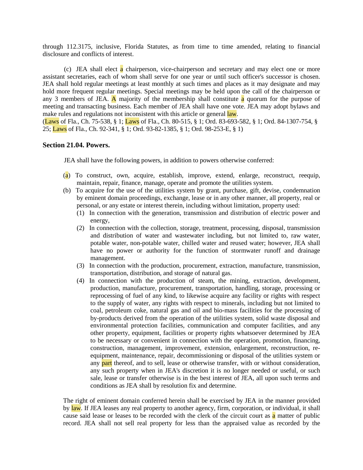through 112.3175, inclusive, Florida Statutes, as from time to time amended, relating to financial disclosure and conflicts of interest.

(c) JEA shall elect a chairperson, vice-chairperson and secretary and may elect one or more assistant secretaries, each of whom shall serve for one year or until such officer's successor is chosen. JEA shall hold regular meetings at least monthly at such times and places as it may designate and may hold more frequent regular meetings. Special meetings may be held upon the call of the chairperson or any 3 members of JEA. A majority of the membership shall constitute  $\alpha$  quorum for the purpose of meeting and transacting business. Each member of JEA shall have one vote. JEA may adopt bylaws and make rules and regulations not inconsistent with this article or general law.

(Laws of Fla., Ch. 75-538, § 1; Laws of Fla., Ch. 80-515, § 1; Ord. 83-693-582, § 1; Ord. 84-1307-754, § 25; Laws of Fla., Ch. 92-341, § 1; Ord. 93-82-1385, § 1; Ord. 98-253-E, § 1)

## **Section 21.04. Powers.**

JEA shall have the following powers, in addition to powers otherwise conferred:

- (a) To construct, own, acquire, establish, improve, extend, enlarge, reconstruct, reequip, maintain, repair, finance, manage, operate and promote the utilities system.
- (b) To acquire for the use of the utilities system by grant, purchase, gift, devise, condemnation by eminent domain proceedings, exchange, lease or in any other manner, all property, real or personal, or any estate or interest therein, including without limitation, property used:
	- (1) In connection with the generation, transmission and distribution of electric power and energy,
	- (2) In connection with the collection, storage, treatment, processing, disposal, transmission and distribution of water and wastewater including, but not limited to, raw water, potable water, non-potable water, chilled water and reused water; however, JEA shall have no power or authority for the function of stormwater runoff and drainage management.
	- (3) In connection with the production, procurement, extraction, manufacture, transmission, transportation, distribution, and storage of natural gas.
	- (4) In connection with the production of steam, the mining, extraction, development, production, manufacture, procurement, transportation, handling, storage, processing or reprocessing of fuel of any kind, to likewise acquire any facility or rights with respect to the supply of water, any rights with respect to minerals, including but not limited to coal, petroleum coke, natural gas and oil and bio-mass facilities for the processing of by-products derived from the operation of the utilities system, solid waste disposal and environmental protection facilities, communication and computer facilities, and any other property, equipment, facilities or property rights whatsoever determined by JEA to be necessary or convenient in connection with the operation, promotion, financing, construction, management, improvement, extension, enlargement, reconstruction, reequipment, maintenance, repair, decommissioning or disposal of the utilities system or any part thereof, and to sell, lease or otherwise transfer, with or without consideration, any such property when in JEA's discretion it is no longer needed or useful, or such sale, lease or transfer otherwise is in the best interest of JEA, all upon such terms and conditions as JEA shall by resolution fix and determine.

The right of eminent domain conferred herein shall be exercised by JEA in the manner provided by law. If JEA leases any real property to another agency, firm, corporation, or individual, it shall cause said lease or leases to be recorded with the clerk of the circuit court as  $\alpha$  matter of public record. JEA shall not sell real property for less than the appraised value as recorded by the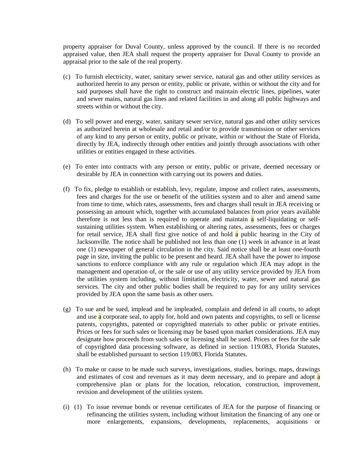property appraiser for Duval County, unless approved by the council. If there is no recorded appraised value, then JEA shall request the property appraiser for Duval County to provide an appraisal prior to the sale of the real property.

- (c) To furnish electricity, water, sanitary sewer service, natural gas and other utility services as authorized herein to any person or entity, public or private, within or without the city and for said purposes shall have the right to construct and maintain electric lines, pipelines, water and sewer mains, natural gas lines and related facilities in and along all public highways and streets within or without the city.
- (d) To sell power and energy, water, sanitary sewer service, natural gas and other utility services as authorized herein at wholesale and retail and/or to provide transmission or other services of any kind to any person or entity, public or private, within or without the State of Florida, directly by JEA, indirectly through other entities and jointly through associations with other utilities or entities engaged in these activities.
- (e) To enter into contracts with any person or entity, public or private, deemed necessary or desirable by JEA in connection with carrying out its powers and duties.
- (f) To fix, pledge to establish or establish, levy, regulate, impose and collect rates, assessments, fees and charges for the use or benefit of the utilities system and to alter and amend same from time to time, which rates, assessments, fees and charges shall result in JEA receiving or possessing an amount which, together with accumulated balances from prior years available therefore is not less than is required to operate and maintain  $\alpha$  self-liquidating or selfsustaining utilities system. When establishing or altering rates, assessments, fees or charges for retail service, JEA shall first give notice of and hold a public hearing in the City of Jacksonville. The notice shall be published not less than one (1) week in advance in at least one (1) newspaper of general circulation in the city. Said notice shall be at least one-fourth page in size, inviting the public to be present and heard. JEA shall have the power to impose sanctions to enforce compliance with any rule or regulation which JEA may adopt in the management and operation of, or the sale or use of any utility service provided by JEA from the utilities system including, without limitation, electricity, water, sewer and natural gas services. The city and other public bodies shall be required to pay for any utility services provided by JEA upon the same basis as other users.
- (g) To sue and be sued, implead and be impleaded, complain and defend in all courts, to adopt and use  $\alpha$  corporate seal, to apply for, hold and own patents and copyrights, to sell or license patents, copyrights, patented or copyrighted materials to other public or private entities. Prices or fees for such sales or licensing may be based upon market considerations. JEA may designate how proceeds from such sales or licensing shall be used. Prices or fees for the sale of copyrighted data processing software, as defined in section 119.083, Florida Statutes, shall be established pursuant to section 119.083, Florida Statutes.
- (h) To make or cause to be made such surveys, investigations, studies, borings, maps, drawings and estimates of cost and revenues as it may deem necessary, and to prepare and adopt a comprehensive plan or plans for the location, relocation, construction, improvement, revision and development of the utilities system.
- (i) (1) To issue revenue bonds or revenue certificates of JEA for the purpose of financing or refinancing the utilities system, including without limitation the financing of any one or more enlargements, expansions, developments, replacements, acquisitions or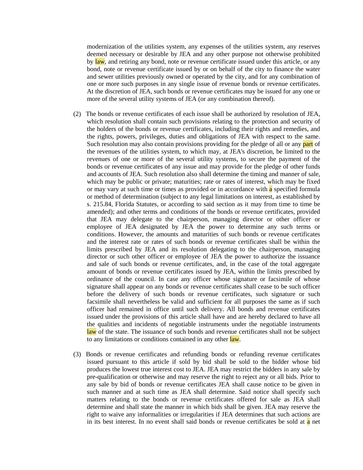modernization of the utilities system, any expenses of the utilities system, any reserves deemed necessary or desirable by JEA and any other purpose not otherwise prohibited by law, and retiring any bond, note or revenue certificate issued under this article, or any bond, note or revenue certificate issued by or on behalf of the city to finance the water and sewer utilities previously owned or operated by the city, and for any combination of one or more such purposes in any single issue of revenue bonds or revenue certificates. At the discretion of JEA, such bonds or revenue certificates may be issued for any one or more of the several utility systems of JEA (or any combination thereof).

- (2) The bonds or revenue certificates of each issue shall be authorized by resolution of JEA, which resolution shall contain such provisions relating to the protection and security of the holders of the bonds or revenue certificates, including their rights and remedies, and the rights, powers, privileges, duties and obligations of JEA with respect to the same. Such resolution may also contain provisions providing for the pledge of all or any **part** of the revenues of the utilities system, to which may, at JEA's discretion, be limited to the revenues of one or more of the several utility systems, to secure the payment of the bonds or revenue certificates of any issue and may provide for the pledge of other funds and accounts of JEA. Such resolution also shall determine the timing and manner of sale, which may be public or private; maturities; rate or rates of interest, which may be fixed or may vary at such time or times as provided or in accordance with a specified formula or method of determination (subject to any legal limitations on interest, as established by s. 215.84, Florida Statutes, or according to said section as it may from time to time be amended); and other terms and conditions of the bonds or revenue certificates, provided that JEA may delegate to the chairperson, managing director or other officer or employee of JEA designated by JEA the power to determine any such terms or conditions. However, the amounts and maturities of such bonds or revenue certificates and the interest rate or rates of such bonds or revenue certificates shall be within the limits prescribed by JEA and its resolution delegating to the chairperson, managing director or such other officer or employee of JEA the power to authorize the issuance and sale of such bonds or revenue certificates, and, in the case of the total aggregate amount of bonds or revenue certificates issued by JEA, within the limits prescribed by ordinance of the council. In case any officer whose signature or facsimile of whose signature shall appear on any bonds or revenue certificates shall cease to be such officer before the delivery of such bonds or revenue certificates, such signature or such facsimile shall nevertheless be valid and sufficient for all purposes the same as if such officer had remained in office until such delivery. All bonds and revenue certificates issued under the provisions of this article shall have and are hereby declared to have all the qualities and incidents of negotiable instruments under the negotiable instruments law of the state. The issuance of such bonds and revenue certificates shall not be subject to any limitations or conditions contained in any other law.
- (3) Bonds or revenue certificates and refunding bonds or refunding revenue certificates issued pursuant to this article if sold by bid shall be sold to the bidder whose bid produces the lowest true interest cost to JEA. JEA may restrict the bidders in any sale by pre-qualification or otherwise and may reserve the right to reject any or all bids. Prior to any sale by bid of bonds or revenue certificates JEA shall cause notice to be given in such manner and at such time as JEA shall determine. Said notice shall specify such matters relating to the bonds or revenue certificates offered for sale as JEA shall determine and shall state the manner in which bids shall be given. JEA may reserve the right to waive any informalities or irregularities if JEA determines that such actions are in its best interest. In no event shall said bonds or revenue certificates be sold at a net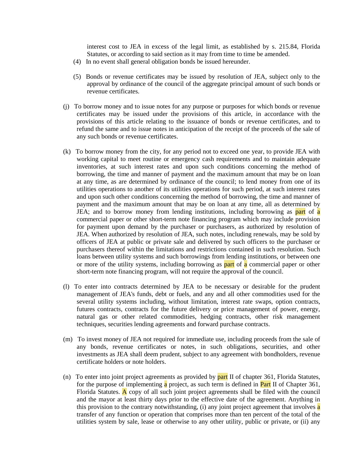interest cost to JEA in excess of the legal limit, as established by s. 215.84, Florida Statutes, or according to said section as it may from time to time be amended.

- (4) In no event shall general obligation bonds be issued hereunder.
- (5) Bonds or revenue certificates may be issued by resolution of JEA, subject only to the approval by ordinance of the council of the aggregate principal amount of such bonds or revenue certificates.
- (j) To borrow money and to issue notes for any purpose or purposes for which bonds or revenue certificates may be issued under the provisions of this article, in accordance with the provisions of this article relating to the issuance of bonds or revenue certificates, and to refund the same and to issue notes in anticipation of the receipt of the proceeds of the sale of any such bonds or revenue certificates.
- (k) To borrow money from the city, for any period not to exceed one year, to provide JEA with working capital to meet routine or emergency cash requirements and to maintain adequate inventories, at such interest rates and upon such conditions concerning the method of borrowing, the time and manner of payment and the maximum amount that may be on loan at any time, as are determined by ordinance of the council; to lend money from one of its utilities operations to another of its utilities operations for such period, at such interest rates and upon such other conditions concerning the method of borrowing, the time and manner of payment and the maximum amount that may be on loan at any time, all as determined by JEA; and to borrow money from lending institutions, including borrowing as **part** of **a** commercial paper or other short-term note financing program which may include provision for payment upon demand by the purchaser or purchasers, as authorized by resolution of JEA. When authorized by resolution of JEA, such notes, including renewals, may be sold by officers of JEA at public or private sale and delivered by such officers to the purchaser or purchasers thereof within the limitations and restrictions contained in such resolution. Such loans between utility systems and such borrowings from lending institutions, or between one or more of the utility systems, including borrowing as **part** of **a** commercial paper or other short-term note financing program, will not require the approval of the council.
- (l) To enter into contracts determined by JEA to be necessary or desirable for the prudent management of JEA's funds, debt or fuels, and any and all other commodities used for the several utility systems including, without limitation, interest rate swaps, option contracts, futures contracts, contracts for the future delivery or price management of power, energy, natural gas or other related commodities, hedging contracts, other risk management techniques, securities lending agreements and forward purchase contracts.
- (m) To invest money of JEA not required for immediate use, including proceeds from the sale of any bonds, revenue certificates or notes, in such obligations, securities, and other investments as JEA shall deem prudent, subject to any agreement with bondholders, revenue certificate holders or note holders.
- (n) To enter into joint project agreements as provided by part II of chapter 361, Florida Statutes, for the purpose of implementing  $\alpha$  project, as such term is defined in **Part** II of Chapter 361, Florida Statutes.  $\overline{A}$  copy of all such joint project agreements shall be filed with the council and the mayor at least thirty days prior to the effective date of the agreement. Anything in this provision to the contrary notwithstanding, (i) any joint project agreement that involves **a** transfer of any function or operation that comprises more than ten percent of the total of the utilities system by sale, lease or otherwise to any other utility, public or private, or (ii) any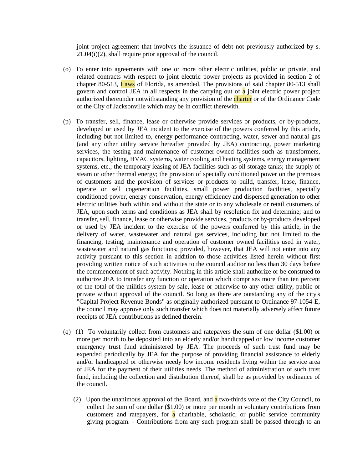joint project agreement that involves the issuance of debt not previously authorized by s. 21.04(i)(2), shall require prior approval of the council.

- (o) To enter into agreements with one or more other electric utilities, public or private, and related contracts with respect to joint electric power projects as provided in section 2 of chapter 80-513, Laws of Florida, as amended. The provisions of said chapter 80-513 shall govern and control JEA in all respects in the carrying out of  $\alpha$  joint electric power project authorized thereunder notwithstanding any provision of the charter or of the Ordinance Code of the City of Jacksonville which may be in conflict therewith.
- (p) To transfer, sell, finance, lease or otherwise provide services or products, or by-products, developed or used by JEA incident to the exercise of the powers conferred by this article, including but not limited to, energy performance contracting, water, sewer and natural gas (and any other utility service hereafter provided by JEA) contracting, power marketing services, the testing and maintenance of customer-owned facilities such as transformers, capacitors, lighting, HVAC systems, water cooling and heating systems, energy management systems, etc.; the temporary leasing of JEA facilities such as oil storage tanks; the supply of steam or other thermal energy; the provision of specially conditioned power on the premises of customers and the provision of services or products to build, transfer, lease, finance, operate or sell cogeneration facilities, small power production facilities, specially conditioned power, energy conservation, energy efficiency and dispersed generation to other electric utilities both within and without the state or to any wholesale or retail customers of JEA, upon such terms and conditions as JEA shall by resolution fix and determine; and to transfer, sell, finance, lease or otherwise provide services, products or by-products developed or used by JEA incident to the exercise of the powers conferred by this article, in the delivery of water, wastewater and natural gas services, including but not limited to the financing, testing, maintenance and operation of customer owned facilities used in water, wastewater and natural gas functions; provided, however, that JEA will not enter into any activity pursuant to this section in addition to those activities listed herein without first providing written notice of such activities to the council auditor no less than 30 days before the commencement of such activity. Nothing in this article shall authorize or be construed to authorize JEA to transfer any function or operation which comprises more than ten percent of the total of the utilities system by sale, lease or otherwise to any other utility, public or private without approval of the council. So long as there are outstanding any of the city's "Capital Project Revenue Bonds" as originally authorized pursuant to Ordinance 97-1054-E, the council may approve only such transfer which does not materially adversely affect future receipts of JEA contributions as defined therein.
- (q) (1) To voluntarily collect from customers and ratepayers the sum of one dollar (\$1.00) or more per month to be deposited into an elderly and/or handicapped or low income customer emergency trust fund administered by JEA. The proceeds of such trust fund may be expended periodically by JEA for the purpose of providing financial assistance to elderly and/or handicapped or otherwise needy low income residents living within the service area of JEA for the payment of their utilities needs. The method of administration of such trust fund, including the collection and distribution thereof, shall be as provided by ordinance of the council.
	- (2) Upon the unanimous approval of the Board, and a two-thirds vote of the City Council, to collect the sum of one dollar (\$1.00) or more per month in voluntary contributions from customers and ratepayers, for  $\alpha$  charitable, scholastic, or public service community giving program. - Contributions from any such program shall be passed through to an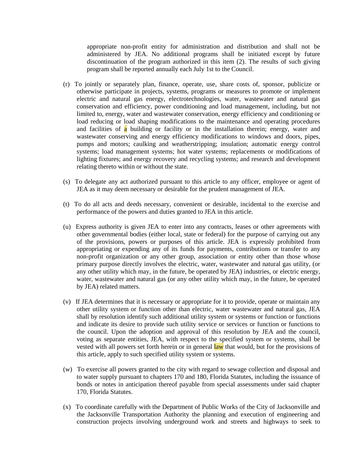appropriate non-profit entity for administration and distribution and shall not be administered by JEA. No additional programs shall be initiated except by future discontinuation of the program authorized in this item (2). The results of such giving program shall be reported annually each July 1st to the Council.

- (r) To jointly or separately plan, finance, operate, use, share costs of, sponsor, publicize or otherwise participate in projects, systems, programs or measures to promote or implement electric and natural gas energy, electrotechnologies, water, wastewater and natural gas conservation and efficiency, power conditioning and load management, including, but not limited to, energy, water and wastewater conservation, energy efficiency and conditioning or load reducing or load shaping modifications to the maintenance and operating procedures and facilities of  $\alpha$  building or facility or in the installation therein; energy, water and wastewater conserving and energy efficiency modifications to windows and doors, pipes, pumps and motors; caulking and weatherstripping; insulation; automatic energy control systems; load management systems; hot water systems; replacements or modifications of lighting fixtures; and energy recovery and recycling systems; and research and development relating thereto within or without the state.
- (s) To delegate any act authorized pursuant to this article to any officer, employee or agent of JEA as it may deem necessary or desirable for the prudent management of JEA.
- (t) To do all acts and deeds necessary, convenient or desirable, incidental to the exercise and performance of the powers and duties granted to JEA in this article.
- (u) Express authority is given JEA to enter into any contracts, leases or other agreements with other governmental bodies (either local, state or federal) for the purpose of carrying out any of the provisions, powers or purposes of this article. JEA is expressly prohibited from appropriating or expending any of its funds for payments, contributions or transfer to any non-profit organization or any other group, association or entity other than those whose primary purpose directly involves the electric, water, wastewater and natural gas utility, (or any other utility which may, in the future, be operated by JEA) industries, or electric energy, water, wastewater and natural gas (or any other utility which may, in the future, be operated by JEA) related matters.
- (v) If JEA determines that it is necessary or appropriate for it to provide, operate or maintain any other utility system or function other than electric, water wastewater and natural gas, JEA shall by resolution identify such additional utility system or systems or function or functions and indicate its desire to provide such utility service or services or function or functions to the council. Upon the adoption and approval of this resolution by JEA and the council, voting as separate entities, JEA, with respect to the specified system or systems, shall be vested with all powers set forth herein or in general **law** that would, but for the provisions of this article, apply to such specified utility system or systems.
- (w) To exercise all powers granted to the city with regard to sewage collection and disposal and to water supply pursuant to chapters 170 and 180, Florida Statutes, including the issuance of bonds or notes in anticipation thereof payable from special assessments under said chapter 170, Florida Statutes.
- (x) To coordinate carefully with the Department of Public Works of the City of Jacksonville and the Jacksonville Transportation Authority the planning and execution of engineering and construction projects involving underground work and streets and highways to seek to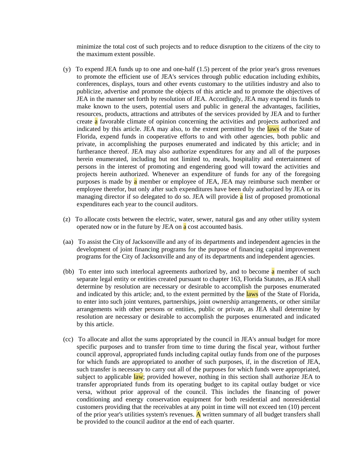minimize the total cost of such projects and to reduce disruption to the citizens of the city to the maximum extent possible.

- (y) To expend JEA funds up to one and one-half (1.5) percent of the prior year's gross revenues to promote the efficient use of JEA's services through public education including exhibits, conferences, displays, tours and other events customary to the utilities industry and also to publicize, advertise and promote the objects of this article and to promote the objectives of JEA in the manner set forth by resolution of JEA. Accordingly, JEA may expend its funds to make known to the users, potential users and public in general the advantages, facilities, resources, products, attractions and attributes of the services provided by JEA and to further create a favorable climate of opinion concerning the activities and projects authorized and indicated by this article. JEA may also, to the extent permitted by the laws of the State of Florida, expend funds in cooperative efforts to and with other agencies, both public and private, in accomplishing the purposes enumerated and indicated by this article; and in furtherance thereof. JEA may also authorize expenditures for any and all of the purposes herein enumerated, including but not limited to, meals, hospitality and entertainment of persons in the interest of promoting and engendering good will toward the activities and projects herein authorized. Whenever an expenditure of funds for any of the foregoing purposes is made by a member or employee of JEA, JEA may reimburse such member or employee therefor, but only after such expenditures have been duly authorized by JEA or its managing director if so delegated to do so. JEA will provide a list of proposed promotional expenditures each year to the council auditors.
- (z) To allocate costs between the electric, water, sewer, natural gas and any other utility system operated now or in the future by JEA on a cost accounted basis.
- (aa) To assist the City of Jacksonville and any of its departments and independent agencies in the development of joint financing programs for the purpose of financing capital improvement programs for the City of Jacksonville and any of its departments and independent agencies.
- (bb) To enter into such interlocal agreements authorized by, and to become  $\bf{a}$  member of such separate legal entity or entities created pursuant to chapter 163, Florida Statutes, as JEA shall determine by resolution are necessary or desirable to accomplish the purposes enumerated and indicated by this article; and, to the extent permitted by the laws of the State of Florida, to enter into such joint ventures, partnerships, joint ownership arrangements, or other similar arrangements with other persons or entities, public or private, as JEA shall determine by resolution are necessary or desirable to accomplish the purposes enumerated and indicated by this article.
- (cc) To allocate and allot the sums appropriated by the council in JEA's annual budget for more specific purposes and to transfer from time to time during the fiscal year, without further council approval, appropriated funds including capital outlay funds from one of the purposes for which funds are appropriated to another of such purposes, if, in the discretion of JEA, such transfer is necessary to carry out all of the purposes for which funds were appropriated, subject to applicable law; provided however, nothing in this section shall authorize JEA to transfer appropriated funds from its operating budget to its capital outlay budget or vice versa, without prior approval of the council. This includes the financing of power conditioning and energy conservation equipment for both residential and nonresidential customers providing that the receivables at any point in time will not exceed ten (10) percent of the prior year's utilities system's revenues.  $\bf{A}$  written summary of all budget transfers shall be provided to the council auditor at the end of each quarter.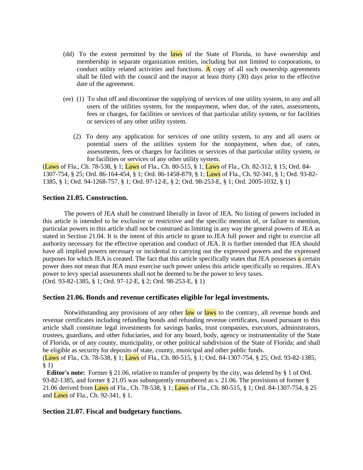- (dd) To the extent permitted by the laws of the State of Florida, to have ownership and membership in separate organization entities, including but not limited to corporations, to conduct utility related activities and functions. A copy of all such ownership agreements shall be filed with the council and the mayor at least thirty (30) days prior to the effective date of the agreement.
- (ee) (1) To shut off and discontinue the supplying of services of one utility system, to any and all users of the utilities system, for the nonpayment, when due, of the rates, assessments, fees or charges, for facilities or services of that particular utility system, or for facilities or services of any other utility system.
	- (2) To deny any application for services of one utility system, to any and all users or potential users of the utilities system for the nonpayment, when due, of rates, assessments, fees or charges for facilities or services of that particular utility system, or for facilities or services of any other utility system.

(Laws of Fla., Ch. 78-538, § 1; Laws of Fla., Ch. 80-515, § 1; Laws of Fla., Ch. 82-312, § 15; Ord. 84- 1307-754, § 25; Ord. 86-164-454, § 1; Ord. 86-1458-879, § 1; Laws of Fla., Ch. 92-341, § 1; Ord. 93-82- 1385, § 1; Ord. 94-1268-757, § 1; Ord. 97-12-E, § 2; Ord. 98-253-E, § 1; Ord. 2005-1032, § 1)

### **Section 21.05. Construction.**

The powers of JEA shall be construed liberally in favor of JEA. No listing of powers included in this article is intended to be exclusive or restrictive and the specific mention of, or failure to mention, particular powers in this article shall not be construed as limiting in any way the general powers of JEA as stated in Section 21.04. It is the intent of this article to grant to JEA full power and right to exercise all authority necessary for the effective operation and conduct of JEA. It is further intended that JEA should have all implied powers necessary or incidental to carrying out the expressed powers and the expressed purposes for which JEA is created. The fact that this article specifically states that JEA possesses a certain power does not mean that JEA must exercise such power unless this article specifically so requires. JEA's power to levy special assessments shall not be deemed to be the power to levy taxes. (Ord. 93-82-1385, § 1; Ord. 97-12-E, § 2; Ord. 98-253-E, § 1)

### **Section 21.06. Bonds and revenue certificates eligible for legal investments.**

Notwithstanding any provisions of any other law or laws to the contrary, all revenue bonds and revenue certificates including refunding bonds and refunding revenue certificates, issued pursuant to this article shall constitute legal investments for savings banks, trust companies, executors, administrators, trustees, guardians, and other fiduciaries, and for any board, body, agency or instrumentality of the State of Florida, or of any county, municipality, or other political subdivision of the State of Florida; and shall be eligible as security for deposits of state, county, municipal and other public funds.

(Laws of Fla., Ch. 78-538, § 1; Laws of Fla., Ch. 80-515, § 1; Ord. 84-1307-754, § 25; Ord. 93-82-1385, § 1)

**Editor's note:** Former § 21.06, relative to transfer of property by the city, was deleted by § 1 of Ord. 93-82-1385, and former § 21.05 was subsequently renumbered as s. 21.06. The provisions of former § 21.06 derived from Laws of Fla., Ch. 78-538, § 1; Laws of Fla., Ch. 80-515, § 1; Ord. 84-1307-754, § 25 and Laws of Fla., Ch. 92-341, § 1.

## **Section 21.07. Fiscal and budgetary functions.**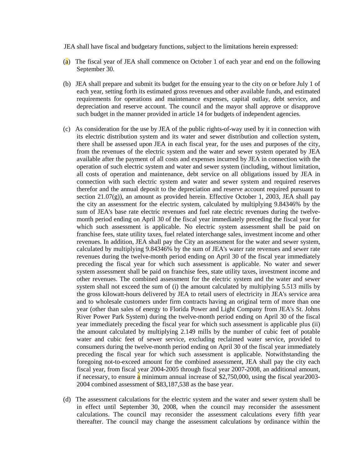JEA shall have fiscal and budgetary functions, subject to the limitations herein expressed:

- (a) The fiscal year of JEA shall commence on October 1 of each year and end on the following September 30.
- (b) JEA shall prepare and submit its budget for the ensuing year to the city on or before July 1 of each year, setting forth its estimated gross revenues and other available funds, and estimated requirements for operations and maintenance expenses, capital outlay, debt service, and depreciation and reserve account. The council and the mayor shall approve or disapprove such budget in the manner provided in article 14 for budgets of independent agencies.
- (c) As consideration for the use by JEA of the public rights-of-way used by it in connection with its electric distribution system and its water and sewer distribution and collection system, there shall be assessed upon JEA in each fiscal year, for the uses and purposes of the city, from the revenues of the electric system and the water and sewer system operated by JEA available after the payment of all costs and expenses incurred by JEA in connection with the operation of such electric system and water and sewer system (including, without limitation, all costs of operation and maintenance, debt service on all obligations issued by JEA in connection with such electric system and water and sewer system and required reserves therefor and the annual deposit to the depreciation and reserve account required pursuant to section  $21.07(g)$ ), an amount as provided herein. Effective October 1, 2003, JEA shall pay the city an assessment for the electric system, calculated by multiplying 9.84346% by the sum of JEA's base rate electric revenues and fuel rate electric revenues during the twelvemonth period ending on April 30 of the fiscal year immediately preceding the fiscal year for which such assessment is applicable. No electric system assessment shall be paid on franchise fees, state utility taxes, fuel related interchange sales, investment income and other revenues. In addition, JEA shall pay the City an assessment for the water and sewer system, calculated by multiplying 9.84346% by the sum of JEA's water rate revenues and sewer rate revenues during the twelve-month period ending on April 30 of the fiscal year immediately preceding the fiscal year for which such assessment is applicable. No water and sewer system assessment shall be paid on franchise fees, state utility taxes, investment income and other revenues. The combined assessment for the electric system and the water and sewer system shall not exceed the sum of (i) the amount calculated by multiplying 5.513 mills by the gross kilowatt-hours delivered by JEA to retail users of electricity in JEA's service area and to wholesale customers under firm contracts having an original term of more than one year (other than sales of energy to Florida Power and Light Company from JEA's St. Johns River Power Park System) during the twelve-month period ending on April 30 of the fiscal year immediately preceding the fiscal year for which such assessment is applicable plus (ii) the amount calculated by multiplying 2.149 mills by the number of cubic feet of potable water and cubic feet of sewer service, excluding reclaimed water service, provided to consumers during the twelve-month period ending on April 30 of the fiscal year immediately preceding the fiscal year for which such assessment is applicable. Notwithstanding the foregoing not-to-exceed amount for the combined assessment, JEA shall pay the city each fiscal year, from fiscal year 2004-2005 through fiscal year 2007-2008, an additional amount, if necessary, to ensure a minimum annual increase of  $$2,750,000$ , using the fiscal year2003-2004 combined assessment of \$83,187,538 as the base year.
- (d) The assessment calculations for the electric system and the water and sewer system shall be in effect until September 30, 2008, when the council may reconsider the assessment calculations. The council may reconsider the assessment calculations every fifth year thereafter. The council may change the assessment calculations by ordinance within the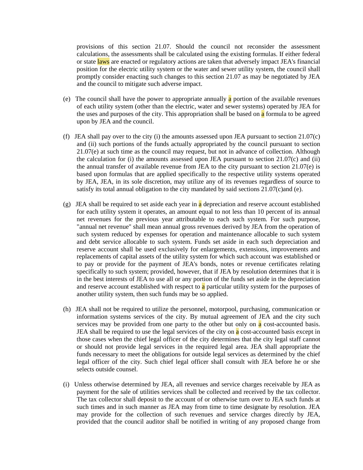provisions of this section 21.07. Should the council not reconsider the assessment calculations, the assessments shall be calculated using the existing formulas. If either federal or state laws are enacted or regulatory actions are taken that adversely impact JEA's financial position for the electric utility system or the water and sewer utility system, the council shall promptly consider enacting such changes to this section 21.07 as may be negotiated by JEA and the council to mitigate such adverse impact.

- (e) The council shall have the power to appropriate annually  $\alpha$  portion of the available revenues of each utility system (other than the electric, water and sewer systems) operated by JEA for the uses and purposes of the city. This appropriation shall be based on a formula to be agreed upon by JEA and the council.
- (f) JEA shall pay over to the city (i) the amounts assessed upon JEA pursuant to section 21.07(c) and (ii) such portions of the funds actually appropriated by the council pursuant to section 21.07(e) at such time as the council may request, but not in advance of collection. Although the calculation for (i) the amounts assessed upon JEA pursuant to section  $21.07(c)$  and (ii) the annual transfer of available revenue from JEA to the city pursuant to section 21.07(e) is based upon formulas that are applied specifically to the respective utility systems operated by JEA, JEA, in its sole discretion, may utilize any of its revenues regardless of source to satisfy its total annual obligation to the city mandated by said sections 21.07(c)and (e).
- (g) JEA shall be required to set aside each year in a depreciation and reserve account established for each utility system it operates, an amount equal to not less than 10 percent of its annual net revenues for the previous year attributable to each such system. For such purpose, "annual net revenue" shall mean annual gross revenues derived by JEA from the operation of such system reduced by expenses for operation and maintenance allocable to such system and debt service allocable to such system. Funds set aside in each such depreciation and reserve account shall be used exclusively for enlargements, extensions, improvements and replacements of capital assets of the utility system for which such account was established or to pay or provide for the payment of JEA's bonds, notes or revenue certificates relating specifically to such system; provided, however, that if JEA by resolution determines that it is in the best interests of JEA to use all or any portion of the funds set aside in the depreciation and reserve account established with respect to  $\alpha$  particular utility system for the purposes of another utility system, then such funds may be so applied.
- (h) JEA shall not be required to utilize the personnel, motorpool, purchasing, communication or information systems services of the city. By mutual agreement of JEA and the city such services may be provided from one party to the other but only on  $\alpha$  cost-accounted basis. JEA shall be required to use the legal services of the city on  $\alpha$  cost-accounted basis except in those cases when the chief legal officer of the city determines that the city legal staff cannot or should not provide legal services in the required legal area. JEA shall appropriate the funds necessary to meet the obligations for outside legal services as determined by the chief legal officer of the city. Such chief legal officer shall consult with JEA before he or she selects outside counsel.
- (i) Unless otherwise determined by JEA, all revenues and service charges receivable by JEA as payment for the sale of utilities services shall be collected and received by the tax collector. The tax collector shall deposit to the account of or otherwise turn over to JEA such funds at such times and in such manner as JEA may from time to time designate by resolution. JEA may provide for the collection of such revenues and service charges directly by JEA, provided that the council auditor shall be notified in writing of any proposed change from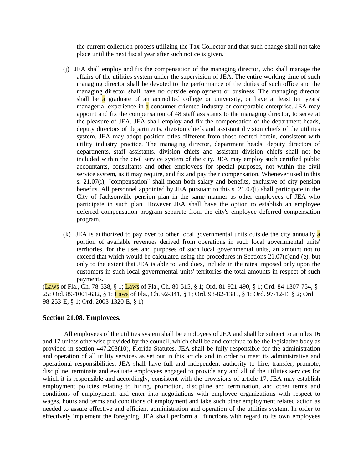the current collection process utilizing the Tax Collector and that such change shall not take place until the next fiscal year after such notice is given.

- (j) JEA shall employ and fix the compensation of the managing director, who shall manage the affairs of the utilities system under the supervision of JEA. The entire working time of such managing director shall be devoted to the performance of the duties of such office and the managing director shall have no outside employment or business. The managing director shall be a graduate of an accredited college or university, or have at least ten years' managerial experience in a consumer-oriented industry or comparable enterprise. JEA may appoint and fix the compensation of 48 staff assistants to the managing director, to serve at the pleasure of JEA. JEA shall employ and fix the compensation of the department heads, deputy directors of departments, division chiefs and assistant division chiefs of the utilities system. JEA may adopt position titles different from those recited herein, consistent with utility industry practice. The managing director, department heads, deputy directors of departments, staff assistants, division chiefs and assistant division chiefs shall not be included within the civil service system of the city. JEA may employ such certified public accountants, consultants and other employees for special purposes, not within the civil service system, as it may require, and fix and pay their compensation. Whenever used in this s. 21.07(i), "compensation" shall mean both salary and benefits, exclusive of city pension benefits. All personnel appointed by JEA pursuant to this s. 21.07(i) shall participate in the City of Jacksonville pension plan in the same manner as other employees of JEA who participate in such plan. However JEA shall have the option to establish an employee deferred compensation program separate from the city's employee deferred compensation program.
- (k) JEA is authorized to pay over to other local governmental units outside the city annually a portion of available revenues derived from operations in such local governmental units' territories, for the uses and purposes of such local governmental units, an amount not to exceed that which would be calculated using the procedures in Sections 21.07(c)and (e), but only to the extent that JEA is able to, and does, include in the rates imposed only upon the customers in such local governmental units' territories the total amounts in respect of such payments.

(Laws of Fla., Ch. 78-538, § 1; Laws of Fla., Ch. 80-515, § 1; Ord. 81-921-490, § 1; Ord. 84-1307-754, § 25; Ord. 89-1001-632, § 1; Laws of Fla., Ch. 92-341, § 1; Ord. 93-82-1385, § 1; Ord. 97-12-E, § 2; Ord. 98-253-E, § 1; Ord. 2003-1320-E, § 1)

## **Section 21.08. Employees.**

All employees of the utilities system shall be employees of JEA and shall be subject to articles 16 and 17 unless otherwise provided by the council, which shall be and continue to be the legislative body as provided in section 447.203(10), Florida Statutes. JEA shall be fully responsible for the administration and operation of all utility services as set out in this article and in order to meet its administrative and operational responsibilities, JEA shall have full and independent authority to hire, transfer, promote, discipline, terminate and evaluate employees engaged to provide any and all of the utilities services for which it is responsible and accordingly, consistent with the provisions of article 17, JEA may establish employment policies relating to hiring, promotion, discipline and termination, and other terms and conditions of employment, and enter into negotiations with employee organizations with respect to wages, hours and terms and conditions of employment and take such other employment related action as needed to assure effective and efficient administration and operation of the utilities system. In order to effectively implement the foregoing, JEA shall perform all functions with regard to its own employees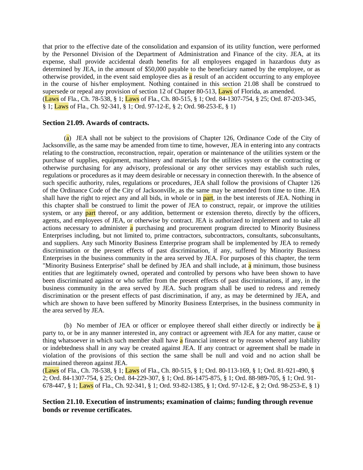that prior to the effective date of the consolidation and expansion of its utility function, were performed by the Personnel Division of the Department of Administration and Finance of the city. JEA, at its expense, shall provide accidental death benefits for all employees engaged in hazardous duty as determined by JEA, in the amount of \$50,000 payable to the beneficiary named by the employee, or as otherwise provided, in the event said employee dies as a result of an accident occurring to any employee in the course of his/her employment. Nothing contained in this section 21.08 shall be construed to supersede or repeal any provision of section 12 of Chapter 80-513, **Laws** of Florida, as amended. (Laws of Fla., Ch. 78-538, § 1; Laws of Fla., Ch. 80-515, § 1; Ord. 84-1307-754, § 25; Ord. 87-203-345, § 1; Laws of Fla., Ch. 92-341, § 1; Ord. 97-12-E, § 2; Ord. 98-253-E, § 1)

### **Section 21.09. Awards of contracts.**

(a) JEA shall not be subject to the provisions of Chapter 126, Ordinance Code of the City of Jacksonville, as the same may be amended from time to time, however, JEA in entering into any contracts relating to the construction, reconstruction, repair, operation or maintenance of the utilities system or the purchase of supplies, equipment, machinery and materials for the utilities system or the contracting or otherwise purchasing for any advisory, professional or any other services may establish such rules, regulations or procedures as it may deem desirable or necessary in connection therewith. In the absence of such specific authority, rules, regulations or procedures, JEA shall follow the provisions of Chapter 126 of the Ordinance Code of the City of Jacksonville, as the same may be amended from time to time. JEA shall have the right to reject any and all bids, in whole or in part, in the best interests of JEA. Nothing in this chapter shall be construed to limit the power of JEA to construct, repair, or improve the utilities system, or any part thereof, or any addition, betterment or extension thereto, directly by the officers, agents, and employees of JEA, or otherwise by contract. JEA is authorized to implement and to take all actions necessary to administer a purchasing and procurement program directed to Minority Business Enterprises including, but not limited to, prime contractors, subcontractors, consultants, subconsultants, and suppliers. Any such Minority Business Enterprise program shall be implemented by JEA to remedy discrimination or the present effects of past discrimination, if any, suffered by Minority Business Enterprises in the business community in the area served by JEA. For purposes of this chapter, the term "Minority Business Enterprise" shall be defined by JEA and shall include, at a minimum, those business entities that are legitimately owned, operated and controlled by persons who have been shown to have been discriminated against or who suffer from the present effects of past discriminations, if any, in the business community in the area served by JEA. Such program shall be used to redress and remedy discrimination or the present effects of past discrimination, if any, as may be determined by JEA, and which are shown to have been suffered by Minority Business Enterprises, in the business community in the area served by JEA.

(b) No member of JEA or officer or employee thereof shall either directly or indirectly be a party to, or be in any manner interested in, any contract or agreement with JEA for any matter, cause or thing whatsoever in which such member shall have a financial interest or by reason whereof any liability or indebtedness shall in any way be created against JEA. If any contract or agreement shall be made in violation of the provisions of this section the same shall be null and void and no action shall be maintained thereon against JEA.

(Laws of Fla., Ch. 78-538, § 1; Laws of Fla., Ch. 80-515, § 1; Ord. 80-113-169, § 1; Ord. 81-921-490, § 2; Ord. 84-1307-754, § 25; Ord. 84-229-307, § 1; Ord. 86-1475-875, § 1; Ord. 88-989-705, § 1; Ord. 91- 678-447, § 1; Laws of Fla., Ch. 92-341, § 1; Ord. 93-82-1385, § 1; Ord. 97-12-E, § 2; Ord. 98-253-E, § 1)

**Section 21.10. Execution of instruments; examination of claims; funding through revenue bonds or revenue certificates.**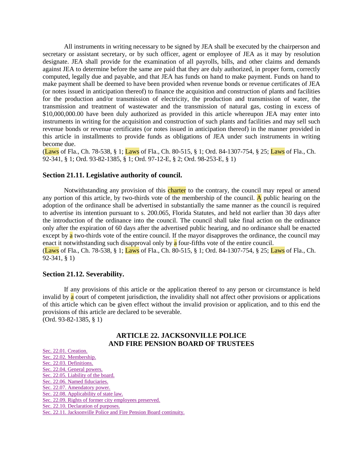All instruments in writing necessary to be signed by JEA shall be executed by the chairperson and secretary or assistant secretary, or by such officer, agent or employee of JEA as it may by resolution designate. JEA shall provide for the examination of all payrolls, bills, and other claims and demands against JEA to determine before the same are paid that they are duly authorized, in proper form, correctly computed, legally due and payable, and that JEA has funds on hand to make payment. Funds on hand to make payment shall be deemed to have been provided when revenue bonds or revenue certificates of JEA (or notes issued in anticipation thereof) to finance the acquisition and construction of plants and facilities for the production and/or transmission of electricity, the production and transmission of water, the transmission and treatment of wastewater and the transmission of natural gas, costing in excess of \$10,000,000.00 have been duly authorized as provided in this article whereupon JEA may enter into instruments in writing for the acquisition and construction of such plants and facilities and may sell such revenue bonds or revenue certificates (or notes issued in anticipation thereof) in the manner provided in this article in installments to provide funds as obligations of JEA under such instruments in writing become due.

(Laws of Fla., Ch. 78-538, § 1; Laws of Fla., Ch. 80-515, § 1; Ord. 84-1307-754, § 25; Laws of Fla., Ch. 92-341, § 1; Ord. 93-82-1385, § 1; Ord. 97-12-E, § 2; Ord. 98-253-E, § 1)

#### **Section 21.11. Legislative authority of council.**

Notwithstanding any provision of this charter to the contrary, the council may repeal or amend any portion of this article, by two-thirds vote of the membership of the council. A public hearing on the adoption of the ordinance shall be advertised in substantially the same manner as the council is required to advertise its intention pursuant to s. 200.065, Florida Statutes, and held not earlier than 30 days after the introduction of the ordinance into the council. The council shall take final action on the ordinance only after the expiration of 60 days after the advertised public hearing, and no ordinance shall be enacted except by  $\alpha$  two-thirds vote of the entire council. If the mayor disapproves the ordinance, the council may enact it notwithstanding such disapproval only by  $\alpha$  four-fifths vote of the entire council. (Laws of Fla., Ch. 78-538, § 1; Laws of Fla., Ch. 80-515, § 1; Ord. 84-1307-754, § 25; Laws of Fla., Ch. 92-341, § 1)

## **Section 21.12. Severability.**

If any provisions of this article or the application thereof to any person or circumstance is held invalid by a court of competent jurisdiction, the invalidity shall not affect other provisions or applications of this article which can be given effect without the invalid provision or application, and to this end the provisions of this article are declared to be severable. (Ord. 93-82-1385, § 1)

## **ARTICLE 22. JACKSONVILLE POLICE AND FIRE PENSION BOARD OF TRUSTEES**

[Sec. 22.01. Creation.](http://library4.municode.com/mcc/DocView/12174/1/871/897#0-0-0-10245#0-0-0-10245) [Sec. 22.02. Membership.](http://library4.municode.com/mcc/DocView/12174/1/871/897#0-0-0-10247#0-0-0-10247) [Sec. 22.03. Definitions.](http://library4.municode.com/mcc/DocView/12174/1/871/897#0-0-0-10249#0-0-0-10249) [Sec. 22.04. General powers.](http://library4.municode.com/mcc/DocView/12174/1/871/897#0-0-0-10251#0-0-0-10251) [Sec. 22.05. Liability of the board.](http://library4.municode.com/mcc/DocView/12174/1/871/897#0-0-0-10253#0-0-0-10253) [Sec. 22.06. Named fiduciaries.](http://library4.municode.com/mcc/DocView/12174/1/871/897#0-0-0-10255#0-0-0-10255) [Sec. 22.07. Amendatory power.](http://library4.municode.com/mcc/DocView/12174/1/871/897#0-0-0-10257#0-0-0-10257) [Sec. 22.08. Applicability of state law.](http://library4.municode.com/mcc/DocView/12174/1/871/897#0-0-0-10259#0-0-0-10259) [Sec. 22.09. Rights of former city employees preserved.](http://library4.municode.com/mcc/DocView/12174/1/871/897#0-0-0-10261#0-0-0-10261) [Sec. 22.10. Declaration of purposes.](http://library4.municode.com/mcc/DocView/12174/1/871/897#0-0-0-10263#0-0-0-10263) [Sec. 22.11. Jacksonville Police and Fire Pension Board continuity.](http://library4.municode.com/mcc/DocView/12174/1/871/897#0-0-0-10265#0-0-0-10265)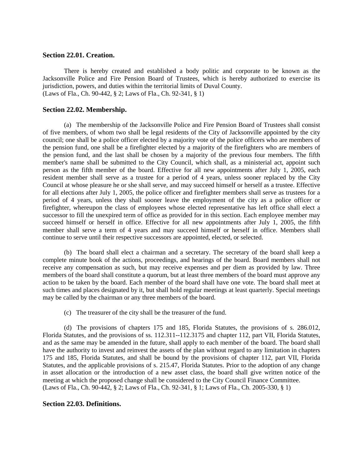## **Section 22.01. Creation.**

There is hereby created and established a body politic and corporate to be known as the Jacksonville Police and Fire Pension Board of Trustees, which is hereby authorized to exercise its jurisdiction, powers, and duties within the territorial limits of Duval County. (Laws of Fla., Ch. 90-442, § 2; Laws of Fla., Ch. 92-341, § 1)

## **Section 22.02. Membership.**

(a) The membership of the Jacksonville Police and Fire Pension Board of Trustees shall consist of five members, of whom two shall be legal residents of the City of Jacksonville appointed by the city council; one shall be a police officer elected by a majority vote of the police officers who are members of the pension fund, one shall be a firefighter elected by a majority of the firefighters who are members of the pension fund, and the last shall be chosen by a majority of the previous four members. The fifth member's name shall be submitted to the City Council, which shall, as a ministerial act, appoint such person as the fifth member of the board. Effective for all new appointments after July 1, 2005, each resident member shall serve as a trustee for a period of 4 years, unless sooner replaced by the City Council at whose pleasure he or she shall serve, and may succeed himself or herself as a trustee. Effective for all elections after July 1, 2005, the police officer and firefighter members shall serve as trustees for a period of 4 years, unless they shall sooner leave the employment of the city as a police officer or firefighter, whereupon the class of employees whose elected representative has left office shall elect a successor to fill the unexpired term of office as provided for in this section. Each employee member may succeed himself or herself in office. Effective for all new appointments after July 1, 2005, the fifth member shall serve a term of 4 years and may succeed himself or herself in office. Members shall continue to serve until their respective successors are appointed, elected, or selected.

(b) The board shall elect a chairman and a secretary. The secretary of the board shall keep a complete minute book of the actions, proceedings, and hearings of the board. Board members shall not receive any compensation as such, but may receive expenses and per diem as provided by law. Three members of the board shall constitute a quorum, but at least three members of the board must approve any action to be taken by the board. Each member of the board shall have one vote. The board shall meet at such times and places designated by it, but shall hold regular meetings at least quarterly. Special meetings may be called by the chairman or any three members of the board.

(c) The treasurer of the city shall be the treasurer of the fund.

(d) The provisions of chapters 175 and 185, Florida Statutes, the provisions of s. 286.012, Florida Statutes, and the provisions of ss. 112.311--112.3175 and chapter 112, part VII, Florida Statutes, and as the same may be amended in the future, shall apply to each member of the board. The board shall have the authority to invest and reinvest the assets of the plan without regard to any limitation in chapters 175 and 185, Florida Statutes, and shall be bound by the provisions of chapter 112, part VII, Florida Statutes, and the applicable provisions of s. 215.47, Florida Statutes. Prior to the adoption of any change in asset allocation or the introduction of a new asset class, the board shall give written notice of the meeting at which the proposed change shall be considered to the City Council Finance Committee. (Laws of Fla., Ch. 90-442, § 2; Laws of Fla., Ch. 92-341, § 1; Laws of Fla., Ch. 2005-330, § 1)

### **Section 22.03. Definitions.**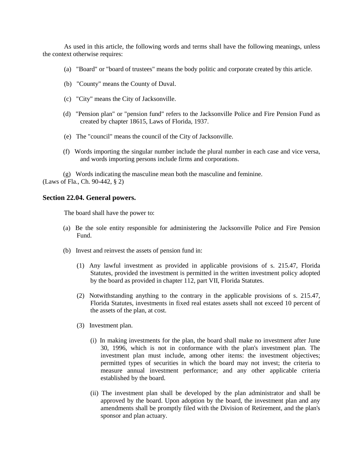As used in this article, the following words and terms shall have the following meanings, unless the context otherwise requires:

- (a) "Board" or "board of trustees" means the body politic and corporate created by this article.
- (b) "County" means the County of Duval.
- (c) "City" means the City of Jacksonville.
- (d) "Pension plan" or "pension fund" refers to the Jacksonville Police and Fire Pension Fund as created by chapter 18615, Laws of Florida, 1937.
- (e) The "council" means the council of the City of Jacksonville.
- (f) Words importing the singular number include the plural number in each case and vice versa, and words importing persons include firms and corporations.

(g) Words indicating the masculine mean both the masculine and feminine. (Laws of Fla., Ch. 90-442, § 2)

## **Section 22.04. General powers.**

The board shall have the power to:

- (a) Be the sole entity responsible for administering the Jacksonville Police and Fire Pension Fund.
- (b) Invest and reinvest the assets of pension fund in:
	- (1) Any lawful investment as provided in applicable provisions of s. 215.47, Florida Statutes, provided the investment is permitted in the written investment policy adopted by the board as provided in chapter 112, part VII, Florida Statutes.
	- (2) Notwithstanding anything to the contrary in the applicable provisions of s. 215.47, Florida Statutes, investments in fixed real estates assets shall not exceed 10 percent of the assets of the plan, at cost.
	- (3) Investment plan.
		- (i) In making investments for the plan, the board shall make no investment after June 30, 1996, which is not in conformance with the plan's investment plan. The investment plan must include, among other items: the investment objectives; permitted types of securities in which the board may not invest; the criteria to measure annual investment performance; and any other applicable criteria established by the board.
		- (ii) The investment plan shall be developed by the plan administrator and shall be approved by the board. Upon adoption by the board, the investment plan and any amendments shall be promptly filed with the Division of Retirement, and the plan's sponsor and plan actuary.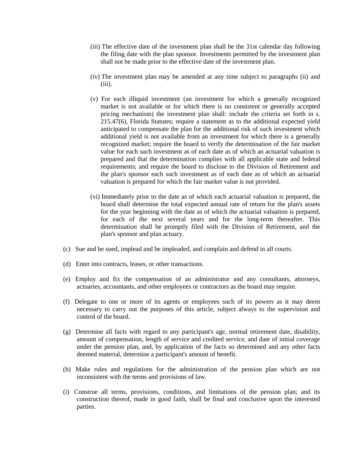- (iii) The effective date of the investment plan shall be the 31st calendar day following the filing date with the plan sponsor. Investments permitted by the investment plan shall not be made prior to the effective date of the investment plan.
- (iv) The investment plan may be amended at any time subject to paragraphs (ii) and  $(iii)$ .
- (v) For each illiquid investment (an investment for which a generally recognized market is not available or for which there is no consistent or generally accepted pricing mechanism) the investment plan shall: include the criteria set forth in s. 215.47(6), Florida Statutes; require a statement as to the additional expected yield anticipated to compensate the plan for the additional risk of such investment which additional yield is not available from an investment for which there is a generally recognized market; require the board to verify the determination of the fair market value for each such investment as of each date as of which an actuarial valuation is prepared and that the determination complies with all applicable state and federal requirements; and require the board to disclose to the Division of Retirement and the plan's sponsor each such investment as of each date as of which an actuarial valuation is prepared for which the fair market value is not provided.
- (vi) Immediately prior to the date as of which each actuarial valuation is prepared, the board shall determine the total expected annual rate of return for the plan's assets for the year beginning with the date as of which the actuarial valuation is prepared, for each of the next several years and for the long-term thereafter. This determination shall be promptly filed with the Division of Retirement, and the plan's sponsor and plan actuary.
- (c) Sue and be sued, implead and be impleaded, and complain and defend in all courts.
- (d) Enter into contracts, leases, or other transactions.
- (e) Employ and fix the compensation of an administrator and any consultants, attorneys, actuaries, accountants, and other employees or contractors as the board may require.
- (f) Delegate to one or more of its agents or employees such of its powers as it may deem necessary to carry out the purposes of this article, subject always to the supervision and control of the board.
- (g) Determine all facts with regard to any participant's age, normal retirement date, disability, amount of compensation, length of service and credited service, and date of initial coverage under the pension plan, and, by application of the facts so determined and any other facts deemed material, determine a participant's amount of benefit.
- (h) Make rules and regulations for the administration of the pension plan which are not inconsistent with the terms and provisions of law.
- (i) Construe all terms, provisions, conditions, and limitations of the pension plan; and its construction thereof, made in good faith, shall be final and conclusive upon the interested parties.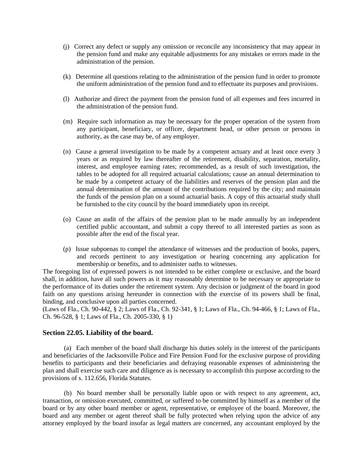- (j) Correct any defect or supply any omission or reconcile any inconsistency that may appear in the pension fund and make any equitable adjustments for any mistakes or errors made in the administration of the pension.
- (k) Determine all questions relating to the administration of the pension fund in order to promote the uniform administration of the pension fund and to effectuate its purposes and provisions.
- (l) Authorize and direct the payment from the pension fund of all expenses and fees incurred in the administration of the pension fund.
- (m) Require such information as may be necessary for the proper operation of the system from any participant, beneficiary, or officer, department head, or other person or persons in authority, as the case may be, of any employer.
- (n) Cause a general investigation to be made by a competent actuary and at least once every 3 years or as required by law thereafter of the retirement, disability, separation, mortality, interest, and employee earning rates; recommended, as a result of such investigation, the tables to be adopted for all required actuarial calculations; cause an annual determination to be made by a competent actuary of the liabilities and reserves of the pension plan and the annual determination of the amount of the contributions required by the city; and maintain the funds of the pension plan on a sound actuarial basis. A copy of this actuarial study shall be furnished to the city council by the board immediately upon its receipt.
- (o) Cause an audit of the affairs of the pension plan to be made annually by an independent certified public accountant, and submit a copy thereof to all interested parties as soon as possible after the end of the fiscal year.
- (p) Issue subpoenas to compel the attendance of witnesses and the production of books, papers, and records pertinent to any investigation or hearing concerning any application for membership or benefits, and to administer oaths to witnesses.

The foregoing list of expressed powers is not intended to be either complete or exclusive, and the board shall, in addition, have all such powers as it may reasonably determine to be necessary or appropriate to the performance of its duties under the retirement system. Any decision or judgment of the board in good faith on any questions arising hereunder in connection with the exercise of its powers shall be final, binding, and conclusive upon all parties concerned.

(Laws of Fla., Ch. 90-442, § 2; Laws of Fla., Ch. 92-341, § 1; Laws of Fla., Ch. 94-466, § 1; Laws of Fla., Ch. 96-528, § 1; Laws of Fla., Ch. 2005-330, § 1)

## **Section 22.05. Liability of the board.**

(a) Each member of the board shall discharge his duties solely in the interest of the participants and beneficiaries of the Jacksonville Police and Fire Pension Fund for the exclusive purpose of providing benefits to participants and their beneficiaries and defraying reasonable expenses of administering the plan and shall exercise such care and diligence as is necessary to accomplish this purpose according to the provisions of s. 112.656, Florida Statutes.

(b) No board member shall be personally liable upon or with respect to any agreement, act, transaction, or omission executed, committed, or suffered to be committed by himself as a member of the board or by any other board member or agent, representative, or employee of the board. Moreover, the board and any member or agent thereof shall be fully protected when relying upon the advice of any attorney employed by the board insofar as legal matters are concerned, any accountant employed by the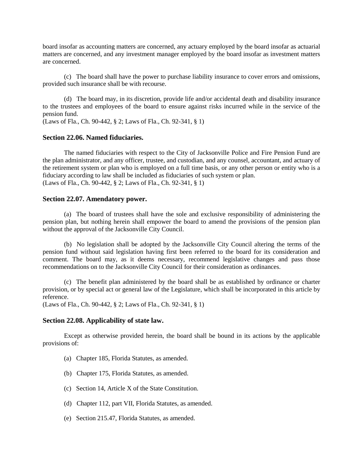board insofar as accounting matters are concerned, any actuary employed by the board insofar as actuarial matters are concerned, and any investment manager employed by the board insofar as investment matters are concerned.

(c) The board shall have the power to purchase liability insurance to cover errors and omissions, provided such insurance shall be with recourse.

(d) The board may, in its discretion, provide life and/or accidental death and disability insurance to the trustees and employees of the board to ensure against risks incurred while in the service of the pension fund.

(Laws of Fla., Ch. 90-442, § 2; Laws of Fla., Ch. 92-341, § 1)

### **Section 22.06. Named fiduciaries.**

The named fiduciaries with respect to the City of Jacksonville Police and Fire Pension Fund are the plan administrator, and any officer, trustee, and custodian, and any counsel, accountant, and actuary of the retirement system or plan who is employed on a full time basis, or any other person or entity who is a fiduciary according to law shall be included as fiduciaries of such system or plan. (Laws of Fla., Ch. 90-442, § 2; Laws of Fla., Ch. 92-341, § 1)

### **Section 22.07. Amendatory power.**

(a) The board of trustees shall have the sole and exclusive responsibility of administering the pension plan, but nothing herein shall empower the board to amend the provisions of the pension plan without the approval of the Jacksonville City Council.

(b) No legislation shall be adopted by the Jacksonville City Council altering the terms of the pension fund without said legislation having first been referred to the board for its consideration and comment. The board may, as it deems necessary, recommend legislative changes and pass those recommendations on to the Jacksonville City Council for their consideration as ordinances.

(c) The benefit plan administered by the board shall be as established by ordinance or charter provision, or by special act or general law of the Legislature, which shall be incorporated in this article by reference.

(Laws of Fla., Ch. 90-442, § 2; Laws of Fla., Ch. 92-341, § 1)

### **Section 22.08. Applicability of state law.**

Except as otherwise provided herein, the board shall be bound in its actions by the applicable provisions of:

- (a) Chapter 185, Florida Statutes, as amended.
- (b) Chapter 175, Florida Statutes, as amended.
- (c) Section 14, Article X of the State Constitution.
- (d) Chapter 112, part VII, Florida Statutes, as amended.
- (e) Section 215.47, Florida Statutes, as amended.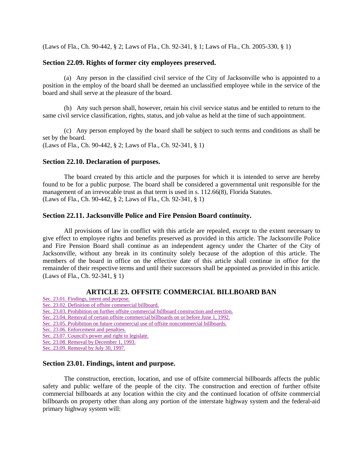(Laws of Fla., Ch. 90-442, § 2; Laws of Fla., Ch. 92-341, § 1; Laws of Fla., Ch. 2005-330, § 1)

## **Section 22.09. Rights of former city employees preserved.**

(a) Any person in the classified civil service of the City of Jacksonville who is appointed to a position in the employ of the board shall be deemed an unclassified employee while in the service of the board and shall serve at the pleasure of the board.

(b) Any such person shall, however, retain his civil service status and be entitled to return to the same civil service classification, rights, status, and job value as held at the time of such appointment.

(c) Any person employed by the board shall be subject to such terms and conditions as shall be set by the board. (Laws of Fla., Ch. 90-442, § 2; Laws of Fla., Ch. 92-341, § 1)

## **Section 22.10. Declaration of purposes.**

The board created by this article and the purposes for which it is intended to serve are hereby found to be for a public purpose. The board shall be considered a governmental unit responsible for the management of an irrevocable trust as that term is used in s. 112.66(8), Florida Statutes. (Laws of Fla., Ch. 90-442, § 2; Laws of Fla., Ch. 92-341, § 1)

## **Section 22.11. Jacksonville Police and Fire Pension Board continuity.**

All provisions of law in conflict with this article are repealed, except to the extent necessary to give effect to employee rights and benefits preserved as provided in this article. The Jacksonville Police and Fire Pension Board shall continue as an independent agency under the Charter of the City of Jacksonville, without any break in its continuity solely because of the adoption of this article. The members of the board in office on the effective date of this article shall continue in office for the remainder of their respective terms and until their successors shall be appointed as provided in this article. (Laws of Fla., Ch. 92-341, § 1)

## **ARTICLE 23. OFFSITE COMMERCIAL BILLBOARD BAN**

- [Sec. 23.01. Findings, intent and purpose.](http://library4.municode.com/mcc/DocView/12174/1/871/898#0-0-0-10267#0-0-0-10267)
- [Sec. 23.02. Definition of offsite commercial billboard.](http://library4.municode.com/mcc/DocView/12174/1/871/898#0-0-0-10269#0-0-0-10269)

[Sec. 23.03. Prohibition on further offsite commercial billboard construction and erection.](http://library4.municode.com/mcc/DocView/12174/1/871/898#0-0-0-10271#0-0-0-10271)

[Sec. 23.04. Removal of certain offsite commercial billboards on or before June 1, 1992.](http://library4.municode.com/mcc/DocView/12174/1/871/898#0-0-0-10273#0-0-0-10273)

[Sec. 23.05. Prohibition on future commercial use of offsite noncommercial billboards.](http://library4.municode.com/mcc/DocView/12174/1/871/898#0-0-0-10275#0-0-0-10275)

- [Sec. 23.06. Enforcement and penalties.](http://library4.municode.com/mcc/DocView/12174/1/871/898#0-0-0-10277#0-0-0-10277)
- [Sec. 23.07. Council's power and right to legislate.](http://library4.municode.com/mcc/DocView/12174/1/871/898#0-0-0-10279#0-0-0-10279)

[Sec. 23.08. Removal by December 1, 1993.](http://library4.municode.com/mcc/DocView/12174/1/871/898#0-0-0-10281#0-0-0-10281)

[Sec. 23.09. Removal by July 30, 1997.](http://library4.municode.com/mcc/DocView/12174/1/871/898#0-0-0-10283#0-0-0-10283)

### **Section 23.01. Findings, intent and purpose.**

The construction, erection, location, and use of offsite commercial billboards affects the public safety and public welfare of the people of the city. The construction and erection of further offsite commercial billboards at any location within the city and the continued location of offsite commercial billboards on property other than along any portion of the interstate highway system and the federal-aid primary highway system will: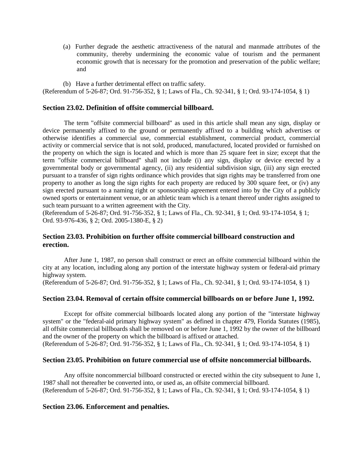(a) Further degrade the aesthetic attractiveness of the natural and manmade attributes of the community, thereby undermining the economic value of tourism and the permanent economic growth that is necessary for the promotion and preservation of the public welfare; and

(b) Have a further detrimental effect on traffic safety. (Referendum of 5-26-87; Ord. 91-756-352, § 1; Laws of Fla., Ch. 92-341, § 1; Ord. 93-174-1054, § 1)

## **Section 23.02. Definition of offsite commercial billboard.**

The term "offsite commercial billboard" as used in this article shall mean any sign, display or device permanently affixed to the ground or permanently affixed to a building which advertises or otherwise identifies a commercial use, commercial establishment, commercial product, commercial activity or commercial service that is not sold, produced, manufactured, located provided or furnished on the property on which the sign is located and which is more than 25 square feet in size; except that the term "offsite commercial billboard" shall not include (i) any sign, display or device erected by a governmental body or governmental agency, (ii) any residential subdivision sign, (iii) any sign erected pursuant to a transfer of sign rights ordinance which provides that sign rights may be transferred from one property to another as long the sign rights for each property are reduced by 300 square feet, or (iv) any sign erected pursuant to a naming right or sponsorship agreement entered into by the City of a publicly owned sports or entertainment venue, or an athletic team which is a tenant thereof under rights assigned to such team pursuant to a written agreement with the City.

(Referendum of 5-26-87; Ord. 91-756-352, § 1; Laws of Fla., Ch. 92-341, § 1; Ord. 93-174-1054, § 1; Ord. 93-976-436, § 2; Ord. 2005-1380-E, § 2)

## **Section 23.03. Prohibition on further offsite commercial billboard construction and erection.**

After June 1, 1987, no person shall construct or erect an offsite commercial billboard within the city at any location, including along any portion of the interstate highway system or federal-aid primary highway system.

(Referendum of 5-26-87; Ord. 91-756-352, § 1; Laws of Fla., Ch. 92-341, § 1; Ord. 93-174-1054, § 1)

## **Section 23.04. Removal of certain offsite commercial billboards on or before June 1, 1992.**

Except for offsite commercial billboards located along any portion of the "interstate highway system" or the "federal-aid primary highway system" as defined in chapter 479, Florida Statutes (1985), all offsite commercial billboards shall be removed on or before June 1, 1992 by the owner of the billboard and the owner of the property on which the billboard is affixed or attached.

(Referendum of 5-26-87; Ord. 91-756-352, § 1; Laws of Fla., Ch. 92-341, § 1; Ord. 93-174-1054, § 1)

## **Section 23.05. Prohibition on future commercial use of offsite noncommercial billboards.**

Any offsite noncommercial billboard constructed or erected within the city subsequent to June 1, 1987 shall not thereafter be converted into, or used as, an offsite commercial billboard. (Referendum of 5-26-87; Ord. 91-756-352, § 1; Laws of Fla., Ch. 92-341, § 1; Ord. 93-174-1054, § 1)

## **Section 23.06. Enforcement and penalties.**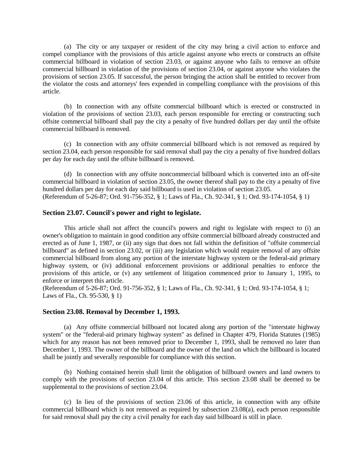(a) The city or any taxpayer or resident of the city may bring a civil action to enforce and compel compliance with the provisions of this article against anyone who erects or constructs an offsite commercial billboard in violation of section 23.03, or against anyone who fails to remove an offsite commercial billboard in violation of the provisions of section 23.04, or against anyone who violates the provisions of section 23.05. If successful, the person bringing the action shall be entitled to recover from the violator the costs and attorneys' fees expended in compelling compliance with the provisions of this article.

(b) In connection with any offsite commercial billboard which is erected or constructed in violation of the provisions of section 23.03, each person responsible for erecting or constructing such offsite commercial billboard shall pay the city a penalty of five hundred dollars per day until the offsite commercial billboard is removed.

(c) In connection with any offsite commercial billboard which is not removed as required by section 23.04, each person responsible for said removal shall pay the city a penalty of five hundred dollars per day for each day until the offsite billboard is removed.

(d) In connection with any offsite noncommercial billboard which is converted into an off-site commercial billboard in violation of section 23.05, the owner thereof shall pay to the city a penalty of five hundred dollars per day for each day said billboard is used in violation of section 23.05. (Referendum of 5-26-87; Ord. 91-756-352, § 1; Laws of Fla., Ch. 92-341, § 1; Ord. 93-174-1054, § 1)

## **Section 23.07. Council's power and right to legislate.**

This article shall not affect the council's powers and right to legislate with respect to (i) an owner's obligation to maintain in good condition any offsite commercial billboard already constructed and erected as of June 1, 1987, or (ii) any sign that does not fall within the definition of "offsite commercial billboard" as defined in section 23.02, or (iii) any legislation which would require removal of any offsite commercial billboard from along any portion of the interstate highway system or the federal-aid primary highway system, or (iv) additional enforcement provisions or additional penalties to enforce the provisions of this article, or (v) any settlement of litigation commenced prior to January 1, 1995, to enforce or interpret this article.

(Referendum of 5-26-87; Ord. 91-756-352, § 1; Laws of Fla., Ch. 92-341, § 1; Ord. 93-174-1054, § 1; Laws of Fla., Ch. 95-530, § 1)

## **Section 23.08. Removal by December 1, 1993.**

(a) Any offsite commercial billboard not located along any portion of the "interstate highway system" or the "federal-aid primary highway system" as defined in Chapter 479, Florida Statutes (1985) which for any reason has not been removed prior to December 1, 1993, shall be removed no later than December 1, 1993. The owner of the billboard and the owner of the land on which the billboard is located shall be jointly and severally responsible for compliance with this section.

(b) Nothing contained herein shall limit the obligation of billboard owners and land owners to comply with the provisions of section 23.04 of this article. This section 23.08 shall be deemed to be supplemental to the provisions of section 23.04.

(c) In lieu of the provisions of section 23.06 of this article, in connection with any offsite commercial billboard which is not removed as required by subsection 23.08(a), each person responsible for said removal shall pay the city a civil penalty for each day said billboard is still in place.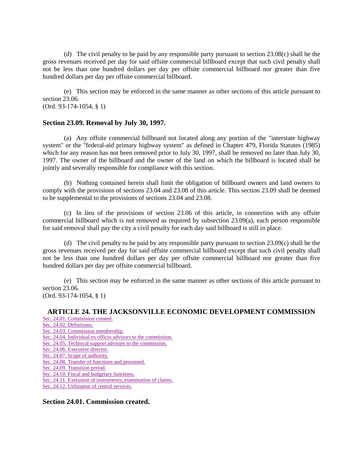(d) The civil penalty to be paid by any responsible party pursuant to section 23.08(c) shall be the gross revenues received per day for said offsite commercial billboard except that such civil penalty shall not be less than one hundred dollars per day per offsite commercial billboard nor greater than five hundred dollars per day per offsite commercial billboard.

(e) This section may be enforced in the same manner as other sections of this article pursuant to section 23.06. (Ord. 93-174-1054, § 1)

## **Section 23.09. Removal by July 30, 1997.**

(a) Any offsite commercial billboard not located along any portion of the "interstate highway system" or the "federal-aid primary highway system" as defined in Chapter 479, Florida Statutes (1985) which for any reason has not been removed prior to July 30, 1997, shall be removed no later than July 30, 1997. The owner of the billboard and the owner of the land on which the billboard is located shall be jointly and severally responsible for compliance with this section.

(b) Nothing contained herein shall limit the obligation of billboard owners and land owners to comply with the provisions of sections 23.04 and 23.08 of this article. This section 23.09 shall be deemed to be supplemental to the provisions of sections 23.04 and 23.08.

(c) In lieu of the provisions of section 23.06 of this article, in connection with any offsite commercial billboard which is not removed as required by subsection 23.09(a), each person responsible for said removal shall pay the city a civil penalty for each day said billboard is still in place.

(d) The civil penalty to be paid by any responsible party pursuant to section 23.09(c) shall be the gross revenues received per day for said offsite commercial billboard except that such civil penalty shall not be less than one hundred dollars per day per offsite commercial billboard nor greater than five hundred dollars per day per offsite commercial billboard.

(e) This section may be enforced in the same manner as other sections of this article pursuant to section 23.06. (Ord. 93-174-1054, § 1)

# **ARTICLE 24. THE JACKSONVILLE ECONOMIC DEVELOPMENT COMMISSION**

[Sec. 24.01. Commission created.](http://library4.municode.com/mcc/DocView/12174/1/871/899#0-0-0-10285#0-0-0-10285) [Sec. 24.02. Definitions.](http://library4.municode.com/mcc/DocView/12174/1/871/899#0-0-0-10287#0-0-0-10287) [Sec. 24.03. Commission membership.](http://library4.municode.com/mcc/DocView/12174/1/871/899#0-0-0-10289#0-0-0-10289) [Sec. 24.04. Individual ex officio advisors to the commission.](http://library4.municode.com/mcc/DocView/12174/1/871/899#0-0-0-10291#0-0-0-10291) [Sec. 24.05. Technical support advisors to the commission.](http://library4.municode.com/mcc/DocView/12174/1/871/899#0-0-0-10293#0-0-0-10293) [Sec. 24.06. Executive director.](http://library4.municode.com/mcc/DocView/12174/1/871/899#0-0-0-10295#0-0-0-10295) [Sec. 24.07. Scope of authority.](http://library4.municode.com/mcc/DocView/12174/1/871/899#0-0-0-10297#0-0-0-10297) [Sec. 24.08. Transfer of functions and personnel.](http://library4.municode.com/mcc/DocView/12174/1/871/899#0-0-0-10299#0-0-0-10299) [Sec. 24.09. Transition period.](http://library4.municode.com/mcc/DocView/12174/1/871/899#0-0-0-10301#0-0-0-10301) [Sec. 24.10. Fiscal and budgetary functions.](http://library4.municode.com/mcc/DocView/12174/1/871/899#0-0-0-10303#0-0-0-10303) [Sec. 24.11. Execution of instruments; examination of claims.](http://library4.municode.com/mcc/DocView/12174/1/871/899#0-0-0-10305#0-0-0-10305) [Sec. 24.12. Utilization of central services.](http://library4.municode.com/mcc/DocView/12174/1/871/899#0-0-0-10307#0-0-0-10307)

**Section 24.01. Commission created.**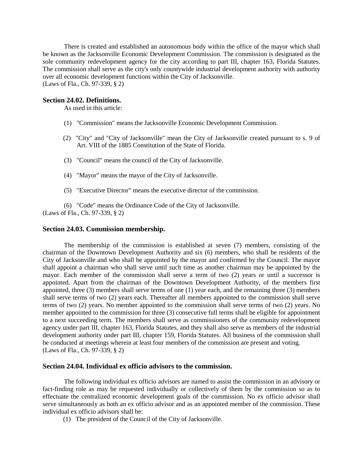There is created and established an autonomous body within the office of the mayor which shall be known as the Jacksonville Economic Development Commission. The commission is designated as the sole community redevelopment agency for the city according to part III, chapter 163, Florida Statutes. The commission shall serve as the city's only countywide industrial development authority with authority over all economic development functions within the City of Jacksonville. (Laws of Fla., Ch. 97-339, § 2)

### **Section 24.02. Definitions.**

As used in this article:

- (1) "Commission" means the Jacksonville Economic Development Commission.
- (2) "City" and "City of Jacksonville" mean the City of Jacksonville created pursuant to s. 9 of Art. VIII of the 1885 Constitution of the State of Florida.
- (3) "Council" means the council of the City of Jacksonville.
- (4) "Mayor" means the mayor of the City of Jacksonville.
- (5) "Executive Director" means the executive director of the commission.

(6) "Code" means the Ordinance Code of the City of Jacksonville. (Laws of Fla., Ch. 97-339, § 2)

### **Section 24.03. Commission membership.**

The membership of the commission is established at seven (7) members, consisting of the chairman of the Downtown Development Authority and six (6) members, who shall be residents of the City of Jacksonville and who shall be appointed by the mayor and confirmed by the Council. The mayor shall appoint a chairman who shall serve until such time as another chairman may be appointed by the mayor. Each member of the commission shall serve a term of two (2) years or until a successor is appointed. Apart from the chairman of the Downtown Development Authority, of the members first appointed, three (3) members shall serve terms of one (1) year each, and the remaining three (3) members shall serve terms of two (2) years each. Thereafter all members appointed to the commission shall serve terms of two (2) years. No member appointed to the commission shall serve terms of two (2) years. No member appointed to the commission for three (3) consecutive full terms shall be eligible for appointment to a next succeeding term. The members shall serve as commissioners of the community redevelopment agency under part III, chapter 163, Florida Statutes, and they shall also serve as members of the industrial development authority under part III, chapter 159, Florida Statutes. All business of the commission shall be conducted at meetings wherein at least four members of the commission are present and voting. (Laws of Fla., Ch. 97-339, § 2)

## **Section 24.04. Individual ex officio advisors to the commission.**

The following individual ex officio advisors are named to assist the commission in an advisory or fact-finding role as may be requested individually or collectively of them by the commission so as to effectuate the centralized economic development goals of the commission. No ex officio advisor shall serve simultaneously as both an ex officio advisor and as an appointed member of the commission. These individual ex officio advisors shall be:

(1) The president of the Council of the City of Jacksonville.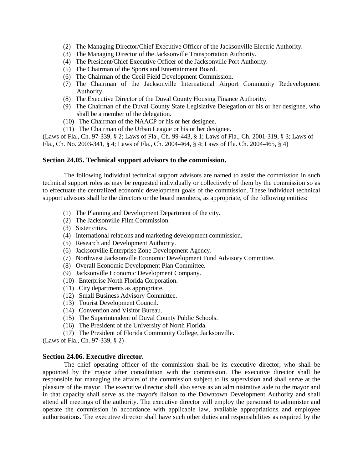- (2) The Managing Director/Chief Executive Officer of the Jacksonville Electric Authority.
- (3) The Managing Director of the Jacksonville Transportation Authority.
- (4) The President/Chief Executive Officer of the Jacksonville Port Authority.
- (5) The Chairman of the Sports and Entertainment Board.
- (6) The Chairman of the Cecil Field Development Commission.
- (7) The Chairman of the Jacksonville International Airport Community Redevelopment Authority.
- (8) The Executive Director of the Duval County Housing Finance Authority.
- (9) The Chairman of the Duval County State Legislative Delegation or his or her designee, who shall be a member of the delegation.
- (10) The Chairman of the NAACP or his or her designee.
- (11) The Chairman of the Urban League or his or her designee.

(Laws of Fla., Ch. 97-339, § 2; Laws of Fla., Ch. 99-443, § 1; Laws of Fla., Ch. 2001-319, § 3; Laws of Fla., Ch. No. 2003-341, § 4; Laws of Fla., Ch. 2004-464, § 4; Laws of Fla. Ch. 2004-465, § 4)

## **Section 24.05. Technical support advisors to the commission.**

The following individual technical support advisors are named to assist the commission in such technical support roles as may be requested individually or collectively of them by the commission so as to effectuate the centralized economic development goals of the commission. These individual technical support advisors shall be the directors or the board members, as appropriate, of the following entities:

- (1) The Planning and Development Department of the city.
- (2) The Jacksonville Film Commission.
- (3) Sister cities.
- (4) International relations and marketing development commission.
- (5) Research and Development Authority.
- (6) Jacksonville Enterprise Zone Development Agency.
- (7) Northwest Jacksonville Economic Development Fund Advisory Committee.
- (8) Overall Economic Development Plan Committee.
- (9) Jacksonville Economic Development Company.
- (10) Enterprise North Florida Corporation.
- (11) City departments as appropriate.
- (12) Small Business Advisory Committee.
- (13) Tourist Development Council.
- (14) Convention and Visitor Bureau.
- (15) The Superintendent of Duval County Public Schools.
- (16) The President of the University of North Florida.
- (17) The President of Florida Community College, Jacksonville.

(Laws of Fla., Ch. 97-339, § 2)

## **Section 24.06. Executive director.**

The chief operating officer of the commission shall be its executive director, who shall be appointed by the mayor after consultation with the commission. The executive director shall be responsible for managing the affairs of the commission subject to its supervision and shall serve at the pleasure of the mayor. The executive director shall also serve as an administrative aide to the mayor and in that capacity shall serve as the mayor's liaison to the Downtown Development Authority and shall attend all meetings of the authority. The executive director will employ the personnel to administer and operate the commission in accordance with applicable law, available appropriations and employee authorizations. The executive director shall have such other duties and responsibilities as required by the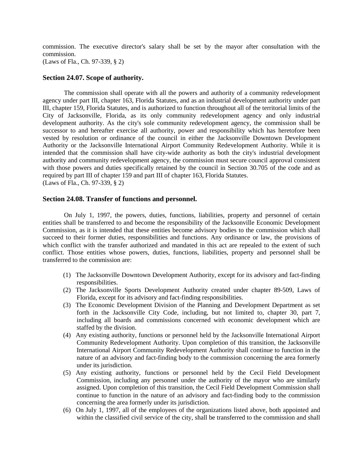commission. The executive director's salary shall be set by the mayor after consultation with the commission.

(Laws of Fla., Ch. 97-339, § 2)

## **Section 24.07. Scope of authority.**

The commission shall operate with all the powers and authority of a community redevelopment agency under part III, chapter 163, Florida Statutes, and as an industrial development authority under part III, chapter 159, Florida Statutes, and is authorized to function throughout all of the territorial limits of the City of Jacksonville, Florida, as its only community redevelopment agency and only industrial development authority. As the city's sole community redevelopment agency, the commission shall be successor to and hereafter exercise all authority, power and responsibility which has heretofore been vested by resolution or ordinance of the council in either the Jacksonville Downtown Development Authority or the Jacksonville International Airport Community Redevelopment Authority. While it is intended that the commission shall have city-wide authority as both the city's industrial development authority and community redevelopment agency, the commission must secure council approval consistent with those powers and duties specifically retained by the council in Section 30.705 of the code and as required by part III of chapter 159 and part III of chapter 163, Florida Statutes. (Laws of Fla., Ch. 97-339, § 2)

## **Section 24.08. Transfer of functions and personnel.**

On July 1, 1997, the powers, duties, functions, liabilities, property and personnel of certain entities shall be transferred to and become the responsibility of the Jacksonville Economic Development Commission, as it is intended that these entities become advisory bodies to the commission which shall succeed to their former duties, responsibilities and functions. Any ordinance or law, the provisions of which conflict with the transfer authorized and mandated in this act are repealed to the extent of such conflict. Those entities whose powers, duties, functions, liabilities, property and personnel shall be transferred to the commission are:

- (1) The Jacksonville Downtown Development Authority, except for its advisory and fact-finding responsibilities.
- (2) The Jacksonville Sports Development Authority created under chapter 89-509, Laws of Florida, except for its advisory and fact-finding responsibilities.
- (3) The Economic Development Division of the Planning and Development Department as set forth in the Jacksonville City Code, including, but not limited to, chapter 30, part 7, including all boards and commissions concerned with economic development which are staffed by the division.
- (4) Any existing authority, functions or personnel held by the Jacksonville International Airport Community Redevelopment Authority. Upon completion of this transition, the Jacksonville International Airport Community Redevelopment Authority shall continue to function in the nature of an advisory and fact-finding body to the commission concerning the area formerly under its jurisdiction.
- (5) Any existing authority, functions or personnel held by the Cecil Field Development Commission, including any personnel under the authority of the mayor who are similarly assigned. Upon completion of this transition, the Cecil Field Development Commission shall continue to function in the nature of an advisory and fact-finding body to the commission concerning the area formerly under its jurisdiction.
- (6) On July 1, 1997, all of the employees of the organizations listed above, both appointed and within the classified civil service of the city, shall be transferred to the commission and shall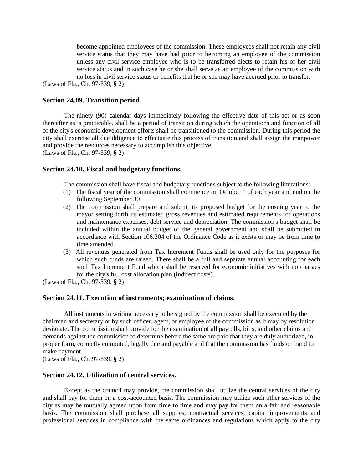become appointed employees of the commission. These employees shall not retain any civil service status that they may have had prior to becoming an employee of the commission unless any civil service employee who is to be transferred elects to retain his or her civil service status and in such case he or she shall serve as an employee of the commission with no loss in civil service status or benefits that he or she may have accrued prior to transfer.

(Laws of Fla., Ch. 97-339, § 2)

## **Section 24.09. Transition period.**

The ninety (90) calendar days immediately following the effective date of this act or as soon thereafter as is practicable, shall be a period of transition during which the operations and function of all of the city's economic development efforts shall be transitioned to the commission. During this period the city shall exercise all due diligence to effectuate this process of transition and shall assign the manpower and provide the resources necessary to accomplish this objective. (Laws of Fla., Ch. 97-339, § 2)

## **Section 24.10. Fiscal and budgetary functions.**

The commission shall have fiscal and budgetary functions subject to the following limitations:

- (1) The fiscal year of the commission shall commence on October 1 of each year and end on the following September 30.
- (2) The commission shall prepare and submit its proposed budget for the ensuing year to the mayor setting forth its estimated gross revenues and estimated requirements for operations and maintenance expenses, debt service and depreciation. The commission's budget shall be included within the annual budget of the general government and shall be submitted in accordance with Section 106.204 of the Ordinance Code as it exists or may be from time to time amended.
- (3) All revenues generated from Tax Increment Funds shall be used only for the purposes for which such funds are raised. There shall be a full and separate annual accounting for each such Tax Increment Fund which shall be reserved for economic initiatives with no charges for the city's full cost allocation plan (indirect costs).

(Laws of Fla., Ch. 97-339, § 2)

## **Section 24.11. Execution of instruments; examination of claims.**

All instruments in writing necessary to be signed by the commission shall be executed by the chairman and secretary or by such officer, agent, or employee of the commission as it may by resolution designate. The commission shall provide for the examination of all payrolls, bills, and other claims and demands against the commission to determine before the same are paid that they are duly authorized, in proper form, correctly computed, legally due and payable and that the commission has funds on hand to make payment.

(Laws of Fla., Ch. 97-339, § 2)

## **Section 24.12. Utilization of central services.**

Except as the council may provide, the commission shall utilize the central services of the city and shall pay for them on a cost-accounted basis. The commission may utilize such other services of the city as may be mutually agreed upon from time to time and may pay for them on a fair and reasonable basis. The commission shall purchase all supplies, contractual services, capital improvements and professional services in compliance with the same ordinances and regulations which apply to the city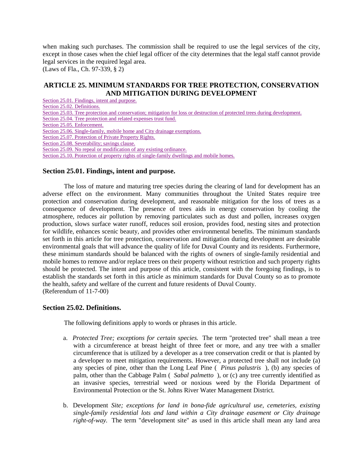when making such purchases. The commission shall be required to use the legal services of the city, except in those cases when the chief legal officer of the city determines that the legal staff cannot provide legal services in the required legal area.

(Laws of Fla., Ch. 97-339, § 2)

## **ARTICLE 25. MINIMUM STANDARDS FOR TREE PROTECTION, CONSERVATION AND MITIGATION DURING DEVELOPMENT**

[Section 25.01. Findings, intent and purpose.](http://library4.municode.com/mcc/DocView/12174/1/871/900#0-0-0-10309#0-0-0-10309) [Section 25.02. Definitions.](http://library4.municode.com/mcc/DocView/12174/1/871/900#0-0-0-10311#0-0-0-10311) [Section 25.03. Tree protection and conservation; mitigation for loss or destruction of protected trees during development.](http://library4.municode.com/mcc/DocView/12174/1/871/900#0-0-0-10313#0-0-0-10313) [Section 25.04. Tree protection and related expenses trust fund.](http://library4.municode.com/mcc/DocView/12174/1/871/900#0-0-0-10315#0-0-0-10315) [Section 25.05. Enforcement.](http://library4.municode.com/mcc/DocView/12174/1/871/900#0-0-0-10317#0-0-0-10317) [Section 25.06. Single-family, mobile home and City drainage exemptions.](http://library4.municode.com/mcc/DocView/12174/1/871/900#0-0-0-10319#0-0-0-10319) [Section 25.07. Protection of Private Property Rights.](http://library4.municode.com/mcc/DocView/12174/1/871/900#0-0-0-10321#0-0-0-10321) [Section 25.08. Severability; savings clause.](http://library4.municode.com/mcc/DocView/12174/1/871/900#0-0-0-10323#0-0-0-10323) [Section 25.09. No repeal or modification of any existing ordinance.](http://library4.municode.com/mcc/DocView/12174/1/871/900#0-0-0-10325#0-0-0-10325) [Section 25.10. Protection of property rights of single-family dwellings and mobile homes.](http://library4.municode.com/mcc/DocView/12174/1/871/900#0-0-0-10327#0-0-0-10327)

## **Section 25.01. Findings, intent and purpose.**

The loss of mature and maturing tree species during the clearing of land for development has an adverse effect on the environment. Many communities throughout the United States require tree protection and conservation during development, and reasonable mitigation for the loss of trees as a consequence of development. The presence of trees aids in energy conservation by cooling the atmosphere, reduces air pollution by removing particulates such as dust and pollen, increases oxygen production, slows surface water runoff, reduces soil erosion, provides food, nesting sites and protection for wildlife, enhances scenic beauty, and provides other environmental benefits. The minimum standards set forth in this article for tree protection, conservation and mitigation during development are desirable environmental goals that will advance the quality of life for Duval County and its residents. Furthermore, these minimum standards should be balanced with the rights of owners of single-family residential and mobile homes to remove and/or replace trees on their property without restriction and such property rights should be protected. The intent and purpose of this article, consistent with the foregoing findings, is to establish the standards set forth in this article as minimum standards for Duval County so as to promote the health, safety and welfare of the current and future residents of Duval County. (Referendum of 11-7-00)

## **Section 25.02. Definitions.**

The following definitions apply to words or phrases in this article.

- a. *Protected Tree; exceptions for certain species.* The term "protected tree" shall mean a tree with a circumference at breast height of three feet or more, and any tree with a smaller circumference that is utilized by a developer as a tree conservation credit or that is planted by a developer to meet mitigation requirements. However, a protected tree shall not include (a) any species of pine, other than the Long Leaf Pine ( *Pinus palustris* ), (b) any species of palm, other than the Cabbage Palm ( *Sabal palmetto* ), or (c) any tree currently identified as an invasive species, terrestrial weed or noxious weed by the Florida Department of Environmental Protection or the St. Johns River Water Management District.
- b. Development *Site; exceptions for land in bona-fide agricultural use, cemeteries, existing single-family residential lots and land within a City drainage easement or City drainage right-of-way.* The term "development site" as used in this article shall mean any land area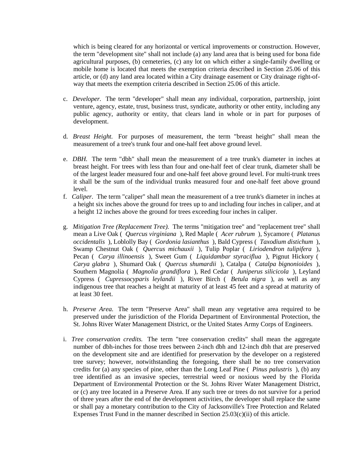which is being cleared for any horizontal or vertical improvements or construction. However, the term "development site" shall not include (a) any land area that is being used for bona fide agricultural purposes, (b) cemeteries, (c) any lot on which either a single-family dwelling or mobile home is located that meets the exemption criteria described in Section 25.06 of this article, or (d) any land area located within a City drainage easement or City drainage right-ofway that meets the exemption criteria described in Section 25.06 of this article.

- c. *Developer.* The term "developer" shall mean any individual, corporation, partnership, joint venture, agency, estate, trust, business trust, syndicate, authority or other entity, including any public agency, authority or entity, that clears land in whole or in part for purposes of development.
- d. *Breast Height.* For purposes of measurement, the term "breast height" shall mean the measurement of a tree's trunk four and one-half feet above ground level.
- e. *DBH.* The term "dbh" shall mean the measurement of a tree trunk's diameter in inches at breast height. For trees with less than four and one-half feet of clear trunk, diameter shall be of the largest leader measured four and one-half feet above ground level. For multi-trunk trees it shall be the sum of the individual trunks measured four and one-half feet above ground level.
- f. *Caliper.* The term "caliper" shall mean the measurement of a tree trunk's diameter in inches at a height six inches above the ground for trees up to and including four inches in caliper, and at a height 12 inches above the ground for trees exceeding four inches in caliper.
- g. *Mitigation Tree (Replacement Tree).* The terms "mitigation tree" and "replacement tree" shall mean a Live Oak ( *Quercus virginiana* ), Red Maple ( *Acer rubrum* ), Sycamore ( *Platanus occidentalis* ), Loblolly Bay ( *Gordonia lasianthus* ), Bald Cypress ( *Taxodium distichum* ), Swamp Chestnut Oak ( *Quercus michauxii* ), Tulip Poplar ( *Liriodendron tulipifera* ), Pecan ( *Carya illinoensis* ), Sweet Gum ( *Liquidambar styraciflua* ), Pignut Hickory ( *Carya glabra* ), Shumard Oak ( *Quercus shumardii* ), Catalpa ( *Catalpa bignonioides* ), Southern Magnolia ( *Magnolia grandiflora* ), Red Cedar ( *Juniperus silicicola* ), Leyland Cypress ( *Cupressocyparis leylandii* ), River Birch ( *Betula nigra* ), as well as any indigenous tree that reaches a height at maturity of at least 45 feet and a spread at maturity of at least 30 feet.
- h. *Preserve Area.* The term "Preserve Area" shall mean any vegetative area required to be preserved under the jurisdiction of the Florida Department of Environmental Protection, the St. Johns River Water Management District, or the United States Army Corps of Engineers.
- i. *Tree conservation credits.* The term "tree conservation credits" shall mean the aggregate number of dbh-inches for those trees between 2-inch dbh and 12-inch dbh that are preserved on the development site and are identified for preservation by the developer on a registered tree survey; however, notwithstanding the foregoing, there shall be no tree conservation credits for (a) any species of pine, other than the Long Leaf Pine ( *Pinus palustris* ), (b) any tree identified as an invasive species, terrestrial weed or noxious weed by the Florida Department of Environmental Protection or the St. Johns River Water Management District, or (c) any tree located in a Preserve Area. If any such tree or trees do not survive for a period of three years after the end of the development activities, the developer shall replace the same or shall pay a monetary contribution to the City of Jacksonville's Tree Protection and Related Expenses Trust Fund in the manner described in Section 25.03(c)(ii) of this article.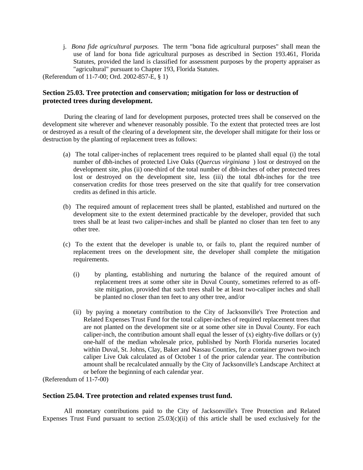j. *Bona fide agricultural purposes.* The term "bona fide agricultural purposes" shall mean the use of land for bona fide agricultural purposes as described in Section 193.461, Florida Statutes, provided the land is classified for assessment purposes by the property appraiser as "agricultural" pursuant to Chapter 193, Florida Statutes.

(Referendum of 11-7-00; Ord. 2002-857-E, § 1)

## **Section 25.03. Tree protection and conservation; mitigation for loss or destruction of protected trees during development.**

During the clearing of land for development purposes, protected trees shall be conserved on the development site wherever and whenever reasonably possible. To the extent that protected trees are lost or destroyed as a result of the clearing of a development site, the developer shall mitigate for their loss or destruction by the planting of replacement trees as follows:

- (a) The total caliper-inches of replacement trees required to be planted shall equal (i) the total number of dbh-inches of protected Live Oaks (*Quercus virginiana* ) lost or destroyed on the development site, plus (ii) one-third of the total number of dbh-inches of other protected trees lost or destroyed on the development site, less (iii) the total dbh-inches for the tree conservation credits for those trees preserved on the site that qualify for tree conservation credits as defined in this article.
- (b) The required amount of replacement trees shall be planted, established and nurtured on the development site to the extent determined practicable by the developer, provided that such trees shall be at least two caliper-inches and shall be planted no closer than ten feet to any other tree.
- (c) To the extent that the developer is unable to, or fails to, plant the required number of replacement trees on the development site, the developer shall complete the mitigation requirements.
	- (i) by planting, establishing and nurturing the balance of the required amount of replacement trees at some other site in Duval County, sometimes referred to as offsite mitigation, provided that such trees shall be at least two-caliper inches and shall be planted no closer than ten feet to any other tree, and/or
	- (ii) by paying a monetary contribution to the City of Jacksonville's Tree Protection and Related Expenses Trust Fund for the total caliper-inches of required replacement trees that are not planted on the development site or at some other site in Duval County. For each caliper-inch, the contribution amount shall equal the lesser of  $(x)$  eighty-five dollars or  $(y)$ one-half of the median wholesale price, published by North Florida nurseries located within Duval, St. Johns, Clay, Baker and Nassau Counties, for a container grown two-inch caliper Live Oak calculated as of October 1 of the prior calendar year. The contribution amount shall be recalculated annually by the City of Jacksonville's Landscape Architect at or before the beginning of each calendar year.

(Referendum of 11-7-00)

## **Section 25.04. Tree protection and related expenses trust fund.**

All monetary contributions paid to the City of Jacksonville's Tree Protection and Related Expenses Trust Fund pursuant to section  $25.03(c)(ii)$  of this article shall be used exclusively for the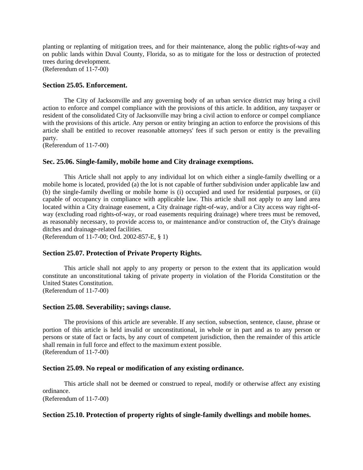planting or replanting of mitigation trees, and for their maintenance, along the public rights-of-way and on public lands within Duval County, Florida, so as to mitigate for the loss or destruction of protected trees during development.

(Referendum of 11-7-00)

## **Section 25.05. Enforcement.**

The City of Jacksonville and any governing body of an urban service district may bring a civil action to enforce and compel compliance with the provisions of this article. In addition, any taxpayer or resident of the consolidated City of Jacksonville may bring a civil action to enforce or compel compliance with the provisions of this article. Any person or entity bringing an action to enforce the provisions of this article shall be entitled to recover reasonable attorneys' fees if such person or entity is the prevailing party.

(Referendum of 11-7-00)

## **Sec. 25.06. Single-family, mobile home and City drainage exemptions.**

This Article shall not apply to any individual lot on which either a single-family dwelling or a mobile home is located, provided (a) the lot is not capable of further subdivision under applicable law and (b) the single-family dwelling or mobile home is (i) occupied and used for residential purposes, or (ii) capable of occupancy in compliance with applicable law. This article shall not apply to any land area located within a City drainage easement, a City drainage right-of-way, and/or a City access way right-ofway (excluding road rights-of-way, or road easements requiring drainage) where trees must be removed, as reasonably necessary, to provide access to, or maintenance and/or construction of, the City's drainage ditches and drainage-related facilities.

(Referendum of 11-7-00; Ord. 2002-857-E, § 1)

## **Section 25.07. Protection of Private Property Rights.**

This article shall not apply to any property or person to the extent that its application would constitute an unconstitutional taking of private property in violation of the Florida Constitution or the United States Constitution. (Referendum of 11-7-00)

**Section 25.08. Severability; savings clause.**

The provisions of this article are severable. If any section, subsection, sentence, clause, phrase or portion of this article is held invalid or unconstitutional, in whole or in part and as to any person or persons or state of fact or facts, by any court of competent jurisdiction, then the remainder of this article shall remain in full force and effect to the maximum extent possible. (Referendum of 11-7-00)

## **Section 25.09. No repeal or modification of any existing ordinance.**

This article shall not be deemed or construed to repeal, modify or otherwise affect any existing ordinance. (Referendum of 11-7-00)

## **Section 25.10. Protection of property rights of single-family dwellings and mobile homes.**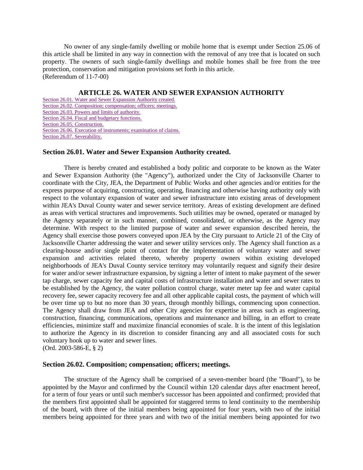No owner of any single-family dwelling or mobile home that is exempt under Section 25.06 of this article shall be limited in any way in connection with the removal of any tree that is located on such property. The owners of such single-family dwellings and mobile homes shall be free from the tree protection, conservation and mitigation provisions set forth in this article. (Referendum of 11-7-00)

## **ARTICLE 26. WATER AND SEWER EXPANSION AUTHORITY**

[Section 26.01. Water and Sewer Expansion Authority created.](http://library4.municode.com/mcc/DocView/12174/1/871/901#0-0-0-10329#0-0-0-10329) [Section 26.02. Composition; compensation; officers; meetings.](http://library4.municode.com/mcc/DocView/12174/1/871/901#0-0-0-10331#0-0-0-10331) [Section 26.03. Powers and limits of authority.](http://library4.municode.com/mcc/DocView/12174/1/871/901#0-0-0-10333#0-0-0-10333) [Section 26.04. Fiscal and budgetary functions.](http://library4.municode.com/mcc/DocView/12174/1/871/901#0-0-0-10335#0-0-0-10335) [Section 26.05. Construction.](http://library4.municode.com/mcc/DocView/12174/1/871/901#0-0-0-10337#0-0-0-10337) [Section 26.06. Execution of instruments; examination of claims.](http://library4.municode.com/mcc/DocView/12174/1/871/901#0-0-0-10339#0-0-0-10339) [Section 26.07. Severability.](http://library4.municode.com/mcc/DocView/12174/1/871/901#0-0-0-10341#0-0-0-10341)

### **Section 26.01. Water and Sewer Expansion Authority created.**

There is hereby created and established a body politic and corporate to be known as the Water and Sewer Expansion Authority (the "Agency"), authorized under the City of Jacksonville Charter to coordinate with the City, JEA, the Department of Public Works and other agencies and/or entities for the express purpose of acquiring, constructing, operating, financing and otherwise having authority only with respect to the voluntary expansion of water and sewer infrastructure into existing areas of development within JEA's Duval County water and sewer service territory. Areas of existing development are defined as areas with vertical structures and improvements. Such utilities may be owned, operated or managed by the Agency separately or in such manner, combined, consolidated, or otherwise, as the Agency may determine. With respect to the limited purpose of water and sewer expansion described herein, the Agency shall exercise those powers conveyed upon JEA by the City pursuant to Article 21 of the City of Jacksonville Charter addressing the water and sewer utility services only. The Agency shall function as a clearing-house and/or single point of contact for the implementation of voluntary water and sewer expansion and activities related thereto, whereby property owners within existing developed neighborhoods of JEA's Duval County service territory may voluntarily request and signify their desire for water and/or sewer infrastructure expansion, by signing a letter of intent to make payment of the sewer tap charge, sewer capacity fee and capital costs of infrastructure installation and water and sewer rates to be established by the Agency, the water pollution control charge, water meter tap fee and water capital recovery fee, sewer capacity recovery fee and all other applicable capital costs, the payment of which will be over time up to but no more than 30 years, through monthly billings, commencing upon connection. The Agency shall draw from JEA and other City agencies for expertise in areas such as engineering, construction, financing, communications, operations and maintenance and billing, in an effort to create efficiencies, minimize staff and maximize financial economies of scale. It is the intent of this legislation to authorize the Agency in its discretion to consider financing any and all associated costs for such voluntary hook up to water and sewer lines.

(Ord. 2003-586-E, § 2)

### **Section 26.02. Composition; compensation; officers; meetings.**

The structure of the Agency shall be comprised of a seven-member board (the "Board"), to be appointed by the Mayor and confirmed by the Council within 120 calendar days after enactment hereof, for a term of four years or until such member's successor has been appointed and confirmed; provided that the members first appointed shall be appointed for staggered terms to lend continuity to the membership of the board, with three of the initial members being appointed for four years, with two of the initial members being appointed for three years and with two of the initial members being appointed for two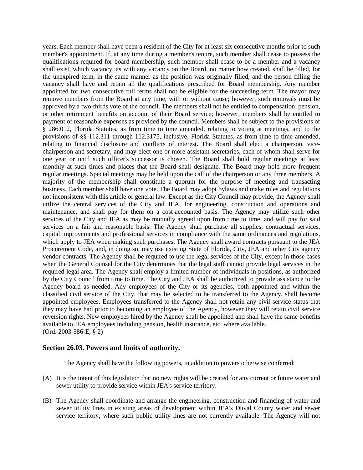years. Each member shall have been a resident of the City for at least six consecutive months prior to such member's appointment. If, at any time during a member's tenure, such member shall cease to possess the qualifications required for board membership, such member shall cease to be a member and a vacancy shall exist, which vacancy, as with any vacancy on the Board, no matter how created, shall be filled, for the unexpired term, in the same manner as the position was originally filled, and the person filling the vacancy shall have and retain all the qualifications prescribed for Board membership. Any member appointed for two consecutive full terms shall not be eligible for the succeeding term. The mayor may remove members from the Board at any time, with or without cause; however, such removals must be approved by a two-thirds vote of the council. The members shall not be entitled to compensation, pension, or other retirement benefits on account of their Board service; however, members shall be entitled to payment of reasonable expenses as provided by the council. Members shall be subject to the provisions of § 286.012, Florida Statutes, as from time to time amended, relating to voting at meetings, and to the provisions of §§ 112.311 through 112.3175, inclusive, Florida Statutes, as from time to time amended, relating to financial disclosure and conflicts of interest. The Board shall elect a chairperson, vicechairperson and secretary, and may elect one or more assistant secretaries, each of whom shall serve for one year or until such officer's successor is chosen. The Board shall hold regular meetings at least monthly at such times and places that the Board shall designate. The Board may hold more frequent regular meetings. Special meetings may be held upon the call of the chairperson or any three members. A majority of the membership shall constitute a quorum for the purpose of meeting and transacting business. Each member shall have one vote. The Board may adopt bylaws and make rules and regulations not inconsistent with this article or general law. Except as the City Council may provide, the Agency shall utilize the central services of the City and JEA, for engineering, construction and operations and maintenance, and shall pay for them on a cost-accounted basis. The Agency may utilize such other services of the City and JEA as may be mutually agreed upon from time to time, and will pay for said services on a fair and reasonable basis. The Agency shall purchase all supplies, contractual services, capital improvements and professional services in compliance with the same ordinances and regulations, which apply to JEA when making such purchases. The Agency shall award contracts pursuant to the JEA Procurement Code, and, in doing so, may use existing State of Florida, City, JEA and other City agency vendor contracts. The Agency shall be required to use the legal services of the City, except in those cases when the General Counsel for the City determines that the legal staff cannot provide legal services in the required legal area. The Agency shall employ a limited number of individuals in positions, as authorized by the City Council from time to time. The City and JEA shall be authorized to provide assistance to the Agency board as needed. Any employees of the City or its agencies, both appointed and within the classified civil service of the City, that may be selected to be transferred to the Agency, shall become appointed employees. Employees transferred to the Agency shall not retain any civil service status that they may have had prior to becoming an employee of the Agency, however they will retain civil service reversion rights. New employees hired by the Agency shall be appointed and shall have the same benefits available to JEA employees including pension, health insurance, etc. where available. (Ord. 2003-586-E, § 2)

### **Section 26.03. Powers and limits of authority.**

The Agency shall have the following powers, in addition to powers otherwise conferred:

- (A) It is the intent of this legislation that no new rights will be created for any current or future water and sewer utility to provide service within JEA's service territory.
- (B) The Agency shall coordinate and arrange the engineering, construction and financing of water and sewer utility lines in existing areas of development within JEA's Duval County water and sewer service territory, where such public utility lines are not currently available. The Agency will not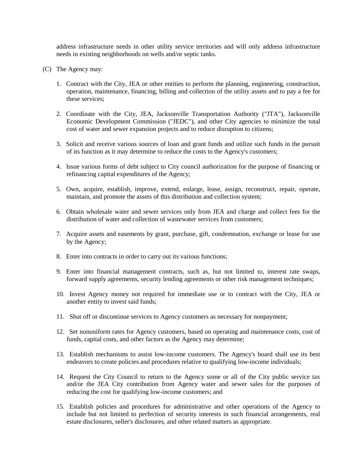address infrastructure needs in other utility service territories and will only address infrastructure needs in existing neighborhoods on wells and/or septic tanks.

- (C) The Agency may:
	- 1. Contract with the City, JEA or other entities to perform the planning, engineering, construction, operation, maintenance, financing, billing and collection of the utility assets and to pay a fee for these services;
	- 2. Coordinate with the City, JEA, Jacksonville Transportation Authority ("JTA"), Jacksonville Economic Development Commission ("JEDC"), and other City agencies to minimize the total cost of water and sewer expansion projects and to reduce disruption to citizens;
	- 3. Solicit and receive various sources of loan and grant funds and utilize such funds in the pursuit of its function as it may determine to reduce the costs to the Agency's customers;
	- 4. Issue various forms of debt subject to City council authorization for the purpose of financing or refinancing capital expenditures of the Agency;
	- 5. Own, acquire, establish, improve, extend, enlarge, lease, assign, reconstruct, repair, operate, maintain, and promote the assets of this distribution and collection system;
	- 6. Obtain wholesale water and sewer services only from JEA and charge and collect fees for the distribution of water and collection of wastewater services from customers;
	- 7. Acquire assets and easements by grant, purchase, gift, condemnation, exchange or lease for use by the Agency;
	- 8. Enter into contracts in order to carry out its various functions;
	- 9. Enter into financial management contracts, such as, but not limited to, interest rate swaps, forward supply agreements, security lending agreements or other risk management techniques;
	- 10. Invest Agency money not required for immediate use or to contract with the City, JEA or another entity to invest said funds;
	- 11. Shut off or discontinue services to Agency customers as necessary for nonpayment;
	- 12. Set nonuniform rates for Agency customers, based on operating and maintenance costs, cost of funds, capital costs, and other factors as the Agency may determine;
	- 13. Establish mechanisms to assist low-income customers. The Agency's board shall use its best endeavors to create policies and procedures relative to qualifying low-income individuals;
	- 14. Request the City Council to return to the Agency some or all of the City public service tax and/or the JEA City contribution from Agency water and sewer sales for the purposes of reducing the cost for qualifying low-income customers; and
	- 15. Establish policies and procedures for administrative and other operations of the Agency to include but not limited to perfection of security interests in such financial arrangements, real estate disclosures, seller's disclosures, and other related matters as appropriate.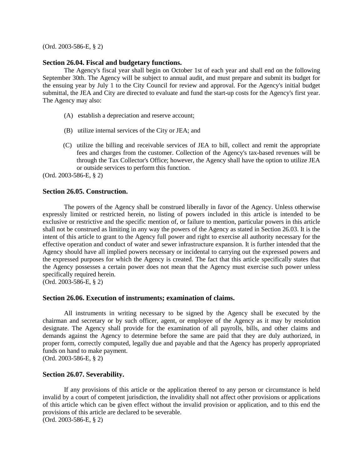(Ord. 2003-586-E, § 2)

#### **Section 26.04. Fiscal and budgetary functions.**

The Agency's fiscal year shall begin on October 1st of each year and shall end on the following September 30th. The Agency will be subject to annual audit, and must prepare and submit its budget for the ensuing year by July 1 to the City Council for review and approval. For the Agency's initial budget submittal, the JEA and City are directed to evaluate and fund the start-up costs for the Agency's first year. The Agency may also:

- (A) establish a depreciation and reserve account;
- (B) utilize internal services of the City or JEA; and
- (C) utilize the billing and receivable services of JEA to bill, collect and remit the appropriate fees and charges from the customer. Collection of the Agency's tax-based revenues will be through the Tax Collector's Office; however, the Agency shall have the option to utilize JEA or outside services to perform this function.

(Ord. 2003-586-E, § 2)

## **Section 26.05. Construction.**

The powers of the Agency shall be construed liberally in favor of the Agency. Unless otherwise expressly limited or restricted herein, no listing of powers included in this article is intended to be exclusive or restrictive and the specific mention of, or failure to mention, particular powers in this article shall not be construed as limiting in any way the powers of the Agency as stated in Section 26.03. It is the intent of this article to grant to the Agency full power and right to exercise all authority necessary for the effective operation and conduct of water and sewer infrastructure expansion. It is further intended that the Agency should have all implied powers necessary or incidental to carrying out the expressed powers and the expressed purposes for which the Agency is created. The fact that this article specifically states that the Agency possesses a certain power does not mean that the Agency must exercise such power unless specifically required herein.

(Ord. 2003-586-E, § 2)

## **Section 26.06. Execution of instruments; examination of claims.**

All instruments in writing necessary to be signed by the Agency shall be executed by the chairman and secretary or by such officer, agent, or employee of the Agency as it may by resolution designate. The Agency shall provide for the examination of all payrolls, bills, and other claims and demands against the Agency to determine before the same are paid that they are duly authorized, in proper form, correctly computed, legally due and payable and that the Agency has properly appropriated funds on hand to make payment.

(Ord. 2003-586-E, § 2)

#### **Section 26.07. Severability.**

If any provisions of this article or the application thereof to any person or circumstance is held invalid by a court of competent jurisdiction, the invalidity shall not affect other provisions or applications of this article which can be given effect without the invalid provision or application, and to this end the provisions of this article are declared to be severable. (Ord. 2003-586-E, § 2)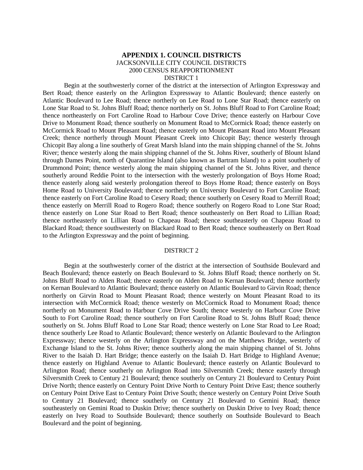## **APPENDIX 1. COUNCIL DISTRICTS** JACKSONVILLE CITY COUNCIL DISTRICTS 2000 CENSUS REAPPORTIONMENT DISTRICT 1

Begin at the southwesterly corner of the district at the intersection of Arlington Expressway and Bert Road; thence easterly on the Arlington Expressway to Atlantic Boulevard; thence easterly on Atlantic Boulevard to Lee Road; thence northerly on Lee Road to Lone Star Road; thence easterly on Lone Star Road to St. Johns Bluff Road; thence northerly on St. Johns Bluff Road to Fort Caroline Road; thence northeasterly on Fort Caroline Road to Harbour Cove Drive; thence easterly on Harbour Cove Drive to Monument Road; thence southerly on Monument Road to McCormick Road; thence easterly on McCormick Road to Mount Pleasant Road; thence easterly on Mount Pleasant Road into Mount Pleasant Creek; thence northerly through Mount Pleasant Creek into Chicopit Bay; thence westerly through Chicopit Bay along a line southerly of Great Marsh Island into the main shipping channel of the St. Johns River; thence westerly along the main shipping channel of the St. Johns River, southerly of Blount Island through Dames Point, north of Quarantine Island (also known as Bartram Island) to a point southerly of Drummond Point; thence westerly along the main shipping channel of the St. Johns River, and thence southerly around Reddie Point to the intersection with the westerly prolongation of Boys Home Road; thence easterly along said westerly prolongation thereof to Boys Home Road; thence easterly on Boys Home Road to University Boulevard; thence northerly on University Boulevard to Fort Caroline Road; thence easterly on Fort Caroline Road to Cesery Road; thence southerly on Cesery Road to Merrill Road; thence easterly on Merrill Road to Rogero Road; thence southerly on Rogero Road to Lone Star Road; thence easterly on Lone Star Road to Bert Road; thence southeasterly on Bert Road to Lillian Road; thence northeasterly on Lillian Road to Chapeau Road; thence southeasterly on Chapeau Road to Blackard Road; thence southwesterly on Blackard Road to Bert Road; thence southeasterly on Bert Road to the Arlington Expressway and the point of beginning.

#### DISTRICT 2

Begin at the southwesterly corner of the district at the intersection of Southside Boulevard and Beach Boulevard; thence easterly on Beach Boulevard to St. Johns Bluff Road; thence northerly on St. Johns Bluff Road to Alden Road; thence easterly on Alden Road to Kernan Boulevard; thence northerly on Kernan Boulevard to Atlantic Boulevard; thence easterly on Atlantic Boulevard to Girvin Road; thence northerly on Girvin Road to Mount Pleasant Road; thence westerly on Mount Pleasant Road to its intersection with McCormick Road; thence westerly on McCormick Road to Monument Road; thence northerly on Monument Road to Harbour Cove Drive South; thence westerly on Harbour Cove Drive South to Fort Caroline Road; thence southerly on Fort Caroline Road to St. Johns Bluff Road; thence southerly on St. Johns Bluff Road to Lone Star Road; thence westerly on Lone Star Road to Lee Road; thence southerly Lee Road to Atlantic Boulevard; thence westerly on Atlantic Boulevard to the Arlington Expressway; thence westerly on the Arlington Expressway and on the Matthews Bridge, westerly of Exchange Island to the St. Johns River; thence southerly along the main shipping channel of St. Johns River to the Isaiah D. Hart Bridge; thence easterly on the Isaiah D. Hart Bridge to Highland Avenue; thence easterly on Highland Avenue to Atlantic Boulevard; thence easterly on Atlantic Boulevard to Arlington Road; thence southerly on Arlington Road into Silversmith Creek; thence easterly through Silversmith Creek to Century 21 Boulevard; thence southerly on Century 21 Boulevard to Century Point Drive North; thence easterly on Century Point Drive North to Century Point Drive East; thence southerly on Century Point Drive East to Century Point Drive South; thence westerly on Century Point Drive South to Century 21 Boulevard; thence southerly on Century 21 Boulevard to Gemini Road; thence southeasterly on Gemini Road to Duskin Drive; thence southerly on Duskin Drive to Ivey Road; thence easterly on Ivey Road to Southside Boulevard; thence southerly on Southside Boulevard to Beach Boulevard and the point of beginning.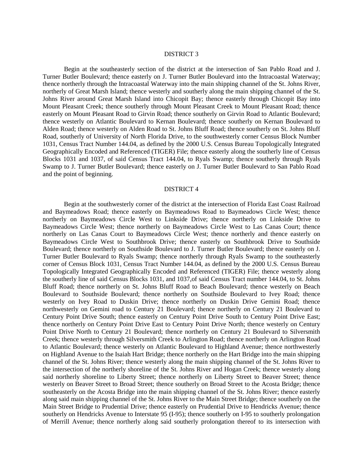#### DISTRICT 3

Begin at the southeasterly section of the district at the intersection of San Pablo Road and J. Turner Butler Boulevard; thence easterly on J. Turner Butler Boulevard into the Intracoastal Waterway; thence northerly through the Intracoastal Waterway into the main shipping channel of the St. Johns River, northerly of Great Marsh Island; thence westerly and southerly along the main shipping channel of the St. Johns River around Great Marsh Island into Chicopit Bay; thence easterly through Chicopit Bay into Mount Pleasant Creek; thence southerly through Mount Pleasant Creek to Mount Pleasant Road; thence easterly on Mount Pleasant Road to Girvin Road; thence southerly on Girvin Road to Atlantic Boulevard; thence westerly on Atlantic Boulevard to Kernan Boulevard; thence southerly on Kernan Boulevard to Alden Road; thence westerly on Alden Road to St. Johns Bluff Road; thence southerly on St. Johns Bluff Road, southerly of University of North Florida Drive, to the southwesterly corner Census Block Number 1031, Census Tract Number 144.04, as defined by the 2000 U.S. Census Bureau Topologically Integrated Geographically Encoded and Referenced (TIGER) File; thence easterly along the southerly line of Census Blocks 1031 and 1037, of said Census Tract 144.04, to Ryals Swamp; thence southerly through Ryals Swamp to J. Turner Butler Boulevard; thence easterly on J. Turner Butler Boulevard to San Pablo Road and the point of beginning.

#### DISTRICT 4

Begin at the southwesterly corner of the district at the intersection of Florida East Coast Railroad and Baymeadows Road; thence easterly on Baymeadows Road to Baymeadows Circle West; thence northerly on Baymeadows Circle West to Linkside Drive; thence northerly on Linkside Drive to Baymeadows Circle West; thence northerly on Baymeadows Circle West to Las Canas Court; thence northerly on Las Canas Court to Baymeadows Circle West; thence northerly and thence easterly on Baymeadows Circle West to Southbrook Drive; thence easterly on Southbrook Drive to Southside Boulevard; thence northerly on Southside Boulevard to J. Turner Butler Boulevard; thence easterly on J. Turner Butler Boulevard to Ryals Swamp; thence northerly through Ryals Swamp to the southeasterly corner of Census Block 1031, Census Tract Number 144.04, as defined by the 2000 U.S. Census Bureau Topologically Integrated Geographically Encoded and Referenced (TIGER) File; thence westerly along the southerly line of said Census Blocks 1031, and 1037,of said Census Tract number 144.04, to St. Johns Bluff Road; thence northerly on St. Johns Bluff Road to Beach Boulevard; thence westerly on Beach Boulevard to Southside Boulevard; thence northerly on Southside Boulevard to Ivey Road; thence westerly on Ivey Road to Duskin Drive; thence northerly on Duskin Drive Gemini Road; thence northwesterly on Gemini road to Century 21 Boulevard; thence northerly on Century 21 Boulevard to Century Point Drive South; thence easterly on Century Point Drive South to Century Point Drive East; thence northerly on Century Point Drive East to Century Point Drive North; thence westerly on Century Point Drive North to Century 21 Boulevard; thence northerly on Century 21 Boulevard to Silversmith Creek; thence westerly through Silversmith Creek to Arlington Road; thence northerly on Arlington Road to Atlantic Boulevard; thence westerly on Atlantic Boulevard to Highland Avenue; thence northwesterly on Highland Avenue to the Isaiah Hart Bridge; thence northerly on the Hart Bridge into the main shipping channel of the St. Johns River; thence westerly along the main shipping channel of the St. Johns River to the intersection of the northerly shoreline of the St. Johns River and Hogan Creek; thence westerly along said northerly shoreline to Liberty Street; thence northerly on Liberty Street to Beaver Street; thence westerly on Beaver Street to Broad Street; thence southerly on Broad Street to the Acosta Bridge; thence southeasterly on the Acosta Bridge into the main shipping channel of the St. Johns River; thence easterly along said main shipping channel of the St. Johns River to the Main Street Bridge; thence southerly on the Main Street Bridge to Prudential Drive; thence easterly on Prudential Drive to Hendricks Avenue; thence southerly on Hendricks Avenue to Interstate 95 (I-95); thence southerly on I-95 to southerly prolongation of Merrill Avenue; thence northerly along said southerly prolongation thereof to its intersection with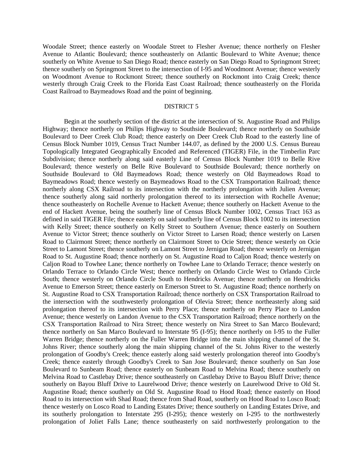Woodale Street; thence easterly on Woodale Street to Flesher Avenue; thence northerly on Flesher Avenue to Atlantic Boulevard; thence southeasterly on Atlantic Boulevard to White Avenue; thence southerly on White Avenue to San Diego Road; thence easterly on San Diego Road to Springmont Street; thence southerly on Springmont Street to the intersection of I-95 and Woodmont Avenue; thence westerly on Woodmont Avenue to Rockmont Street; thence southerly on Rockmont into Craig Creek; thence westerly through Craig Creek to the Florida East Coast Railroad; thence southeasterly on the Florida Coast Railroad to Baymeadows Road and the point of beginning.

#### DISTRICT 5

Begin at the southerly section of the district at the intersection of St. Augustine Road and Philips Highway; thence northerly on Philips Highway to Southside Boulevard; thence northerly on Southside Boulevard to Deer Creek Club Road; thence easterly on Deer Creek Club Road to the easterly line of Census Block Number 1019, Census Tract Number 144.07, as defined by the 2000 U.S. Census Bureau Topologically Integrated Geographically Encoded and Referenced (TIGER) File, in the Timberlin Parc Subdivision; thence northerly along said easterly Line of Census Block Number 1019 to Belle Rive Boulevard; thence westerly on Belle Rive Boulevard to Southside Boulevard; thence northerly on Southside Boulevard to Old Baymeadows Road; thence westerly on Old Baymeadows Road to Baymeadows Road; thence westerly on Baymeadows Road to the CSX Transportation Railroad; thence northerly along CSX Railroad to its intersection with the northerly prolongation with Julien Avenue; thence southerly along said northerly prolongation thereof to its intersection with Rochelle Avenue; thence southeasterly on Rochelle Avenue to Hackett Avenue; thence southerly on Hackett Avenue to the end of Hackett Avenue, being the southerly line of Census Block Number 1002, Census Tract 163 as defined in said TIGER File; thence easterly on said southerly line of Census Block 1002 to its intersection with Kelly Street; thence southerly on Kelly Street to Southern Avenue; thence easterly on Southern Avenue to Victor Street; thence southerly on Victor Street to Larsen Road; thence westerly on Larsen Road to Clairmont Street; thence northerly on Clairmont Street to Ocie Street; thence westerly on Ocie Street to Lamont Street; thence southerly on Lamont Street to Jernigan Road; thence westerly on Jernigan Road to St. Augustine Road; thence northerly on St. Augustine Road to Caljon Road; thence westerly on Caljon Road to Towhee Lane; thence northerly on Towhee Lane to Orlando Terrace; thence westerly on Orlando Terrace to Orlando Circle West; thence northerly on Orlando Circle West to Orlando Circle South; thence westerly on Orlando Circle South to Hendricks Avenue; thence northerly on Hendricks Avenue to Emerson Street; thence easterly on Emerson Street to St. Augustine Road; thence northerly on St. Augustine Road to CSX Transportation Railroad; thence northerly on CSX Transportation Railroad to the intersection with the southwesterly prolongation of Olevia Street; thence northeasterly along said prolongation thereof to its intersection with Perry Place; thence northerly on Perry Place to Landon Avenue; thence westerly on Landon Avenue to the CSX Transportation Railroad; thence northerly on the CSX Transportation Railroad to Nira Street; thence westerly on Nira Street to San Marco Boulevard; thence northerly on San Marco Boulevard to Interstate 95 (I-95); thence northerly on I-95 to the Fuller Warren Bridge; thence northerly on the Fuller Warren Bridge into the main shipping channel of the St. Johns River; thence southerly along the main shipping channel of the St. Johns River to the westerly prolongation of Goodby's Creek; thence easterly along said westerly prolongation thereof into Goodby's Creek; thence easterly through Goodby's Creek to San Jose Boulevard; thence southerly on San Jose Boulevard to Sunbeam Road; thence easterly on Sunbeam Road to Melvina Road; thence southerly on Melvina Road to Castlebay Drive; thence southeasterly on Castlebay Drive to Bayou Bluff Drive; thence southerly on Bayou Bluff Drive to Laurelwood Drive; thence westerly on Laurelwood Drive to Old St. Augustine Road; thence southerly on Old St. Augustine Road to Hood Road; thence easterly on Hood Road to its intersection with Shad Road; thence from Shad Road, southerly on Hood Road to Losco Road; thence westerly on Losco Road to Landing Estates Drive; thence southerly on Landing Estates Drive, and its southerly prolongation to Interstate 295 (I-295); thence westerly on I-295 to the northwesterly prolongation of Joliet Falls Lane; thence southeasterly on said northwesterly prolongation to the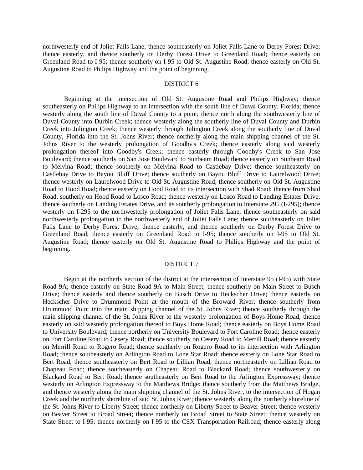northwesterly end of Joliet Falls Lane; thence southeasterly on Joliet Falls Lane to Derby Forest Drive; thence easterly, and thence southerly on Derby Forest Drive to Greenland Road; thence easterly on Greenland Road to I-95; thence southerly on I-95 to Old St. Augustine Road; thence easterly on Old St. Augustine Road to Philips Highway and the point of beginning.

### DISTRICT 6

Beginning at the intersection of Old St. Augustine Road and Philips Highway; thence southeasterly on Philips Highway to an intersection with the south line of Duval County, Florida; thence westerly along the south line of Duval County to a point; thence north along the southwesterly line of Duval County into Durbin Creek; thence westerly along the southerly line of Duval County and Durbin Creek into Julington Creek; thence westerly through Julington Creek along the southerly line of Duval County, Florida into the St. Johns River; thence northerly along the main shipping channel of the St. Johns River to the westerly prolongation of Goodby's Creek; thence easterly along said westerly prolongation thereof into Goodby's Creek; thence easterly through Goodby's Creek to San Jose Boulevard; thence southerly on San Jose Boulevard to Sunbeam Road; thence easterly on Sunbeam Road to Melvina Road; thence southerly on Melvina Road to Castlebay Drive; thence southeasterly on Castlebay Drive to Bayou Bluff Drive; thence southerly on Bayou Bluff Drive to Laurelwood Drive; thence westerly on Laurelwood Drive to Old St. Augustine Road; thence southerly on Old St. Augustine Road to Hood Road; thence easterly on Hood Road to its intersection with Shad Road; thence from Shad Road, southerly on Hood Road to Losco Road; thence westerly on Losco Road to Landing Estates Drive; thence southerly on Landing Estates Drive, and its southerly prolongation to Interstate 295 (I-295); thence westerly on I-295 to the northwesterly prolongation of Joliet Falls Lane; thence southeasterly on said northwesterly prolongation to the northwesterly end of Joliet Falls Lane; thence southeasterly on Joliet Falls Lane to Derby Forest Drive; thence easterly, and thence southerly on Derby Forest Drive to Greenland Road; thence easterly on Greenland Road to I-95; thence southerly on I-95 to Old St. Augustine Road; thence easterly on Old St. Augustine Road to Philips Highway and the point of beginning.

### DISTRICT 7

Begin at the northerly section of the district at the intersection of Interstate 95 (I-95) with State Road 9A; thence easterly on State Road 9A to Main Street; thence southerly on Main Street to Busch Drive; thence easterly and thence southerly on Busch Drive to Heckscher Drive; thence easterly on Heckscher Drive to Drummond Point at the mouth of the Broward River; thence southerly from Drummond Point into the main shipping channel of the St. Johns River; thence southerly through the main shipping channel of the St. Johns River to the westerly prolongation of Boys Home Road; thence easterly on said westerly prolongation thereof to Boys Home Road; thence easterly on Boys Home Road to University Boulevard; thence northerly on University Boulevard to Fort Caroline Road; thence easterly on Fort Caroline Road to Cesery Road; thence southerly on Cesery Road to Merrill Road; thence easterly on Merrill Road to Rogero Road; thence southerly on Rogero Road to its intersection with Arlington Road; thence southeasterly on Arlington Road to Lone Star Road; thence easterly on Lone Star Road to Bert Road; thence southeasterly on Bert Road to Lillian Road; thence northeasterly on Lillian Road to Chapeau Road; thence southeasterly on Chapeau Road to Blackard Road; thence southwesterly on Blackard Road to Bert Road; thence southeasterly on Bert Road to the Arlington Expressway; thence westerly on Arlington Expressway to the Matthews Bridge; thence southerly from the Matthews Bridge, and thence westerly along the main shipping channel of the St. Johns River, to the intersection of Hogan Creek and the northerly shoreline of said St. Johns River; thence westerly along the northerly shoreline of the St. Johns River to Liberty Street; thence northerly on Liberty Street to Beaver Street; thence westerly on Beaver Street to Broad Street; thence northerly on Broad Street to State Street; thence westerly on State Street to I-95; thence northerly on I-95 to the CSX Transportation Railroad; thence easterly along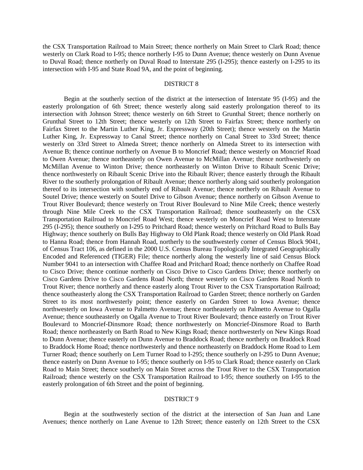the CSX Transportation Railroad to Main Street; thence northerly on Main Street to Clark Road; thence westerly on Clark Road to I-95; thence northerly I-95 to Dunn Avenue; thence westerly on Dunn Avenue to Duval Road; thence northerly on Duval Road to Interstate 295 (I-295); thence easterly on I-295 to its intersection with I-95 and State Road 9A, and the point of beginning.

#### DISTRICT 8

Begin at the southerly section of the district at the intersection of Interstate 95 (I-95) and the easterly prolongation of 6th Street; thence westerly along said easterly prolongation thereof to its intersection with Johnson Street; thence westerly on 6th Street to Grunthal Street; thence northerly on Grunthal Street to 12th Street; thence westerly on 12th Street to Fairfax Street; thence northerly on Fairfax Street to the Martin Luther King, Jr. Expressway (20th Street); thence westerly on the Martin Luther King, Jr. Expressway to Canal Street; thence northerly on Canal Street to 33rd Street; thence westerly on 33rd Street to Almeda Street; thence northerly on Almeda Street to its intersection with Avenue B; thence continue northerly on Avenue B to Moncrief Road; thence westerly on Moncrief Road to Owen Avenue; thence northeasterly on Owen Avenue to McMillan Avenue; thence northwesterly on McMillan Avenue to Winton Drive; thence northeasterly on Winton Drive to Ribault Scenic Drive; thence northwesterly on Ribault Scenic Drive into the Ribault River; thence easterly through the Ribault River to the southerly prolongation of Ribault Avenue; thence northerly along said southerly prolongation thereof to its intersection with southerly end of Ribault Avenue; thence northerly on Ribault Avenue to Soutel Drive; thence westerly on Soutel Drive to Gibson Avenue; thence northerly on Gibson Avenue to Trout River Boulevard; thence westerly on Trout River Boulevard to Nine Mile Creek; thence westerly through Nine Mile Creek to the CSX Transportation Railroad; thence southeasterly on the CSX Transportation Railroad to Moncrief Road West; thence westerly on Moncrief Road West to Interstate 295 (I-295); thence southerly on I-295 to Pritchard Road; thence westerly on Pritchard Road to Bulls Bay Highway; thence southerly on Bulls Bay Highway to Old Plank Road; thence westerly on Old Plank Road to Hanna Road; thence from Hannah Road, northerly to the southwesterly corner of Census Block 9041, of Census Tract 106, as defined in the 2000 U.S. Census Bureau Topologically Integrated Geographically Encoded and Referenced (TIGER) File; thence northerly along the westerly line of said Census Block Number 9041 to an intersection with Chaffee Road and Pritchard Road; thence northerly on Chaffee Road to Cisco Drive; thence continue northerly on Cisco Drive to Cisco Gardens Drive; thence northerly on Cisco Gardens Drive to Cisco Gardens Road North; thence westerly on Cisco Gardens Road North to Trout River; thence northerly and thence easterly along Trout River to the CSX Transportation Railroad; thence southeasterly along the CSX Transportation Railroad to Garden Street; thence northerly on Garden Street to its most northwesterly point; thence easterly on Garden Street to Iowa Avenue; thence northwesterly on Iowa Avenue to Palmetto Avenue; thence northeasterly on Palmetto Avenue to Ogalla Avenue; thence southeasterly on Ogalla Avenue to Trout River Boulevard; thence easterly on Trout River Boulevard to Moncrief-Dinsmore Road; thence northwesterly on Moncrief-Dinsmore Road to Barth Road; thence northeasterly on Barth Road to New Kings Road; thence northwesterly on New Kings Road to Dunn Avenue; thence easterly on Dunn Avenue to Braddock Road; thence northerly on Braddock Road to Braddock Home Road; thence northwesterly and thence northeasterly on Braddock Home Road to Lem Turner Road; thence southerly on Lem Turner Road to I-295; thence southerly on I-295 to Dunn Avenue; thence easterly on Dunn Avenue to I-95; thence southerly on I-95 to Clark Road; thence easterly on Clark Road to Main Street; thence southerly on Main Street across the Trout River to the CSX Transportation Railroad; thence westerly on the CSX Transportation Railroad to I-95; thence southerly on I-95 to the easterly prolongation of 6th Street and the point of beginning.

#### DISTRICT 9

Begin at the southwesterly section of the district at the intersection of San Juan and Lane Avenues; thence northerly on Lane Avenue to 12th Street; thence easterly on 12th Street to the CSX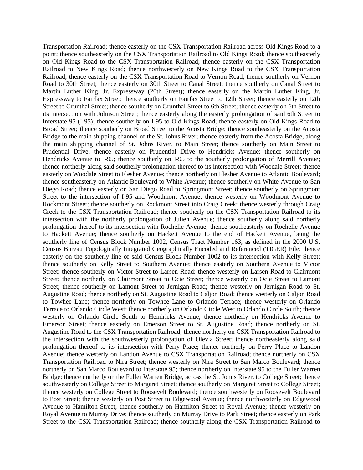Transportation Railroad; thence easterly on the CSX Transportation Railroad across Old Kings Road to a point; thence southeasterly on the CSX Transportation Railroad to Old Kings Road; thence southeasterly on Old Kings Road to the CSX Transportation Railroad; thence easterly on the CSX Transportation Railroad to New Kings Road; thence northwesterly on New Kings Road to the CSX Transportation Railroad; thence easterly on the CSX Transportation Road to Vernon Road; thence southerly on Vernon Road to 30th Street; thence easterly on 30th Street to Canal Street; thence southerly on Canal Street to Martin Luther King, Jr. Expressway (20th Street); thence easterly on the Martin Luther King, Jr. Expressway to Fairfax Street; thence southerly on Fairfax Street to 12th Street; thence easterly on 12th Street to Grunthal Street; thence southerly on Grunthal Street to 6th Street; thence easterly on 6th Street to its intersection with Johnson Street; thence easterly along the easterly prolongation of said 6th Street to Interstate 95 (I-95); thence southerly on I-95 to Old Kings Road; thence easterly on Old Kings Road to Broad Street; thence southerly on Broad Street to the Acosta Bridge; thence southeasterly on the Acosta Bridge to the main shipping channel of the St. Johns River; thence easterly from the Acosta Bridge, along the main shipping channel of St. Johns River, to Main Street; thence southerly on Main Street to Prudential Drive; thence easterly on Prudential Drive to Hendricks Avenue; thence southerly on Hendricks Avenue to I-95; thence southerly on I-95 to the southerly prolongation of Merrill Avenue; thence northerly along said southerly prolongation thereof to its intersection with Woodale Street; thence easterly on Woodale Street to Flesher Avenue; thence northerly on Flesher Avenue to Atlantic Boulevard; thence southeasterly on Atlantic Boulevard to White Avenue; thence southerly on White Avenue to San Diego Road; thence easterly on San Diego Road to Springmont Street; thence southerly on Springmont Street to the intersection of I-95 and Woodmont Avenue; thence westerly on Woodmont Avenue to Rockmont Street; thence southerly on Rockmont Street into Craig Creek; thence westerly through Craig Creek to the CSX Transportation Railroad; thence southerly on the CSX Transportation Railroad to its intersection with the northerly prolongation of Julien Avenue; thence southerly along said northerly prolongation thereof to its intersection with Rochelle Avenue; thence southeasterly on Rochelle Avenue to Hackett Avenue; thence southerly on Hackett Avenue to the end of Hackett Avenue, being the southerly line of Census Block Number 1002, Census Tract Number 163, as defined in the 2000 U.S. Census Bureau Topologically Integrated Geographically Encoded and Referenced (TIGER) File; thence easterly on the southerly line of said Census Block Number 1002 to its intersection with Kelly Street; thence southerly on Kelly Street to Southern Avenue; thence easterly on Southern Avenue to Victor Street; thence southerly on Victor Street to Larsen Road; thence westerly on Larsen Road to Clairmont Street; thence northerly on Clairmont Street to Ocie Street; thence westerly on Ocie Street to Lamont Street; thence southerly on Lamont Street to Jernigan Road; thence westerly on Jernigan Road to St. Augustine Road; thence northerly on St. Augustine Road to Caljon Road; thence westerly on Caljon Road to Towhee Lane; thence northerly on Towhee Lane to Orlando Terrace; thence westerly on Orlando Terrace to Orlando Circle West; thence northerly on Orlando Circle West to Orlando Circle South; thence westerly on Orlando Circle South to Hendricks Avenue; thence northerly on Hendricks Avenue to Emerson Street; thence easterly on Emerson Street to St. Augustine Road; thence northerly on St. Augustine Road to the CSX Transportation Railroad; thence northerly on CSX Transportation Railroad to the intersection with the southwesterly prolongation of Olevia Street; thence northeasterly along said prolongation thereof to its intersection with Perry Place; thence northerly on Perry Place to Landon Avenue; thence westerly on Landon Avenue to CSX Transportation Railroad; thence northerly on CSX Transportation Railroad to Nira Street; thence westerly on Nira Street to San Marco Boulevard; thence northerly on San Marco Boulevard to Interstate 95; thence northerly on Interstate 95 to the Fuller Warren Bridge; thence northerly on the Fuller Warren Bridge, across the St. Johns River, to College Street; thence southwesterly on College Street to Margaret Street; thence southerly on Margaret Street to College Street; thence westerly on College Street to Roosevelt Boulevard; thence southwesterly on Roosevelt Boulevard to Post Street; thence westerly on Post Street to Edgewood Avenue; thence northwesterly on Edgewood Avenue to Hamilton Street; thence southerly on Hamilton Street to Royal Avenue; thence westerly on Royal Avenue to Murray Drive; thence southerly on Murray Drive to Park Street; thence easterly on Park Street to the CSX Transportation Railroad; thence southerly along the CSX Transportation Railroad to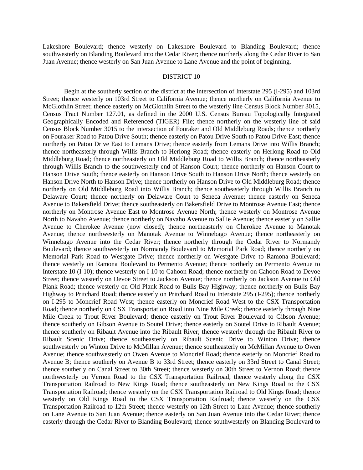Lakeshore Boulevard; thence westerly on Lakeshore Boulevard to Blanding Boulevard; thence southwesterly on Blanding Boulevard into the Cedar River; thence northerly along the Cedar River to San Juan Avenue; thence westerly on San Juan Avenue to Lane Avenue and the point of beginning.

## DISTRICT 10

Begin at the southerly section of the district at the intersection of Interstate 295 (I-295) and 103rd Street; thence westerly on 103rd Street to California Avenue; thence northerly on California Avenue to McGlothlin Street; thence easterly on McGlothlin Street to the westerly line Census Block Number 3015, Census Tract Number 127.01, as defined in the 2000 U.S. Census Bureau Topologically Integrated Geographically Encoded and Referenced (TIGER) File; thence northerly on the westerly line of said Census Block Number 3015 to the intersection of Fouraker and Old Middleburg Roads; thence northerly on Fouraker Road to Patou Drive South; thence easterly on Patou Drive South to Patou Drive East; thence northerly on Patou Drive East to Lemans Drive; thence easterly from Lemans Drive into Willis Branch; thence northeasterly through Willis Branch to Herlong Road; thence easterly on Herlong Road to Old Middleburg Road; thence northeasterly on Old Middleburg Road to Willis Branch; thence northeasterly through Willis Branch to the southwesterly end of Hanson Court; thence northerly on Hanson Court to Hanson Drive South; thence easterly on Hanson Drive South to Hanson Drive North; thence westerly on Hanson Drive North to Hanson Drive; thence northerly on Hanson Drive to Old Middleburg Road; thence northerly on Old Middleburg Road into Willis Branch; thence southeasterly through Willis Branch to Delaware Court; thence northerly on Delaware Court to Seneca Avenue; thence easterly on Seneca Avenue to Bakersfield Drive; thence southeasterly on Bakersfield Drive to Montrose Avenue East; thence northerly on Montrose Avenue East to Montrose Avenue North; thence westerly on Montrose Avenue North to Navaho Avenue; thence northerly on Navaho Avenue to Sallie Avenue; thence easterly on Sallie Avenue to Cherokee Avenue (now closed); thence northeasterly on Cherokee Avenue to Manotak Avenue; thence northwesterly on Manotak Avenue to Winnebago Avenue; thence northeasterly on Winnebago Avenue into the Cedar River; thence northerly through the Cedar River to Normandy Boulevard; thence southwesterly on Normandy Boulevard to Memorial Park Road; thence northerly on Memorial Park Road to Westgate Drive; thence northerly on Westgate Drive to Ramona Boulevard; thence westerly on Ramona Boulevard to Permento Avenue; thence northerly on Permento Avenue to Interstate 10 (I-10); thence westerly on I-10 to Cahoon Road; thence northerly on Cahoon Road to Devoe Street; thence westerly on Devoe Street to Jackson Avenue; thence northerly on Jackson Avenue to Old Plank Road; thence westerly on Old Plank Road to Bulls Bay Highway; thence northerly on Bulls Bay Highway to Pritchard Road; thence easterly on Pritchard Road to Interstate 295 (I-295); thence northerly on I-295 to Moncrief Road West; thence easterly on Moncrief Road West to the CSX Transportation Road; thence northerly on CSX Transportation Road into Nine Mile Creek; thence easterly through Nine Mile Creek to Trout River Boulevard; thence easterly on Trout River Boulevard to Gibson Avenue; thence southerly on Gibson Avenue to Soutel Drive; thence easterly on Soutel Drive to Ribault Avenue; thence southerly on Ribault Avenue into the Ribault River; thence westerly through the Ribault River to Ribault Scenic Drive; thence southeasterly on Ribault Scenic Drive to Winton Drive; thence southwesterly on Winton Drive to McMillan Avenue; thence southeasterly on McMillan Avenue to Owen Avenue; thence southwesterly on Owen Avenue to Moncrief Road; thence easterly on Moncrief Road to Avenue B; thence southerly on Avenue B to 33rd Street; thence easterly on 33rd Street to Canal Street; thence southerly on Canal Street to 30th Street; thence westerly on 30th Street to Vernon Road; thence northwesterly on Vernon Road to the CSX Transportation Railroad; thence westerly along the CSX Transportation Railroad to New Kings Road; thence southeasterly on New Kings Road to the CSX Transportation Railroad; thence westerly on the CSX Transportation Railroad to Old Kings Road; thence westerly on Old Kings Road to the CSX Transportation Railroad; thence westerly on the CSX Transportation Railroad to 12th Street; thence westerly on 12th Street to Lane Avenue; thence southerly on Lane Avenue to San Juan Avenue; thence easterly on San Juan Avenue into the Cedar River; thence easterly through the Cedar River to Blanding Boulevard; thence southwesterly on Blanding Boulevard to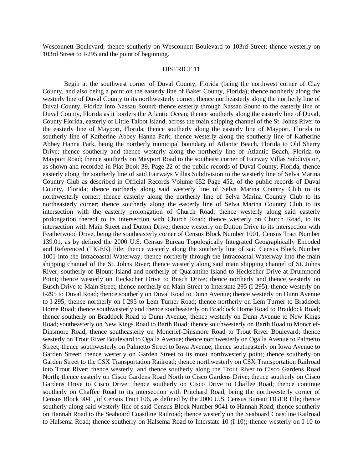Wesconnett Boulevard; thence southerly on Wesconnett Boulevard to 103rd Street; thence westerly on 103rd Street to I-295 and the point of beginning.

#### DISTRICT 11

Begin at the southwest corner of Duval County, Florida (being the northwest corner of Clay County, and also being a point on the easterly line of Baker County, Florida); thence northerly along the westerly line of Duval County to its northwesterly corner; thence northeasterly along the northerly line of Duval County, Florida into Nassau Sound; thence easterly through Nassau Sound to the easterly line of Duval County, Florida as it borders the Atlantic Ocean; thence southerly along the easterly line of Duval, County Florida, easterly of Little Talbot Island, across the main shipping channel of the St. Johns River to the easterly line of Mayport, Florida; thence southerly along the easterly line of Mayport, Florida to southerly line of Katherine Abbey Hanna Park; thence westerly along the southerly line of Katherine Abbey Hanna Park, being the northerly municipal boundary of Atlantic Beach, Florida to Old Sherry Drive; thence southerly and thence westerly along the northerly line of Atlantic Beach, Florida to Mayport Road; thence southerly on Mayport Road to the southeast corner of Fairway Villas Subdivision, as shown and recorded in Plat Book 39, Page 22 of the public records of Duval County, Florida; thence easterly along the southerly line of said Fairways Villas Subdivision to the westerly line of Selva Marina Country Club as described in Official Records Volume 652 Page 452, of the public records of Duval County, Florida; thence northerly along said westerly line of Selva Marina Country Club to its northwesterly corner; thence easterly along the northerly line of Selva Marina Country Club to its northeasterly corner; thence southerly along the easterly line of Selva Marina Country Club to its intersection with the easterly prolongation of Church Road; thence westerly along said easterly prolongation thereof to its intersection with Church Road; thence westerly on Church Road, to its intersection with Main Street and Dutton Drive; thence westerly on Dutton Drive to its intersection with Featherwood Drive, being the southeasterly corner of Census Block Number 1001, Census Tract Number 139.01, as by defined the 2000 U.S. Census Bureau Topologically Integrated Geographically Encoded and Referenced (TIGER) File; thence westerly along the southerly line of said Census Block Number 1001 into the Intracoastal Waterway; thence northerly through the Intracoastal Waterway into the main shipping channel of the St. Johns River; thence westerly along said main shipping channel of St. Johns River, southerly of Blount Island and northerly of Quarantine Island to Heckscher Drive at Drummond Point; thence westerly on Heckscher Drive to Busch Drive; thence northerly and thence westerly on Busch Drive to Main Street; thence northerly on Main Street to Interstate 295 (I-295); thence westerly on I-295 to Duval Road; thence southerly on Duval Road to Dunn Avenue; thence westerly on Dunn Avenue to I-295; thence northerly on I-295 to Lem Turner Road; thence northerly on Lem Turner to Braddock Home Road; thence southwesterly and thence southeasterly on Braddock Home Road to Braddock Road; thence southerly on Braddock Road to Dunn Avenue; thence westerly on Dunn Avenue to New Kings Road; southeasterly on New Kings Road to Barth Road; thence southwesterly on Barth Road to Moncrief-Dinsmore Road; thence southeasterly on Moncrief-Dinsmore Road to Trout River Boulevard; thence westerly on Trout River Boulevard to Ogalla Avenue; thence northwesterly on Ogalla Avenue to Palmetto Street; thence southwesterly on Palmetto Street to Iowa Avenue; thence southeasterly on Iowa Avenue to Garden Street; thence westerly on Garden Street to its most northwesterly point; thence southerly on Garden Street to the CSX Transportation Railroad; thence northwesterly on CSX Transportation Railroad into Trout River; thence westerly, and thence southerly along the Trout River to Cisco Gardens Road North; thence easterly on Cisco Gardens Road North to Cisco Gardens Drive; thence southerly on Cisco Gardens Drive to Cisco Drive; thence southerly on Cisco Drive to Chaffee Road; thence continue southerly on Chaffee Road to its intersection with Pritchard Road, being the northwesterly corner of Census Block 9041, of Census Tract 106, as defined by the 2000 U.S. Census Bureau TIGER File; thence southerly along said westerly line of said Census Block Number 9041 to Hannah Road; thence southerly on Hannah Road to the Seaboard Coastline Railroad; thence westerly on the Seaboard Coastline Railroad to Halsema Road; thence southerly on Halsema Road to Interstate 10 (I-10); thence westerly on I-10 to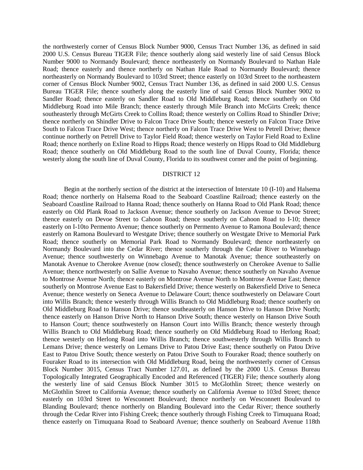the northwesterly corner of Census Block Number 9000, Census Tract Number 136, as defined in said 2000 U.S. Census Bureau TIGER File; thence southerly along said westerly line of said Census Block Number 9000 to Normandy Boulevard; thence northeasterly on Normandy Boulevard to Nathan Hale Road; thence easterly and thence northerly on Nathan Hale Road to Normandy Boulevard; thence northeasterly on Normandy Boulevard to 103rd Street; thence easterly on 103rd Street to the northeastern corner of Census Block Number 9002, Census Tract Number 136, as defined in said 2000 U.S. Census Bureau TIGER File; thence southerly along the easterly line of said Census Block Number 9002 to Sandler Road; thence easterly on Sandler Road to Old Middleburg Road; thence southerly on Old Middleburg Road into Mile Branch; thence easterly through Mile Branch into McGirts Creek; thence southeasterly through McGirts Creek to Collins Road; thence westerly on Collins Road to Shindler Drive; thence northerly on Shindler Drive to Falcon Trace Drive South; thence westerly on Falcon Trace Drive South to Falcon Trace Drive West; thence northerly on Falcon Trace Drive West to Petrell Drive; thence continue northerly on Petrell Drive to Taylor Field Road; thence westerly on Taylor Field Road to Exline Road; thence northerly on Exline Road to Hipps Road; thence westerly on Hipps Road to Old Middleburg Road; thence southerly on Old Middleburg Road to the south line of Duval County, Florida; thence westerly along the south line of Duval County, Florida to its southwest corner and the point of beginning.

#### DISTRICT 12

Begin at the northerly section of the district at the intersection of Interstate 10 (I-10) and Halsema Road; thence northerly on Halsema Road to the Seaboard Coastline Railroad; thence easterly on the Seaboard Coastline Railroad to Hanna Road; thence southerly on Hanna Road to Old Plank Road; thence easterly on Old Plank Road to Jackson Avenue; thence southerly on Jackson Avenue to Devoe Street; thence easterly on Devoe Street to Cahoon Road; thence southerly on Cahoon Road to I-10; thence easterly on I-10to Permento Avenue; thence southerly on Permento Avenue to Ramona Boulevard; thence easterly on Ramona Boulevard to Westgate Drive; thence southerly on Westgate Drive to Memorial Park Road; thence southerly on Memorial Park Road to Normandy Boulevard; thence northeasterly on Normandy Boulevard into the Cedar River; thence southerly through the Cedar River to Winnebago Avenue; thence southwesterly on Winnebago Avenue to Manotak Avenue; thence southeasterly on Manotak Avenue to Cherokee Avenue (now closed); thence southwesterly on Cherokee Avenue to Sallie Avenue; thence northwesterly on Sallie Avenue to Navaho Avenue; thence southerly on Navaho Avenue to Montrose Avenue North; thence easterly on Montrose Avenue North to Montrose Avenue East; thence southerly on Montrose Avenue East to Bakersfield Drive; thence westerly on Bakersfield Drive to Seneca Avenue; thence westerly on Seneca Avenue to Delaware Court; thence southwesterly on Delaware Court into Willis Branch; thence westerly through Willis Branch to Old Middleburg Road; thence southerly on Old Middleburg Road to Hanson Drive; thence southeasterly on Hanson Drive to Hanson Drive North; thence easterly on Hanson Drive North to Hanson Drive South; thence westerly on Hanson Drive South to Hanson Court; thence southwesterly on Hanson Court into Willis Branch; thence westerly through Willis Branch to Old Middleburg Road; thence southerly on Old Middleburg Road to Herlong Road; thence westerly on Herlong Road into Willis Branch; thence southwesterly through Willis Branch to Lemans Drive; thence westerly on Lemans Drive to Patou Drive East; thence southerly on Patou Drive East to Patou Drive South; thence westerly on Patou Drive South to Fouraker Road; thence southerly on Fouraker Road to its intersection with Old Middleburg Road, being the northwesterly corner of Census Block Number 3015, Census Tract Number 127.01, as defined by the 2000 U.S. Census Bureau Topologically Integrated Geographically Encoded and Referenced (TIGER) File; thence southerly along the westerly line of said Census Block Number 3015 to McGlothlin Street; thence westerly on McGlothlin Street to California Avenue; thence southerly on California Avenue to 103rd Street; thence easterly on 103rd Street to Wesconnett Boulevard; thence northerly on Wesconnett Boulevard to Blanding Boulevard; thence northerly on Blanding Boulevard into the Cedar River; thence southerly through the Cedar River into Fishing Creek; thence southerly through Fishing Creek to Timuquana Road; thence easterly on Timuquana Road to Seaboard Avenue; thence southerly on Seaboard Avenue 118th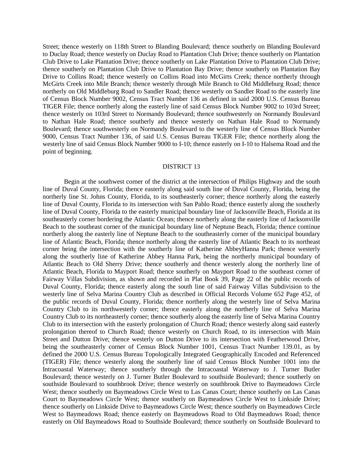Street; thence westerly on 118th Street to Blanding Boulevard; thence southerly on Blanding Boulevard to Duclay Road; thence westerly on Duclay Road to Plantation Club Drive; thence southerly on Plantation Club Drive to Lake Plantation Drive; thence southerly on Lake Plantation Drive to Plantation Club Drive; thence southerly on Plantation Club Drive to Plantation Bay Drive; thence southerly on Plantation Bay Drive to Collins Road; thence westerly on Collins Road into McGirts Creek; thence northerly through McGirts Creek into Mile Branch; thence westerly through Mile Branch to Old Middleburg Road; thence northerly on Old Middleburg Road to Sandler Road; thence westerly on Sandler Road to the easterly line of Census Block Number 9002, Census Tract Number 136 as defined in said 2000 U.S. Census Bureau TIGER File; thence northerly along the easterly line of said Census Block Number 9002 to 103rd Street; thence westerly on 103rd Street to Normandy Boulevard; thence southwesterly on Normandy Boulevard to Nathan Hale Road; thence southerly and thence westerly on Nathan Hale Road to Normandy Boulevard; thence southwesterly on Normandy Boulevard to the westerly line of Census Block Number 9000, Census Tract Number 136, of said U.S. Census Bureau TIGER File; thence northerly along the westerly line of said Census Block Number 9000 to I-10; thence easterly on I-10 to Halsema Road and the point of beginning.

## DISTRICT 13

Begin at the southwest corner of the district at the intersection of Philips Highway and the south line of Duval County, Florida; thence easterly along said south line of Duval County, Florida, being the northerly line St. Johns County, Florida, to its southeasterly corner; thence northerly along the easterly line of Duval County, Florida to its intersection with San Pablo Road; thence easterly along the southerly line of Duval County, Florida to the easterly municipal boundary line of Jacksonville Beach, Florida at its southeasterly corner bordering the Atlantic Ocean; thence northerly along the easterly line of Jacksonville Beach to the southeast corner of the municipal boundary line of Neptune Beach, Florida; thence continue northerly along the easterly line of Neptune Beach to the southeasterly corner of the municipal boundary line of Atlantic Beach, Florida; thence northerly along the easterly line of Atlantic Beach to its northeast corner being the intersection with the southerly line of Katherine AbbeyHanna Park; thence westerly along the southerly line of Katherine Abbey Hanna Park, being the northerly municipal boundary of Atlantic Beach to Old Sherry Drive; thence southerly and thence westerly along the northerly line of Atlantic Beach, Florida to Mayport Road; thence southerly on Mayport Road to the southeast corner of Fairway Villas Subdivision, as shown and recorded in Plat Book 39, Page 22 of the public records of Duval County, Florida; thence easterly along the south line of said Fairway Villas Subdivision to the westerly line of Selva Marina Country Club as described in Official Records Volume 652 Page 452, of the public records of Duval County, Florida; thence northerly along the westerly line of Selva Marina Country Club to its northwesterly corner; thence easterly along the northerly line of Selva Marina Country Club to its northeasterly corner; thence southerly along the easterly line of Selva Marina Country Club to its intersection with the easterly prolongation of Church Road; thence westerly along said easterly prolongation thereof to Church Road; thence westerly on Church Road, to its intersection with Main Street and Dutton Drive; thence westerly on Dutton Drive to its intersection with Featherwood Drive, being the southeasterly corner of Census Block Number 1001, Census Tract Number 139.01, as by defined the 2000 U.S. Census Bureau Topologically Integrated Geographically Encoded and Referenced (TIGER) File; thence westerly along the southerly line of said Census Block Number 1001 into the Intracoastal Waterway; thence southerly through the Intracoastal Waterway to J. Turner Butler Boulevard; thence westerly on J. Turner Butler Boulevard to southside Boulevard; thence southerly on southside Boulevard to southbrook Drive; thence westerly on southbrook Drive to Baymeadows Circle West; thence southerly on Baymeadows Circle West to Las Canas Court; thence southerly on Las Canas Court to Baymeadows Circle West; thence southerly on Baymeadows Circle West to Linkside Drive; thence southerly on Linkside Drive to Baymeadows Circle West; thence southerly on Baymeadows Circle West to Baymeadows Road; thence easterly on Baymeadows Road to Old Baymeadows Road; thence easterly on Old Baymeadows Road to Southside Boulevard; thence southerly on Southside Boulevard to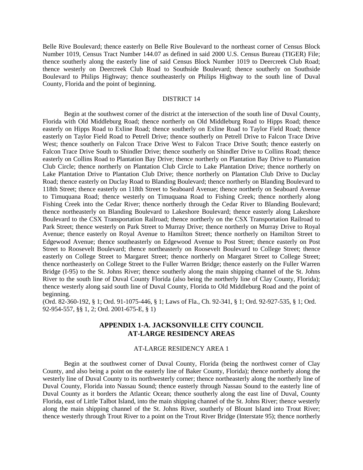Belle Rive Boulevard; thence easterly on Belle Rive Boulevard to the northeast corner of Census Block Number 1019, Census Tract Number 144.07 as defined in said 2000 U.S. Census Bureau (TIGER) File; thence southerly along the easterly line of said Census Block Number 1019 to Deercreek Club Road; thence westerly on Deercreek Club Road to Southside Boulevard; thence southerly on Southside Boulevard to Philips Highway; thence southeasterly on Philips Highway to the south line of Duval County, Florida and the point of beginning.

## DISTRICT 14

Begin at the southwest corner of the district at the intersection of the south line of Duval County, Florida with Old Middleburg Road; thence northerly on Old Middleburg Road to Hipps Road; thence easterly on Hipps Road to Exline Road; thence southerly on Exline Road to Taylor Field Road; thence easterly on Taylor Field Road to Petrell Drive; thence southerly on Petrell Drive to Falcon Trace Drive West; thence southerly on Falcon Trace Drive West to Falcon Trace Drive South; thence easterly on Falcon Trace Drive South to Shindler Drive; thence southerly on Shindler Drive to Collins Road; thence easterly on Collins Road to Plantation Bay Drive; thence northerly on Plantation Bay Drive to Plantation Club Circle; thence northerly on Plantation Club Circle to Lake Plantation Drive; thence northerly on Lake Plantation Drive to Plantation Club Drive; thence northerly on Plantation Club Drive to Duclay Road; thence easterly on Duclay Road to Blanding Boulevard; thence northerly on Blanding Boulevard to 118th Street; thence easterly on 118th Street to Seaboard Avenue; thence northerly on Seaboard Avenue to Timuquana Road; thence westerly on Timuquana Road to Fishing Creek; thence northerly along Fishing Creek into the Cedar River; thence northerly through the Cedar River to Blanding Boulevard; thence northeasterly on Blanding Boulevard to Lakeshore Boulevard; thence easterly along Lakeshore Boulevard to the CSX Transportation Railroad; thence northerly on the CSX Transportation Railroad to Park Street; thence westerly on Park Street to Murray Drive; thence northerly on Murray Drive to Royal Avenue; thence easterly on Royal Avenue to Hamilton Street; thence northerly on Hamilton Street to Edgewood Avenue; thence southeasterly on Edgewood Avenue to Post Street; thence easterly on Post Street to Roosevelt Boulevard; thence northeasterly on Roosevelt Boulevard to College Street; thence easterly on College Street to Margaret Street; thence northerly on Margaret Street to College Street; thence northeasterly on College Street to the Fuller Warren Bridge; thence easterly on the Fuller Warren Bridge (I-95) to the St. Johns River; thence southerly along the main shipping channel of the St. Johns River to the south line of Duval County Florida (also being the northerly line of Clay County, Florida); thence westerly along said south line of Duval County, Florida to Old Middleburg Road and the point of beginning.

(Ord. 82-360-192, § 1; Ord. 91-1075-446, § 1; Laws of Fla., Ch. 92-341, § 1; Ord. 92-927-535, § 1; Ord. 92-954-557, §§ 1, 2; Ord. 2001-675-E, § 1)

## **APPENDIX 1-A. JACKSONVILLE CITY COUNCIL AT-LARGE RESIDENCY AREAS**

#### AT-LARGE RESIDENCY AREA 1

Begin at the southwest corner of Duval County, Florida (being the northwest corner of Clay County, and also being a point on the easterly line of Baker County, Florida); thence northerly along the westerly line of Duval County to its northwesterly corner; thence northeasterly along the northerly line of Duval County, Florida into Nassau Sound; thence easterly through Nassau Sound to the easterly line of Duval County as it borders the Atlantic Ocean; thence southerly along the east line of Duval, County Florida, east of Little Talbot Island, into the main shipping channel of the St. Johns River; thence westerly along the main shipping channel of the St. Johns River, southerly of Blount Island into Trout River; thence westerly through Trout River to a point on the Trout River Bridge (Interstate 95); thence northerly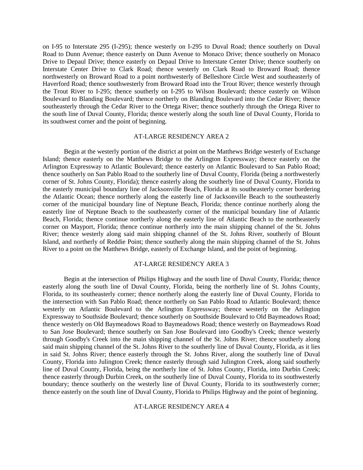on I-95 to Interstate 295 (I-295); thence westerly on I-295 to Duval Road; thence southerly on Duval Road to Dunn Avenue; thence easterly on Dunn Avenue to Monaco Drive; thence southerly on Monaco Drive to Depaul Drive; thence easterly on Depaul Drive to Interstate Center Drive; thence southerly on Interstate Center Drive to Clark Road; thence westerly on Clark Road to Broward Road; thence northwesterly on Broward Road to a point northwesterly of Belleshore Circle West and southeasterly of Haverford Road; thence southwesterly from Broward Road into the Trout River; thence westerly through the Trout River to I-295; thence southerly on I-295 to Wilson Boulevard; thence easterly on Wilson Boulevard to Blanding Boulevard; thence northerly on Blanding Boulevard into the Cedar River; thence southeasterly through the Cedar River to the Ortega River; thence southerly through the Ortega River to the south line of Duval County, Florida; thence westerly along the south line of Duval County, Florida to its southwest corner and the point of beginning.

### AT-LARGE RESIDENCY AREA 2

Begin at the westerly portion of the district at point on the Matthews Bridge westerly of Exchange Island; thence easterly on the Matthews Bridge to the Arlington Expressway; thence easterly on the Arlington Expressway to Atlantic Boulevard; thence easterly on Atlantic Boulevard to San Pablo Road; thence southerly on San Pablo Road to the southerly line of Duval County, Florida (being a northwesterly corner of St. Johns County, Florida); thence easterly along the southerly line of Duval County, Florida to the easterly municipal boundary line of Jacksonville Beach, Florida at its southeasterly corner bordering the Atlantic Ocean; thence northerly along the easterly line of Jacksonville Beach to the southeasterly corner of the municipal boundary line of Neptune Beach, Florida; thence continue northerly along the easterly line of Neptune Beach to the southeasterly corner of the municipal boundary line of Atlantic Beach, Florida; thence continue northerly along the easterly line of Atlantic Beach to the northeasterly corner on Mayport, Florida; thence continue northerly into the main shipping channel of the St. Johns River; thence westerly along said main shipping channel of the St. Johns River, southerly of Blount Island, and northerly of Reddie Point; thence southerly along the main shipping channel of the St. Johns River to a point on the Matthews Bridge, easterly of Exchange Island, and the point of beginning.

### AT-LARGE RESIDENCY AREA 3

Begin at the intersection of Philips Highway and the south line of Duval County, Florida; thence easterly along the south line of Duval County, Florida, being the northerly line of St. Johns County, Florida, to its southeasterly corner; thence northerly along the easterly line of Duval County, Florida to the intersection with San Pablo Road; thence northerly on San Pablo Road to Atlantic Boulevard; thence westerly on Atlantic Boulevard to the Arlington Expressway; thence westerly on the Arlington Expressway to Southside Boulevard; thence southerly on Southside Boulevard to Old Baymeadows Road; thence westerly on Old Baymeadows Road to Baymeadows Road; thence westerly on Baymeadows Road to San Jose Boulevard; thence southerly on San Jose Boulevard into Goodby's Creek; thence westerly through Goodby's Creek into the main shipping channel of the St. Johns River; thence southerly along said main shipping channel of the St. Johns River to the southerly line of Duval County, Florida, as it lies in said St. Johns River; thence easterly through the St. Johns River, along the southerly line of Duval County, Florida into Julington Creek; thence easterly through said Julington Creek, along said southerly line of Duval County, Florida, being the northerly line of St. Johns County, Florida, into Durbin Creek; thence easterly through Durbin Creek, on the southerly line of Duval County, Florida to its southwesterly boundary; thence southerly on the westerly line of Duval County, Florida to its southwesterly corner; thence easterly on the south line of Duval County, Florida to Philips Highway and the point of beginning.

#### AT-LARGE RESIDENCY AREA 4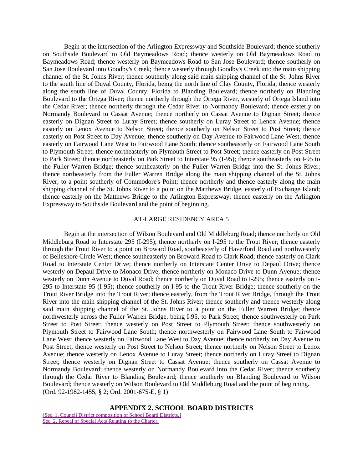Begin at the intersection of the Arlington Expressway and Southside Boulevard; thence southerly on Southside Boulevard to Old Baymeadows Road; thence westerly on Old Baymeadows Road to Baymeadows Road; thence westerly on Baymeadows Road to San Jose Boulevard; thence southerly on San Jose Boulevard into Goodby's Creek; thence westerly through Goodby's Creek into the main shipping channel of the St. Johns River; thence southerly along said main shipping channel of the St. Johns River to the south line of Duval County, Florida, being the north line of Clay County, Florida; thence westerly along the south line of Duval County, Florida to Blanding Boulevard; thence northerly on Blanding Boulevard to the Ortega River; thence northerly through the Ortega River, westerly of Ortega Island into the Cedar River; thence northerly through the Cedar River to Normandy Boulevard; thence easterly on Normandy Boulevard to Cassat Avenue; thence northerly on Cassat Avenue to Dignan Street; thence easterly on Dignan Street to Luray Street; thence southerly on Luray Street to Lenox Avenue; thence easterly on Lenox Avenue to Nelson Street; thence southerly on Nelson Street to Post Street; thence easterly on Post Street to Day Avenue; thence southerly on Day Avenue to Fairwood Lane West; thence easterly on Fairwood Lane West to Fairwood Lane South; thence southeasterly on Fairwood Lane South to Plymouth Street; thence northeasterly on Plymouth Street to Post Street; thence easterly on Post Street to Park Street; thence northeasterly on Park Street to Interstate 95 (I-95); thence southeasterly on I-95 to the Fuller Warren Bridge; thence southeasterly on the Fuller Warren Bridge into the St. Johns River; thence northeasterly from the Fuller Warren Bridge along the main shipping channel of the St. Johns River, to a point southerly of Commodore's Point; thence northerly and thence easterly along the main shipping channel of the St. Johns River to a point on the Matthews Bridge, easterly of Exchange Island; thence easterly on the Matthews Bridge to the Arlington Expressway; thence easterly on the Arlington Expressway to Southside Boulevard and the point of beginning.

### AT-LARGE RESIDENCY AREA 5

Begin at the intersection of Wilson Boulevard and Old Middleburg Road; thence northerly on Old Middleburg Road to Interstate 295 (I-295); thence northerly on I-295 to the Trout River; thence easterly through the Trout River to a point on Broward Road, southeasterly of Haverford Road and northwesterly of Belleshore Circle West; thence southeasterly on Broward Road to Clark Road; thence easterly on Clark Road to Interstate Center Drive; thence northerly on Interstate Center Drive to Depaul Drive; thence westerly on Depaul Drive to Monaco Drive; thence northerly on Monaco Drive to Dunn Avenue; thence westerly on Dunn Avenue to Duval Road; thence northerly on Duval Road to I-295; thence easterly on I-295 to Interstate 95 (I-95); thence southerly on I-95 to the Trout River Bridge; thence southerly on the Trout River Bridge into the Trout River; thence easterly, from the Trout River Bridge, through the Trout River into the main shipping channel of the St. Johns River; thence southerly and thence westerly along said main shipping channel of the St. Johns River to a point on the Fuller Warren Bridge; thence northwesterly across the Fuller Warren Bridge, being I-95, to Park Street; thence southwesterly on Park Street to Post Street; thence westerly on Post Street to Plymouth Street; thence southwesterly on Plymouth Street to Fairwood Lane South; thence northwesterly on Fairwood Lane South to Fairwood Lane West; thence westerly on Fairwood Lane West to Day Avenue; thence northerly on Day Avenue to Post Street; thence westerly on Post Street to Nelson Street; thence northerly on Nelson Street to Lenox Avenue; thence westerly on Lenox Avenue to Luray Street; thence northerly on Luray Street to Dignan Street; thence westerly on Dignan Street to Cassat Avenue; thence southerly on Cassat Avenue to Normandy Boulevard; thence westerly on Normandy Boulevard into the Cedar River; thence southerly through the Cedar River to Blanding Boulevard; thence southerly on Blanding Boulevard to Wilson Boulevard; thence westerly on Wilson Boulevard to Old Middleburg Road and the point of beginning. (Ord. 92-1982-1455, § 2; Ord. 2001-675-E, § 1)

#### **APPENDIX 2. SCHOOL BOARD DISTRICTS**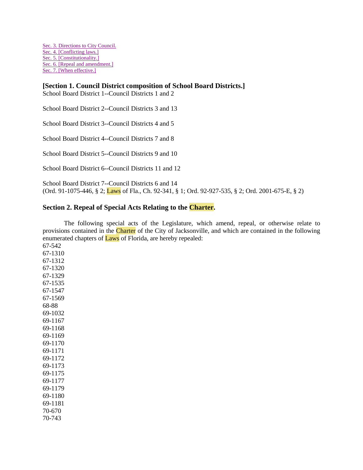[Sec. 3. Directions to City Council.](http://library4.municode.com/mcc/DocView/12174/1/871/904?hilite=part;parts;a;charter;charters;laws;law;#0-0-0-10345#0-0-0-10345) [Sec. 4. \[Conflicting laws.\]](http://library4.municode.com/mcc/DocView/12174/1/871/904?hilite=part;parts;a;charter;charters;laws;law;#0-0-0-10347#0-0-0-10347) [Sec. 5. \[Constitutionality.\]](http://library4.municode.com/mcc/DocView/12174/1/871/904?hilite=part;parts;a;charter;charters;laws;law;#0-0-0-10349#0-0-0-10349) [Sec. 6. \[Repeal and amendment.\]](http://library4.municode.com/mcc/DocView/12174/1/871/904?hilite=part;parts;a;charter;charters;laws;law;#0-0-0-10351#0-0-0-10351) [Sec. 7. \[When effective.\]](http://library4.municode.com/mcc/DocView/12174/1/871/904?hilite=part;parts;a;charter;charters;laws;law;#0-0-0-10353#0-0-0-10353)

# **[Section 1. Council District composition of School Board Districts.]**

School Board District 1--Council Districts 1 and 2

School Board District 2--Council Districts 3 and 13

School Board District 3--Council Districts 4 and 5

School Board District 4--Council Districts 7 and 8

School Board District 5--Council Districts 9 and 10

School Board District 6--Council Districts 11 and 12

School Board District 7--Council Districts 6 and 14 (Ord. 91-1075-446, § 2; Laws of Fla., Ch. 92-341, § 1; Ord. 92-927-535, § 2; Ord. 2001-675-E, § 2)

# **Section 2. Repeal of Special Acts Relating to the Charter.**

The following special acts of the Legislature, which amend, repeal, or otherwise relate to provisions contained in the Charter of the City of Jacksonville, and which are contained in the following enumerated chapters of Laws of Florida, are hereby repealed:

67-542 67-1310 67-1312 67-1320 67-1329 67-1535 67-1547 67-1569 68-88 69-1032 69-1167 69-1168 69-1169 69-1170 69-1171 69-1172 69-1173 69-1175 69-1177 69-1179 69-1180 69-1181 70-670 70-743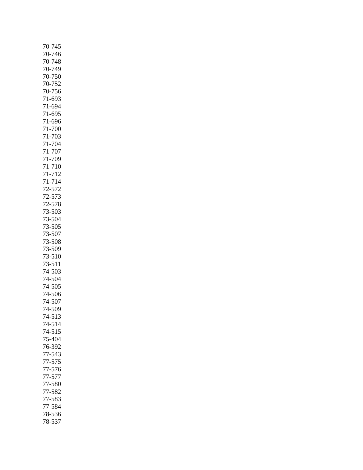| 70-745     |
|------------|
| 70-746     |
| 70-748     |
| 70-749     |
| 70-750     |
|            |
| 70-752     |
| 70-756     |
| 71-693     |
| 71-694     |
| 71-695     |
| 71-696     |
| 71-700     |
| 71-703     |
| 71-704     |
| 71-707     |
| 71-709     |
|            |
| 71-710     |
| 71-712     |
| 71-714     |
| 72-572     |
| 72-573     |
| 72-578     |
| 73-503     |
| 73-504     |
| 73-505     |
| 73-507     |
| 73-508     |
| 73-509     |
| 73-510     |
|            |
| $73 - 511$ |
| 74-503     |
| 74-504     |
| 74-505     |
| 74-506     |
| 74-507     |
| 74-509     |
| 74-513     |
| 74-514     |
| 74-515     |
| 75-404     |
| 76-392     |
| 77-543     |
|            |
| 77-575     |
| 77-576     |
| 77-577     |
| 77-580     |
| 77-582     |
| 77-583     |
| 77-584     |
| 78-536     |
| 78-537     |
|            |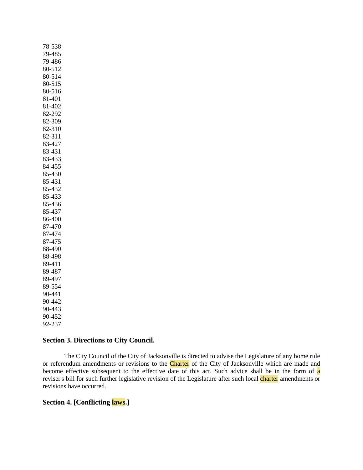78-538 79-485 79-486 80-512 80-514 80-515 80-516 81-401 81-402 82-292 82-309 82-310 82-311 83-427 83-431 83-433 84-455 85-430 85-431 85-432 85-433 85-436 85-437 86-400 87-470 87-474 87-475 88-490 88-498 89-411 89-487 89-497 89-554 90-441 90-442 90-443 90-452 92-237

# **Section 3. Directions to City Council.**

The City Council of the City of Jacksonville is directed to advise the Legislature of any home rule or referendum amendments or revisions to the Charter of the City of Jacksonville which are made and become effective subsequent to the effective date of this act. Such advice shall be in the form of a reviser's bill for such further legislative revision of the Legislature after such local charter amendments or revisions have occurred.

# **Section 4. [Conflicting laws.]**